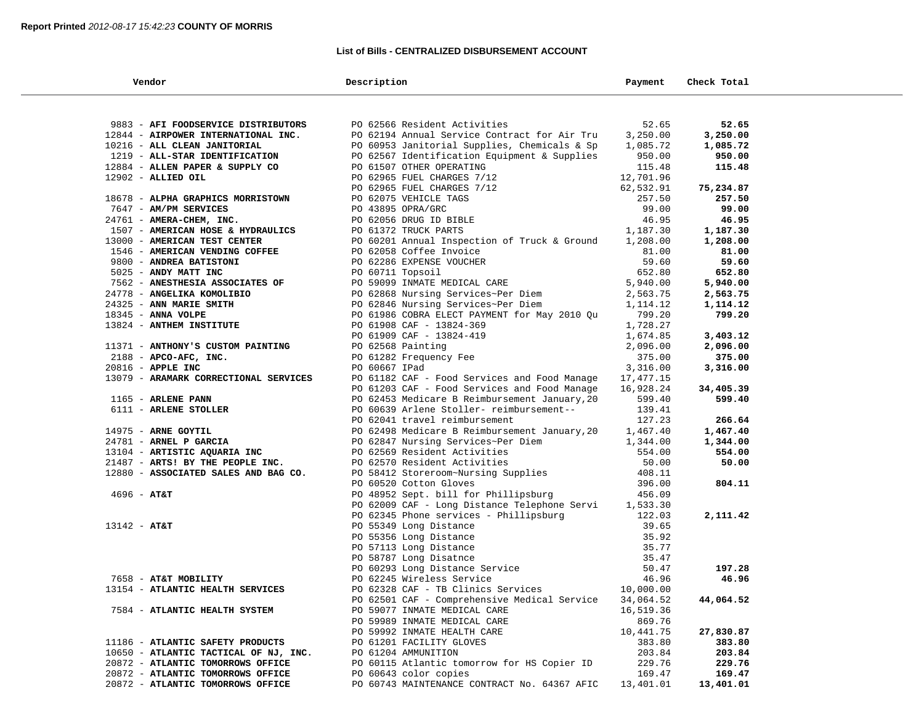## **List of Bills - CENTRALIZED DISBURSEMENT ACCOUNT**

| Vendor                                | Description                                                                                                                               | Payment                        | Check Total |  |
|---------------------------------------|-------------------------------------------------------------------------------------------------------------------------------------------|--------------------------------|-------------|--|
|                                       |                                                                                                                                           |                                |             |  |
| 9883 - AFI FOODSERVICE DISTRIBUTORS   | PO 62566 Resident Activities                                                                                                              | 52.65                          | 52.65       |  |
| 12844 - AIRPOWER INTERNATIONAL INC.   | PO 62194 Annual Service Contract for Air Tru                                                                                              | 3,250.00                       | 3,250.00    |  |
| 10216 - ALL CLEAN JANITORIAL          | PO 60953 Janitorial Supplies, Chemicals & Sp                                                                                              | 1,085.72                       | 1,085.72    |  |
| 1219 - ALL-STAR IDENTIFICATION        | PO 62567 Identification Equipment & Supplies                                                                                              | 950.00                         | 950.00      |  |
| 12884 - ALLEN PAPER & SUPPLY CO       | PO 61507 OTHER OPERATING                                                                                                                  | 115.48                         | 115.48      |  |
| 12902 - ALLIED OIL                    | PO 62965 FUEL CHARGES 7/12                                                                                                                | 12,701.96                      |             |  |
|                                       | PO 62965 FUEL CHARGES 7/12                                                                                                                | 62,532.91                      | 75,234.87   |  |
| 18678 - ALPHA GRAPHICS MORRISTOWN     | PO 62075 VEHICLE TAGS                                                                                                                     | 257.50                         | 257.50      |  |
| 7647 - AM/PM SERVICES                 | PO 43895 OPRA/GRC                                                                                                                         | 99.00                          | 99.00       |  |
| 24761 - AMERA-CHEM, INC.              | PO 62056 DRUG ID BIBLE                                                                                                                    | 46.95                          | 46.95       |  |
| 1507 - AMERICAN HOSE & HYDRAULICS     | PO 61372 TRUCK PARTS                                                                                                                      | 1,187.30                       | 1,187.30    |  |
| 13000 - AMERICAN TEST CENTER          | PO 60201 Annual Inspection of Truck & Ground                                                                                              | 1,208.00                       | 1,208.00    |  |
| 1546 - AMERICAN VENDING COFFEE        | PO 62058 Coffee Invoice                                                                                                                   | 81.00                          | 81.00       |  |
| 9800 - ANDREA BATISTONI               | PO 62286 EXPENSE VOUCHER                                                                                                                  | 59.60                          | 59.60       |  |
| 5025 - ANDY MATT INC                  | PO 60711 Topsoil                                                                                                                          | 652.80<br>5,940.00<br>2,563.75 | 652.80      |  |
| 7562 - ANESTHESIA ASSOCIATES OF       | PO 59099 INMATE MEDICAL CARE<br>PO 62868 Nursing Services~Per Diem                                                                        |                                | 5,940.00    |  |
| 24778 - ANGELIKA KOMOLIBIO            |                                                                                                                                           |                                | 2,563.75    |  |
| 24325 - ANN MARIE SMITH               | PO 62846 Nursing Services~Per Diem                                                                                                        | 1,114.12                       | 1,114.12    |  |
| 18345 - ANNA VOLPE                    | PO 61986 COBRA ELECT PAYMENT for May 2010 Qu                                                                                              | 799.20                         | 799.20      |  |
| 13824 - ANTHEM INSTITUTE              | PO 61908 CAF - 13824-369                                                                                                                  | 1,728.27                       |             |  |
|                                       | PO 61909 CAF - 13824-419                                                                                                                  | 1,674.85                       | 3,403.12    |  |
| 11371 - ANTHONY'S CUSTOM PAINTING     | PO 62568 Painting                                                                                                                         | 2,096.00                       | 2,096.00    |  |
| $2188$ - APCO-AFC, INC.               | PO 61282 Frequency Fee                                                                                                                    | 375.00                         | 375.00      |  |
| 20816 - APPLE INC                     | PO 60667 IPad                                                                                                                             | 3,316.00                       | 3,316.00    |  |
| 13079 - ARAMARK CORRECTIONAL SERVICES | PO 61182 CAF - Food Services and Food Manage                                                                                              | 17,477.15                      |             |  |
|                                       | PO 61203 CAF - Food Services and Food Manage                                                                                              | 16,928.24                      | 34,405.39   |  |
| 1165 - ARLENE PANN                    | PO 62453 Medicare B Reimbursement January, 20                                                                                             | 599.40                         | 599.40      |  |
| 6111 - ARLENE STOLLER                 | PO 60639 Arlene Stoller- reimbursement--                                                                                                  | 139.41                         |             |  |
|                                       | PO 62041 travel reimbursement                                                                                                             | 127.23                         | 266.64      |  |
| 14975 - ARNE GOYTIL                   | PO 62498 Medicare B Reimbursement January, 20                                                                                             | 1,467.40                       | 1,467.40    |  |
| 24781 - ARNEL P GARCIA                | PO 62847 Nursing Services~Per Diem<br>PO 62569 Resident Activities<br>PO 62570 Pesident Activities                                        | 1,344.00                       | 1,344.00    |  |
| 13104 - ARTISTIC AQUARIA INC          |                                                                                                                                           | 554.00                         | 554.00      |  |
| 21487 - ARTS! BY THE PEOPLE INC.      | PO 62570 Resident Activities                                                                                                              | 50.00                          | 50.00       |  |
| 12880 - ASSOCIATED SALES AND BAG CO.  | PO 58412 Storeroom~Nursing Supplies                                                                                                       | 408.11                         |             |  |
|                                       | PO 60520 Cotton Gloves                                                                                                                    | 396.00                         | 804.11      |  |
| $4696 - AT&T$                         | PO 48952 Sept. bill for Phillipsburg                                                                                                      | 456.09                         |             |  |
|                                       | PO 62009 CAF - Long Distance Telephone Servi 1,533.30<br>PO 62345 Phone services - Phillipsburg                                           | 122.03                         | 2,111.42    |  |
| $13142 - AT&T$                        | PO 55349 Long Distance                                                                                                                    | 39.65                          |             |  |
|                                       | PO 55356 Long Distance<br>PO 55356 Long Distance<br>PO 57113 Long Distance<br>PO 60293 Long Distance Service<br>PO 62245 Wireless Service | 35.92                          |             |  |
|                                       |                                                                                                                                           | 35.77                          |             |  |
|                                       |                                                                                                                                           | 35.47                          |             |  |
|                                       |                                                                                                                                           | 50.47                          | 197.28      |  |
| 7658 - AT&T MOBILITY                  |                                                                                                                                           | 46.96                          | 46.96       |  |
| 13154 - ATLANTIC HEALTH SERVICES      | PO 62328 CAF - TB Clinics Services                                                                                                        | 10,000.00                      |             |  |
|                                       | PO 62501 CAF - Comprehensive Medical Service                                                                                              | 34,064.52                      | 44,064.52   |  |
| 7584 - ATLANTIC HEALTH SYSTEM         | PO 59077 INMATE MEDICAL CARE                                                                                                              | 16,519.36                      |             |  |
|                                       | PO 59989 INMATE MEDICAL CARE                                                                                                              | 869.76                         |             |  |
|                                       | PO 59992 INMATE HEALTH CARE                                                                                                               | 10,441.75                      | 27,830.87   |  |
| 11186 - ATLANTIC SAFETY PRODUCTS      | PO 61201 FACILITY GLOVES                                                                                                                  | 383.80                         | 383.80      |  |
| 10650 - ATLANTIC TACTICAL OF NJ, INC. | PO 61204 AMMUNITION                                                                                                                       | 203.84                         | 203.84      |  |
| 20872 - ATLANTIC TOMORROWS OFFICE     | PO 60115 Atlantic tomorrow for HS Copier ID                                                                                               | 229.76                         | 229.76      |  |
| 20872 - ATLANTIC TOMORROWS OFFICE     | PO 60643 color copies                                                                                                                     | 169.47                         | 169.47      |  |
| 20872 - ATLANTIC TOMORROWS OFFICE     | PO 60743 MAINTENANCE CONTRACT No. 64367 AFIC                                                                                              | 13,401.01                      | 13,401.01   |  |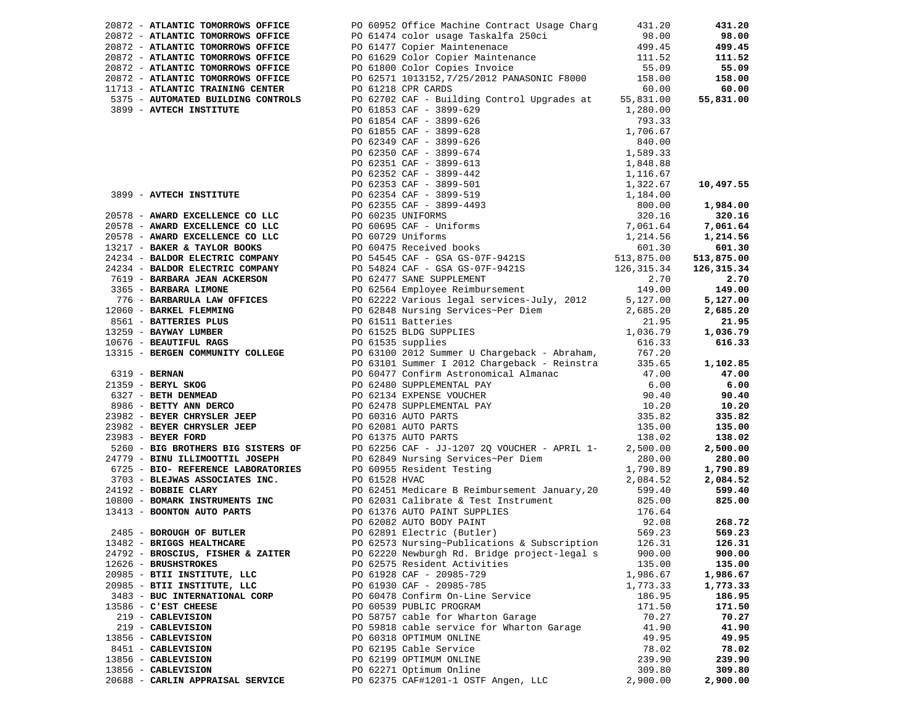| 20872 - ATLANTIC TOMORROWS OFFICE | PO 60952 Office Machine Contract Usage Charg 431.20                                                                                                                                                                                 |          | 431.20           |
|-----------------------------------|-------------------------------------------------------------------------------------------------------------------------------------------------------------------------------------------------------------------------------------|----------|------------------|
|                                   |                                                                                                                                                                                                                                     |          | 98.00            |
|                                   |                                                                                                                                                                                                                                     |          | 499.45           |
|                                   |                                                                                                                                                                                                                                     |          | 111.52           |
|                                   |                                                                                                                                                                                                                                     |          | 55.09            |
|                                   |                                                                                                                                                                                                                                     |          | 158.00           |
|                                   |                                                                                                                                                                                                                                     |          | 60.00            |
|                                   |                                                                                                                                                                                                                                     |          | 55,831.00        |
|                                   |                                                                                                                                                                                                                                     |          |                  |
|                                   |                                                                                                                                                                                                                                     |          |                  |
|                                   |                                                                                                                                                                                                                                     |          |                  |
|                                   |                                                                                                                                                                                                                                     |          |                  |
|                                   |                                                                                                                                                                                                                                     |          |                  |
|                                   |                                                                                                                                                                                                                                     |          |                  |
|                                   |                                                                                                                                                                                                                                     |          |                  |
|                                   |                                                                                                                                                                                                                                     |          | 10,497.55        |
|                                   |                                                                                                                                                                                                                                     |          |                  |
|                                   |                                                                                                                                                                                                                                     |          | 1,984.00         |
|                                   |                                                                                                                                                                                                                                     |          | 320.16           |
|                                   |                                                                                                                                                                                                                                     |          | 7,061.64         |
|                                   |                                                                                                                                                                                                                                     |          | 1,214.56         |
|                                   |                                                                                                                                                                                                                                     |          | 601.30           |
|                                   |                                                                                                                                                                                                                                     |          | 513,875.00       |
|                                   |                                                                                                                                                                                                                                     |          | 126,315.34       |
|                                   |                                                                                                                                                                                                                                     |          | 2.70             |
|                                   |                                                                                                                                                                                                                                     |          | 149.00           |
|                                   |                                                                                                                                                                                                                                     |          | 5,127.00         |
|                                   |                                                                                                                                                                                                                                     |          | 2,685.20         |
|                                   |                                                                                                                                                                                                                                     |          | 21.95            |
|                                   |                                                                                                                                                                                                                                     |          | 1,036.79         |
|                                   |                                                                                                                                                                                                                                     |          | 616.33           |
|                                   |                                                                                                                                                                                                                                     |          |                  |
|                                   |                                                                                                                                                                                                                                     |          | 1,102.85         |
|                                   |                                                                                                                                                                                                                                     |          | 47.00            |
|                                   |                                                                                                                                                                                                                                     |          | 6.00             |
|                                   |                                                                                                                                                                                                                                     |          | 90.40            |
|                                   |                                                                                                                                                                                                                                     |          | 10.20            |
|                                   |                                                                                                                                                                                                                                     |          | 335.82           |
|                                   |                                                                                                                                                                                                                                     |          | 135.00           |
|                                   |                                                                                                                                                                                                                                     |          | 138.02           |
|                                   |                                                                                                                                                                                                                                     |          | 2,500.00         |
|                                   |                                                                                                                                                                                                                                     |          | 280.00           |
|                                   |                                                                                                                                                                                                                                     |          | 1,790.89         |
|                                   |                                                                                                                                                                                                                                     |          | 2,084.52         |
|                                   |                                                                                                                                                                                                                                     |          |                  |
|                                   | 38973 - ATACHITECTRONOMIC OPPIEST<br>28973 - ATACHITECTRONOMIC CONFIDENT POLITIC PRODUCTION (1911-1912)<br>28974 - ATACHITECTRONOMIC CONFIDENT POLITIC CONFIDENT (1913-2012)<br>28974 - ATACHITECTRONOMIC CONFIDENT POLITIC CONFIDE |          | 599.40<br>825.00 |
|                                   |                                                                                                                                                                                                                                     |          |                  |
|                                   |                                                                                                                                                                                                                                     |          | 268.72           |
|                                   |                                                                                                                                                                                                                                     |          |                  |
|                                   |                                                                                                                                                                                                                                     |          | 569.23           |
|                                   |                                                                                                                                                                                                                                     |          | 126.31           |
| 24792 - BROSCIUS, FISHER & ZAITER | PO 62220 Newburgh Rd. Bridge project-legal s                                                                                                                                                                                        | 900.00   | 900.00           |
| 12626 - BRUSHSTROKES              | PO 62575 Resident Activities                                                                                                                                                                                                        | 135.00   | 135.00           |
| 20985 - BTII INSTITUTE, LLC       | PO 61928 CAF - 20985-729                                                                                                                                                                                                            | 1,986.67 | 1,986.67         |
| 20985 - BTII INSTITUTE, LLC       | PO 61930 CAF - 20985-785                                                                                                                                                                                                            | 1,773.33 | 1,773.33         |
| 3483 - BUC INTERNATIONAL CORP     | PO 60478 Confirm On-Line Service                                                                                                                                                                                                    | 186.95   | 186.95           |
| 13586 - C'EST CHEESE              | PO 60539 PUBLIC PROGRAM                                                                                                                                                                                                             | 171.50   | 171.50           |
| 219 - CABLEVISION                 | PO 58757 cable for Wharton Garage                                                                                                                                                                                                   | 70.27    | 70.27            |
| 219 - CABLEVISION                 | PO 59818 cable service for Wharton Garage                                                                                                                                                                                           | 41.90    | 41.90            |
| 13856 - CABLEVISION               | PO 60318 OPTIMUM ONLINE                                                                                                                                                                                                             | 49.95    | 49.95            |
| 8451 - CABLEVISION                | PO 62195 Cable Service                                                                                                                                                                                                              | 78.02    | 78.02            |
| 13856 - CABLEVISION               | PO 62199 OPTIMUM ONLINE                                                                                                                                                                                                             | 239.90   | 239.90           |
| 13856 - CABLEVISION               | PO 62271 Optimum Online                                                                                                                                                                                                             | 309.80   | 309.80           |
| 20688 - CARLIN APPRAISAL SERVICE  | PO 62375 CAF#1201-1 OSTF Angen, LLC                                                                                                                                                                                                 | 2,900.00 | 2,900.00         |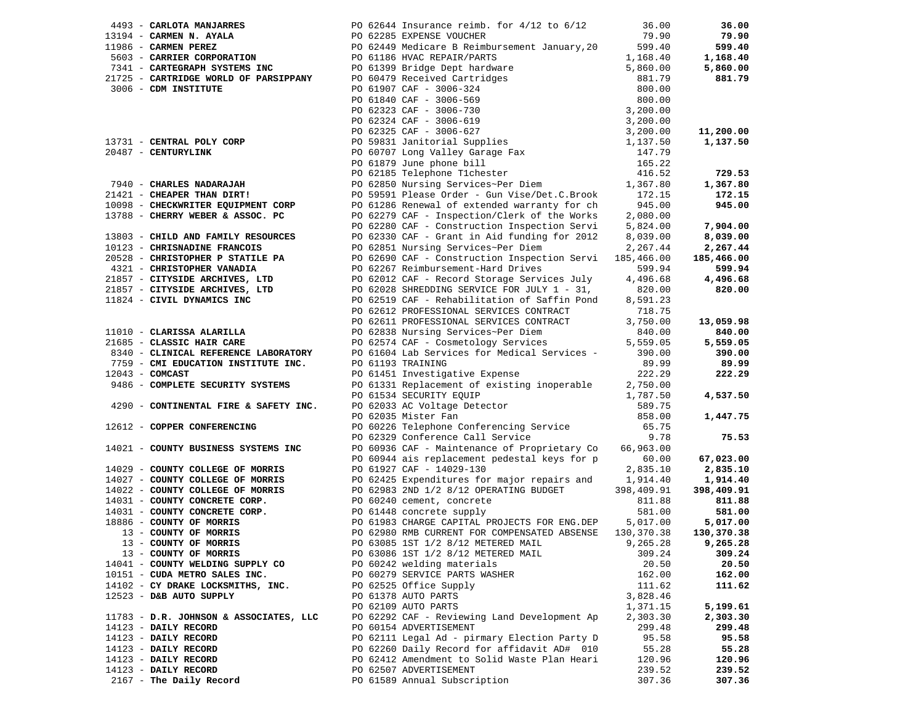|                                                                                                                                                         | 1493 - <b>CARIOTA MANARES</b><br>1919 <b>4 - CARMEN N. AYALA</b><br>191986 <b>- CARMEN NEREZ</b><br>1986 <b>- CARMEN PEREZ</b><br>1986 <b>- CARMEN PEREZ</b><br>1986 <b>- CARMEN PEREZ</b><br>19986 <b>- CARMEN PEREZ</b><br>19986 <b>- CARMEN PEREZ</b><br>19986 <b>- CARMEN STEMS NOR</b> |            | 36.00      |
|---------------------------------------------------------------------------------------------------------------------------------------------------------|---------------------------------------------------------------------------------------------------------------------------------------------------------------------------------------------------------------------------------------------------------------------------------------------|------------|------------|
|                                                                                                                                                         |                                                                                                                                                                                                                                                                                             |            | 79.90      |
|                                                                                                                                                         |                                                                                                                                                                                                                                                                                             |            | 599.40     |
|                                                                                                                                                         |                                                                                                                                                                                                                                                                                             |            | 1,168.40   |
|                                                                                                                                                         |                                                                                                                                                                                                                                                                                             |            | 5,860.00   |
|                                                                                                                                                         |                                                                                                                                                                                                                                                                                             |            | 881.79     |
|                                                                                                                                                         |                                                                                                                                                                                                                                                                                             |            |            |
|                                                                                                                                                         |                                                                                                                                                                                                                                                                                             |            |            |
|                                                                                                                                                         |                                                                                                                                                                                                                                                                                             |            |            |
|                                                                                                                                                         |                                                                                                                                                                                                                                                                                             |            |            |
|                                                                                                                                                         |                                                                                                                                                                                                                                                                                             |            | 11,200.00  |
|                                                                                                                                                         |                                                                                                                                                                                                                                                                                             |            | 1,137.50   |
|                                                                                                                                                         |                                                                                                                                                                                                                                                                                             |            |            |
|                                                                                                                                                         |                                                                                                                                                                                                                                                                                             |            |            |
|                                                                                                                                                         |                                                                                                                                                                                                                                                                                             |            | 729.53     |
|                                                                                                                                                         |                                                                                                                                                                                                                                                                                             |            | 1,367.80   |
|                                                                                                                                                         |                                                                                                                                                                                                                                                                                             |            | 172.15     |
|                                                                                                                                                         |                                                                                                                                                                                                                                                                                             |            | 945.00     |
|                                                                                                                                                         |                                                                                                                                                                                                                                                                                             |            |            |
|                                                                                                                                                         | PO 62280 CAF - Construction Inspection Servi                                                                                                                                                                                                                                                | 5,824.00   | 7,904.00   |
| 13803 - CHILD AND FAMILY RESOURCES                                                                                                                      | PO 62280 CAF - Construction Inspection Services 3,824.00<br>PO 62330 CAF - Grant in Aid funding for 2012 8,039.00<br>PO 62851 Nursing Services~Per Diem 2,267.44<br>PO 62690 CAF - Construction Inspection Services 185,466.00                                                              |            | 8,039.00   |
| 10123 - CHRISNADINE FRANCOIS                                                                                                                            |                                                                                                                                                                                                                                                                                             |            | 2,267.44   |
| 20528 - CHRISTOPHER P STATILE PA                                                                                                                        |                                                                                                                                                                                                                                                                                             |            | 185,466.00 |
|                                                                                                                                                         |                                                                                                                                                                                                                                                                                             |            | 599.94     |
|                                                                                                                                                         | 4321 - CHRISTOPHER VANADIA<br>21857 - CITYSIDE ARCHIVES, LTD<br>21857 - CITYSIDE ARCHIVES, LTD<br>21857 - CITYSIDE ARCHIVES, LTD<br>21857 - CITYSIDE ARCHIVES, LTD<br>2006 - PO 62028 SHREDDING SERVICE FOR JULY 1 - 31,<br>200.00<br>21824                                                 |            | 4,496.68   |
|                                                                                                                                                         |                                                                                                                                                                                                                                                                                             |            |            |
|                                                                                                                                                         |                                                                                                                                                                                                                                                                                             |            | 820.00     |
|                                                                                                                                                         |                                                                                                                                                                                                                                                                                             |            |            |
|                                                                                                                                                         | PO 62612 PROFESSIONAL SERVICES CONTRACT                                                                                                                                                                                                                                                     | 718.75     |            |
|                                                                                                                                                         | PO 62611 PROFESSIONAL SERVICES CONTRACT<br>PO 62611 PROFESSIONAL SERVICES CONTRACT 3,750.00<br>PO 62838 Nursing Services~Per Diem 840.00<br>PO 62574 CAF - Cosmetology Services 5,559.05<br>PO 61604 Lab Services for Medical Services - 390.00                                             |            | 13,059.98  |
| 11010 - CLARISSA ALARILLA                                                                                                                               |                                                                                                                                                                                                                                                                                             |            | 840.00     |
| 21685 - CLASSIC HAIR CARE                                                                                                                               |                                                                                                                                                                                                                                                                                             |            | 5,559.05   |
| 8340 - CLINICAL REFERENCE LABORATORY                                                                                                                    |                                                                                                                                                                                                                                                                                             |            | 390.00     |
| 7759 - CMI EDUCATION INSTITUTE INC.                                                                                                                     |                                                                                                                                                                                                                                                                                             |            | 89.99      |
| $12043$ - COMCAST                                                                                                                                       |                                                                                                                                                                                                                                                                                             |            | 222.29     |
| 9486 - COMPLETE SECURITY SYSTEMS                                                                                                                        |                                                                                                                                                                                                                                                                                             |            |            |
|                                                                                                                                                         | PO 61451 Investigative Expense<br>PO 61451 Investigative Expense<br>PO 61331 Replacement of existing inoperable<br>PO 61534 SECURITY EQUIP<br>PO 62033 AC Voltage Detector<br>PO 62035 Mister Fan<br>PO 62035 Mister Fan<br>PO 62035 Mister                                                 |            | 4,537.50   |
| 4290 - CONTINENTAL FIRE & SAFETY INC.                                                                                                                   |                                                                                                                                                                                                                                                                                             |            |            |
|                                                                                                                                                         |                                                                                                                                                                                                                                                                                             |            | 1,447.75   |
| 12612 - COPPER CONFERENCING                                                                                                                             | PO 60226 Telephone Conferencing Service<br>PO 62329 Conference Call Service                                                                                                                                                                                                                 | 65.75      |            |
|                                                                                                                                                         |                                                                                                                                                                                                                                                                                             | 9.78       | 75.53      |
| 14021 - COUNTY BUSINESS SYSTEMS INC                                                                                                                     | PO 60936 CAF - Maintenance of Proprietary Co 66,963.00                                                                                                                                                                                                                                      |            |            |
|                                                                                                                                                         | PO 60944 ais replacement pedestal keys for p                                                                                                                                                                                                                                                | 60.00      | 67,023.00  |
| 14029 - COUNTY COLLEGE OF MORRIS                                                                                                                        | PO 61927 CAF - 14029-130                                                                                                                                                                                                                                                                    | 2,835.10   | 2,835.10   |
| 14027 - COUNTY COLLEGE OF MORRIS                                                                                                                        | PO 62425 Expenditures for major repairs and 1,914.40                                                                                                                                                                                                                                        |            | 1,914.40   |
| 14022 - COUNTY COLLEGE OF MORRIS<br>14031 - COUNTY CONCRETE CORP.<br>14031 - COUNTY CONCRETE CORP.<br>18886 - COUNTY OF MORRIS<br>13 - COUNTY OF MORRIS | PO 62983 2ND 1/2 8/12 OPERATING BUDGET                                                                                                                                                                                                                                                      | 398,409.91 | 398,409.91 |
|                                                                                                                                                         | PO 60240 cement, concrete                                                                                                                                                                                                                                                                   | 811.88     | 811.88     |
|                                                                                                                                                         | PO 61448 concrete supply                                                                                                                                                                                                                                                                    | 581.00     | 581.00     |
|                                                                                                                                                         | PO 61983 CHARGE CAPITAL PROJECTS FOR ENG. DEP 5,017.00                                                                                                                                                                                                                                      |            | 5,017.00   |
| 13 - COUNTY OF MORRIS<br>12 - COUNTY OF MORRIS                                                                                                          | PO 62980 RMB CURRENT FOR COMPENSATED ABSENSE                                                                                                                                                                                                                                                | 130,370.38 | 130,370.38 |
| 13 - COUNTY OF MORRIS                                                                                                                                   | PO 63085 1ST 1/2 8/12 METERED MAIL                                                                                                                                                                                                                                                          | 9,265.28   | 9,265.28   |
| 13 - COUNTY OF MORRIS                                                                                                                                   | PO 63086 1ST 1/2 8/12 METERED MAIL                                                                                                                                                                                                                                                          | 309.24     | 309.24     |
| 14041 - COUNTY WELDING SUPPLY CO                                                                                                                        | PO 60242 welding materials                                                                                                                                                                                                                                                                  | 20.50      | 20.50      |
| 10151 - CUDA METRO SALES INC.                                                                                                                           | PO 60279 SERVICE PARTS WASHER                                                                                                                                                                                                                                                               | 162.00     | 162.00     |
| 14102 - CY DRAKE LOCKSMITHS, INC.                                                                                                                       | PO 62525 Office Supply                                                                                                                                                                                                                                                                      | 111.62     | 111.62     |
| 12523 - D&B AUTO SUPPLY                                                                                                                                 | PO 61378 AUTO PARTS                                                                                                                                                                                                                                                                         | 3,828.46   |            |
|                                                                                                                                                         | PO 62109 AUTO PARTS                                                                                                                                                                                                                                                                         | 1,371.15   | 5,199.61   |
| 11783 - D.R. JOHNSON & ASSOCIATES, LLC                                                                                                                  | PO 62292 CAF - Reviewing Land Development Ap                                                                                                                                                                                                                                                | 2,303.30   | 2,303.30   |
| 14123 - DAILY RECORD                                                                                                                                    | PO 60154 ADVERTISEMENT                                                                                                                                                                                                                                                                      | 299.48     | 299.48     |
| 14123 - DAILY RECORD                                                                                                                                    | PO 62111 Legal Ad - pirmary Election Party D                                                                                                                                                                                                                                                | 95.58      | 95.58      |
| 14123 - DAILY RECORD                                                                                                                                    | PO 62260 Daily Record for affidavit AD# 010                                                                                                                                                                                                                                                 | 55.28      | 55.28      |
| 14123 - DAILY RECORD                                                                                                                                    | PO 62412 Amendment to Solid Waste Plan Heari                                                                                                                                                                                                                                                | 120.96     | 120.96     |
| 14123 - DAILY RECORD                                                                                                                                    | PO 62507 ADVERTISEMENT                                                                                                                                                                                                                                                                      | 239.52     | 239.52     |
| 2167 - The Daily Record                                                                                                                                 | PO 61589 Annual Subscription                                                                                                                                                                                                                                                                | 307.36     | 307.36     |
|                                                                                                                                                         |                                                                                                                                                                                                                                                                                             |            |            |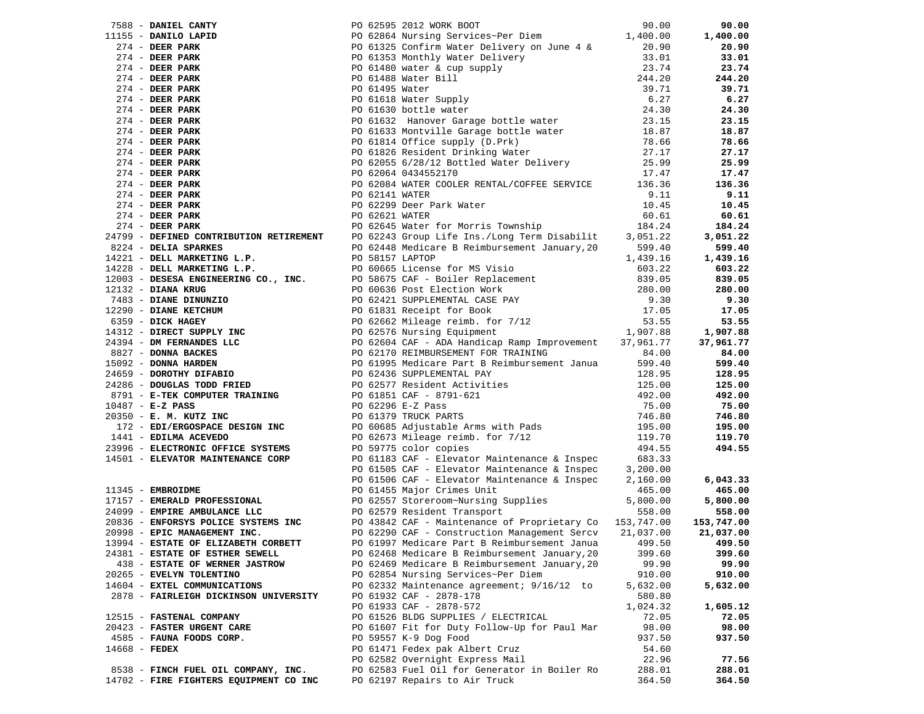|               | 7588 - DANIEL CANTY                    |                                                                                                                                                                                                                                              |          | 90.00      |
|---------------|----------------------------------------|----------------------------------------------------------------------------------------------------------------------------------------------------------------------------------------------------------------------------------------------|----------|------------|
|               | 11155 - DANILO LAPID                   |                                                                                                                                                                                                                                              |          | 1,400.00   |
|               | $274$ - DEER PARK                      |                                                                                                                                                                                                                                              |          | 20.90      |
|               | $274$ - DEER PARK                      |                                                                                                                                                                                                                                              |          | 33.01      |
|               | $274$ - DEER PARK                      |                                                                                                                                                                                                                                              |          | 23.74      |
|               | $274$ - DEER PARK                      |                                                                                                                                                                                                                                              |          | 244.20     |
|               | $274$ - DEER PARK                      |                                                                                                                                                                                                                                              |          | 39.71      |
|               | $274$ - DEER PARK                      |                                                                                                                                                                                                                                              |          | 6.27       |
|               |                                        |                                                                                                                                                                                                                                              |          |            |
|               | $274$ - DEER PARK                      |                                                                                                                                                                                                                                              |          | 24.30      |
|               | $274$ - DEER PARK                      |                                                                                                                                                                                                                                              |          | 23.15      |
|               | $274$ - DEER PARK                      |                                                                                                                                                                                                                                              |          | 18.87      |
|               | $274$ - DEER PARK                      |                                                                                                                                                                                                                                              |          | 78.66      |
|               | $274$ - DEER PARK                      | PO 61632 Hanover Garage bottle water<br>PO 61632 Hanover Garage bottle water<br>PO 61633 Montville Garage bottle water<br>PO 61814 Office supply (D.Prk)<br>78.66<br>PO 61826 Resident Drinking Water<br>27.17<br>PO 62055 6/28/12 Bottled W |          | 27.17      |
|               | $274$ - DEER PARK                      |                                                                                                                                                                                                                                              |          | 25.99      |
|               | $274$ - DEER PARK                      |                                                                                                                                                                                                                                              |          | 17.47      |
|               | $274$ - DEER PARK                      |                                                                                                                                                                                                                                              |          | 136.36     |
|               | $274$ - DEER PARK                      |                                                                                                                                                                                                                                              |          | 9.11       |
|               | $274$ - DEER PARK                      | FOR 62595 2012 WORK BOOT<br>PO 62864 Nursing Services-Per Diem<br>PO 61325 Confirm Water Delivery on June 4 & 20.90<br>PO 61325 Confirm Water Delivery 33.74<br>PO 6138 Monthly Water Bill<br>PO 61480 water & cup supply<br>9144.20<br>PO   |          | 10.45      |
|               | $274$ - DEER PARK                      |                                                                                                                                                                                                                                              |          | 60.61      |
|               | 274 - DEER PARK                        |                                                                                                                                                                                                                                              |          | 184.24     |
|               |                                        | 24799 - DEFINED CONTRIBUTION RETIREMENT PO 62243 Group Life Ins./Long Term Disabilit 3,051.22                                                                                                                                                |          | 3,051.22   |
|               |                                        |                                                                                                                                                                                                                                              |          | 599.40     |
|               |                                        |                                                                                                                                                                                                                                              |          | 1,439.16   |
|               |                                        |                                                                                                                                                                                                                                              |          | 603.22     |
|               |                                        |                                                                                                                                                                                                                                              |          | 839.05     |
|               |                                        |                                                                                                                                                                                                                                              |          | 280.00     |
|               |                                        |                                                                                                                                                                                                                                              |          | 9.30       |
|               |                                        |                                                                                                                                                                                                                                              |          | 17.05      |
|               |                                        |                                                                                                                                                                                                                                              |          | 53.55      |
|               |                                        |                                                                                                                                                                                                                                              |          |            |
|               |                                        |                                                                                                                                                                                                                                              |          | 1,907.88   |
|               |                                        |                                                                                                                                                                                                                                              |          | 37,961.77  |
|               |                                        |                                                                                                                                                                                                                                              |          | 84.00      |
|               |                                        |                                                                                                                                                                                                                                              |          | 599.40     |
|               |                                        |                                                                                                                                                                                                                                              |          | 128.95     |
|               |                                        |                                                                                                                                                                                                                                              |          | 125.00     |
|               |                                        |                                                                                                                                                                                                                                              |          | 492.00     |
|               |                                        |                                                                                                                                                                                                                                              |          | 75.00      |
|               |                                        | 2479 - DERTIRED CONTRIBUTION RETIREMENT PO 62243 Group Life Ins./Long Term Disabilit 3,051.22<br>2479 - DERTIRED CONTRIBUTION RETIREMENT PO 62443 Group Life Ins./Long Term Disabilit 3,051.22<br>14221 - DELL MARKETING L.P. PO             |          | 746.80     |
|               |                                        |                                                                                                                                                                                                                                              |          | 195.00     |
|               |                                        |                                                                                                                                                                                                                                              |          | 119.70     |
|               |                                        | PO 59775 color copies                                                                                                                                                                                                                        |          | 494.55     |
|               |                                        | 14501 - ELEVATOR MAINTENANCE CORP               PO 61183 CAF - Elevator Maintenance & Inspec         683.33<br>PO 61505 CAF - Elevator Maintenance & Inspec      3,200.00                                                                    |          |            |
|               |                                        |                                                                                                                                                                                                                                              |          |            |
|               |                                        | PO 61506 CAF - Elevator Maintenance & Inspec                                                                                                                                                                                                 | 2,160.00 | 6,043.33   |
|               | 11345 - EMBROIDME                      | PO 61455 Major Crimes Unit                                                                                                                                                                                                                   | 465.00   | 465.00     |
|               | 17157 - EMERALD PROFESSIONAL           | PO 62557 Storeroom~Nursing Supplies<br>PO 62579 Resident Transport                                                                                                                                                                           | 5,800.00 | 5,800.00   |
|               | 24099 - EMPIRE AMBULANCE LLC           |                                                                                                                                                                                                                                              | 558.00   | 558.00     |
|               |                                        | 20836 - ENFORSYS POLICE SYSTEMS INC PO 43842 CAF - Maintenance of Proprietary Co 153,747.00                                                                                                                                                  |          | 153,747.00 |
|               | 20998 - EPIC MANAGEMENT INC.           | PO 62290 CAF - Construction Management Sercy 21,037.00                                                                                                                                                                                       |          | 21,037.00  |
|               | 13994 - ESTATE OF ELIZABETH CORBETT    | PO 61997 Medicare Part B Reimbursement Janua                                                                                                                                                                                                 | 499.50   | 499.50     |
|               | 24381 - ESTATE OF ESTHER SEWELL        | PO 62468 Medicare B Reimbursement January, 20                                                                                                                                                                                                | 399.60   | 399.60     |
|               | 438 - ESTATE OF WERNER JASTROW         | PO 62469 Medicare B Reimbursement January, 20                                                                                                                                                                                                | 99.90    | 99.90      |
|               | 20265 - EVELYN TOLENTINO               | PO 62854 Nursing Services~Per Diem                                                                                                                                                                                                           | 910.00   | 910.00     |
|               | 14604 - EXTEL COMMUNICATIONS           | PO 62332 Maintenance agreement; 9/16/12 to                                                                                                                                                                                                   | 5,632.00 | 5,632.00   |
|               | 2878 - FAIRLEIGH DICKINSON UNIVERSITY  | PO 61932 CAF - 2878-178                                                                                                                                                                                                                      | 580.80   |            |
|               |                                        | PO 61933 CAF - 2878-572                                                                                                                                                                                                                      | 1,024.32 | 1,605.12   |
|               | 12515 - FASTENAL COMPANY               | PO 61526 BLDG SUPPLIES / ELECTRICAL                                                                                                                                                                                                          | 72.05    | 72.05      |
|               | 20423 - FASTER URGENT CARE             | PO 61607 Fit for Duty Follow-Up for Paul Mar                                                                                                                                                                                                 | 98.00    | 98.00      |
|               | 4585 - FAUNA FOODS CORP.               | PO 59557 K-9 Dog Food                                                                                                                                                                                                                        | 937.50   | 937.50     |
| 14668 - FEDEX |                                        | PO 61471 Fedex pak Albert Cruz                                                                                                                                                                                                               | 54.60    |            |
|               |                                        | PO 62582 Overnight Express Mail                                                                                                                                                                                                              | 22.96    | 77.56      |
|               |                                        |                                                                                                                                                                                                                                              |          |            |
|               | 8538 - FINCH FUEL OIL COMPANY, INC.    | PO 62583 Fuel Oil for Generator in Boiler Ro                                                                                                                                                                                                 | 288.01   | 288.01     |
|               | 14702 - FIRE FIGHTERS EQUIPMENT CO INC | PO 62197 Repairs to Air Truck                                                                                                                                                                                                                | 364.50   | 364.50     |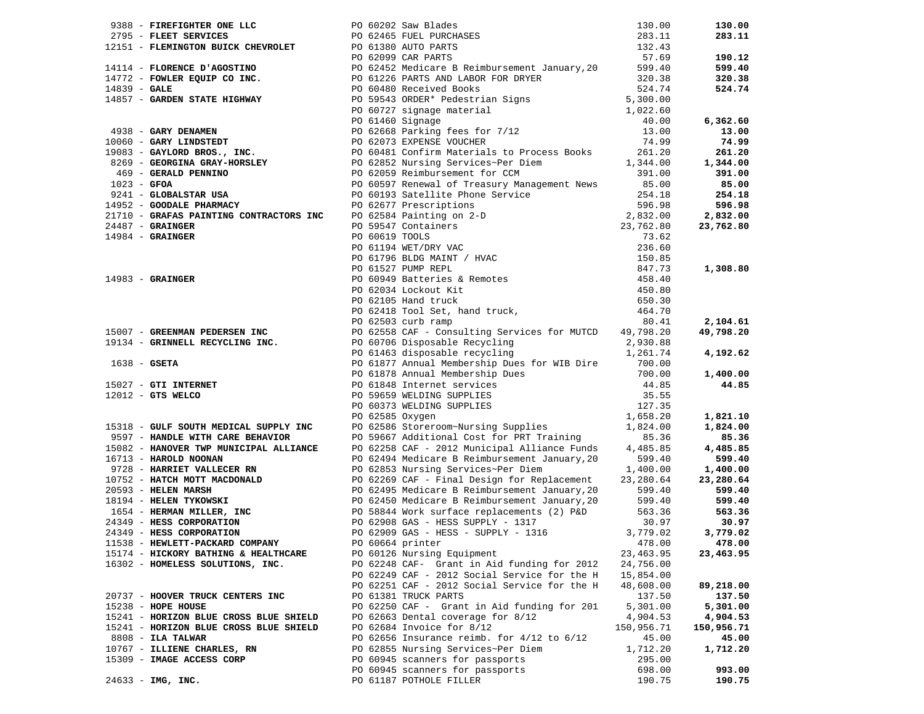|                                                                                                                |                                                                                                                                                                                                                                                                                                             |                  | 130.00           |
|----------------------------------------------------------------------------------------------------------------|-------------------------------------------------------------------------------------------------------------------------------------------------------------------------------------------------------------------------------------------------------------------------------------------------------------|------------------|------------------|
|                                                                                                                | 918 - <b>FIREFIGUITER ONE LICE COMPAREMENT CONTENT DESCRIPTION AND RESPONSE 201.30 (1918 - <b>FIREFIGUITER ONE CONTENT CONTENT</b> CONTENT POSITION (1917 - <b>FIREFIGUITER CONTENT</b>) (1917 - <b>FIREFIGUITER CONTENT</b> CONTENT CONTENT </b>                                                           |                  | 283.11           |
|                                                                                                                |                                                                                                                                                                                                                                                                                                             |                  |                  |
|                                                                                                                |                                                                                                                                                                                                                                                                                                             |                  | 190.12           |
|                                                                                                                |                                                                                                                                                                                                                                                                                                             |                  | 599.40           |
|                                                                                                                |                                                                                                                                                                                                                                                                                                             |                  |                  |
|                                                                                                                |                                                                                                                                                                                                                                                                                                             |                  | 320.38           |
|                                                                                                                |                                                                                                                                                                                                                                                                                                             |                  | 524.74           |
|                                                                                                                |                                                                                                                                                                                                                                                                                                             |                  |                  |
|                                                                                                                |                                                                                                                                                                                                                                                                                                             |                  |                  |
|                                                                                                                |                                                                                                                                                                                                                                                                                                             |                  | 6,362.60         |
|                                                                                                                |                                                                                                                                                                                                                                                                                                             |                  | 13.00            |
|                                                                                                                |                                                                                                                                                                                                                                                                                                             |                  | 74.99            |
|                                                                                                                |                                                                                                                                                                                                                                                                                                             |                  |                  |
|                                                                                                                |                                                                                                                                                                                                                                                                                                             |                  | 261.20           |
|                                                                                                                |                                                                                                                                                                                                                                                                                                             |                  | 1,344.00         |
|                                                                                                                |                                                                                                                                                                                                                                                                                                             |                  | 391.00           |
|                                                                                                                |                                                                                                                                                                                                                                                                                                             |                  | 85.00            |
|                                                                                                                |                                                                                                                                                                                                                                                                                                             |                  | 254.18           |
|                                                                                                                |                                                                                                                                                                                                                                                                                                             |                  | 596.98           |
|                                                                                                                |                                                                                                                                                                                                                                                                                                             |                  | 2,832.00         |
|                                                                                                                |                                                                                                                                                                                                                                                                                                             |                  |                  |
|                                                                                                                |                                                                                                                                                                                                                                                                                                             |                  | 23,762.80        |
|                                                                                                                |                                                                                                                                                                                                                                                                                                             |                  |                  |
|                                                                                                                |                                                                                                                                                                                                                                                                                                             |                  |                  |
|                                                                                                                |                                                                                                                                                                                                                                                                                                             |                  |                  |
|                                                                                                                |                                                                                                                                                                                                                                                                                                             |                  | 1,308.80         |
|                                                                                                                |                                                                                                                                                                                                                                                                                                             |                  |                  |
|                                                                                                                |                                                                                                                                                                                                                                                                                                             |                  |                  |
|                                                                                                                |                                                                                                                                                                                                                                                                                                             |                  |                  |
|                                                                                                                |                                                                                                                                                                                                                                                                                                             |                  |                  |
|                                                                                                                |                                                                                                                                                                                                                                                                                                             |                  |                  |
|                                                                                                                |                                                                                                                                                                                                                                                                                                             |                  | 2,104.61         |
|                                                                                                                |                                                                                                                                                                                                                                                                                                             |                  | 49,798.20        |
|                                                                                                                |                                                                                                                                                                                                                                                                                                             |                  |                  |
|                                                                                                                | 15007 - <b>GREENMAN PEDERSEN INC</b><br>19134 - <b>GRINNELL RECYCLING INC.</b><br>19134 - <b>GRINNELL RECYCLING INC.</b><br>1638 - <b>GSETA</b><br>1638 - <b>GSETA</b><br>19134 - <b>GREEN AND INC.</b><br>19134 - <b>GREEN AND INC.</b><br>19134 - <b>GSETA</b><br>1918 - <b>GSETA</b><br>1918 - <b>GS</b> |                  | 4,192.62         |
|                                                                                                                | PO 61877 Annual Membership Dues for WIB Dire<br>06 61877 Annual Membership Dues<br>06 61878 Annual Membership Dues<br>0700.00<br>06 61848 Internet services<br>0700.00<br>06 61848 Internet services<br>070.000<br>06 62586 WELDING SUPPLIES<br>                                                            |                  |                  |
| 15027 - GTI INTERNET<br>12012 - GTS WELCO                                                                      |                                                                                                                                                                                                                                                                                                             |                  | 1,400.00         |
|                                                                                                                |                                                                                                                                                                                                                                                                                                             |                  | 44.85            |
|                                                                                                                |                                                                                                                                                                                                                                                                                                             |                  |                  |
|                                                                                                                |                                                                                                                                                                                                                                                                                                             |                  |                  |
|                                                                                                                |                                                                                                                                                                                                                                                                                                             |                  |                  |
| 15318 - GULF SOUTH MEDICAL SUPPLY INC<br>9597 - HANDLE WITH CARE BEHAVIOR<br>15998 - HANDLE WITH CARE BEHAVIOR |                                                                                                                                                                                                                                                                                                             |                  | 1,821.10         |
|                                                                                                                |                                                                                                                                                                                                                                                                                                             |                  | 1,824.00         |
|                                                                                                                |                                                                                                                                                                                                                                                                                                             |                  | 85.36            |
| 15082 - HANOVER TWP MUNICIPAL ALLIANCE                                                                         | PO 62258 CAF - 2012 Municipal Alliance Funds                                                                                                                                                                                                                                                                | 4,485.85         | 4,485.85         |
| 16713 - HAROLD NOONAN                                                                                          | PO 62494 Medicare B Reimbursement January, 20                                                                                                                                                                                                                                                               | 599.40           | 599.40           |
| 9728 - HARRIET VALLECER RN                                                                                     |                                                                                                                                                                                                                                                                                                             |                  | 1,400.00         |
| 10752 - HATCH MOTT MACDONALD                                                                                   | PO 62853 Nursing Services~Per Diem 1,400.00<br>PO 62269 CAF - Final Design for Replacement 23,280.64                                                                                                                                                                                                        |                  |                  |
|                                                                                                                |                                                                                                                                                                                                                                                                                                             | 23,280.64        | 23,280.64        |
|                                                                                                                |                                                                                                                                                                                                                                                                                                             |                  | 599.40           |
|                                                                                                                |                                                                                                                                                                                                                                                                                                             |                  | 599.40           |
|                                                                                                                |                                                                                                                                                                                                                                                                                                             |                  | 563.36           |
|                                                                                                                | 2008 - HAILA MULLER, INC 2009 GAS - HELEN MARINE POLARIZED AND CONSIST AND CONSIST OF THE CONTROLLER TYROWSKI<br>18194 - HELEN TYROWSKI POLARIZED POLARIZED POLARIZED POLARIZED POLARIZED POLARIZED POLARIZED POLARIZED POLARIZ<br>1                                                                        |                  | 30.97            |
|                                                                                                                | PO 62909 GAS - HESS - SUPPLY - 1316                                                                                                                                                                                                                                                                         |                  | 3,779.02         |
| 11538 - HEWLETT-PACKARD COMPANY                                                                                | PO 60664 printer $478.00$ $478.00$                                                                                                                                                                                                                                                                          |                  |                  |
| 15174 - HICKORY BATHING & HEALTHCARE                                                                           | PO 60126 Nursing Equipment                                                                                                                                                                                                                                                                                  | 23, 463.95       | 23,463.95        |
|                                                                                                                |                                                                                                                                                                                                                                                                                                             |                  |                  |
|                                                                                                                |                                                                                                                                                                                                                                                                                                             |                  |                  |
| 16302 - HOMELESS SOLUTIONS, INC.                                                                               | PO 62248 CAF- Grant in Aid funding for 2012                                                                                                                                                                                                                                                                 | 24,756.00        |                  |
|                                                                                                                | PO 62249 CAF - 2012 Social Service for the H                                                                                                                                                                                                                                                                | 15,854.00        |                  |
|                                                                                                                | PO 62251 CAF - 2012 Social Service for the H                                                                                                                                                                                                                                                                | 48,608.00        | 89,218.00        |
| 20737 - HOOVER TRUCK CENTERS INC                                                                               | PO 61381 TRUCK PARTS                                                                                                                                                                                                                                                                                        | 137.50           | 137.50           |
| 15238 - HOPE HOUSE                                                                                             | PO 62250 CAF - Grant in Aid funding for 201                                                                                                                                                                                                                                                                 | 5,301.00         | 5,301.00         |
| 15241 - HORIZON BLUE CROSS BLUE SHIELD                                                                         | PO 62663 Dental coverage for 8/12                                                                                                                                                                                                                                                                           | 4,904.53         | 4,904.53         |
| 15241 - HORIZON BLUE CROSS BLUE SHIELD                                                                         | PO 62684 Invoice for 8/12                                                                                                                                                                                                                                                                                   |                  |                  |
|                                                                                                                |                                                                                                                                                                                                                                                                                                             | 150,956.71       | 150,956.71       |
| 8808 - ILA TALWAR                                                                                              | PO 62656 Insurance reimb. for $4/12$ to $6/12$                                                                                                                                                                                                                                                              | 45.00            | 45.00            |
| 10767 - ILLIENE CHARLES, RN                                                                                    | PO 62855 Nursing Services~Per Diem                                                                                                                                                                                                                                                                          | 1,712.20         | 1,712.20         |
| 15309 - IMAGE ACCESS CORP                                                                                      | PO 60945 scanners for passports                                                                                                                                                                                                                                                                             | 295.00           |                  |
| $24633 - IMG$ , INC.                                                                                           | PO 60945 scanners for passports<br>PO 61187 POTHOLE FILLER                                                                                                                                                                                                                                                  | 698.00<br>190.75 | 993.00<br>190.75 |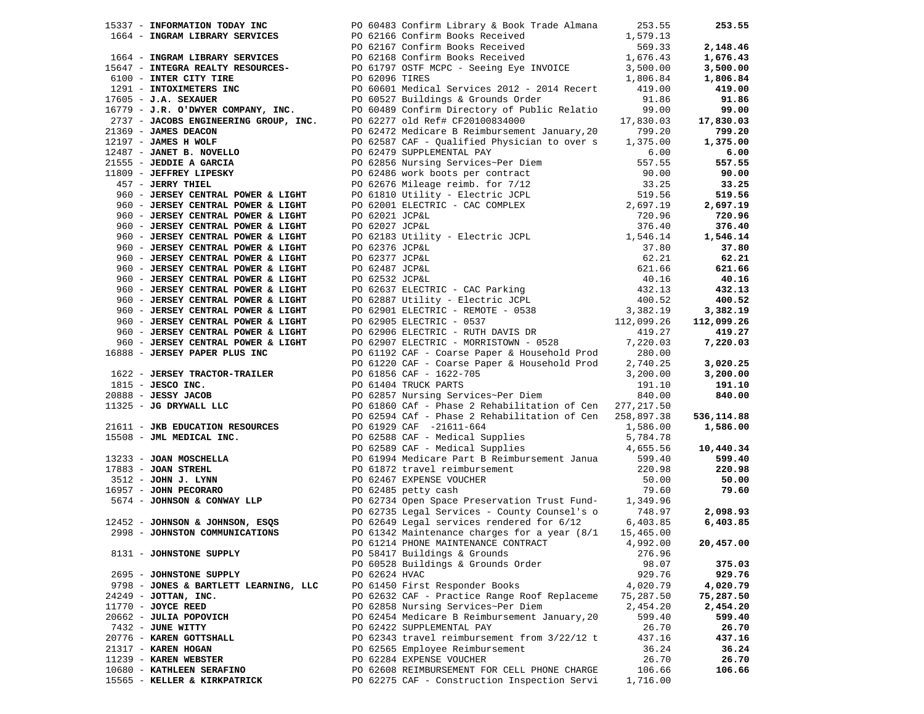|                                                                                                           |               | 17337 - <b>INFORMATION YONG INC.</b> PO 60433 Confirm Library & Book Crist 2011<br>1664 <b>- PHORMATION YONG NEW YORK</b> & DO 2156 Confirm Books Received<br>1664 <b>- PHORMATION REVICES</b><br>1664 <b>- PHORMATION REVICES</b><br>1664 <b>- PHORMATION</b> |           | 253.55     |
|-----------------------------------------------------------------------------------------------------------|---------------|----------------------------------------------------------------------------------------------------------------------------------------------------------------------------------------------------------------------------------------------------------------|-----------|------------|
|                                                                                                           |               |                                                                                                                                                                                                                                                                |           |            |
|                                                                                                           |               |                                                                                                                                                                                                                                                                |           | 2,148.46   |
|                                                                                                           |               |                                                                                                                                                                                                                                                                |           | 1,676.43   |
|                                                                                                           |               |                                                                                                                                                                                                                                                                |           | 3,500.00   |
|                                                                                                           |               |                                                                                                                                                                                                                                                                |           | 1,806.84   |
|                                                                                                           |               |                                                                                                                                                                                                                                                                |           | 419.00     |
|                                                                                                           |               |                                                                                                                                                                                                                                                                |           | 91.86      |
|                                                                                                           |               |                                                                                                                                                                                                                                                                |           | 99.00      |
|                                                                                                           |               |                                                                                                                                                                                                                                                                |           | 17,830.03  |
|                                                                                                           |               |                                                                                                                                                                                                                                                                |           | 799.20     |
|                                                                                                           |               |                                                                                                                                                                                                                                                                |           | 1,375.00   |
|                                                                                                           |               |                                                                                                                                                                                                                                                                |           | 6.00       |
|                                                                                                           |               |                                                                                                                                                                                                                                                                |           | 557.55     |
|                                                                                                           |               |                                                                                                                                                                                                                                                                |           | 90.00      |
|                                                                                                           |               |                                                                                                                                                                                                                                                                |           | 33.25      |
|                                                                                                           |               |                                                                                                                                                                                                                                                                |           | 519.56     |
|                                                                                                           |               |                                                                                                                                                                                                                                                                |           | 2,697.19   |
|                                                                                                           |               |                                                                                                                                                                                                                                                                |           | 720.96     |
|                                                                                                           |               |                                                                                                                                                                                                                                                                |           | 376.40     |
|                                                                                                           |               |                                                                                                                                                                                                                                                                |           | 1,546.14   |
|                                                                                                           |               |                                                                                                                                                                                                                                                                |           | 37.80      |
|                                                                                                           |               |                                                                                                                                                                                                                                                                |           | 62.21      |
|                                                                                                           |               |                                                                                                                                                                                                                                                                |           | 621.66     |
|                                                                                                           |               |                                                                                                                                                                                                                                                                |           | 40.16      |
|                                                                                                           |               |                                                                                                                                                                                                                                                                |           | 432.13     |
|                                                                                                           |               |                                                                                                                                                                                                                                                                |           | 400.52     |
|                                                                                                           |               |                                                                                                                                                                                                                                                                |           | 3,382.19   |
|                                                                                                           |               |                                                                                                                                                                                                                                                                |           | 112,099.26 |
|                                                                                                           |               |                                                                                                                                                                                                                                                                |           | 419.27     |
|                                                                                                           |               |                                                                                                                                                                                                                                                                |           | 7,220.03   |
|                                                                                                           |               |                                                                                                                                                                                                                                                                |           |            |
| 960 - JERSEY CENTRAL POWER & LIGHT<br>960 - JERSEY CENTRAL POWER & LIGHT<br>16888 - JERSEY PAPER PLUS INC |               | PO 61192 CAF - Coarse Paper & Household Prod<br>PO 61220 CAF - Coarse Paper & Household Prod<br>PO 61856 CAF - 1622-705<br>2, 200.00<br>3, 200.00                                                                                                              |           | 3,020.25   |
|                                                                                                           |               |                                                                                                                                                                                                                                                                |           | 3,200.00   |
|                                                                                                           |               |                                                                                                                                                                                                                                                                |           | 191.10     |
|                                                                                                           |               |                                                                                                                                                                                                                                                                |           | 840.00     |
|                                                                                                           |               |                                                                                                                                                                                                                                                                |           |            |
|                                                                                                           |               |                                                                                                                                                                                                                                                                |           | 536,114.88 |
|                                                                                                           |               |                                                                                                                                                                                                                                                                |           | 1,586.00   |
|                                                                                                           |               |                                                                                                                                                                                                                                                                |           |            |
|                                                                                                           |               |                                                                                                                                                                                                                                                                |           | 10,440.34  |
|                                                                                                           |               |                                                                                                                                                                                                                                                                |           | 599.40     |
|                                                                                                           |               |                                                                                                                                                                                                                                                                |           | 220.98     |
|                                                                                                           |               |                                                                                                                                                                                                                                                                |           | 50.00      |
|                                                                                                           |               | 1622 - JERSEY TRACTOR-TRAILER<br>20 61230 CAP - Coarse Paper & Household Prod<br>2.740.20<br>2068 - JESSO INC.<br>2068 - JESSO INC.<br>2068 - JESSO INC.<br>2068 - JESSO JACOB<br>2068 - JESSO JACOB<br>206259 CAP - Phase 2 Rehabilitation o                  |           | 79.60      |
|                                                                                                           |               |                                                                                                                                                                                                                                                                |           |            |
|                                                                                                           |               |                                                                                                                                                                                                                                                                |           | 2,098.93   |
|                                                                                                           |               |                                                                                                                                                                                                                                                                |           | 6,403.85   |
| 2998 - JOHNSTON COMMUNICATIONS                                                                            |               | PO 61342 Maintenance charges for a year $(8/1$ 15,465.00                                                                                                                                                                                                       |           |            |
|                                                                                                           |               | PO 61214 PHONE MAINTENANCE CONTRACT 4,992.00                                                                                                                                                                                                                   |           | 20,457.00  |
| 8131 - JOHNSTONE SUPPLY                                                                                   |               | PO 58417 Buildings & Grounds                                                                                                                                                                                                                                   | 276.96    |            |
|                                                                                                           |               | PO 60528 Buildings & Grounds Order                                                                                                                                                                                                                             | 98.07     | 375.03     |
| 2695 - JOHNSTONE SUPPLY                                                                                   | PO 62624 HVAC |                                                                                                                                                                                                                                                                | 929.76    | 929.76     |
| 9798 - JONES & BARTLETT LEARNING, LLC                                                                     |               | PO 61450 First Responder Books                                                                                                                                                                                                                                 | 4,020.79  | 4,020.79   |
| 24249 - JOTTAN, INC.                                                                                      |               | PO 62632 CAF - Practice Range Roof Replaceme                                                                                                                                                                                                                   | 75,287.50 | 75,287.50  |
| $11770$ - JOYCE REED                                                                                      |               | PO 62858 Nursing Services~Per Diem                                                                                                                                                                                                                             | 2,454.20  | 2,454.20   |
| 20662 - JULIA POPOVICH                                                                                    |               | PO 62454 Medicare B Reimbursement January, 20                                                                                                                                                                                                                  | 599.40    | 599.40     |
| 7432 - JUNE WITTY                                                                                         |               | PO 62422 SUPPLEMENTAL PAY                                                                                                                                                                                                                                      | 26.70     | 26.70      |
| 20776 - KAREN GOTTSHALL                                                                                   |               | PO 62343 travel reimbursement from 3/22/12 t                                                                                                                                                                                                                   | 437.16    | 437.16     |
| 21317 - KAREN HOGAN                                                                                       |               | PO 62565 Employee Reimbursement                                                                                                                                                                                                                                | 36.24     | 36.24      |
| 11239 - KAREN WEBSTER                                                                                     |               | PO 62284 EXPENSE VOUCHER                                                                                                                                                                                                                                       | 26.70     | 26.70      |
| 10680 - KATHLEEN SERAFINO                                                                                 |               | PO 62608 REIMBURSEMENT FOR CELL PHONE CHARGE                                                                                                                                                                                                                   | 106.66    | 106.66     |
| 15565 - KELLER & KIRKPATRICK                                                                              |               | PO 62275 CAF - Construction Inspection Servi                                                                                                                                                                                                                   | 1,716.00  |            |
|                                                                                                           |               |                                                                                                                                                                                                                                                                |           |            |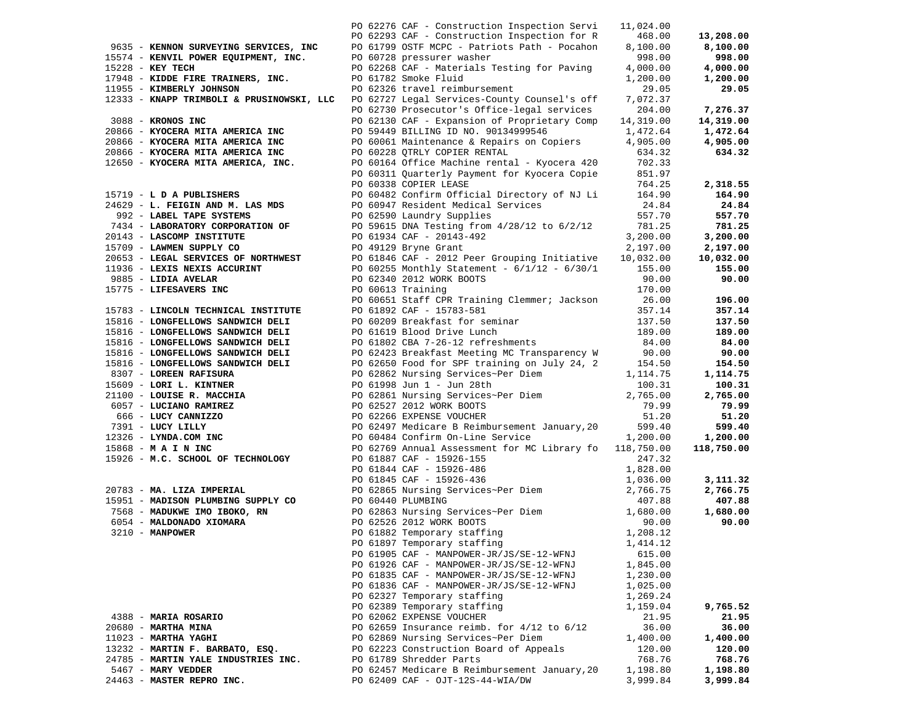|                                           |  | PO 62276 CAF - Construction Inspection Servi     | 11,024.00  |            |
|-------------------------------------------|--|--------------------------------------------------|------------|------------|
|                                           |  | PO 62293 CAF - Construction Inspection for R     | 468.00     | 13,208.00  |
| 9635 - KENNON SURVEYING SERVICES, INC     |  | PO 61799 OSTF MCPC - Patriots Path - Pocahon     | 8,100.00   | 8,100.00   |
| 15574 - KENVIL POWER EQUIPMENT, INC.      |  | PO 60728 pressurer washer                        | 998.00     | 998.00     |
| 15228 - KEY TECH                          |  | PO 62268 CAF - Materials Testing for Paving      | 4,000.00   | 4,000.00   |
| 17948 - KIDDE FIRE TRAINERS, INC.         |  | PO 61782 Smoke Fluid                             | 1,200.00   | 1,200.00   |
| 11955 - KIMBERLY JOHNSON                  |  | PO 62326 travel reimbursement                    | 29.05      | 29.05      |
| 12333 - KNAPP TRIMBOLI & PRUSINOWSKI, LLC |  | PO 62727 Legal Services-County Counsel's off     | 7,072.37   |            |
|                                           |  | PO 62730 Prosecutor's Office-legal services      | 204.00     | 7,276.37   |
| 3088 - KRONOS INC                         |  | PO 62130 CAF - Expansion of Proprietary Comp     | 14,319.00  | 14,319.00  |
| 20866 - KYOCERA MITA AMERICA INC          |  | PO 59449 BILLING ID NO. 90134999546              | 1,472.64   | 1,472.64   |
| 20866 - KYOCERA MITA AMERICA INC          |  | PO 60061 Maintenance & Repairs on Copiers        | 4,905.00   | 4,905.00   |
| 20866 - KYOCERA MITA AMERICA INC          |  | PO 60228 QTRLY COPIER RENTAL                     | 634.32     | 634.32     |
| 12650 - KYOCERA MITA AMERICA, INC.        |  | PO 60164 Office Machine rental - Kyocera 420     | 702.33     |            |
|                                           |  | PO 60311 Quarterly Payment for Kyocera Copie     | 851.97     |            |
|                                           |  | PO 60338 COPIER LEASE                            | 764.25     | 2,318.55   |
| 15719 - L D A PUBLISHERS                  |  | PO 60482 Confirm Official Directory of NJ Li     | 164.90     | 164.90     |
| 24629 - L. FEIGIN AND M. LAS MDS          |  | PO 60947 Resident Medical Services               | 24.84      | 24.84      |
| 992 - LABEL TAPE SYSTEMS                  |  | PO 62590 Laundry Supplies                        | 557.70     | 557.70     |
| 7434 - LABORATORY CORPORATION OF          |  | PO 59615 DNA Testing from 4/28/12 to 6/2/12      | 781.25     | 781.25     |
| 20143 - LASCOMP INSTITUTE                 |  | PO 61934 CAF - 20143-492                         | 3,200.00   | 3,200.00   |
| 15709 - LAWMEN SUPPLY CO                  |  | PO 49129 Bryne Grant                             | 2,197.00   | 2,197.00   |
| 20653 - LEGAL SERVICES OF NORTHWEST       |  | PO 61846 CAF - 2012 Peer Grouping Initiative     | 10,032.00  | 10,032.00  |
| 11936 - LEXIS NEXIS ACCURINT              |  | PO 60255 Monthly Statement - $6/1/12$ - $6/30/1$ | 155.00     | 155.00     |
| 9885 - LIDIA AVELAR                       |  | PO 62340 2012 WORK BOOTS                         | 90.00      | 90.00      |
| 15775 - LIFESAVERS INC                    |  | PO 60613 Training                                | 170.00     |            |
|                                           |  | PO 60651 Staff CPR Training Clemmer; Jackson     | 26.00      | 196.00     |
| 15783 - LINCOLN TECHNICAL INSTITUTE       |  | PO 61892 CAF - 15783-581                         | 357.14     | 357.14     |
| 15816 - LONGFELLOWS SANDWICH DELI         |  | PO 60209 Breakfast for seminar                   | 137.50     | 137.50     |
| 15816 - LONGFELLOWS SANDWICH DELI         |  | PO 61619 Blood Drive Lunch                       | 189.00     | 189.00     |
| 15816 - LONGFELLOWS SANDWICH DELI         |  | PO 61802 CBA 7-26-12 refreshments                | 84.00      | 84.00      |
| 15816 - LONGFELLOWS SANDWICH DELI         |  | PO 62423 Breakfast Meeting MC Transparency W     | 90.00      | 90.00      |
| 15816 - LONGFELLOWS SANDWICH DELI         |  | PO 62650 Food for SPF training on July 24, 2     | 154.50     | 154.50     |
| 8307 - LOREEN RAFISURA                    |  | PO 62862 Nursing Services~Per Diem               | 1,114.75   | 1,114.75   |
| 15609 - LORI L. KINTNER                   |  | PO 61998 Jun 1 - Jun 28th                        | 100.31     | 100.31     |
| 21100 - LOUISE R. MACCHIA                 |  | PO 62861 Nursing Services~Per Diem               | 2,765.00   | 2,765.00   |
| 6057 - LUCIANO RAMIREZ                    |  | PO 62527 2012 WORK BOOTS                         | 79.99      | 79.99      |
| 666 - LUCY CANNIZZO                       |  | PO 62266 EXPENSE VOUCHER                         | 51.20      | 51.20      |
| 7391 - LUCY LILLY                         |  | PO 62497 Medicare B Reimbursement January, 20    | 599.40     | 599.40     |
| $12326$ - LYNDA.COM INC                   |  | PO 60484 Confirm On-Line Service                 | 1,200.00   | 1,200.00   |
| 15868 - M A I N INC                       |  | PO 62769 Annual Assessment for MC Library fo     | 118,750.00 | 118,750.00 |
| 15926 - M.C. SCHOOL OF TECHNOLOGY         |  | PO 61887 CAF - 15926-155                         | 247.32     |            |
|                                           |  | PO 61844 CAF - 15926-486                         | 1,828.00   |            |
|                                           |  | PO 61845 CAF - 15926-436                         | 1,036.00   | 3,111.32   |
| 20783 - MA. LIZA IMPERIAL                 |  | PO 62865 Nursing Services~Per Diem               | 2,766.75   | 2,766.75   |
| 15951 - MADISON PLUMBING SUPPLY CO        |  | PO 60440 PLUMBING                                | 407.88     | 407.88     |
| 7568 - MADUKWE IMO IBOKO, RN              |  | PO 62863 Nursing Services~Per Diem               | 1,680.00   | 1,680.00   |
| 6054 - MALDONADO XIOMARA                  |  | PO 62526 2012 WORK BOOTS                         | 90.00      | 90.00      |
| 3210 - MANPOWER                           |  | PO 61882 Temporary staffing                      | 1,208.12   |            |
|                                           |  | PO 61897 Temporary staffing                      | 1,414.12   |            |
|                                           |  | PO 61905 CAF - MANPOWER-JR/JS/SE-12-WFNJ         | 615.00     |            |
|                                           |  | PO 61926 CAF - MANPOWER-JR/JS/SE-12-WFNJ         | 1,845.00   |            |
|                                           |  | PO 61835 CAF - MANPOWER-JR/JS/SE-12-WFNJ         | 1,230.00   |            |
|                                           |  | PO 61836 CAF - MANPOWER-JR/JS/SE-12-WFNJ         | 1,025.00   |            |
|                                           |  | PO 62327 Temporary staffing                      | 1,269.24   |            |
|                                           |  | PO 62389 Temporary staffing                      | 1,159.04   | 9,765.52   |
| 4388 - MARIA ROSARIO                      |  | PO 62062 EXPENSE VOUCHER                         | 21.95      | 21.95      |
| 20680 - MARTHA MINA                       |  | PO 62659 Insurance reimb. for $4/12$ to $6/12$   | 36.00      | 36.00      |
| $11023$ - MARTHA YAGHI                    |  | PO 62869 Nursing Services~Per Diem               | 1,400.00   | 1,400.00   |
| 13232 - MARTIN F. BARBATO, ESQ.           |  | PO 62223 Construction Board of Appeals           | 120.00     | 120.00     |
| 24785 - MARTIN YALE INDUSTRIES INC.       |  | PO 61789 Shredder Parts                          | 768.76     | 768.76     |
| 5467 - MARY VEDDER                        |  | PO 62457 Medicare B Reimbursement January, 20    | 1,198.80   | 1,198.80   |
| 24463 - MASTER REPRO INC.                 |  | PO 62409 CAF - OJT-12S-44-WIA/DW                 | 3,999.84   | 3,999.84   |
|                                           |  |                                                  |            |            |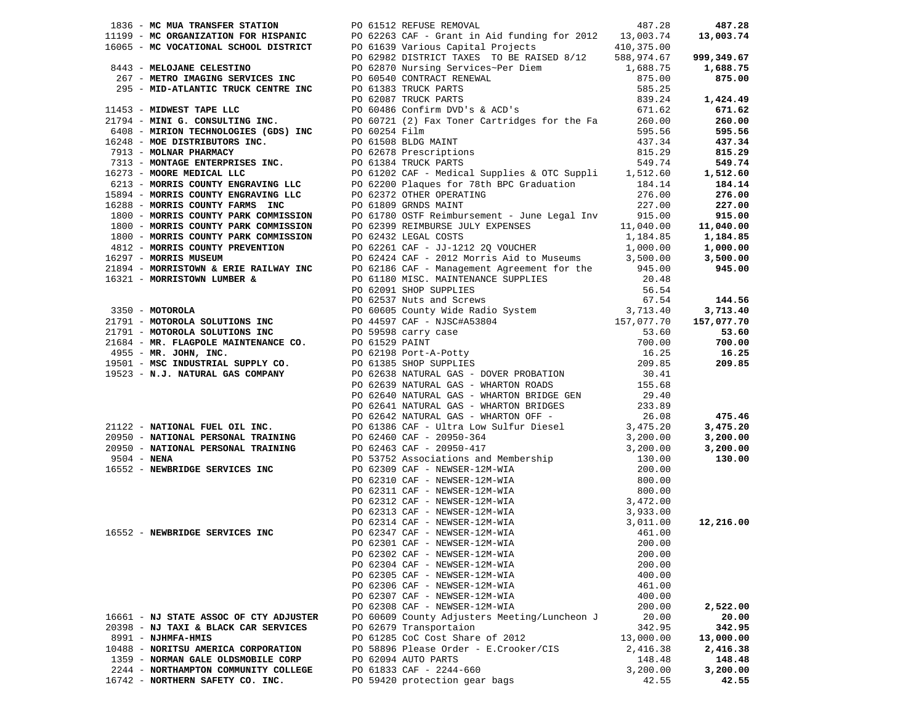| 1836 - MC MUA TRANSFER STATION PO 61512 REFUSE REMOVAL | 487.28<br>1989 - NEW PRAIRIES PRODUCES To 61323 SEPTER 20021 IN COLUMN 12022 - 2002 100 1123 100 1124 - 2002 100 1124 100 1124 100 1124 100 1124 100 1124 100 1124 100 1124 100 1124 100 1124 100 1124 100 1124 100 1124 100 1124 100 1 |           | 487.28             |
|--------------------------------------------------------|-----------------------------------------------------------------------------------------------------------------------------------------------------------------------------------------------------------------------------------------|-----------|--------------------|
|                                                        |                                                                                                                                                                                                                                         |           |                    |
|                                                        |                                                                                                                                                                                                                                         |           |                    |
|                                                        |                                                                                                                                                                                                                                         |           |                    |
|                                                        |                                                                                                                                                                                                                                         |           |                    |
|                                                        |                                                                                                                                                                                                                                         |           |                    |
|                                                        |                                                                                                                                                                                                                                         |           |                    |
|                                                        |                                                                                                                                                                                                                                         |           |                    |
|                                                        |                                                                                                                                                                                                                                         |           |                    |
|                                                        |                                                                                                                                                                                                                                         |           |                    |
|                                                        |                                                                                                                                                                                                                                         |           |                    |
|                                                        |                                                                                                                                                                                                                                         |           |                    |
|                                                        |                                                                                                                                                                                                                                         |           |                    |
|                                                        |                                                                                                                                                                                                                                         |           |                    |
|                                                        |                                                                                                                                                                                                                                         |           | 1,512.60<br>184.14 |
|                                                        |                                                                                                                                                                                                                                         |           |                    |
|                                                        |                                                                                                                                                                                                                                         |           |                    |
|                                                        |                                                                                                                                                                                                                                         |           |                    |
|                                                        |                                                                                                                                                                                                                                         |           |                    |
|                                                        |                                                                                                                                                                                                                                         |           |                    |
|                                                        |                                                                                                                                                                                                                                         |           |                    |
|                                                        |                                                                                                                                                                                                                                         |           |                    |
|                                                        |                                                                                                                                                                                                                                         |           |                    |
|                                                        |                                                                                                                                                                                                                                         |           |                    |
|                                                        |                                                                                                                                                                                                                                         |           |                    |
|                                                        |                                                                                                                                                                                                                                         |           |                    |
|                                                        |                                                                                                                                                                                                                                         |           |                    |
|                                                        |                                                                                                                                                                                                                                         |           |                    |
|                                                        |                                                                                                                                                                                                                                         |           |                    |
|                                                        |                                                                                                                                                                                                                                         |           |                    |
|                                                        |                                                                                                                                                                                                                                         |           |                    |
|                                                        |                                                                                                                                                                                                                                         |           |                    |
|                                                        |                                                                                                                                                                                                                                         |           |                    |
|                                                        |                                                                                                                                                                                                                                         |           |                    |
|                                                        |                                                                                                                                                                                                                                         |           |                    |
|                                                        |                                                                                                                                                                                                                                         |           |                    |
|                                                        |                                                                                                                                                                                                                                         |           |                    |
|                                                        |                                                                                                                                                                                                                                         |           | 475.46             |
|                                                        |                                                                                                                                                                                                                                         |           |                    |
|                                                        |                                                                                                                                                                                                                                         |           |                    |
|                                                        |                                                                                                                                                                                                                                         |           |                    |
|                                                        |                                                                                                                                                                                                                                         |           |                    |
|                                                        |                                                                                                                                                                                                                                         |           |                    |
|                                                        |                                                                                                                                                                                                                                         |           |                    |
|                                                        |                                                                                                                                                                                                                                         |           |                    |
|                                                        |                                                                                                                                                                                                                                         |           |                    |
|                                                        |                                                                                                                                                                                                                                         |           |                    |
|                                                        |                                                                                                                                                                                                                                         |           |                    |
|                                                        |                                                                                                                                                                                                                                         |           |                    |
|                                                        | PO 62301 CAF - NEWSER-12M-WIA 200.00                                                                                                                                                                                                    |           |                    |
|                                                        | PO 62302 CAF - NEWSER-12M-WIA                                                                                                                                                                                                           | 200.00    |                    |
|                                                        | PO 62304 CAF - NEWSER-12M-WIA                                                                                                                                                                                                           | 200.00    |                    |
|                                                        | PO 62305 CAF - NEWSER-12M-WIA                                                                                                                                                                                                           | 400.00    |                    |
|                                                        | PO 62306 CAF - NEWSER-12M-WIA                                                                                                                                                                                                           | 461.00    |                    |
|                                                        | PO 62307 CAF - NEWSER-12M-WIA                                                                                                                                                                                                           | 400.00    |                    |
|                                                        | PO 62308 CAF - NEWSER-12M-WIA                                                                                                                                                                                                           | 200.00    | 2,522.00           |
| 16661 - NJ STATE ASSOC OF CTY ADJUSTER                 | PO 60609 County Adjusters Meeting/Luncheon J                                                                                                                                                                                            | 20.00     | 20.00              |
| 20398 - NJ TAXI & BLACK CAR SERVICES                   | PO 62679 Transportaion                                                                                                                                                                                                                  | 342.95    | 342.95             |
| 8991 - NJHMFA-HMIS                                     | PO 61285 CoC Cost Share of 2012                                                                                                                                                                                                         | 13,000.00 | 13,000.00          |
| 10488 - NORITSU AMERICA CORPORATION                    | PO 58896 Please Order - E.Crooker/CIS                                                                                                                                                                                                   | 2,416.38  | 2,416.38           |
| 1359 - NORMAN GALE OLDSMOBILE CORP                     | PO 62094 AUTO PARTS                                                                                                                                                                                                                     | 148.48    | 148.48             |
| 2244 - NORTHAMPTON COMMUNITY COLLEGE                   | PO 61833 CAF - 2244-660                                                                                                                                                                                                                 | 3,200.00  | 3,200.00           |
| 16742 - NORTHERN SAFETY CO. INC.                       | PO 59420 protection gear bags                                                                                                                                                                                                           | 42.55     | 42.55              |
|                                                        |                                                                                                                                                                                                                                         |           |                    |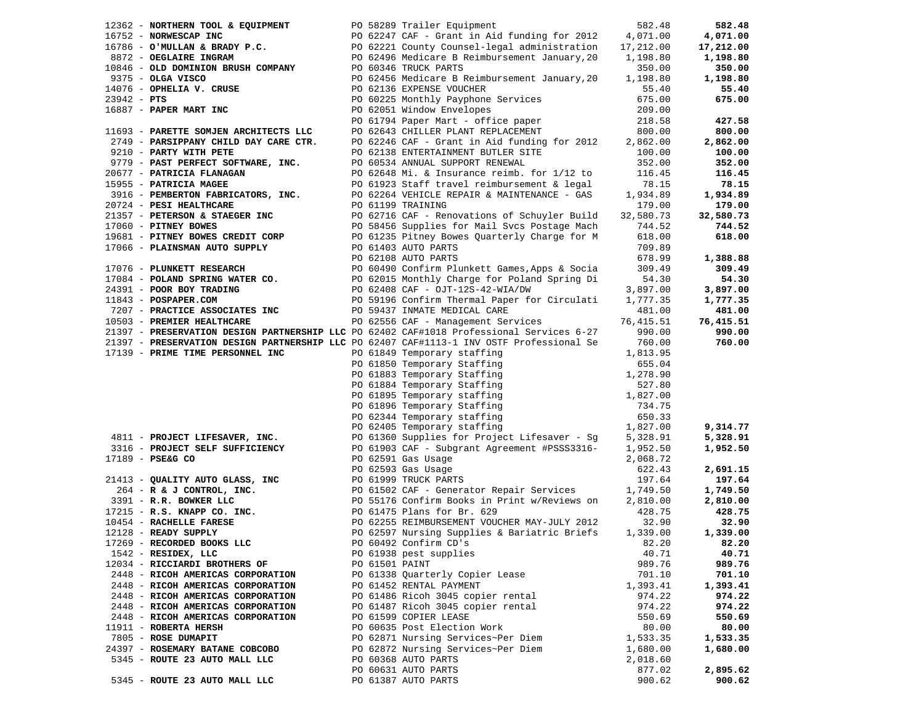| 12362 - NORTHERN TOOL & EQUIPMENT PO 58289 Trailer Equipment                                                         |                |                                                                                                                                                                                                                                                 | 582.48    | 582.48               |
|----------------------------------------------------------------------------------------------------------------------|----------------|-------------------------------------------------------------------------------------------------------------------------------------------------------------------------------------------------------------------------------------------------|-----------|----------------------|
|                                                                                                                      |                |                                                                                                                                                                                                                                                 |           | 4,071.00             |
|                                                                                                                      |                | 16752 - NORWESCAP INC<br>16786 - O'MULLAN & BRADY P.C.<br>8872 - OEGLAIRE INGRAM<br>10846 - OLD DOMINION BRUSH COMPANY<br>20062496 Medicare B Reimbursement January, 2007.<br>20062496 Medicare B Reimbursement January, 2007.<br>2007.         |           | 17,212.00            |
|                                                                                                                      |                |                                                                                                                                                                                                                                                 |           | 1,198.80             |
|                                                                                                                      |                |                                                                                                                                                                                                                                                 |           | 350.00               |
| 9375 - OLGA VISCO                                                                                                    |                | PO 62456 Medicare B Reimbursement January, 20 1, 198.80                                                                                                                                                                                         |           | 1,198.80             |
| $14076$ - OPHELIA V. CRUSE<br>23942 - PTS                                                                            |                | PO 62136 EXPENSE VOUCHER                                                                                                                                                                                                                        | 55.40     | 55.40                |
|                                                                                                                      |                |                                                                                                                                                                                                                                                 | 675.00    | 675.00               |
| 16887 - PAPER MART INC                                                                                               |                | PO 60225 Monthly Payphone Services<br>20 60225 Monthly Payphone Services                                                                                                                                                                        | 209.00    |                      |
|                                                                                                                      |                |                                                                                                                                                                                                                                                 | 218.58    | 427.58               |
| 11693 - PARETTE SOMJEN ARCHITECTS LLC                                                                                |                | PO 61794 Paper Mart - office paper<br>PO 62643 CHILLER PLANT REPLACEMENT                                                                                                                                                                        | 800.00    | 800.00               |
| 2749 - PARSIPPANY CHILD DAY CARE CTR.                                                                                |                |                                                                                                                                                                                                                                                 |           | 2,862.00             |
|                                                                                                                      |                | PO $62246$ CAF - Grant in Aid funding for $2012$ 2,862.00                                                                                                                                                                                       |           |                      |
| 9210 - PARTY WITH PETE                                                                                               |                | PO 62138 ENTERTAINMENT BUTLER SITE                                                                                                                                                                                                              | 100.00    | 100.00               |
| $9779$ - PAST PERFECT SOFTWARE, INC.                                                                                 |                | PO 60534 ANNUAL SUPPORT RENEWAL                                                                                                                                                                                                                 | 352.00    | 352.00               |
|                                                                                                                      |                |                                                                                                                                                                                                                                                 | 116.45    | 116.45               |
|                                                                                                                      |                | PO 61923 Staff travel reimbursement & legal $78.15$<br>PO 62264 VEHICLE REPAIR & MAINTENANCE - GAS 1,934.89                                                                                                                                     |           | 78.15                |
|                                                                                                                      |                |                                                                                                                                                                                                                                                 |           | 1,934.89             |
|                                                                                                                      |                | 20677 - PATRICIA FLANAGAN<br>19955 - PATRICIA FLANAGAN<br>20677 - PATRICIA MAGEE<br>20724 - PESI HEALTHCARE<br>20724 - PESI HEALTHCARE<br>20724 - PESI HEALTHCARE<br>20724 - PESI HEALTHCARE<br>20724 - PESI HEALTHCARE<br>20724 - PETERSON &   | 179.00    | 179.00               |
|                                                                                                                      |                | PO 62716 CAF - Renovations of Schuyler Build 32,580.73                                                                                                                                                                                          |           | 32,580.73            |
|                                                                                                                      |                |                                                                                                                                                                                                                                                 | 744.52    | 744.52               |
|                                                                                                                      |                |                                                                                                                                                                                                                                                 | 618.00    | 618.00               |
|                                                                                                                      |                |                                                                                                                                                                                                                                                 | 709.89    |                      |
| 17066 - <b>PLAINSMAN AUTO SUPPLY</b> PO 61403 AUTO PARTS<br>17066 - <b>PLAINSMAN AUTO SUPPLY</b> PO 62108 AUTO PARTS |                |                                                                                                                                                                                                                                                 | 678.99    | 1,388.88             |
|                                                                                                                      |                |                                                                                                                                                                                                                                                 | 309.49    | 309.49               |
|                                                                                                                      |                |                                                                                                                                                                                                                                                 | 54.30     | 54.30                |
|                                                                                                                      |                |                                                                                                                                                                                                                                                 | 3,897.00  | 3,897.00             |
|                                                                                                                      |                |                                                                                                                                                                                                                                                 | 1,777.35  | 1,777.35             |
|                                                                                                                      |                | PO 62108 AUTO PARTS<br>PO 62108 AUTO PARTS<br>PO 62108 AUTO PARTS<br>PO 60490 Confirm Plunkett Games, Apps & Socia<br>17084 - <b>POLAND SPRING WATER CO.</b><br>PO 62015 Monthly Charge for Poland Spring Di<br>PO 62408 CAF - OJT-125-42-WIA/D | 481.00    | 481.00               |
|                                                                                                                      |                |                                                                                                                                                                                                                                                 | 76,415.51 | 76,415.51            |
|                                                                                                                      |                | 21397 - PRESERVATION DESIGN PARTNERSHIP LLC PO 62402 CAF#1018 Professional Services 6-27                                                                                                                                                        | 990.00    | 990.00               |
|                                                                                                                      |                | 21397 - PRESERVATION DESIGN PARTNERSHIP LLC PO 62407 CAF#1113-1 INV OSTF Professional Se                                                                                                                                                        | 760.00    | 760.00               |
| 17139 - PRIME TIME PERSONNEL INC                                                                                     |                |                                                                                                                                                                                                                                                 |           |                      |
|                                                                                                                      |                | PO 62407 CAF#1113-1 INV USIT FILENCIAL<br>PO 61849 Temporary staffing<br>PO 61850 Temporary Staffing<br>PO 61883 Temporary Staffing<br>PO 61884 Temporary staffing<br>PO 61895 Temporary staffing<br>PO 61896 Temporary staffing<br>PO 62344    |           |                      |
|                                                                                                                      |                |                                                                                                                                                                                                                                                 |           |                      |
|                                                                                                                      |                |                                                                                                                                                                                                                                                 |           |                      |
|                                                                                                                      |                |                                                                                                                                                                                                                                                 |           |                      |
|                                                                                                                      |                |                                                                                                                                                                                                                                                 |           |                      |
|                                                                                                                      |                |                                                                                                                                                                                                                                                 |           |                      |
|                                                                                                                      |                |                                                                                                                                                                                                                                                 |           |                      |
|                                                                                                                      |                |                                                                                                                                                                                                                                                 |           | 9,314.77             |
|                                                                                                                      |                | 4811 - PROJECT LIFESAVER, INC.<br>PO 61360 Supplies for Project Lifesaver - Sg 5,328.91                                                                                                                                                         |           | 5,328.91             |
|                                                                                                                      |                |                                                                                                                                                                                                                                                 | 1,952.50  | 1,952.50             |
| 17189 - PSE&G CO                                                                                                     |                |                                                                                                                                                                                                                                                 | 2,068.72  |                      |
|                                                                                                                      |                | PO 62593 Gas Usage                                                                                                                                                                                                                              | 622.43    | 2,691.15             |
|                                                                                                                      |                | 21413 - QUALITY AUTO GLASS, INC<br>264 - R & J CONTROL, INC.<br>3391 - R.R. BOWKER LLC<br>3391 - R.R. BOWKER LLC<br>2061502 CONTROL PO 61502 CAPET - Generator Repair Services<br>20615176 Confirm Books in Print w/Reviews on<br>21215 -       | 197.64    | 197.64               |
|                                                                                                                      |                |                                                                                                                                                                                                                                                 | 1,749.50  | 1,749.50             |
|                                                                                                                      |                |                                                                                                                                                                                                                                                 | 2,810.00  | 2,810.00             |
|                                                                                                                      |                |                                                                                                                                                                                                                                                 | 428.75    | 428.75               |
|                                                                                                                      |                |                                                                                                                                                                                                                                                 | 32.90     | 32.90                |
|                                                                                                                      |                |                                                                                                                                                                                                                                                 | 1,339.00  | 1,339.00             |
|                                                                                                                      |                | PO 60492 Confirm CD's 32.20 82.20                                                                                                                                                                                                               |           |                      |
| 1542 - RESIDEX, LLC                                                                                                  |                | PO 61938 pest supplies                                                                                                                                                                                                                          | 40.71     | 40.71                |
| 12034 - RICCIARDI BROTHERS OF                                                                                        | PO 61501 PAINT |                                                                                                                                                                                                                                                 | 989.76    | 989.76               |
| 2448 - RICOH AMERICAS CORPORATION                                                                                    |                | PO 61338 Quarterly Copier Lease                                                                                                                                                                                                                 | 701.10    | 701.10               |
| 2448 - RICOH AMERICAS CORPORATION                                                                                    |                | PO 61452 RENTAL PAYMENT                                                                                                                                                                                                                         | 1,393.41  | 1,393.41             |
| 2448 - RICOH AMERICAS CORPORATION                                                                                    |                | PO 61486 Ricoh 3045 copier rental                                                                                                                                                                                                               | 974.22    | 974.22               |
| 2448 - RICOH AMERICAS CORPORATION                                                                                    |                | PO 61487 Ricoh 3045 copier rental                                                                                                                                                                                                               | 974.22    | 974.22               |
| 2448 - RICOH AMERICAS CORPORATION                                                                                    |                | PO 61599 COPIER LEASE                                                                                                                                                                                                                           | 550.69    | 550.69               |
| 11911 - ROBERTA HERSH                                                                                                |                | PO 60635 Post Election Work                                                                                                                                                                                                                     | 80.00     | 80.00                |
| 7805 - ROSE DUMAPIT                                                                                                  |                | PO 62871 Nursing Services~Per Diem                                                                                                                                                                                                              | 1,533.35  |                      |
|                                                                                                                      |                |                                                                                                                                                                                                                                                 |           | 1,533.35<br>1,680.00 |
| 24397 - ROSEMARY BATANE COBCOBO<br>5345 - ROUTE 23 AUTO MALL LLC                                                     |                | PO 62872 Nursing Services~Per Diem                                                                                                                                                                                                              | 1,680.00  |                      |
|                                                                                                                      |                | PO 60368 AUTO PARTS                                                                                                                                                                                                                             | 2,018.60  |                      |
|                                                                                                                      |                | PO 60631 AUTO PARTS                                                                                                                                                                                                                             | 877.02    | 2,895.62             |
| 5345 - ROUTE 23 AUTO MALL LLC                                                                                        |                | PO 61387 AUTO PARTS                                                                                                                                                                                                                             | 900.62    | 900.62               |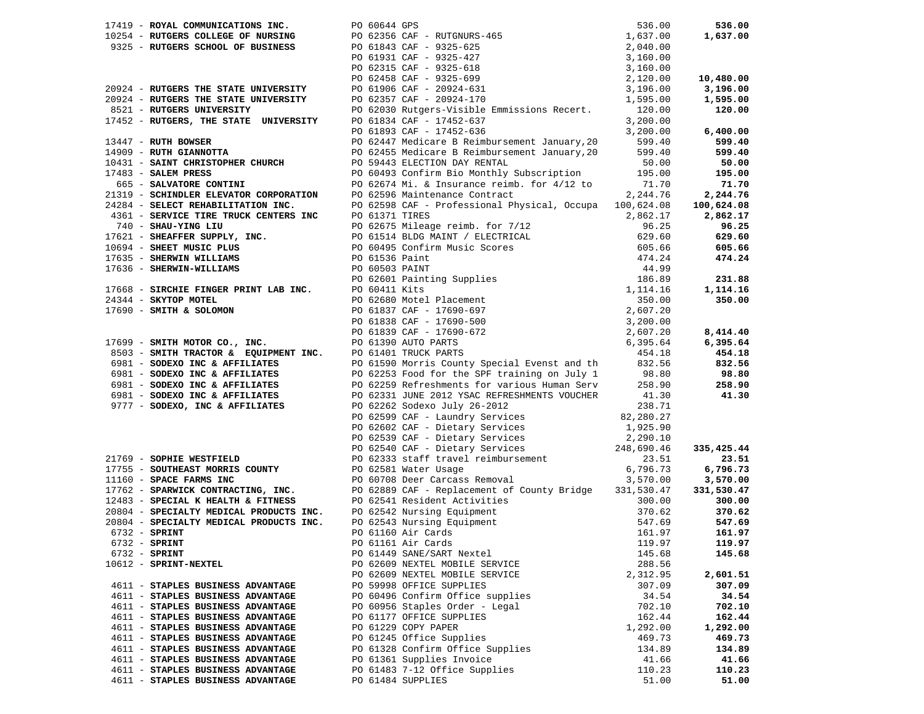|                                                                                                                                        | 17419 - ROYAL COMMUNICATIONS INC.<br>10254 - RUTGERS COLLEGE OF NURSING<br>9325 - RUTGERS SCHOOL OF BUSINESS<br>2,040.00<br>PO 61843 CAF - 9325-625<br>PO 61843 CAF - 9325-625<br>PO 61843 CAF - 9325-625<br>PO 61843 CAF - 9325-625<br>2,140.      |          | 536.00     |
|----------------------------------------------------------------------------------------------------------------------------------------|-----------------------------------------------------------------------------------------------------------------------------------------------------------------------------------------------------------------------------------------------------|----------|------------|
|                                                                                                                                        |                                                                                                                                                                                                                                                     |          | 1,637.00   |
|                                                                                                                                        |                                                                                                                                                                                                                                                     |          |            |
|                                                                                                                                        |                                                                                                                                                                                                                                                     |          |            |
|                                                                                                                                        |                                                                                                                                                                                                                                                     |          |            |
|                                                                                                                                        |                                                                                                                                                                                                                                                     |          | 10,480.00  |
|                                                                                                                                        |                                                                                                                                                                                                                                                     |          | 3,196.00   |
| 2022<br>20924 - RUTGERS THE STATE UNIVERSITY<br>8521 - RUTGERS UNIVERSITY<br>17452 - RUTGERS, THE STATE UNIVERSITY                     |                                                                                                                                                                                                                                                     |          | 1,595.00   |
|                                                                                                                                        | PO 62357 CAF - 20924-170<br>PO 62030 Rutgers-Visible Emmissions Recert. 120.00                                                                                                                                                                      |          | 120.00     |
|                                                                                                                                        | PO 61834 CAF - 17452-637                                                                                                                                                                                                                            | 3,200.00 |            |
|                                                                                                                                        | PO 61893 CAF - 17452-636                                                                                                                                                                                                                            | 3,200.00 | 6,400.00   |
| 13447 - RUTH BOWSER<br>14909 - RUTH GIANNOTTA                                                                                          | PO 62447 Medicare B Reimbursement January, 20 599.40<br>PO 62455 Medicare B Reimbursement January, 20 599.40                                                                                                                                        |          | 599.40     |
|                                                                                                                                        |                                                                                                                                                                                                                                                     |          | 599.40     |
| 10431 - SAINT CHRISTOPHER CHURCH                                                                                                       | PO 59443 ELECTION DAY RENTAL                                                                                                                                                                                                                        | 50.00    | 50.00      |
|                                                                                                                                        | PO 60493 Confirm Bio Monthly Subscription                                                                                                                                                                                                           |          | 195.00     |
|                                                                                                                                        | 17483 - <b>SALEM PRESS</b> PO 60493 Confirm Bio Monthly Subscription 195.00<br>665 - <b>SALVATORE CONTINI</b> PO 62674 Mi. & Insurance reimb. for $4/12$ to 71.70<br>21319 - <b>SCHINDLER ELEVATOR CORPORATION</b> PO 62596 Maintenance Contract 2, |          | 71.70      |
|                                                                                                                                        |                                                                                                                                                                                                                                                     |          | 2,244.76   |
|                                                                                                                                        |                                                                                                                                                                                                                                                     |          | 100,624.08 |
|                                                                                                                                        |                                                                                                                                                                                                                                                     |          | 2,862.17   |
|                                                                                                                                        |                                                                                                                                                                                                                                                     |          | 96.25      |
|                                                                                                                                        |                                                                                                                                                                                                                                                     |          | 629.60     |
|                                                                                                                                        |                                                                                                                                                                                                                                                     |          | 605.66     |
|                                                                                                                                        |                                                                                                                                                                                                                                                     |          | 474.24     |
|                                                                                                                                        |                                                                                                                                                                                                                                                     |          |            |
|                                                                                                                                        | 21319 - SCHINDLER ELEVATOR CORPORATION PO 62596 Maintenance Contract 2,244.76<br>24244.76<br>24244.76<br>3461 - SERVICE TIRE TRUCK CENTERS INC po 62598 CAF - Professional Physical, Occupa 100,624.08<br>740 - SHAU-YING LIU<br>17621              |          | 231.88     |
|                                                                                                                                        |                                                                                                                                                                                                                                                     |          |            |
|                                                                                                                                        |                                                                                                                                                                                                                                                     |          | 1,114.16   |
|                                                                                                                                        |                                                                                                                                                                                                                                                     |          | 350.00     |
|                                                                                                                                        |                                                                                                                                                                                                                                                     |          |            |
|                                                                                                                                        |                                                                                                                                                                                                                                                     |          |            |
| PO 61839 CAF - 17690-<br>17699 - <b>SMITH MOTOR CO., INC.</b><br>8503 - <b>SMITH TRACTOR &amp; EQUIPMENT INC.</b> PO 61401 TRUCK PARTS |                                                                                                                                                                                                                                                     |          | 8,414.40   |
|                                                                                                                                        |                                                                                                                                                                                                                                                     |          | 6,395.64   |
|                                                                                                                                        |                                                                                                                                                                                                                                                     | 454.18   | 454.18     |
| 6981 - SODEXO INC & AFFILIATES<br>6981 - SODEXO INC & AFFILIATES<br>6981 - SODEXO INC & AFFILIATES                                     | PO 61590 Morris County Special Evenst and th 832.56                                                                                                                                                                                                 |          | 832.56     |
|                                                                                                                                        | PO 62253 Food for the SPF training on July 1 98.80<br>PO 62259 Refreshments for various Human Serv 258.90                                                                                                                                           |          | 98.80      |
|                                                                                                                                        |                                                                                                                                                                                                                                                     |          | 258.90     |
| 6981 - SODEXO INC & AFFILIATES                                                                                                         | PO 62331 JUNE 2012 YSAC REFRESHMENTS VOUCHER 41.30                                                                                                                                                                                                  |          | 41.30      |
| 9777 - SODEXO, INC & AFFILIATES                                                                                                        | PO 62262 Sodexo July 26-2012                                                                                                                                                                                                                        | 238.71   |            |
|                                                                                                                                        |                                                                                                                                                                                                                                                     |          |            |
|                                                                                                                                        |                                                                                                                                                                                                                                                     |          |            |
|                                                                                                                                        |                                                                                                                                                                                                                                                     |          |            |
|                                                                                                                                        |                                                                                                                                                                                                                                                     |          | 335,425.44 |
| 21769 - SOPHIE WESTFIELD                                                                                                               | PO 62502 SOGEXO JULY 20-2012<br>PO 62599 CAF - Laundry Services<br>PO 62539 CAF - Dietary Services<br>PO 62539 CAF - Dietary Services<br>PO 62530 CAF - Dietary Services<br>PO 62333 Staff travel reimbursement<br>PO 62333 Staff travel r          |          | 23.51      |
|                                                                                                                                        | 17755 - SOUTHEAST MORRIS COUNTY<br>11160 - SPACE FARMS INC<br>PO 60708 Deer Carcass Removal                                                                                                                                                         | 6,796.73 | 6,796.73   |
|                                                                                                                                        |                                                                                                                                                                                                                                                     | 3,570.00 | 3,570.00   |
|                                                                                                                                        |                                                                                                                                                                                                                                                     |          | 331,530.47 |
|                                                                                                                                        | 17762 - SPARWICK CONTRACTING, INC.<br>17762 - SPARWICK CONTRACTING, INC.<br>17762 - SPARWICK CONTRACTING, INC.<br>20804 - SPECIALTY MEDICAL PRODUCTS INC.<br>20804 - SPECIALTY MEDICAL PRODUCTS INC.<br>20804 - SPECIALTY MEDICAL PRODUC            |          | 300.00     |
|                                                                                                                                        |                                                                                                                                                                                                                                                     |          | 370.62     |
|                                                                                                                                        |                                                                                                                                                                                                                                                     |          | 547.69     |
|                                                                                                                                        |                                                                                                                                                                                                                                                     |          | 161.97     |
| $6732$ - SPRINT                                                                                                                        | PO 61161 Air Cards                                                                                                                                                                                                                                  | 119.97   | 119.97     |
| $6732$ - SPRINT                                                                                                                        | PO 61449 SANE/SART Nextel                                                                                                                                                                                                                           | 145.68   | 145.68     |
| 10612 - SPRINT-NEXTEL                                                                                                                  | PO 62609 NEXTEL MOBILE SERVICE                                                                                                                                                                                                                      | 288.56   |            |
|                                                                                                                                        | PO 62609 NEXTEL MOBILE SERVICE                                                                                                                                                                                                                      | 2,312.95 | 2,601.51   |
| 4611 - STAPLES BUSINESS ADVANTAGE                                                                                                      | PO 59998 OFFICE SUPPLIES                                                                                                                                                                                                                            | 307.09   | 307.09     |
| 4611 - STAPLES BUSINESS ADVANTAGE                                                                                                      | PO 60496 Confirm Office supplies                                                                                                                                                                                                                    | 34.54    | 34.54      |
| 4611 - STAPLES BUSINESS ADVANTAGE                                                                                                      | PO 60956 Staples Order - Legal                                                                                                                                                                                                                      | 702.10   | 702.10     |
| 4611 - STAPLES BUSINESS ADVANTAGE                                                                                                      | PO 61177 OFFICE SUPPLIES                                                                                                                                                                                                                            | 162.44   | 162.44     |
| 4611 - STAPLES BUSINESS ADVANTAGE                                                                                                      | PO 61229 COPY PAPER                                                                                                                                                                                                                                 | 1,292.00 | 1,292.00   |
| 4611 - STAPLES BUSINESS ADVANTAGE                                                                                                      | PO 61245 Office Supplies                                                                                                                                                                                                                            | 469.73   | 469.73     |
| 4611 - STAPLES BUSINESS ADVANTAGE                                                                                                      | PO 61328 Confirm Office Supplies                                                                                                                                                                                                                    | 134.89   | 134.89     |
| 4611 - STAPLES BUSINESS ADVANTAGE                                                                                                      |                                                                                                                                                                                                                                                     |          |            |
|                                                                                                                                        | PO 61361 Supplies Invoice                                                                                                                                                                                                                           | 41.66    | 41.66      |
| 4611 - STAPLES BUSINESS ADVANTAGE<br>4611 - STAPLES BUSINESS ADVANTAGE                                                                 | PO 61483 7-12 Office Supplies                                                                                                                                                                                                                       | 110.23   | 110.23     |
|                                                                                                                                        | PO 61484 SUPPLIES                                                                                                                                                                                                                                   | 51.00    | 51.00      |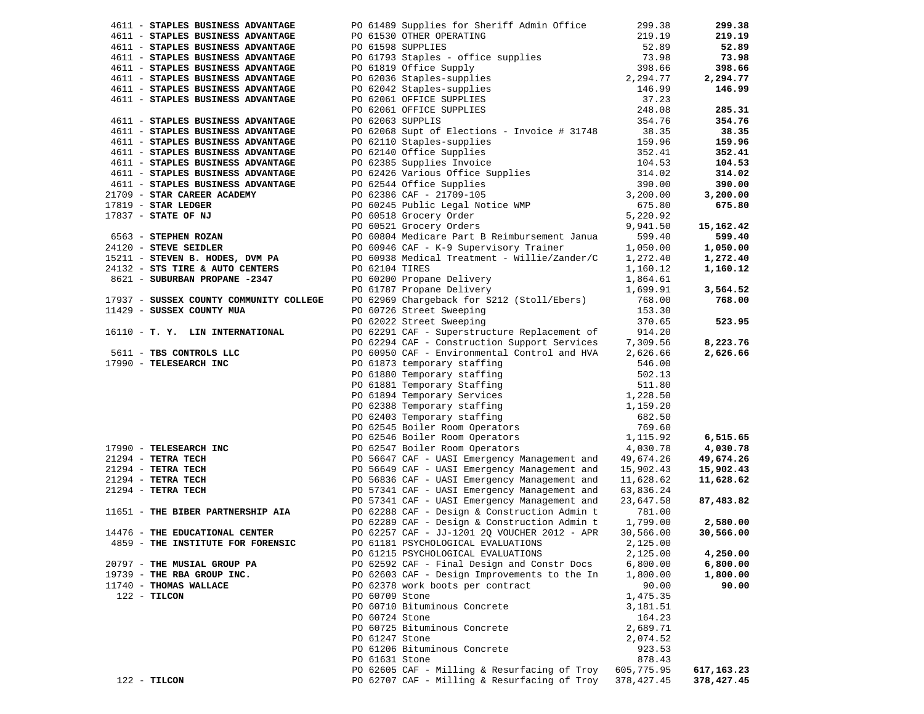| 4611 - STAPLES BUSINESS ADVANTAGE                                                                                                                                                                                  |                | PO 61489 Supplies for Sheriff Admin Office                                                                                                                                                                                                                               | 299.38                   | 299.38     |
|--------------------------------------------------------------------------------------------------------------------------------------------------------------------------------------------------------------------|----------------|--------------------------------------------------------------------------------------------------------------------------------------------------------------------------------------------------------------------------------------------------------------------------|--------------------------|------------|
| 4611 - STAPLES BUSINESS ADVANTAGE                                                                                                                                                                                  |                |                                                                                                                                                                                                                                                                          |                          | 219.19     |
|                                                                                                                                                                                                                    |                |                                                                                                                                                                                                                                                                          |                          | 52.89      |
| 4611 - STAPLES BUSINESS ADVANTAGE<br>4611 - STAPLES BUSINESS ADVANTAGE<br>4611 - STAPLES BUSINESS ADVANTAGE<br>4611 - STAPLES BUSINESS ADVANTAGE<br>4611 - STAPLES BUSINESS ADVANTAGE<br>4611 - PO 61819 Office Su |                |                                                                                                                                                                                                                                                                          |                          | 73.98      |
|                                                                                                                                                                                                                    |                |                                                                                                                                                                                                                                                                          |                          | 398.66     |
| 4611 - STAPLES BUSINESS ADVANTAGE                                                                                                                                                                                  |                | PO 61489 Supplies for Sneriff Admin Ullice<br>PO 61530 OTHER OPERATING<br>PO 61593 SUPPLIES<br>PO 61993 Staples - office supplies<br>PO 61819 Office Supply<br>73.98<br>PO 62036 Staples-supplies<br>PO 62042 Staples-supplies<br>PO 62042 Sta                           |                          | 2,294.77   |
| 4611 - STAPLES BUSINESS ADVANTAGE                                                                                                                                                                                  |                |                                                                                                                                                                                                                                                                          |                          | 146.99     |
| 4611 - STAPLES BUSINESS ADVANTAGE                                                                                                                                                                                  |                |                                                                                                                                                                                                                                                                          |                          |            |
|                                                                                                                                                                                                                    |                |                                                                                                                                                                                                                                                                          |                          | 285.31     |
| 4611 - STAPLES BUSINESS ADVANTAGE                                                                                                                                                                                  |                |                                                                                                                                                                                                                                                                          |                          | 354.76     |
| 4611 - STAPLES BUSINESS ADVANTAGE                                                                                                                                                                                  |                | PO 62068 Supt of Elections - Invoice # 31748 38.35                                                                                                                                                                                                                       |                          | 38.35      |
|                                                                                                                                                                                                                    |                | 4611 - <b>STAPLES BUSINESS ADVANTAGE</b><br>4611 - <b>STAPLES BUSINESS ADVANTAGE</b><br>4611 - <b>STAPLES BUSINESS ADVANTAGE</b><br>4611 - <b>STAPLES BUSINESS ADVANTAGE</b><br>4611 - <b>STAPLES BUSINESS ADVANTAGE</b><br>4611 - <b>STAPLES BUSINESS ADVANTAGE</b><br> |                          | 159.96     |
|                                                                                                                                                                                                                    |                |                                                                                                                                                                                                                                                                          |                          | 352.41     |
|                                                                                                                                                                                                                    |                |                                                                                                                                                                                                                                                                          |                          |            |
|                                                                                                                                                                                                                    |                |                                                                                                                                                                                                                                                                          |                          | 104.53     |
|                                                                                                                                                                                                                    |                |                                                                                                                                                                                                                                                                          |                          | 314.02     |
|                                                                                                                                                                                                                    |                |                                                                                                                                                                                                                                                                          |                          | 390.00     |
|                                                                                                                                                                                                                    |                |                                                                                                                                                                                                                                                                          |                          | 3,200.00   |
|                                                                                                                                                                                                                    |                |                                                                                                                                                                                                                                                                          |                          | 675.80     |
|                                                                                                                                                                                                                    |                |                                                                                                                                                                                                                                                                          |                          |            |
|                                                                                                                                                                                                                    |                |                                                                                                                                                                                                                                                                          |                          | 15,162.42  |
|                                                                                                                                                                                                                    |                |                                                                                                                                                                                                                                                                          |                          | 599.40     |
|                                                                                                                                                                                                                    |                |                                                                                                                                                                                                                                                                          |                          | 1,050.00   |
|                                                                                                                                                                                                                    |                |                                                                                                                                                                                                                                                                          |                          | 1,272.40   |
|                                                                                                                                                                                                                    | PO 62104 TIRES |                                                                                                                                                                                                                                                                          | 1,160.12                 | 1,160.12   |
| 24132 - STS TIRE & AUTO CENTERS<br>8621 - SUBURBAN PROPANE -2347                                                                                                                                                   |                |                                                                                                                                                                                                                                                                          | $1,100.12$<br>$1,864.61$ |            |
|                                                                                                                                                                                                                    |                | PO 60200 Propane Delivery<br>PO 61787 Propane Delivery<br>PO 62969 Chargeback for S212 (Stoll/Ebers)<br>PO 62969 Chargeback for S212 (Stoll/Ebers)<br>768.00                                                                                                             |                          | 3,564.52   |
| 17937 - SUSSEX COUNTY COMMUNITY COLLEGE                                                                                                                                                                            |                |                                                                                                                                                                                                                                                                          |                          | 768.00     |
| 11429 - SUSSEX COUNTY MUA                                                                                                                                                                                          |                | PO 60726 Street Sweeping                                                                                                                                                                                                                                                 | 153.30                   |            |
|                                                                                                                                                                                                                    |                | PO 62022 Street Sweeping                                                                                                                                                                                                                                                 | 370.65                   | 523.95     |
|                                                                                                                                                                                                                    |                | 16110 - T. Y. LIN INTERNATIONAL PO 62291 CAF - Superstructure Replacement of 914.20<br>PO 62294 CAF - Construction Support Services 7,309.56                                                                                                                             |                          |            |
|                                                                                                                                                                                                                    |                |                                                                                                                                                                                                                                                                          |                          | 8,223.76   |
|                                                                                                                                                                                                                    |                | PO 60950 CAF - Environmental Control and HVA 2,626.66                                                                                                                                                                                                                    |                          | 2,626.66   |
| 5611 - TBS CONTROLS LLC<br>17990 - TELESEARCH INC                                                                                                                                                                  |                | 17990 - TELESEARCH INC<br>PO 61873 temporary staffing<br>PO 61873 temporary staffing<br>PO 61880 Temporary staffing<br>PO 61880 Temporary staffing<br>PO 61880 Temporary staffing<br>PO 61880 Temporary staffing<br>PO 62403 Temporary staf                              |                          |            |
|                                                                                                                                                                                                                    |                |                                                                                                                                                                                                                                                                          |                          |            |
|                                                                                                                                                                                                                    |                |                                                                                                                                                                                                                                                                          |                          |            |
|                                                                                                                                                                                                                    |                |                                                                                                                                                                                                                                                                          |                          |            |
|                                                                                                                                                                                                                    |                |                                                                                                                                                                                                                                                                          |                          |            |
|                                                                                                                                                                                                                    |                |                                                                                                                                                                                                                                                                          |                          |            |
|                                                                                                                                                                                                                    |                |                                                                                                                                                                                                                                                                          |                          |            |
|                                                                                                                                                                                                                    |                |                                                                                                                                                                                                                                                                          |                          |            |
|                                                                                                                                                                                                                    |                |                                                                                                                                                                                                                                                                          |                          | 6,515.65   |
|                                                                                                                                                                                                                    |                |                                                                                                                                                                                                                                                                          |                          | 4,030.78   |
|                                                                                                                                                                                                                    |                |                                                                                                                                                                                                                                                                          |                          | 49,674.26  |
|                                                                                                                                                                                                                    |                |                                                                                                                                                                                                                                                                          |                          | 15,902.43  |
|                                                                                                                                                                                                                    |                |                                                                                                                                                                                                                                                                          |                          | 11,628.62  |
|                                                                                                                                                                                                                    |                |                                                                                                                                                                                                                                                                          |                          |            |
|                                                                                                                                                                                                                    |                |                                                                                                                                                                                                                                                                          |                          | 87,483.82  |
|                                                                                                                                                                                                                    |                | PO 57341 CAF - UASI Emergency Management and 23,647.58<br>PO 62288 CAF - Design & Construction Admin t 781.00                                                                                                                                                            |                          |            |
|                                                                                                                                                                                                                    |                | PO 62289 CAF - Design & Construction Admin t 1,799.00                                                                                                                                                                                                                    |                          | 2,580.00   |
| 14476 - THE EDUCATIONAL CENTER                                                                                                                                                                                     |                | PO 62257 CAF - JJ-1201 2Q VOUCHER 2012 - APR                                                                                                                                                                                                                             | 30,566.00                | 30,566.00  |
| 4859 - THE INSTITUTE FOR FORENSIC                                                                                                                                                                                  |                | PO 61181 PSYCHOLOGICAL EVALUATIONS                                                                                                                                                                                                                                       | 2,125.00                 |            |
|                                                                                                                                                                                                                    |                | PO 61215 PSYCHOLOGICAL EVALUATIONS                                                                                                                                                                                                                                       | 2,125.00                 | 4,250.00   |
| 20797 - THE MUSIAL GROUP PA                                                                                                                                                                                        |                | PO 62592 CAF - Final Design and Constr Docs                                                                                                                                                                                                                              | 6,800.00                 | 6,800.00   |
| 19739 - THE RBA GROUP INC.                                                                                                                                                                                         |                | PO 62603 CAF - Design Improvements to the In                                                                                                                                                                                                                             | 1,800.00                 | 1,800.00   |
| 11740 - THOMAS WALLACE                                                                                                                                                                                             |                | PO 62378 work boots per contract                                                                                                                                                                                                                                         | 90.00                    | 90.00      |
| $122 - TILCON$                                                                                                                                                                                                     | PO 60709 Stone |                                                                                                                                                                                                                                                                          | 1,475.35                 |            |
|                                                                                                                                                                                                                    |                | PO 60710 Bituminous Concrete                                                                                                                                                                                                                                             | 3,181.51                 |            |
|                                                                                                                                                                                                                    | PO 60724 Stone |                                                                                                                                                                                                                                                                          | 164.23                   |            |
|                                                                                                                                                                                                                    |                | PO 60725 Bituminous Concrete                                                                                                                                                                                                                                             | 2,689.71                 |            |
|                                                                                                                                                                                                                    | PO 61247 Stone |                                                                                                                                                                                                                                                                          | 2,074.52                 |            |
|                                                                                                                                                                                                                    |                | PO 61206 Bituminous Concrete                                                                                                                                                                                                                                             | 923.53                   |            |
|                                                                                                                                                                                                                    | PO 61631 Stone |                                                                                                                                                                                                                                                                          | 878.43                   |            |
|                                                                                                                                                                                                                    |                | PO 62605 CAF - Milling & Resurfacing of Troy                                                                                                                                                                                                                             | 605,775.95               | 617,163.23 |
| $122 - TILCON$                                                                                                                                                                                                     |                | PO 62707 CAF - Milling & Resurfacing of Troy                                                                                                                                                                                                                             | 378,427.45               | 378,427.45 |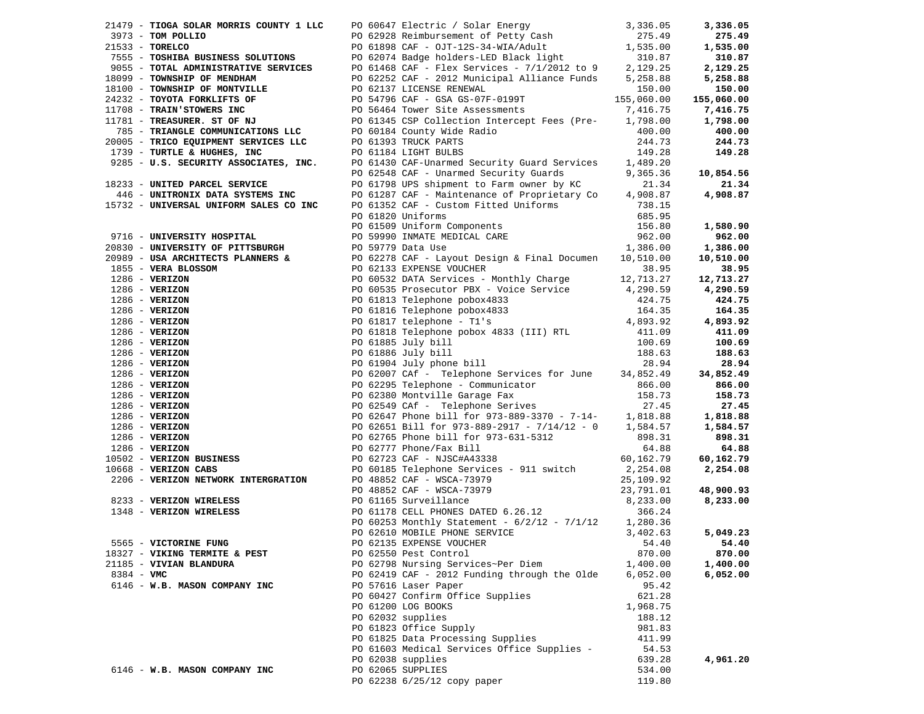|              |                                                               |                                                                                                                                                                                                                                                                                                |           | 3,336.05        |
|--------------|---------------------------------------------------------------|------------------------------------------------------------------------------------------------------------------------------------------------------------------------------------------------------------------------------------------------------------------------------------------------|-----------|-----------------|
|              |                                                               | 21479 - TIOGA SOLAR MORRIS COUNTY 1 LLC 2006647 Electric / Solar Energy 3,336.05<br>273 - TON POLLIO 2008 Reimbursement of Petty Cash<br>2755 - TOSHIBA BUSINESS SOLUTIONS 2009 - 2012 Municipal Alliance Funds 5,258.08<br>2755 -                                                             |           | 275.49          |
|              |                                                               |                                                                                                                                                                                                                                                                                                |           | 1,535.00        |
|              |                                                               |                                                                                                                                                                                                                                                                                                |           | 310.87          |
|              |                                                               |                                                                                                                                                                                                                                                                                                |           | 2,129.25        |
|              |                                                               |                                                                                                                                                                                                                                                                                                |           | 5,258.88        |
|              |                                                               |                                                                                                                                                                                                                                                                                                |           | 150.00          |
|              |                                                               |                                                                                                                                                                                                                                                                                                |           | 155,060.00      |
|              |                                                               |                                                                                                                                                                                                                                                                                                |           | 7,416.75        |
|              |                                                               |                                                                                                                                                                                                                                                                                                |           | 1,798.00        |
|              |                                                               |                                                                                                                                                                                                                                                                                                |           | 400.00          |
|              |                                                               | 20005 - <b>TRICO EQUIPMENT SERVICES LLC</b><br>20005 - <b>TRICO EQUIPMENT SERVICES LLC</b><br>20005 - <b>TURTLE &amp; HUGHES, INC</b><br>20005 - <b>TURTLE &amp; HUGHES, INC.</b><br>20005 - <b>TURTLE &amp; HUGHES, INC.</b><br>20005 - <b>TURTLE &amp; HUGHES, INC.</b><br>20005 - <b>TU</b> |           | 244.73          |
|              |                                                               |                                                                                                                                                                                                                                                                                                |           | 149.28          |
|              |                                                               |                                                                                                                                                                                                                                                                                                |           |                 |
|              |                                                               |                                                                                                                                                                                                                                                                                                | 9,365.36  | 10,854.56       |
|              | 18233 - UNITED PARCEL SERVICE                                 |                                                                                                                                                                                                                                                                                                |           | 21.34           |
|              |                                                               |                                                                                                                                                                                                                                                                                                |           | 4,908.87        |
|              |                                                               | 15732 - UNIVERSAL UNIFORM SALES CO INC PO 61352 CAF - Custom Fitted Uniforms                                                                                                                                                                                                                   |           |                 |
|              |                                                               |                                                                                                                                                                                                                                                                                                |           |                 |
|              |                                                               |                                                                                                                                                                                                                                                                                                |           | 1,580.90        |
|              |                                                               |                                                                                                                                                                                                                                                                                                |           | 962.00          |
|              |                                                               |                                                                                                                                                                                                                                                                                                |           | 1,386.00        |
|              |                                                               |                                                                                                                                                                                                                                                                                                |           | 10,510.00       |
|              |                                                               |                                                                                                                                                                                                                                                                                                |           | 38.95           |
|              |                                                               |                                                                                                                                                                                                                                                                                                |           | 12,713.27       |
|              |                                                               |                                                                                                                                                                                                                                                                                                |           | 4,290.59        |
|              |                                                               |                                                                                                                                                                                                                                                                                                |           | 424.75          |
|              |                                                               |                                                                                                                                                                                                                                                                                                |           | 164.35          |
|              |                                                               |                                                                                                                                                                                                                                                                                                |           | 4,893.92        |
|              |                                                               |                                                                                                                                                                                                                                                                                                |           | 411.09          |
|              |                                                               |                                                                                                                                                                                                                                                                                                |           | 100.69          |
|              |                                                               |                                                                                                                                                                                                                                                                                                |           | 188.63          |
|              |                                                               |                                                                                                                                                                                                                                                                                                |           | 28.94           |
|              |                                                               |                                                                                                                                                                                                                                                                                                |           | 34,852.49       |
|              |                                                               |                                                                                                                                                                                                                                                                                                |           | 866.00          |
|              |                                                               |                                                                                                                                                                                                                                                                                                |           | 158.73          |
|              |                                                               |                                                                                                                                                                                                                                                                                                |           | 27.45           |
|              |                                                               |                                                                                                                                                                                                                                                                                                |           | 1,818.88        |
|              |                                                               |                                                                                                                                                                                                                                                                                                |           | 1,584.57        |
|              |                                                               |                                                                                                                                                                                                                                                                                                |           | 898.31          |
|              |                                                               | PO 62765 Phone bill for 973-631-5312<br>PO 62777 Phone/Fax Bill<br>PO 62723 CAF - NJSC#A43338                                                                                                                                                                                                  |           | 64.88           |
|              |                                                               |                                                                                                                                                                                                                                                                                                |           | 60,162.79       |
|              | 10502 - VERIZON BUSINESS<br>10668 - VERIZON CABS              |                                                                                                                                                                                                                                                                                                |           |                 |
|              | 2206 - VERIZON NETWORK INTERGRATION PO 48852 CAF - WSCA-73979 | PO 60185 Telephone Services - 911 switch                                                                                                                                                                                                                                                       | 2,254.08  | 2,254.08        |
|              |                                                               |                                                                                                                                                                                                                                                                                                | 25,109.92 |                 |
|              |                                                               | PO 48852 CAF - WSCA-73979<br>PO 61165 Surveillance                                                                                                                                                                                                                                             | 23,791.01 | 48,900.93       |
|              | 8233 - VERIZON WIRELESS                                       | PO 61178 CELL PHONES DATED 6.26.12                                                                                                                                                                                                                                                             | 8,233.00  | 8,233.00        |
|              | 1348 - VERIZON WIRELESS                                       |                                                                                                                                                                                                                                                                                                | 366.24    |                 |
|              |                                                               | PO 60253 Monthly Statement - $6/2/12$ - $7/1/12$                                                                                                                                                                                                                                               | 1,280.36  |                 |
|              |                                                               | PO 62610 MOBILE PHONE SERVICE                                                                                                                                                                                                                                                                  | 3,402.63  | 5,049.23        |
|              | 5565 - VICTORINE FUNG                                         | PO 62135 EXPENSE VOUCHER                                                                                                                                                                                                                                                                       |           | $54.40$ $54.40$ |
|              | 18327 - VIKING TERMITE & PEST                                 | PO 62550 Pest Control                                                                                                                                                                                                                                                                          | 870.00    | 870.00          |
|              | 21185 - VIVIAN BLANDURA                                       | PO 62798 Nursing Services~Per Diem                                                                                                                                                                                                                                                             | 1,400.00  | 1,400.00        |
| $8384 - VMC$ |                                                               | PO 62419 CAF - 2012 Funding through the Olde                                                                                                                                                                                                                                                   | 6,052.00  | 6,052.00        |
|              | 6146 - W.B. MASON COMPANY INC                                 | PO 57616 Laser Paper                                                                                                                                                                                                                                                                           | 95.42     |                 |
|              |                                                               | PO 60427 Confirm Office Supplies                                                                                                                                                                                                                                                               | 621.28    |                 |
|              |                                                               | PO 61200 LOG BOOKS                                                                                                                                                                                                                                                                             | 1,968.75  |                 |
|              |                                                               | PO 62032 supplies                                                                                                                                                                                                                                                                              | 188.12    |                 |
|              |                                                               | PO 61823 Office Supply                                                                                                                                                                                                                                                                         | 981.83    |                 |
|              |                                                               | PO 61825 Data Processing Supplies                                                                                                                                                                                                                                                              | 411.99    |                 |
|              |                                                               | PO 61603 Medical Services Office Supplies -                                                                                                                                                                                                                                                    | 54.53     |                 |
|              |                                                               | PO 62038 supplies                                                                                                                                                                                                                                                                              | 639.28    | 4,961.20        |
|              | 6146 - W.B. MASON COMPANY INC                                 | PO 62065 SUPPLIES                                                                                                                                                                                                                                                                              | 534.00    |                 |
|              |                                                               | PO 62238 6/25/12 copy paper                                                                                                                                                                                                                                                                    | 119.80    |                 |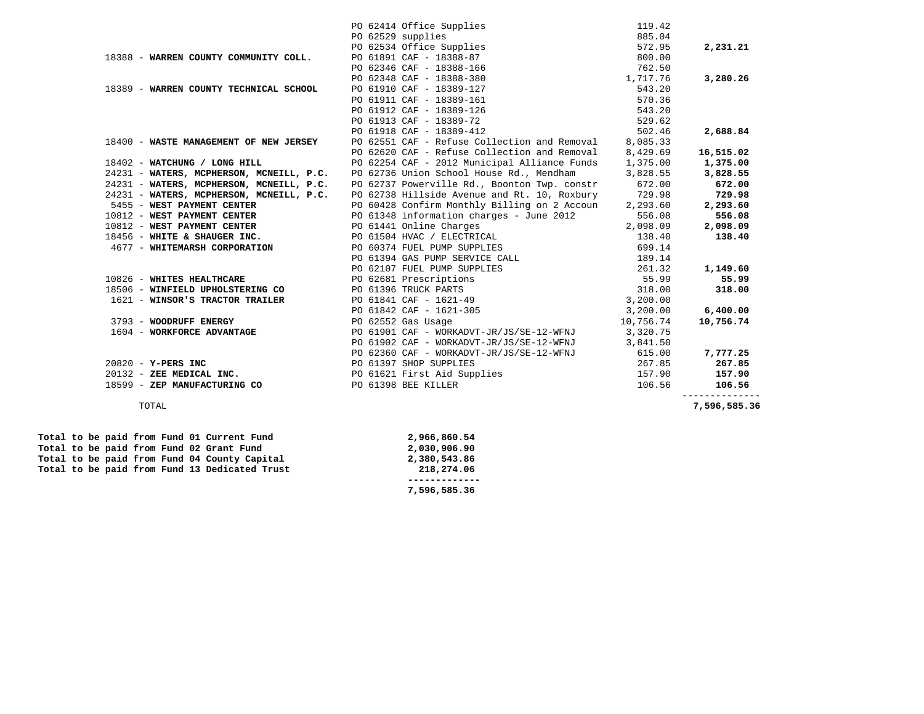|                                                                                   |                                                                                                                                  | 119.42    |                        |
|-----------------------------------------------------------------------------------|----------------------------------------------------------------------------------------------------------------------------------|-----------|------------------------|
|                                                                                   | PO 62414 Office Supplies<br>PO 62529 supplies<br>PO 62534 Office Supplies<br>PO 61891 CAF - 18388-87<br>PO 62346 CAF - 18388-166 | 885.04    |                        |
|                                                                                   |                                                                                                                                  | 572.95    | 2,231.21               |
| 18388 - WARREN COUNTY COMMUNITY COLL.                                             |                                                                                                                                  | 800.00    |                        |
|                                                                                   |                                                                                                                                  | 762.50    |                        |
|                                                                                   | PO 62348 CAF - 18388-380                                                                                                         | 1,717.76  | 3,280.26               |
| 18389 - WARREN COUNTY TECHNICAL SCHOOL                                            | PO 61910 CAF - 18389-127                                                                                                         | 543.20    |                        |
|                                                                                   | PO 61911 CAF - 18389-161                                                                                                         | 570.36    |                        |
|                                                                                   | PO 61912 CAF - 18389-126                                                                                                         | 543.20    |                        |
|                                                                                   | PO 61913 CAF - 18389-72                                                                                                          | 529.62    |                        |
|                                                                                   | PO 61918 CAF - 18389-412                                                                                                         | 502.46    | 2,688.84               |
| 18400 - WASTE MANAGEMENT OF NEW JERSEY                                            | PO 62551 CAF - Refuse Collection and Removal                                                                                     | 8,085.33  |                        |
|                                                                                   | PO 62620 CAF - Refuse Collection and Removal                                                                                     | 8,429.69  | 16,515.02              |
| 18402 - WATCHUNG / LONG HILL                                                      | PO 62254 CAF - 2012 Municipal Alliance Funds                                                                                     | 1,375.00  | 1,375.00               |
| 24231 - WATERS, MCPHERSON, MCNEILL, P.C. PO 62736 Union School House Rd., Mendham |                                                                                                                                  | 3,828.55  | 3,828.55               |
| 24231 - WATERS, MCPHERSON, MCNEILL, P.C.                                          | PO 62737 Powerville Rd., Boonton Twp. constr                                                                                     | 672.00    | 672.00                 |
| 24231 - WATERS, MCPHERSON, MCNEILL, P.C.                                          | PO 62738 Hillside Avenue and Rt. 10, Roxbury                                                                                     | 729.98    | 729.98                 |
| 5455 - WEST PAYMENT CENTER                                                        | PO 60428 Confirm Monthly Billing on 2 Accoun                                                                                     | 2,293.60  | 2,293.60               |
| 10812 - WEST PAYMENT CENTER                                                       | PO 61348 information charges - June 2012                                                                                         | 556.08    | 556.08                 |
| 10812 - WEST PAYMENT CENTER                                                       | PO 61441 Online Charges                                                                                                          | 2,098.09  | 2,098.09               |
| 18456 - WHITE & SHAUGER INC.                                                      | PO 61504 HVAC / ELECTRICAL                                                                                                       | 138.40    | 138.40                 |
| 4677 - WHITEMARSH CORPORATION                                                     | PO 60374 FUEL PUMP SUPPLIES                                                                                                      | 699.14    |                        |
|                                                                                   | PO 61394 GAS PUMP SERVICE CALL                                                                                                   | 189.14    |                        |
|                                                                                   | PO 62107 FUEL PUMP SUPPLIES                                                                                                      | 261.32    | 1,149.60               |
| 10826 - WHITES HEALTHCARE                                                         | PO 62681 Prescriptions<br>PO 62681 Prescriptions<br>PO 61396 TRUCK PARTS                                                         | 55.99     | 55.99                  |
| 18506 - WINFIELD UPHOLSTERING CO                                                  |                                                                                                                                  | 318.00    | 318.00                 |
| 1621 - WINSOR'S TRACTOR TRAILER                                                   | PO 61841 CAF - 1621-49                                                                                                           | 3,200.00  |                        |
|                                                                                   | PO 61842 CAF - 1621-305                                                                                                          | 3,200.00  | 6,400.00               |
| 3793 - WOODRUFF ENERGY                                                            | PO 62552 Gas Usage                                                                                                               | 10,756.74 | 10,756.74              |
| 1604 - WORKFORCE ADVANTAGE                                                        | PO 61901 CAF - WORKADVT-JR/JS/SE-12-WFNJ                                                                                         | 3,320.75  |                        |
|                                                                                   | PO 61902 CAF - WORKADVT-JR/JS/SE-12-WFNJ                                                                                         | 3,841.50  |                        |
|                                                                                   | PO 62360 CAF - WORKADVT-JR/JS/SE-12-WFNJ                                                                                         | 615.00    | 7,777.25               |
| 20820 - Y-PERS INC                                                                | PO 61397 SHOP SUPPLIES                                                                                                           | 267.85    | 267.85                 |
| 20132 - ZEE MEDICAL INC.                                                          | PO 61621 First Aid Supplies                                                                                                      | 157.90    | 157.90                 |
| 18599 - ZEP MANUFACTURING CO                                                      | PO 61398 BEE KILLER                                                                                                              | 106.56    | 106.56<br>------------ |
| TOTAL                                                                             |                                                                                                                                  |           | 7,596,585.36           |

 **Total to be paid from Fund 01 Current Fund 2,966,860.54 Total to be paid from Fund 02 Grant Fund 2,030,906.90** 

 **------------- 7,596,585.36** 

|  |  |  |  | Total to be paid from Fund 13 Dedicated Trust | 218,274.06   |
|--|--|--|--|-----------------------------------------------|--------------|
|  |  |  |  | Total to be paid from Fund 04 County Capital  | 2,380,543.86 |
|  |  |  |  | Total to be paid from Fund 02 Grant Fund      | 2,030,906.90 |
|  |  |  |  | Total to be paid from Fund 01 Current Fund    | 2,966,860.54 |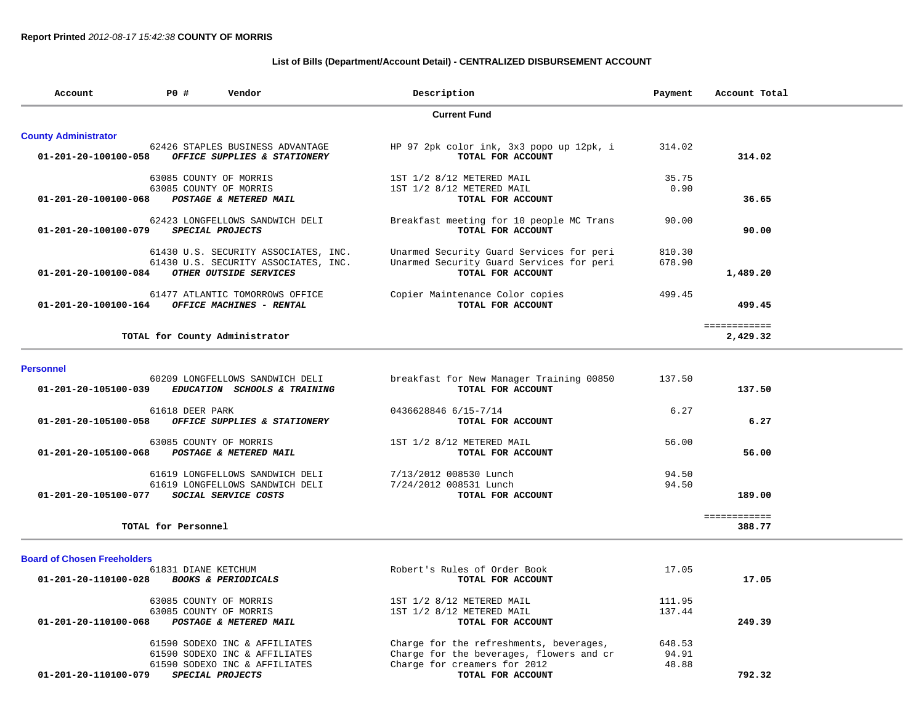## **List of Bills (Department/Account Detail) - CENTRALIZED DISBURSEMENT ACCOUNT**

| Account                        | P0 #                | Vendor                                                                                                 | Description                                                                                               | Payment          | Account Total            |  |
|--------------------------------|---------------------|--------------------------------------------------------------------------------------------------------|-----------------------------------------------------------------------------------------------------------|------------------|--------------------------|--|
|                                |                     |                                                                                                        | <b>Current Fund</b>                                                                                       |                  |                          |  |
| <b>County Administrator</b>    |                     |                                                                                                        |                                                                                                           |                  |                          |  |
| 01-201-20-100100-058           |                     | 62426 STAPLES BUSINESS ADVANTAGE<br>OFFICE SUPPLIES & STATIONERY                                       | HP 97 2pk color ink, 3x3 popo up 12pk, i<br>TOTAL FOR ACCOUNT                                             | 314.02           | 314.02                   |  |
|                                |                     | 63085 COUNTY OF MORRIS                                                                                 | 1ST 1/2 8/12 METERED MAIL                                                                                 | 35.75            |                          |  |
| 01-201-20-100100-068           |                     | 63085 COUNTY OF MORRIS<br>POSTAGE & METERED MAIL                                                       | 1ST 1/2 8/12 METERED MAIL<br>TOTAL FOR ACCOUNT                                                            | 0.90             | 36.65                    |  |
| $01 - 201 - 20 - 100100 - 079$ |                     | 62423 LONGFELLOWS SANDWICH DELI<br>SPECIAL PROJECTS                                                    | Breakfast meeting for 10 people MC Trans<br>TOTAL FOR ACCOUNT                                             | 90.00            | 90.00                    |  |
| 01-201-20-100100-084           |                     | 61430 U.S. SECURITY ASSOCIATES, INC.<br>61430 U.S. SECURITY ASSOCIATES, INC.<br>OTHER OUTSIDE SERVICES | Unarmed Security Guard Services for peri<br>Unarmed Security Guard Services for peri<br>TOTAL FOR ACCOUNT | 810.30<br>678.90 | 1,489.20                 |  |
| 01-201-20-100100-164           |                     | 61477 ATLANTIC TOMORROWS OFFICE<br>OFFICE MACHINES - RENTAL                                            | Copier Maintenance Color copies<br>TOTAL FOR ACCOUNT                                                      | 499.45           | 499.45                   |  |
|                                |                     | TOTAL for County Administrator                                                                         |                                                                                                           |                  | ============<br>2,429.32 |  |
| <b>Personnel</b>               |                     |                                                                                                        |                                                                                                           |                  |                          |  |
| 01-201-20-105100-039           |                     | 60209 LONGFELLOWS SANDWICH DELI<br>EDUCATION SCHOOLS & TRAINING                                        | breakfast for New Manager Training 00850<br>TOTAL FOR ACCOUNT                                             | 137.50           | 137.50                   |  |
| 01-201-20-105100-058           | 61618 DEER PARK     | OFFICE SUPPLIES & STATIONERY                                                                           | 0436628846 6/15-7/14<br>TOTAL FOR ACCOUNT                                                                 | 6.27             | 6.27                     |  |
| $01 - 201 - 20 - 105100 - 068$ |                     | 63085 COUNTY OF MORRIS<br>POSTAGE & METERED MAIL                                                       | 1ST 1/2 8/12 METERED MAIL<br>TOTAL FOR ACCOUNT                                                            | 56.00            | 56.00                    |  |
|                                |                     | 61619 LONGFELLOWS SANDWICH DELI                                                                        | 7/13/2012 008530 Lunch                                                                                    | 94.50            |                          |  |
| 01-201-20-105100-077           |                     | 61619 LONGFELLOWS SANDWICH DELI<br>SOCIAL SERVICE COSTS                                                | 7/24/2012 008531 Lunch<br>TOTAL FOR ACCOUNT                                                               | 94.50            | 189.00                   |  |
|                                | TOTAL for Personnel |                                                                                                        |                                                                                                           |                  | ============<br>388.77   |  |
|                                |                     |                                                                                                        |                                                                                                           |                  |                          |  |

## **Board of Chosen Freeholders**

| 61831 DIANE KETCHUM                                    | Robert's Rules of Order Book             | 17.05  |        |
|--------------------------------------------------------|------------------------------------------|--------|--------|
| 01-201-20-110100-028<br><b>BOOKS &amp; PERIODICALS</b> | TOTAL FOR ACCOUNT                        |        | 17.05  |
| 63085 COUNTY OF MORRIS                                 | 1ST 1/2 8/12 METERED MAIL                | 111.95 |        |
| 63085 COUNTY OF MORRIS                                 | 1ST 1/2 8/12 METERED MAIL                | 137.44 |        |
| 01-201-20-110100-068<br>POSTAGE & METERED MAIL         | TOTAL FOR ACCOUNT                        |        | 249.39 |
| 61590 SODEXO INC & AFFILIATES                          | Charge for the refreshments, beverages,  | 648.53 |        |
| 61590 SODEXO INC & AFFILIATES                          | Charge for the beverages, flowers and cr | 94.91  |        |
| 61590 SODEXO INC & AFFILIATES                          | Charge for creamers for 2012             | 48.88  |        |
| 01-201-20-110100-079<br>SPECIAL PROJECTS               | TOTAL FOR ACCOUNT                        |        | 792.32 |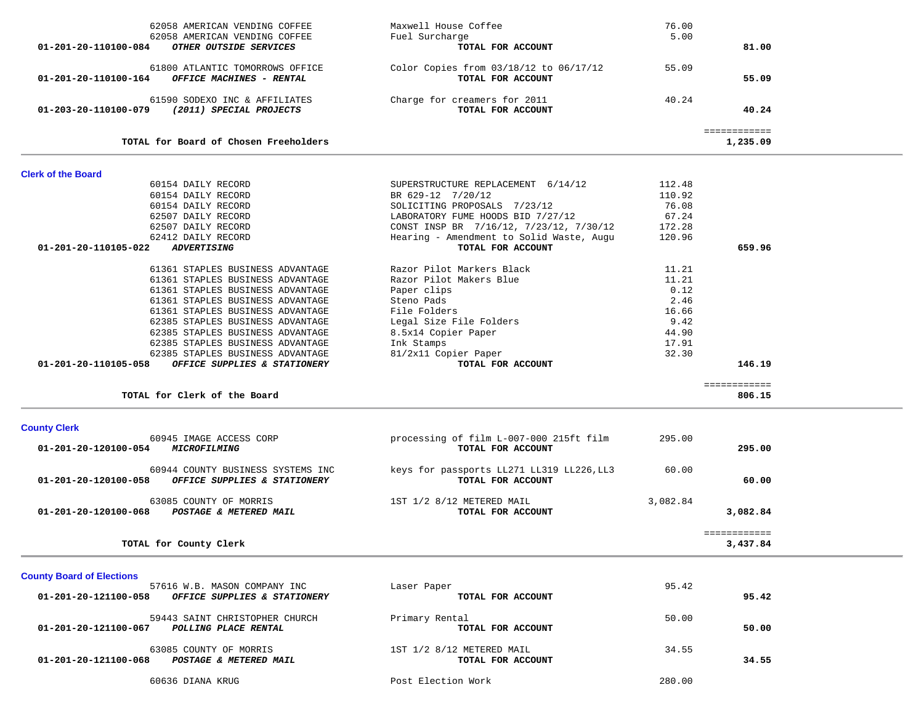| 62058 AMERICAN VENDING COFFEE                                                 | Maxwell House Coffee                              | 76.00    |              |  |
|-------------------------------------------------------------------------------|---------------------------------------------------|----------|--------------|--|
| 62058 AMERICAN VENDING COFFEE                                                 | Fuel Surcharge                                    | 5.00     |              |  |
| OTHER OUTSIDE SERVICES<br>01-201-20-110100-084                                | TOTAL FOR ACCOUNT                                 |          | 81.00        |  |
|                                                                               |                                                   |          |              |  |
| 61800 ATLANTIC TOMORROWS OFFICE                                               | Color Copies from 03/18/12 to 06/17/12            | 55.09    |              |  |
| OFFICE MACHINES - RENTAL<br>01-201-20-110100-164                              | TOTAL FOR ACCOUNT                                 |          | 55.09        |  |
|                                                                               |                                                   | 40.24    |              |  |
| 61590 SODEXO INC & AFFILIATES<br>01-203-20-110100-079 (2011) SPECIAL PROJECTS | Charge for creamers for 2011<br>TOTAL FOR ACCOUNT |          | 40.24        |  |
|                                                                               |                                                   |          |              |  |
|                                                                               |                                                   |          | ============ |  |
| TOTAL for Board of Chosen Freeholders                                         |                                                   |          | 1,235.09     |  |
| <b>Clerk of the Board</b>                                                     |                                                   |          |              |  |
| 60154 DAILY RECORD                                                            | SUPERSTRUCTURE REPLACEMENT 6/14/12                | 112.48   |              |  |
| 60154 DAILY RECORD                                                            | BR 629-12 7/20/12                                 | 110.92   |              |  |
| 60154 DAILY RECORD                                                            | SOLICITING PROPOSALS 7/23/12                      | 76.08    |              |  |
| 62507 DAILY RECORD                                                            | LABORATORY FUME HOODS BID 7/27/12                 | 67.24    |              |  |
| 62507 DAILY RECORD                                                            | CONST INSP BR 7/16/12, 7/23/12, 7/30/12           | 172.28   |              |  |
| 62412 DAILY RECORD                                                            | Hearing - Amendment to Solid Waste, Augu          | 120.96   |              |  |
| 01-201-20-110105-022<br><b>ADVERTISING</b>                                    | TOTAL FOR ACCOUNT                                 |          | 659.96       |  |
|                                                                               |                                                   |          |              |  |
| 61361 STAPLES BUSINESS ADVANTAGE                                              | Razor Pilot Markers Black                         | 11.21    |              |  |
| 61361 STAPLES BUSINESS ADVANTAGE                                              | Razor Pilot Makers Blue                           | 11.21    |              |  |
| 61361 STAPLES BUSINESS ADVANTAGE                                              | Paper clips                                       | 0.12     |              |  |
| 61361 STAPLES BUSINESS ADVANTAGE                                              | Steno Pads                                        | 2.46     |              |  |
| 61361 STAPLES BUSINESS ADVANTAGE                                              | File Folders                                      | 16.66    |              |  |
| 62385 STAPLES BUSINESS ADVANTAGE                                              | Legal Size File Folders                           | 9.42     |              |  |
| 62385 STAPLES BUSINESS ADVANTAGE                                              | 8.5x14 Copier Paper                               | 44.90    |              |  |
| 62385 STAPLES BUSINESS ADVANTAGE                                              | Ink Stamps                                        | 17.91    |              |  |
| 62385 STAPLES BUSINESS ADVANTAGE                                              | 81/2x11 Copier Paper                              | 32.30    |              |  |
|                                                                               | TOTAL FOR ACCOUNT                                 |          | 146.19       |  |
| 01-201-20-110105-058 OFFICE SUPPLIES & STATIONERY                             |                                                   |          |              |  |
|                                                                               |                                                   |          | ============ |  |
| TOTAL for Clerk of the Board                                                  |                                                   |          | 806.15       |  |
|                                                                               |                                                   |          |              |  |
| <b>County Clerk</b>                                                           |                                                   |          |              |  |
| 60945 IMAGE ACCESS CORP                                                       | processing of film L-007-000 215ft film           | 295.00   |              |  |
| 01-201-20-120100-054 MICROFILMING                                             | TOTAL FOR ACCOUNT                                 |          | 295.00       |  |
|                                                                               |                                                   |          |              |  |
| 60944 COUNTY BUSINESS SYSTEMS INC                                             | keys for passports LL271 LL319 LL226, LL3         | 60.00    |              |  |
| 01-201-20-120100-058 OFFICE SUPPLIES & STATIONERY                             | TOTAL FOR ACCOUNT                                 |          | 60.00        |  |
| 63085 COUNTY OF MORRIS                                                        | 1ST 1/2 8/12 METERED MAIL                         | 3,082.84 |              |  |
| 01-201-20-120100-068 POSTAGE & METERED MAIL                                   | TOTAL FOR ACCOUNT                                 |          | 3,082.84     |  |
|                                                                               |                                                   |          |              |  |
|                                                                               |                                                   |          | ============ |  |
| TOTAL for County Clerk                                                        |                                                   |          | 3,437.84     |  |
|                                                                               |                                                   |          |              |  |
| <b>County Board of Elections</b>                                              |                                                   |          |              |  |
| 57616 W.B. MASON COMPANY INC                                                  | Laser Paper                                       | 95.42    |              |  |
| 01-201-20-121100-058 OFFICE SUPPLIES & STATIONERY                             | TOTAL FOR ACCOUNT                                 |          | 95.42        |  |
|                                                                               |                                                   |          |              |  |
| 59443 SAINT CHRISTOPHER CHURCH                                                | Primary Rental                                    | 50.00    |              |  |
| 01-201-20-121100-067 POLLING PLACE RENTAL                                     | TOTAL FOR ACCOUNT                                 |          | 50.00        |  |
|                                                                               |                                                   |          |              |  |
| 63085 COUNTY OF MORRIS                                                        | 1ST 1/2 8/12 METERED MAIL                         | 34.55    |              |  |
| 01-201-20-121100-068 POSTAGE & METERED MAIL                                   | TOTAL FOR ACCOUNT                                 |          | 34.55        |  |
| 60636 DIANA KRUG                                                              | Post Election Work                                | 280.00   |              |  |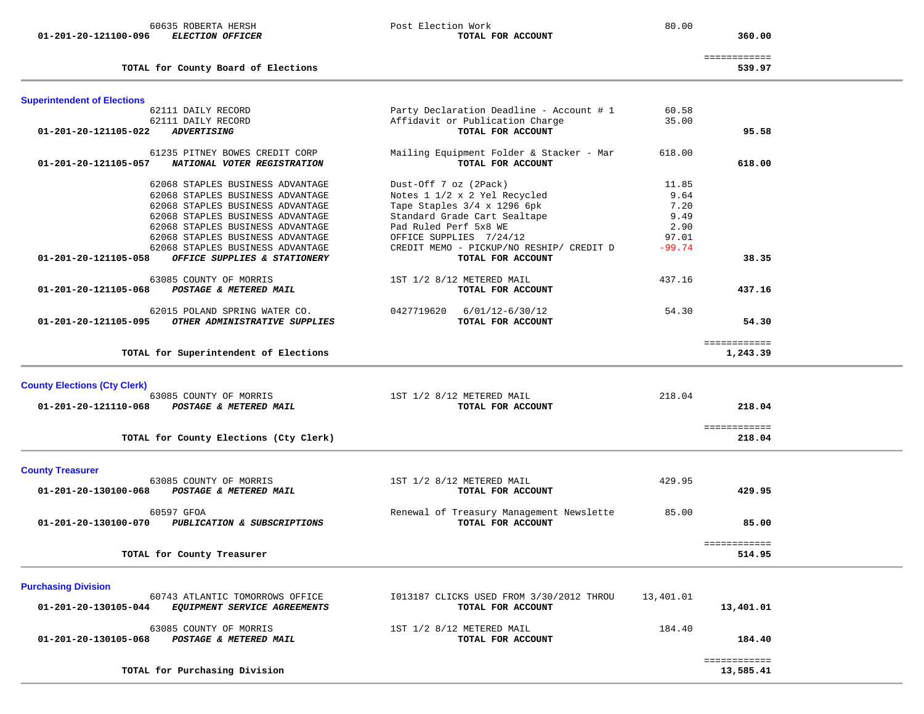**01-201-20-121100-096** *ELECTION OFFICER* **TOTAL FOR ACCOUNT 360.00**

60635 ROBERTA HERSH Post Election Work 80.00

============

360.00

÷.

**TOTAL for County Board of Elections 539.97**

| <b>Superintendent of Elections</b>                    |                                          |           |              |  |
|-------------------------------------------------------|------------------------------------------|-----------|--------------|--|
| 62111 DAILY RECORD                                    | Party Declaration Deadline - Account # 1 | 60.58     |              |  |
| 62111 DAILY RECORD                                    | Affidavit or Publication Charge          | 35.00     |              |  |
| 01-201-20-121105-022<br><b>ADVERTISING</b>            | TOTAL FOR ACCOUNT                        |           | 95.58        |  |
| 61235 PITNEY BOWES CREDIT CORP                        | Mailing Equipment Folder & Stacker - Mar | 618.00    |              |  |
| NATIONAL VOTER REGISTRATION<br>01-201-20-121105-057   | TOTAL FOR ACCOUNT                        |           | 618.00       |  |
|                                                       |                                          |           |              |  |
| 62068 STAPLES BUSINESS ADVANTAGE                      | Dust-Off 7 oz (2Pack)                    | 11.85     |              |  |
| 62068 STAPLES BUSINESS ADVANTAGE                      | Notes 1 1/2 x 2 Yel Recycled             | 9.64      |              |  |
| 62068 STAPLES BUSINESS ADVANTAGE                      | Tape Staples 3/4 x 1296 6pk              | 7.20      |              |  |
| 62068 STAPLES BUSINESS ADVANTAGE                      | Standard Grade Cart Sealtape             | 9.49      |              |  |
| 62068 STAPLES BUSINESS ADVANTAGE                      | Pad Ruled Perf 5x8 WE                    | 2.90      |              |  |
| 62068 STAPLES BUSINESS ADVANTAGE                      | OFFICE SUPPLIES 7/24/12                  | 97.01     |              |  |
| 62068 STAPLES BUSINESS ADVANTAGE                      | CREDIT MEMO - PICKUP/NO RESHIP/ CREDIT D | $-99.74$  |              |  |
| 01-201-20-121105-058<br>OFFICE SUPPLIES & STATIONERY  | TOTAL FOR ACCOUNT                        |           | 38.35        |  |
| 63085 COUNTY OF MORRIS                                | 1ST 1/2 8/12 METERED MAIL                | 437.16    |              |  |
| POSTAGE & METERED MAIL<br>01-201-20-121105-068        | TOTAL FOR ACCOUNT                        |           | 437.16       |  |
|                                                       |                                          |           |              |  |
| 62015 POLAND SPRING WATER CO.                         | 0427719620 6/01/12-6/30/12               | 54.30     |              |  |
| OTHER ADMINISTRATIVE SUPPLIES<br>01-201-20-121105-095 | TOTAL FOR ACCOUNT                        |           | 54.30        |  |
|                                                       |                                          |           |              |  |
|                                                       |                                          |           | ============ |  |
| TOTAL for Superintendent of Elections                 |                                          |           | 1,243.39     |  |
|                                                       |                                          |           |              |  |
| <b>County Elections (Cty Clerk)</b>                   |                                          |           |              |  |
| 63085 COUNTY OF MORRIS                                | 1ST 1/2 8/12 METERED MAIL                | 218.04    |              |  |
| 01-201-20-121110-068<br>POSTAGE & METERED MAIL        | TOTAL FOR ACCOUNT                        |           | 218.04       |  |
|                                                       |                                          |           |              |  |
|                                                       |                                          |           | ============ |  |
| TOTAL for County Elections (Cty Clerk)                |                                          |           | 218.04       |  |
|                                                       |                                          |           |              |  |
| <b>County Treasurer</b>                               |                                          |           |              |  |
| 63085 COUNTY OF MORRIS                                | 1ST 1/2 8/12 METERED MAIL                | 429.95    |              |  |
| 01-201-20-130100-068<br>POSTAGE & METERED MAIL        | TOTAL FOR ACCOUNT                        |           | 429.95       |  |
| 60597 GFOA                                            | Renewal of Treasury Management Newslette | 85.00     |              |  |
| PUBLICATION & SUBSCRIPTIONS<br>01-201-20-130100-070   | TOTAL FOR ACCOUNT                        |           | 85.00        |  |
|                                                       |                                          |           |              |  |
|                                                       |                                          |           | ============ |  |
| TOTAL for County Treasurer                            |                                          |           | 514.95       |  |
|                                                       |                                          |           |              |  |
| <b>Purchasing Division</b>                            |                                          |           |              |  |
| 60743 ATLANTIC TOMORROWS OFFICE                       | I013187 CLICKS USED FROM 3/30/2012 THROU | 13,401.01 |              |  |
| 01-201-20-130105-044<br>EQUIPMENT SERVICE AGREEMENTS  | TOTAL FOR ACCOUNT                        |           | 13,401.01    |  |
| 63085 COUNTY OF MORRIS                                | 1ST 1/2 8/12 METERED MAIL                | 184.40    |              |  |
| 01-201-20-130105-068<br>POSTAGE & METERED MAIL        | TOTAL FOR ACCOUNT                        |           | 184.40       |  |
|                                                       |                                          |           |              |  |
|                                                       |                                          |           | ============ |  |

**TOTAL for Purchasing Division 13,585.41**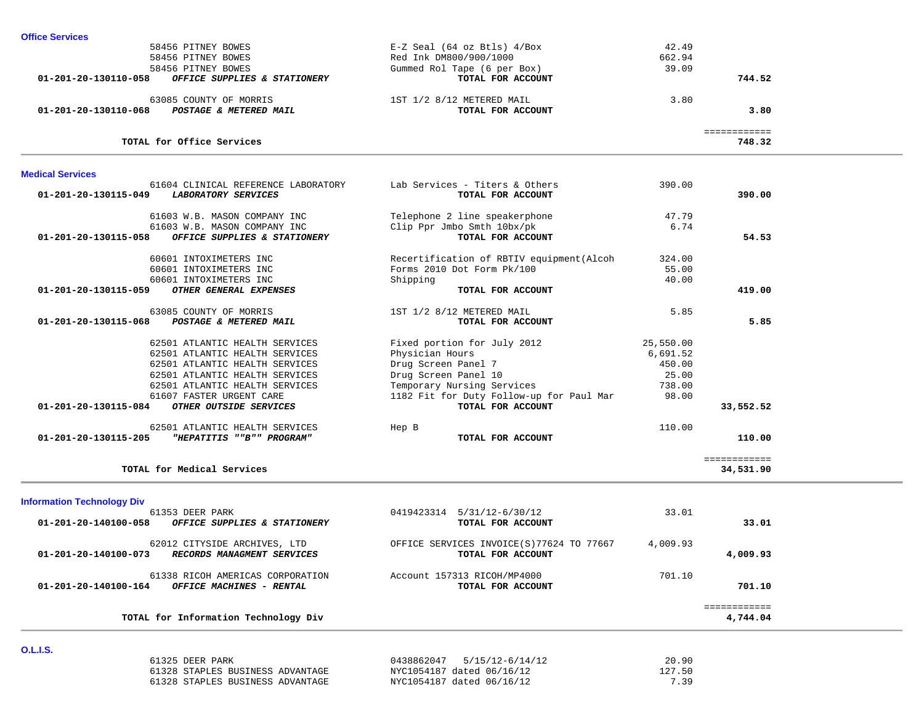| 58456 PITNEY BOWES                                   | $E-Z$ Seal (64 oz Btls) $4/Box$           | 42.49     |              |  |
|------------------------------------------------------|-------------------------------------------|-----------|--------------|--|
| 58456 PITNEY BOWES                                   | Red Ink DM800/900/1000                    | 662.94    |              |  |
| 58456 PITNEY BOWES                                   | Gummed Rol Tape (6 per Box)               | 39.09     |              |  |
| 01-201-20-130110-058<br>OFFICE SUPPLIES & STATIONERY | TOTAL FOR ACCOUNT                         |           | 744.52       |  |
| 63085 COUNTY OF MORRIS                               | 1ST 1/2 8/12 METERED MAIL                 | 3.80      |              |  |
| 01-201-20-130110-068<br>POSTAGE & METERED MAIL       | TOTAL FOR ACCOUNT                         |           | 3.80         |  |
|                                                      |                                           |           | ============ |  |
| TOTAL for Office Services                            |                                           |           | 748.32       |  |
| <b>Medical Services</b>                              |                                           |           |              |  |
| 61604 CLINICAL REFERENCE LABORATORY                  | Lab Services - Titers & Others            | 390.00    |              |  |
| LABORATORY SERVICES<br>01-201-20-130115-049          | TOTAL FOR ACCOUNT                         |           | 390.00       |  |
| 61603 W.B. MASON COMPANY INC                         | Telephone 2 line speakerphone             | 47.79     |              |  |
| 61603 W.B. MASON COMPANY INC                         | Clip Ppr Jmbo Smth 10bx/pk                | 6.74      |              |  |
| 01-201-20-130115-058<br>OFFICE SUPPLIES & STATIONERY | TOTAL FOR ACCOUNT                         |           | 54.53        |  |
| 60601 INTOXIMETERS INC                               | Recertification of RBTIV equipment (Alcoh | 324.00    |              |  |
| 60601 INTOXIMETERS INC                               | Forms 2010 Dot Form Pk/100                | 55.00     |              |  |
| 60601 INTOXIMETERS INC                               | Shipping                                  | 40.00     |              |  |
| OTHER GENERAL EXPENSES<br>01-201-20-130115-059       | TOTAL FOR ACCOUNT                         |           | 419.00       |  |
| 63085 COUNTY OF MORRIS                               | 1ST 1/2 8/12 METERED MAIL                 | 5.85      |              |  |
| POSTAGE & METERED MAIL<br>01-201-20-130115-068       | TOTAL FOR ACCOUNT                         |           | 5.85         |  |
| 62501 ATLANTIC HEALTH SERVICES                       | Fixed portion for July 2012               | 25,550.00 |              |  |
| 62501 ATLANTIC HEALTH SERVICES                       | Physician Hours                           | 6,691.52  |              |  |
| 62501 ATLANTIC HEALTH SERVICES                       | Drug Screen Panel 7                       | 450.00    |              |  |
| 62501 ATLANTIC HEALTH SERVICES                       | Drug Screen Panel 10                      | 25.00     |              |  |
| 62501 ATLANTIC HEALTH SERVICES                       | Temporary Nursing Services                | 738.00    |              |  |
| 61607 FASTER URGENT CARE                             | 1182 Fit for Duty Follow-up for Paul Mar  | 98.00     |              |  |
| 01-201-20-130115-084<br>OTHER OUTSIDE SERVICES       | TOTAL FOR ACCOUNT                         |           | 33,552.52    |  |
| 62501 ATLANTIC HEALTH SERVICES                       | Hep B                                     | 110.00    |              |  |
| "HEPATITIS ""B"" PROGRAM"<br>01-201-20-130115-205    | TOTAL FOR ACCOUNT                         |           | 110.00       |  |
|                                                      |                                           |           | ============ |  |
| TOTAL for Medical Services                           |                                           |           | 34,531.90    |  |
| <b>Information Technology Div</b>                    |                                           |           |              |  |
| 61353 DEER PARK                                      | 0419423314 5/31/12-6/30/12                | 33.01     |              |  |
| OFFICE SUPPLIES & STATIONERY<br>01-201-20-140100-058 | TOTAL FOR ACCOUNT                         |           | 33.01        |  |
| 62012 CITYSIDE ARCHIVES, LTD                         | OFFICE SERVICES INVOICE(S) 77624 TO 77667 | 4,009.93  |              |  |
| 01-201-20-140100-073<br>RECORDS MANAGMENT SERVICES   | TOTAL FOR ACCOUNT                         |           | 4,009.93     |  |
| 61338 RICOH AMERICAS CORPORATION                     | Account 157313 RICOH/MP4000               | 701.10    |              |  |
| OFFICE MACHINES - RENTAL<br>01-201-20-140100-164     | TOTAL FOR ACCOUNT                         |           | 701.10       |  |
|                                                      |                                           |           | ============ |  |
| TOTAL for Information Technology Div                 |                                           |           | 4,744.04     |  |
|                                                      |                                           |           |              |  |
| <b>O.L.I.S.</b>                                      |                                           |           |              |  |

| 61325 DEER PARK                  | 0438862047 5/15/12-6/14/12 | 20.90  |
|----------------------------------|----------------------------|--------|
| 61328 STAPLES BUSINESS ADVANTAGE | NYC1054187 dated 06/16/12  | 127.50 |
| 61328 STAPLES BUSINESS ADVANTAGE | NYC1054187 dated 06/16/12  | 7.39   |

**Office Services**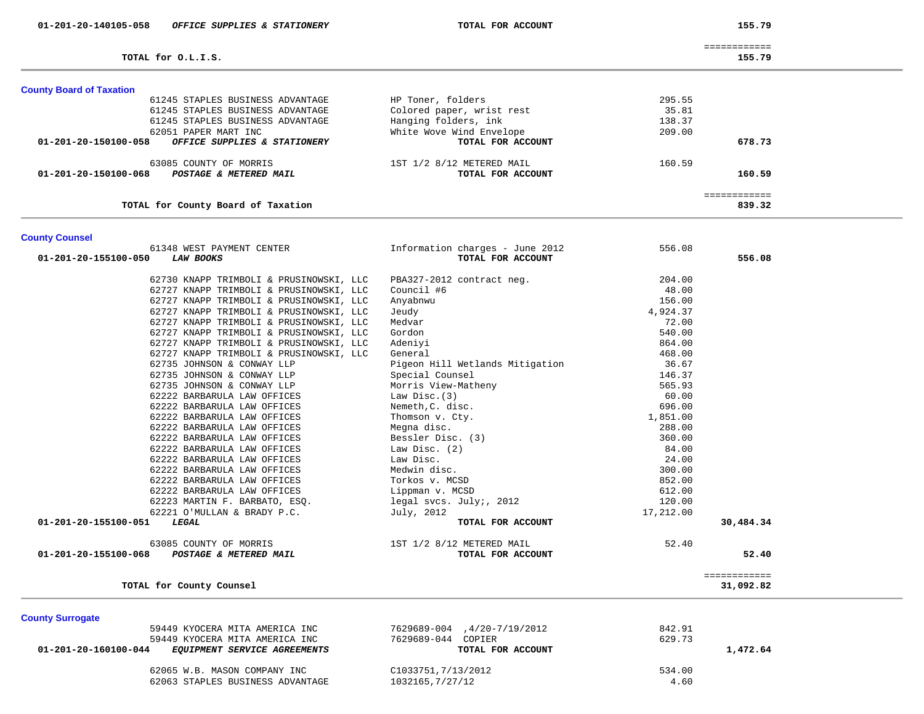TOTAL for 0.L.I.S.

155.79

|  | -------------<br>------------- |
|--|--------------------------------|

839.32

| <b>County Board of Taxation</b>                      |                           |            |  |
|------------------------------------------------------|---------------------------|------------|--|
| 61245 STAPLES BUSINESS ADVANTAGE                     | HP Toner, folders         | 295.55     |  |
| 61245 STAPLES BUSINESS ADVANTAGE                     | Colored paper, wrist rest | 35.81      |  |
| 61245 STAPLES BUSINESS ADVANTAGE                     | Hanging folders, ink      | 138.37     |  |
| 62051 PAPER MART INC                                 | White Wove Wind Envelope  | 209.00     |  |
| 01-201-20-150100-058<br>OFFICE SUPPLIES & STATIONERY | TOTAL FOR ACCOUNT         | 678.73     |  |
| 63085 COUNTY OF MORRIS                               | 1ST 1/2 8/12 METERED MAIL | 160.59     |  |
| 01-201-20-150100-068<br>POSTAGE & METERED MAIL       | TOTAL FOR ACCOUNT         | 160.59     |  |
|                                                      |                           | ========== |  |

**TOTAL for County Board of Taxation 839.32**

| <b>County Counsel</b>                          |                                 |           |              |
|------------------------------------------------|---------------------------------|-----------|--------------|
| 61348 WEST PAYMENT CENTER                      | Information charges - June 2012 | 556.08    |              |
| <b>LAW BOOKS</b><br>01-201-20-155100-050       | TOTAL FOR ACCOUNT               |           | 556.08       |
| 62730 KNAPP TRIMBOLI & PRUSINOWSKI, LLC        | PBA327-2012 contract neg.       | 204.00    |              |
| 62727 KNAPP TRIMBOLI & PRUSINOWSKI, LLC        | Council #6                      | 48.00     |              |
| 62727 KNAPP TRIMBOLI & PRUSINOWSKI, LLC        | Anyabnwu                        | 156.00    |              |
| 62727 KNAPP TRIMBOLI & PRUSINOWSKI, LLC        | Jeudy                           | 4,924.37  |              |
| 62727 KNAPP TRIMBOLI & PRUSINOWSKI, LLC        | Medvar                          | 72.00     |              |
| 62727 KNAPP TRIMBOLI & PRUSINOWSKI, LLC        | Gordon                          | 540.00    |              |
| 62727 KNAPP TRIMBOLI & PRUSINOWSKI, LLC        | Adeniyi                         | 864.00    |              |
| 62727 KNAPP TRIMBOLI & PRUSINOWSKI, LLC        | General                         | 468.00    |              |
| 62735 JOHNSON & CONWAY LLP                     | Pigeon Hill Wetlands Mitigation | 36.67     |              |
| 62735 JOHNSON & CONWAY LLP                     | Special Counsel                 | 146.37    |              |
| 62735 JOHNSON & CONWAY LLP                     | Morris View-Matheny             | 565.93    |              |
| 62222 BARBARULA LAW OFFICES                    | Law Disc.(3)                    | 60.00     |              |
| 62222 BARBARULA LAW OFFICES                    | Nemeth, C. disc.                | 696.00    |              |
| 62222 BARBARULA LAW OFFICES                    | Thomson v. Cty.                 | 1,851.00  |              |
| 62222 BARBARULA LAW OFFICES                    | Megna disc.                     | 288.00    |              |
| 62222 BARBARULA LAW OFFICES                    | Bessler Disc. (3)               | 360.00    |              |
| 62222 BARBARULA LAW OFFICES                    | Law Disc. (2)                   | 84.00     |              |
| 62222 BARBARULA LAW OFFICES                    | Law Disc.                       | 24.00     |              |
| 62222 BARBARULA LAW OFFICES                    | Medwin disc.                    | 300.00    |              |
| 62222 BARBARULA LAW OFFICES                    | Torkos v. MCSD                  | 852.00    |              |
| 62222 BARBARULA LAW OFFICES                    | Lippman v. MCSD                 | 612.00    |              |
| 62223 MARTIN F. BARBATO, ESQ.                  | legal svcs. July;, 2012         | 120.00    |              |
| 62221 O'MULLAN & BRADY P.C.                    | July, 2012                      | 17,212.00 |              |
| 01-201-20-155100-051<br>LEGAL                  | TOTAL FOR ACCOUNT               |           | 30,484.34    |
| 63085 COUNTY OF MORRIS                         | 1ST 1/2 8/12 METERED MAIL       | 52.40     |              |
| 01-201-20-155100-068<br>POSTAGE & METERED MAIL | TOTAL FOR ACCOUNT               |           | 52.40        |
|                                                |                                 |           | ============ |
| TOTAL for County Counsel                       |                                 |           | 31,092.82    |

**County Surrogate** 

| 59449 KYOCERA MITA AMERICA INC                              | 7629689-004.4/20-7/19/2012 | 842.91   |
|-------------------------------------------------------------|----------------------------|----------|
| 59449 KYOCERA MITA AMERICA INC                              | 7629689-044 COPIER         | 629.73   |
| 01-201-20-160100-044<br><i>EOUIPMENT SERVICE AGREEMENTS</i> | TOTAL FOR ACCOUNT          | 1,472.64 |
| 62065 W.B. MASON COMPANY INC                                | C1033751,7/13/2012         | 534.00   |
| 62063 STAPLES BUSINESS ADVANTAGE                            | 1032165,7/27/12            | 4.60     |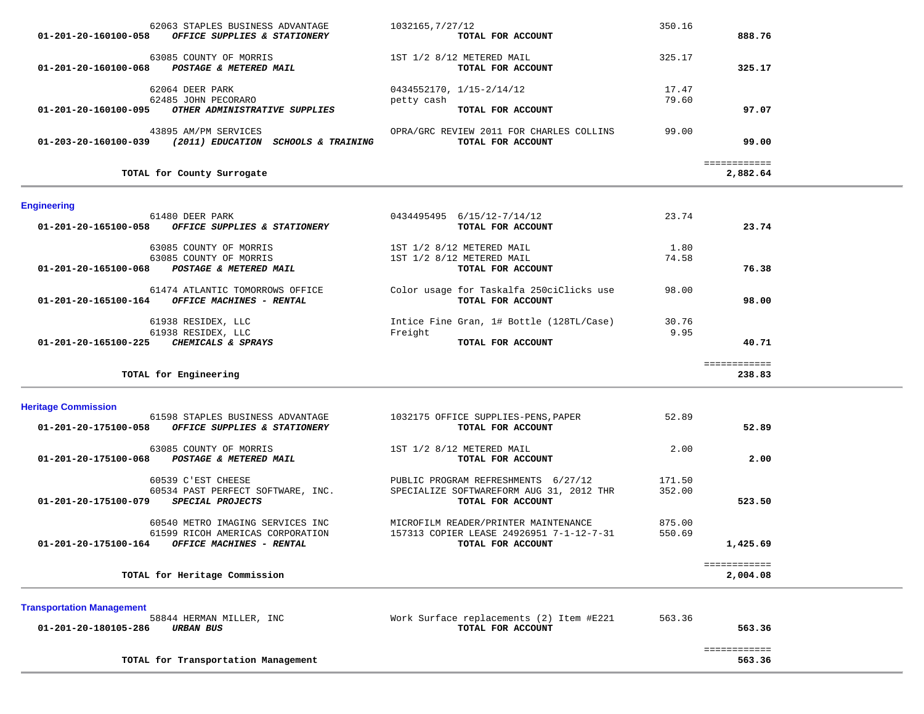| TOTAL for County Surrogate                                                                        |                                                               | ============<br>2,882.64 |  |
|---------------------------------------------------------------------------------------------------|---------------------------------------------------------------|--------------------------|--|
| 43895 AM/PM SERVICES<br>01-203-20-160100-039<br>(2011) EDUCATION<br><i>SCHOOLS &amp; TRAINING</i> | OPRA/GRC REVIEW 2011 FOR CHARLES COLLINS<br>TOTAL FOR ACCOUNT | 99.00<br>99.00           |  |
| 01-201-20-160100-095<br><i>OTHER ADMINISTRATIVE SUPPLIES</i>                                      | TOTAL FOR ACCOUNT                                             | 97.07                    |  |
| 62064 DEER PARK<br>62485 JOHN PECORARO                                                            | $0434552170, 1/15-2/14/12$<br>petty cash                      | 17.47<br>79.60           |  |
| 63085 COUNTY OF MORRIS<br>01-201-20-160100-068<br><b>POSTAGE &amp; METERED MAIL</b>               | 1ST 1/2 8/12 METERED MAIL<br>TOTAL FOR ACCOUNT                | 325.17<br>325.17         |  |
| 62063 STAPLES BUSINESS ADVANTAGE<br>01-201-20-160100-058<br>OFFICE SUPPLIES & STATIONERY          | 1032165,7/27/12<br>TOTAL FOR ACCOUNT                          | 350.16<br>888.76         |  |

# **Engineering**

| Lugureering                                                                                |                                                               |       |        |  |
|--------------------------------------------------------------------------------------------|---------------------------------------------------------------|-------|--------|--|
| 61480 DEER PARK                                                                            | 0434495495<br>6/15/12-7/14/12                                 | 23.74 |        |  |
| 01-201-20-165100-058<br>OFFICE SUPPLIES & STATIONERY                                       | TOTAL FOR ACCOUNT                                             |       | 23.74  |  |
| 63085 COUNTY OF MORRIS                                                                     | 1ST 1/2 8/12 METERED MAIL                                     | 1.80  |        |  |
| 63085 COUNTY OF MORRIS                                                                     | 1ST 1/2 8/12 METERED MAIL                                     | 74.58 |        |  |
| 01-201-20-165100-068<br>POSTAGE & METERED MAIL                                             | TOTAL FOR ACCOUNT                                             |       | 76.38  |  |
| 61474 ATLANTIC TOMORROWS OFFICE<br>01-201-20-165100-164<br><b>OFFICE MACHINES - RENTAL</b> | Color usage for Taskalfa 250ciClicks use<br>TOTAL FOR ACCOUNT | 98.00 | 98.00  |  |
|                                                                                            |                                                               |       |        |  |
| 61938 RESIDEX, LLC                                                                         | Intice Fine Gran, 1# Bottle (128TL/Case)                      | 30.76 |        |  |
| 61938 RESIDEX, LLC                                                                         | Freight                                                       | 9.95  |        |  |
| 01-201-20-165100-225<br>CHEMICALS & SPRAYS                                                 | TOTAL FOR ACCOUNT                                             |       | 40.71  |  |
|                                                                                            |                                                               |       |        |  |
| TOTAL for Engineering                                                                      |                                                               |       | 238.83 |  |

# **Heritage Commission**

| 61598 STAPLES BUSINESS ADVANTAGE<br>01-201-20-175100-058<br>OFFICE SUPPLIES & STATIONERY | 1032175 OFFICE SUPPLIES-PENS, PAPER<br>TOTAL FOR ACCOUNT | 52.89  | 52.89        |
|------------------------------------------------------------------------------------------|----------------------------------------------------------|--------|--------------|
|                                                                                          |                                                          |        |              |
| 63085 COUNTY OF MORRIS                                                                   | 1ST 1/2 8/12 METERED MAIL                                | 2.00   |              |
| 01-201-20-175100-068<br>POSTAGE & METERED MAIL                                           | TOTAL FOR ACCOUNT                                        |        | 2.00         |
| 60539 C'EST CHEESE                                                                       | PUBLIC PROGRAM REFRESHMENTS 6/27/12                      | 171.50 |              |
| 60534 PAST PERFECT SOFTWARE, INC.                                                        | SPECIALIZE SOFTWAREFORM AUG 31, 2012 THR                 | 352.00 |              |
| 01-201-20-175100-079<br><i>SPECIAL PROJECTS</i>                                          | TOTAL FOR ACCOUNT                                        |        | 523.50       |
| 60540 METRO IMAGING SERVICES INC                                                         | MICROFILM READER/PRINTER MAINTENANCE                     | 875.00 |              |
| 61599 RICOH AMERICAS CORPORATION                                                         | 157313 COPIER LEASE 24926951 7-1-12-7-31                 | 550.69 |              |
| 01-201-20-175100-164<br>OFFICE MACHINES - RENTAL                                         | TOTAL FOR ACCOUNT                                        |        | 1,425.69     |
|                                                                                          |                                                          |        | ============ |
| TOTAL for Heritage Commission                                                            |                                                          |        | 2,004.08     |

**Transportation Management**

| <b>Hansportation management</b>     |                                          |        |  |
|-------------------------------------|------------------------------------------|--------|--|
| 58844 HERMAN MILLER, INC            | Work Surface replacements (2) Item #E221 | 563.36 |  |
| 01-201-20-180105-286<br>URBAN BUS   | TOTAL FOR ACCOUNT                        | 563.36 |  |
|                                     |                                          |        |  |
| TOTAL for Transportation Management |                                          | 563.36 |  |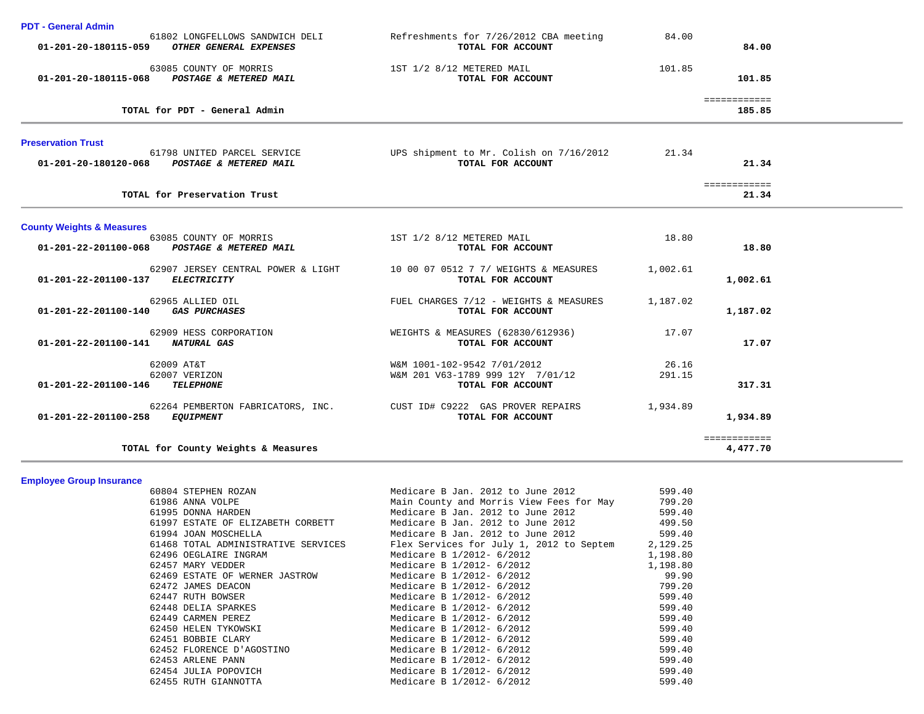|  | <b>PDT - General Admin</b> |  |
|--|----------------------------|--|
|--|----------------------------|--|

| PDT - General Admin                  | 61802 LONGFELLOWS SANDWICH DELI<br>01-201-20-180115-059 OTHER GENERAL EXPENSES | Refreshments for 7/26/2012 CBA meeting<br>TOTAL FOR ACCOUNT                          | 84.00           | 84.00                        |  |
|--------------------------------------|--------------------------------------------------------------------------------|--------------------------------------------------------------------------------------|-----------------|------------------------------|--|
|                                      |                                                                                |                                                                                      |                 |                              |  |
|                                      | 63085 COUNTY OF MORRIS<br>01-201-20-180115-068 POSTAGE & METERED MAIL          | 1ST 1/2 8/12 METERED MAIL<br>TOTAL FOR ACCOUNT                                       | 101.85          | 101.85                       |  |
|                                      | TOTAL for PDT - General Admin                                                  |                                                                                      |                 | <b>ESSESSESSES</b><br>185.85 |  |
| <b>Preservation Trust</b>            | 61798 UNITED PARCEL SERVICE                                                    | UPS shipment to Mr. Colish on 7/16/2012                                              | 21.34           |                              |  |
|                                      | 01-201-20-180120-068 POSTAGE & METERED MAIL                                    | TOTAL FOR ACCOUNT                                                                    |                 | 21.34                        |  |
|                                      | TOTAL for Preservation Trust                                                   |                                                                                      |                 | ============<br>21.34        |  |
| <b>County Weights &amp; Measures</b> |                                                                                |                                                                                      |                 |                              |  |
| 01-201-22-201100-068                 | 63085 COUNTY OF MORRIS<br>POSTAGE & METERED MAIL                               | 1ST 1/2 8/12 METERED MAIL<br>TOTAL FOR ACCOUNT                                       | 18.80           | 18.80                        |  |
| 01-201-22-201100-137                 | 62907 JERSEY CENTRAL POWER & LIGHT<br><b>ELECTRICITY</b>                       | 10 00 07 0512 7 7/ WEIGHTS & MEASURES<br>TOTAL FOR ACCOUNT                           | 1,002.61        | 1,002.61                     |  |
| 01-201-22-201100-140 GAS PURCHASES   | 62965 ALLIED OIL                                                               | FUEL CHARGES 7/12 - WEIGHTS & MEASURES<br>TOTAL FOR ACCOUNT                          | 1,187.02        | 1,187.02                     |  |
| 01-201-22-201100-141                 | 62909 HESS CORPORATION<br>NATURAL GAS                                          | WEIGHTS & MEASURES (62830/612936)<br>TOTAL FOR ACCOUNT                               | 17.07           | 17.07                        |  |
| 01-201-22-201100-146                 | 62009 AT&T<br>62007 VERIZON<br><b>TELEPHONE</b>                                | W&M 1001-102-9542 7/01/2012<br>W&M 201 V63-1789 999 12Y 7/01/12<br>TOTAL FOR ACCOUNT | 26.16<br>291.15 | 317.31                       |  |
| 01-201-22-201100-258 EQUIPMENT       | 62264 PEMBERTON FABRICATORS, INC.                                              | CUST ID# C9222 GAS PROVER REPAIRS<br>TOTAL FOR ACCOUNT                               | 1,934.89        | 1,934.89                     |  |
|                                      | TOTAL for County Weights & Measures                                            |                                                                                      |                 | ============<br>4,477.70     |  |

**Employee Group Insurance** 

| 60804 STEPHEN ROZAN                 | Medicare B Jan. 2012 to June 2012                  | 599.40   |
|-------------------------------------|----------------------------------------------------|----------|
| 61986 ANNA VOLPE                    | Main County and Morris View Fees for May           | 799.20   |
| 61995 DONNA HARDEN                  | Medicare B Jan. 2012 to June 2012                  | 599.40   |
| 61997 ESTATE OF ELIZABETH CORBETT   | Medicare B Jan. 2012 to June 2012                  | 499.50   |
| 61994 JOAN MOSCHELLA                | Medicare B Jan. 2012 to June 2012                  | 599.40   |
| 61468 TOTAL ADMINISTRATIVE SERVICES | Flex Services for July 1, 2012 to Septem 2, 129.25 |          |
| 62496 OEGLAIRE INGRAM               | Medicare B 1/2012- 6/2012                          | 1,198.80 |
| 62457 MARY VEDDER                   | Medicare B 1/2012- 6/2012                          | 1,198.80 |
| 62469 ESTATE OF WERNER JASTROW      | Medicare B 1/2012- 6/2012                          | 99.90    |
| 62472 JAMES DEACON                  | Medicare B 1/2012- 6/2012                          | 799.20   |
| 62447 RUTH BOWSER                   | Medicare B 1/2012- 6/2012                          | 599.40   |
| 62448 DELIA SPARKES                 | Medicare B 1/2012- 6/2012                          | 599.40   |
| 62449 CARMEN PEREZ                  | Medicare B 1/2012- 6/2012                          | 599.40   |
| 62450 HELEN TYKOWSKI                | Medicare B 1/2012- 6/2012                          | 599.40   |
| 62451 BOBBIE CLARY                  | Medicare B 1/2012- 6/2012                          | 599.40   |
| 62452 FLORENCE D'AGOSTINO           | Medicare B 1/2012- 6/2012                          | 599.40   |
| 62453 ARLENE PANN                   | Medicare B 1/2012- 6/2012                          | 599.40   |
| 62454 JULIA POPOVICH                | Medicare B 1/2012- 6/2012                          | 599.40   |
| 62455 RUTH GIANNOTTA                | Medicare B 1/2012- 6/2012                          | 599.40   |
|                                     |                                                    |          |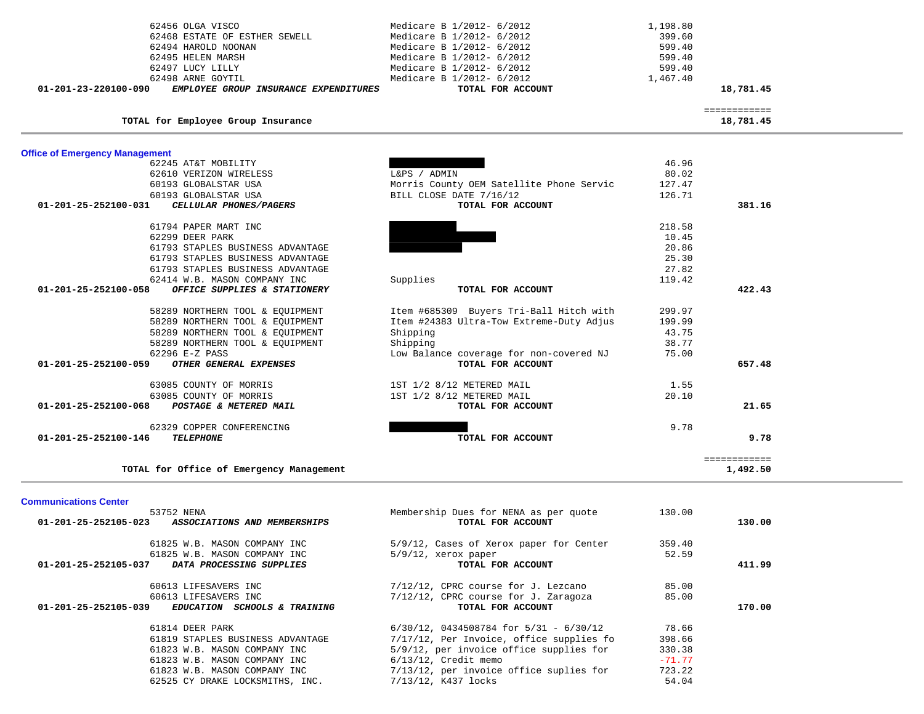| 62456 OLGA VISCO<br>62468 ESTATE OF ESTHER SEWELL                        | Medicare B 1/2012- 6/2012<br>Medicare B 1/2012- 6/2012                      | 1,198.80<br>399.60 |                           |  |
|--------------------------------------------------------------------------|-----------------------------------------------------------------------------|--------------------|---------------------------|--|
| 62494 HAROLD NOONAN                                                      | Medicare B 1/2012- 6/2012                                                   | 599.40             |                           |  |
| 62495 HELEN MARSH                                                        | Medicare B 1/2012- 6/2012                                                   | 599.40             |                           |  |
| 62497 LUCY LILLY                                                         | Medicare B 1/2012- 6/2012                                                   | 599.40             |                           |  |
| 62498 ARNE GOYTIL                                                        | Medicare B 1/2012- 6/2012                                                   | 1,467.40           |                           |  |
| EMPLOYEE GROUP INSURANCE EXPENDITURES<br>01-201-23-220100-090            | TOTAL FOR ACCOUNT                                                           |                    | 18,781.45                 |  |
| TOTAL for Employee Group Insurance                                       |                                                                             |                    | ============<br>18,781.45 |  |
|                                                                          |                                                                             |                    |                           |  |
| <b>Office of Emergency Management</b><br>62245 AT&T MOBILITY             |                                                                             | 46.96              |                           |  |
| 62610 VERIZON WIRELESS                                                   | L&PS / ADMIN                                                                | 80.02              |                           |  |
| 60193 GLOBALSTAR USA                                                     | Morris County OEM Satellite Phone Servic                                    | 127.47             |                           |  |
| 60193 GLOBALSTAR USA                                                     | BILL CLOSE DATE 7/16/12                                                     | 126.71             |                           |  |
| CELLULAR PHONES/PAGERS<br>01-201-25-252100-031                           | TOTAL FOR ACCOUNT                                                           |                    | 381.16                    |  |
|                                                                          |                                                                             |                    |                           |  |
| 61794 PAPER MART INC                                                     |                                                                             | 218.58             |                           |  |
| 62299 DEER PARK                                                          |                                                                             | 10.45              |                           |  |
| 61793 STAPLES BUSINESS ADVANTAGE                                         |                                                                             | 20.86              |                           |  |
| 61793 STAPLES BUSINESS ADVANTAGE                                         |                                                                             | 25.30              |                           |  |
| 61793 STAPLES BUSINESS ADVANTAGE                                         |                                                                             | 27.82              |                           |  |
| 62414 W.B. MASON COMPANY INC                                             | Supplies                                                                    | 119.42             |                           |  |
| 01-201-25-252100-058<br>OFFICE SUPPLIES & STATIONERY                     | TOTAL FOR ACCOUNT                                                           |                    | 422.43                    |  |
| 58289 NORTHERN TOOL & EQUIPMENT                                          | Item #685309 Buyers Tri-Ball Hitch with                                     | 299.97             |                           |  |
| 58289 NORTHERN TOOL & EQUIPMENT                                          | Item #24383 Ultra-Tow Extreme-Duty Adjus                                    | 199.99             |                           |  |
| 58289 NORTHERN TOOL & EQUIPMENT                                          | Shipping                                                                    | 43.75              |                           |  |
| 58289 NORTHERN TOOL & EQUIPMENT                                          | Shipping                                                                    | 38.77              |                           |  |
| 62296 E-Z PASS                                                           | Low Balance coverage for non-covered NJ                                     | 75.00              |                           |  |
| OTHER GENERAL EXPENSES<br>01-201-25-252100-059                           | TOTAL FOR ACCOUNT                                                           |                    | 657.48                    |  |
| 63085 COUNTY OF MORRIS                                                   |                                                                             | 1.55               |                           |  |
|                                                                          | 1ST 1/2 8/12 METERED MAIL                                                   | 20.10              |                           |  |
| 63085 COUNTY OF MORRIS<br>POSTAGE & METERED MAIL<br>01-201-25-252100-068 | 1ST 1/2 8/12 METERED MAIL<br>TOTAL FOR ACCOUNT                              |                    | 21.65                     |  |
|                                                                          |                                                                             |                    |                           |  |
| 62329 COPPER CONFERENCING                                                |                                                                             | 9.78               |                           |  |
| 01-201-25-252100-146<br>TELEPHONE                                        | TOTAL FOR ACCOUNT                                                           |                    | 9.78                      |  |
| TOTAL for Office of Emergency Management                                 |                                                                             |                    | ============<br>1,492.50  |  |
|                                                                          |                                                                             |                    |                           |  |
| <b>Communications Center</b>                                             |                                                                             |                    |                           |  |
| 53752 NENA<br>ASSOCIATIONS AND MEMBERSHIPS<br>01-201-25-252105-023       | Membership Dues for NENA as per quote<br>TOTAL FOR ACCOUNT                  | 130.00             | 130.00                    |  |
| 61825 W.B. MASON COMPANY INC                                             | 5/9/12, Cases of Xerox paper for Center                                     | 359.40             |                           |  |
| 61825 W.B. MASON COMPANY INC                                             | $5/9/12$ , xerox paper                                                      | 52.59              |                           |  |
| 01-201-25-252105-037<br>DATA PROCESSING SUPPLIES                         | TOTAL FOR ACCOUNT                                                           |                    | 411.99                    |  |
|                                                                          |                                                                             |                    |                           |  |
| 60613 LIFESAVERS INC<br>60613 LIFESAVERS INC                             | 7/12/12, CPRC course for J. Lezcano<br>7/12/12, CPRC course for J. Zaragoza | 85.00<br>85.00     |                           |  |

**01-201-25-252105-039** *EDUCATION SCHOOLS & TRAINING* **<b>***TOTAL FOR ACCOUNT* 

 61814 DEER PARK 6/30/12, 0434508784 for 5/31 - 6/30/12 78.66 61819 STAPLES BUSINESS ADVANTAGE  $\begin{array}{ccc} 7/17/12, & \text{Per Invoice, office supplies fo} & 398.66 \\ 61823 \text{ W.B. MASON COMPANY INC} & 5/9/12, & \text{per invoice office supplies for} & 330.38 \end{array}$ 61823 W.B. MASON COMPANY INC 5/9/12, per invoice office supplies for 61823 W.B. MASON COMPANY INC 6/13/12, Credit memo -71.77 61823 W.B. MASON COMPANY INC 7/13/12, per invoice office suplies for 723.22 62525 CY DRAKE LOCKSMITHS, INC. 7/13/12, K437 locks 54.04

170.00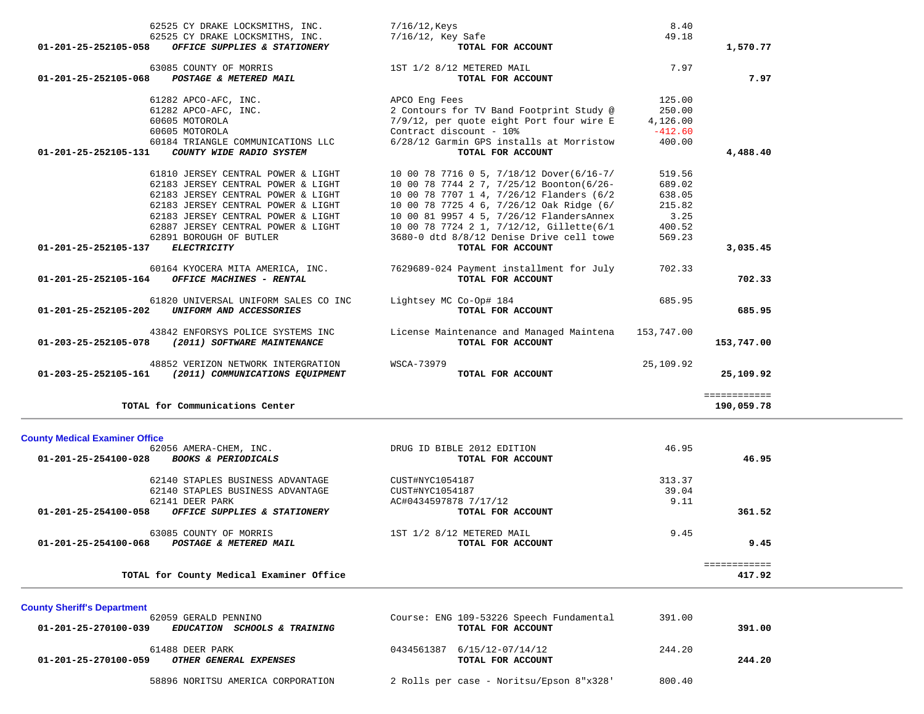| 62525 CY DRAKE LOCKSMITHS, INC.                                 | 7/16/12, Keys                                       | 8.40      |                        |
|-----------------------------------------------------------------|-----------------------------------------------------|-----------|------------------------|
| 62525 CY DRAKE LOCKSMITHS, INC.                                 | 7/16/12, Key Safe                                   | 49.18     |                        |
| 01-201-25-252105-058 OFFICE SUPPLIES & STATIONERY               | TOTAL FOR ACCOUNT                                   |           | 1,570.77               |
| 63085 COUNTY OF MORRIS                                          | 1ST 1/2 8/12 METERED MAIL                           | 7.97      |                        |
| 01-201-25-252105-068 POSTAGE & METERED MAIL                     | TOTAL FOR ACCOUNT                                   |           | 7.97                   |
| 61282 APCO-AFC, INC.                                            | APCO Eng Fees                                       | 125.00    |                        |
|                                                                 | 2 Contours for TV Band Footprint Study @            | 250.00    |                        |
| 61282 APCO-AFC, INC.                                            |                                                     |           |                        |
| 60605 MOTOROLA                                                  | 7/9/12, per quote eight Port four wire E            | 4,126.00  |                        |
| 60605 MOTOROLA                                                  | Contract discount - 10%                             | $-412.60$ |                        |
| 60184 TRIANGLE COMMUNICATIONS LLC                               | 6/28/12 Garmin GPS installs at Morristow            | 400.00    |                        |
| 01-201-25-252105-131<br>COUNTY WIDE RADIO SYSTEM                | TOTAL FOR ACCOUNT                                   |           | 4,488.40               |
| 61810 JERSEY CENTRAL POWER & LIGHT                              | 10 00 78 7716 0 5, 7/18/12 Dover(6/16-7/            | 519.56    |                        |
| 62183 JERSEY CENTRAL POWER & LIGHT                              | 10 00 78 7744 2 7, 7/25/12 Boonton(6/26-            | 689.02    |                        |
| 62183 JERSEY CENTRAL POWER & LIGHT                              | 10 00 78 7707 1 4, 7/26/12 Flanders (6/2            | 638.05    |                        |
| 62183 JERSEY CENTRAL POWER & LIGHT                              | 10 00 78 7725 4 6, 7/26/12 Oak Ridge (6/            | 215.82    |                        |
|                                                                 |                                                     |           |                        |
| 62183 JERSEY CENTRAL POWER & LIGHT                              | 10 00 81 9957 4 5, 7/26/12 FlandersAnnex            | 3.25      |                        |
| 62887 JERSEY CENTRAL POWER & LIGHT                              | 10 00 78 7724 2 1, 7/12/12, Gillette(6/1            | 400.52    |                        |
| 62891 BOROUGH OF BUTLER                                         | 3680-0 dtd 8/8/12 Denise Drive cell towe            | 569.23    |                        |
| 01-201-25-252105-137<br>ELECTRICITY                             | TOTAL FOR ACCOUNT                                   |           | 3,035.45               |
| 60164 KYOCERA MITA AMERICA, INC.                                | 7629689-024 Payment installment for July            | 702.33    |                        |
| $01-201-25-252105-164$ OFFICE MACHINES - RENTAL                 | TOTAL FOR ACCOUNT                                   |           | 702.33                 |
|                                                                 |                                                     |           |                        |
| 61820 UNIVERSAL UNIFORM SALES CO INC                            | Lightsey MC Co-Op# 184                              | 685.95    |                        |
| 01-201-25-252105-202 UNIFORM AND ACCESSORIES                    | TOTAL FOR ACCOUNT                                   |           | 685.95                 |
|                                                                 |                                                     |           |                        |
| 43842 ENFORSYS POLICE SYSTEMS INC                               | License Maintenance and Managed Maintena 153,747.00 |           |                        |
| 01-203-25-252105-078 (2011) SOFTWARE MAINTENANCE                | TOTAL FOR ACCOUNT                                   |           | 153,747.00             |
| 48852 VERIZON NETWORK INTERGRATION                              | WSCA-73979                                          | 25,109.92 |                        |
| 01-203-25-252105-161 (2011) COMMUNICATIONS EQUIPMENT            | TOTAL FOR ACCOUNT                                   |           | 25,109.92              |
|                                                                 |                                                     |           | ============           |
| TOTAL for Communications Center                                 |                                                     |           | 190,059.78             |
|                                                                 |                                                     |           |                        |
| <b>County Medical Examiner Office</b>                           |                                                     |           |                        |
| 62056 AMERA-CHEM, INC.                                          | DRUG ID BIBLE 2012 EDITION                          | 46.95     |                        |
| 01-201-25-254100-028 BOOKS & PERIODICALS                        | TOTAL FOR ACCOUNT                                   |           | 46.95                  |
|                                                                 |                                                     |           |                        |
| 62140 STAPLES BUSINESS ADVANTAGE                                | CUST#NYC1054187                                     | 313.37    |                        |
| 62140 STAPLES BUSINESS ADVANTAGE                                | CUST#NYC1054187                                     | 39.04     |                        |
| 62141 DEER PARK                                                 | AC#0434597878 7/17/12                               | 9.11      |                        |
| 01-201-25-254100-058<br>OFFICE SUPPLIES & STATIONERY            | TOTAL FOR ACCOUNT                                   |           | 361.52                 |
| 63085 COUNTY OF MORRIS                                          | 1ST 1/2 8/12 METERED MAIL                           | 9.45      |                        |
| 01-201-25-254100-068<br>POSTAGE & METERED MAIL                  | TOTAL FOR ACCOUNT                                   |           | 9.45                   |
|                                                                 |                                                     |           |                        |
| TOTAL for County Medical Examiner Office                        |                                                     |           | ============<br>417.92 |
|                                                                 |                                                     |           |                        |
| <b>County Sheriff's Department</b>                              |                                                     |           |                        |
| 62059 GERALD PENNINO                                            | Course: ENG 109-53226 Speech Fundamental            | 391.00    |                        |
| 01-201-25-270100-039<br><b>EDUCATION SCHOOLS &amp; TRAINING</b> | TOTAL FOR ACCOUNT                                   |           | 391.00                 |
|                                                                 |                                                     |           |                        |

 61488 DEER PARK 0434561387 6/15/12-07/14/12 244.20  **01-201-25-270100-059** *OTHER GENERAL EXPENSES* **TOTAL FOR ACCOUNT 244.20**

58896 NORITSU AMERICA CORPORATION 2 Rolls per case - Noritsu/Epson 8"x328' 800.40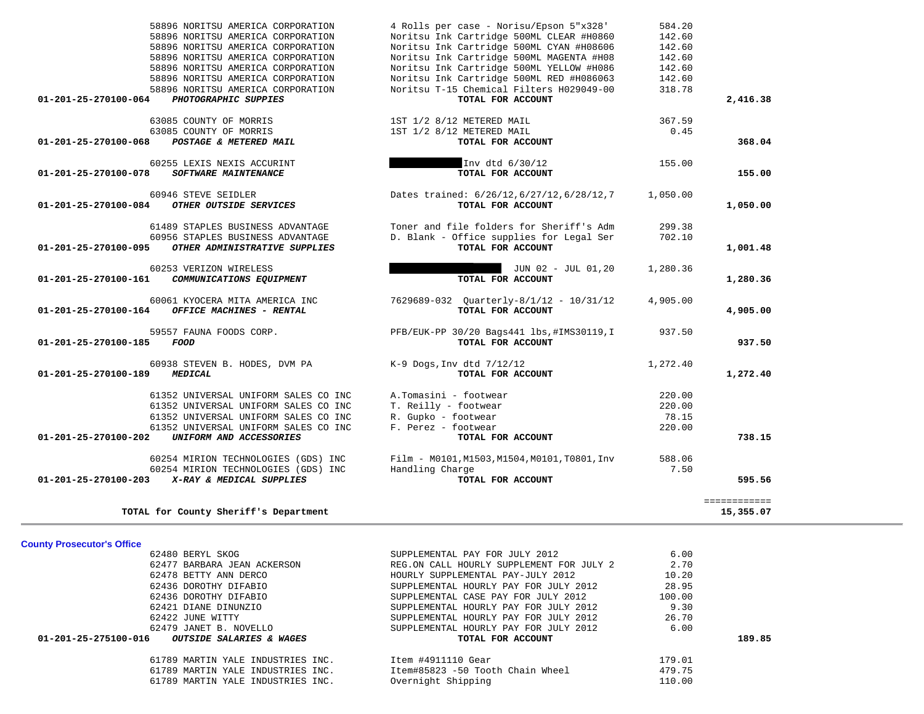| 62436 DOROTHY DIFABIO                                                                 | SUPPLEMENTAL CASE PAY FOR JULY 2012                        | 100.00 |        |
|---------------------------------------------------------------------------------------|------------------------------------------------------------|--------|--------|
| 62421 DIANE DINUNZIO                                                                  | SUPPLEMENTAL HOURLY PAY FOR JULY 2012                      | 9.30   |        |
| 62422 JUNE WITTY                                                                      | SUPPLEMENTAL HOURLY PAY FOR JULY 2012                      | 26.70  |        |
| 62479 JANET B. NOVELLO<br>01-201-25-275100-016<br><i>OUTSIDE SALARIES &amp; WAGES</i> | SUPPLEMENTAL HOURLY PAY FOR JULY 2012<br>TOTAL FOR ACCOUNT | 6.00   | 189.85 |
| 61789 MARTIN YALE INDUSTRIES INC.                                                     | Item #4911110 Gear                                         | 179.01 |        |
| 61789 MARTIN YALE INDUSTRIES INC.                                                     | Item#85823 -50 Tooth Chain Wheel                           | 479.75 |        |
| 61789 MARTIN YALE INDUSTRIES INC.                                                     | Overnight Shipping                                         | 110.00 |        |

## **County Prosecutor's Office**

| 01-201-23-270100-008<br>POSIAGE & MEIERED MAIL                                                                                | IOIAL FOR ACCOUNI                                                                                         |                  | <b>JUG . UT</b> |
|-------------------------------------------------------------------------------------------------------------------------------|-----------------------------------------------------------------------------------------------------------|------------------|-----------------|
| 60255 LEXIS NEXIS ACCURINT<br>$01 - 201 - 25 - 270100 - 078$<br>SOFTWARE MAINTENANCE                                          | Inv dtd 6/30/12<br>TOTAL FOR ACCOUNT                                                                      | 155.00           | 155.00          |
| 60946 STEVE SEIDLER<br>01-201-25-270100-084<br>OTHER OUTSIDE SERVICES                                                         | Dates trained: 6/26/12, 6/27/12, 6/28/12, 7<br>TOTAL FOR ACCOUNT                                          | 1,050.00         | 1,050.00        |
| 61489 STAPLES BUSINESS ADVANTAGE<br>60956 STAPLES BUSINESS ADVANTAGE<br>01-201-25-270100-095<br>OTHER ADMINISTRATIVE SUPPLIES | Toner and file folders for Sheriff's Adm<br>D. Blank - Office supplies for Legal Ser<br>TOTAL FOR ACCOUNT | 299.38<br>702.10 | 1,001.48        |
| 60253 VERIZON WIRELESS<br>01-201-25-270100-161<br>COMMUNICATIONS EQUIPMENT                                                    | JUN 02 - JUL 01,20<br>TOTAL FOR ACCOUNT                                                                   | 1,280.36         | 1,280.36        |
| 60061 KYOCERA MITA AMERICA INC<br>01-201-25-270100-164<br><b>OFFICE MACHINES - RENTAL</b>                                     | 7629689-032 Quarterly-8/1/12 - 10/31/12<br>TOTAL FOR ACCOUNT                                              | 4,905.00         | 4,905.00        |
| 59557 FAUNA FOODS CORP.<br>01-201-25-270100-185<br>FOOD                                                                       | PFB/EUK-PP 30/20 Bags441 lbs, #IMS30119, I<br>TOTAL FOR ACCOUNT                                           | 937.50           | 937.50          |
| 60938 STEVEN B. HODES, DVM PA<br>01-201-25-270100-189<br><b>MEDICAL</b>                                                       | $K-9$ Dogs, Inv dtd $7/12/12$<br>TOTAL FOR ACCOUNT                                                        | 1,272.40         | 1,272.40        |
| 61352 UNIVERSAL UNIFORM SALES CO INC                                                                                          | A.Tomasini - footwear                                                                                     | 220.00           |                 |
| 61352 UNIVERSAL UNIFORM SALES CO INC                                                                                          | T. Reilly - footwear                                                                                      | 220.00           |                 |
| 61352 UNIVERSAL UNIFORM SALES CO INC                                                                                          | R. Gupko - footwear                                                                                       | 78.15            |                 |

 61352 UNIVERSAL UNIFORM SALES CO INC F. Perez - footwear 220.00  **01-201-25-270100-202** *UNIFORM AND ACCESSORIES* **TOTAL FOR ACCOUNT 738.15**

 60254 MIRION TECHNOLOGIES (GDS) INC Film - M0101,M1503,M1504,M0101,T0801,Inv 588.06 60254 MIRION TECHNOLOGIES (GDS) INC Handling Charge 7.50  **01-201-25-270100-203** *X-RAY & MEDICAL SUPPLIES* **TOTAL FOR ACCOUNT 595.56**

> 62480 BERYL SKOG SUPPLEMENTAL PAY FOR JULY 2012 6.00 62477 BARBARA JEAN ACKERSON **REG.ON CALL HOURLY SUPPLEMENT FOR JULY 2** 2.70 62478 BETTY ANN DERCO HOURLY SUPPLEMENTAL PAY-JULY 2012 10.20 62436 DOROTHY DIFABIO SUPPLEMENTAL HOURLY PAY FOR JULY 2012 28.95

**TOTAL for County Sheriff's Department 15,355.07**

============

# 58896 NORITSU AMERICA CORPORATION 4 Rolls per case - Norisu/Epson 5"x328' 584.20 58896 NORITSU AMERICA CORPORATION Noritsu Ink Cartridge 500ML CLEAR #H0860 142.60 58896 NORITSU AMERICA CORPORATION Noritsu Ink Cartridge 500ML CYAN #H08606 58896 NORITSU AMERICA CORPORATION Noritsu Ink Cartridge 500ML MAGENTA #H08 142.60 58896 NORITSU AMERICA CORPORATION Noritsu Ink Cartridge 500ML YELLOW #H086 142.60 58896 NORITSU AMERICA CORPORATION Noritsu Ink Cartridge 500ML RED #H086063 142.60 58896 NORITSU AMERICA CORPORATION Noritsu T-15 Chemical Filters H029049-00 318.78  **01-201-25-270100-064** *PHOTOGRAPHIC SUPPIES* **TOTAL FOR ACCOUNT 2,416.38** 63085 COUNTY OF MORRIS 1ST 1/2 8/12 METERED MAIL 367.59 63085 COUNTY OF MORRIS 1ST 1/2 8/12 METERED MAIL 63085 COUNTY OF MORRIS 1989 1.45  **01-201-25-270100-068** *POSTAGE & METERED MAIL* **TOTAL FOR ACCOUNT 368.04**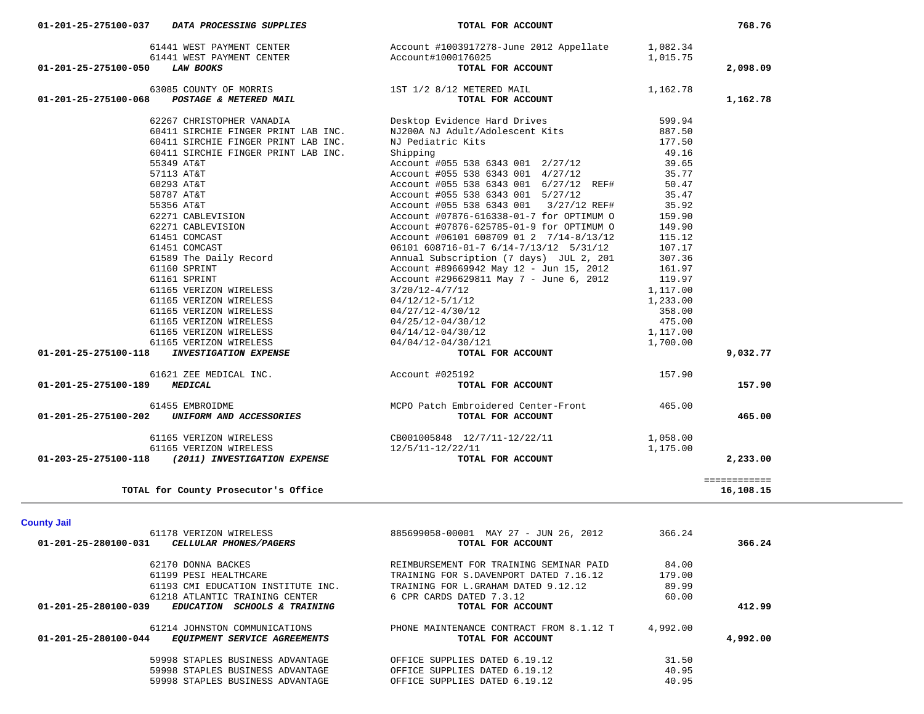| 01-201-25-275100-068           | POSTAGE & METERED MAIL                            | TOTAL FOR ACCOUNT                                          |          | 1,162.78                  |
|--------------------------------|---------------------------------------------------|------------------------------------------------------------|----------|---------------------------|
|                                | 62267 CHRISTOPHER VANADIA                         | Desktop Evidence Hard Drives                               | 599.94   |                           |
|                                | 60411 SIRCHIE FINGER PRINT LAB INC.               | NJ200A NJ Adult/Adolescent Kits                            | 887.50   |                           |
|                                | 60411 SIRCHIE FINGER PRINT LAB INC.               | NJ Pediatric Kits                                          | 177.50   |                           |
|                                | 60411 SIRCHIE FINGER PRINT LAB INC.               | Shipping                                                   | 49.16    |                           |
|                                | 55349 AT&T                                        | Account #055 538 6343 001 2/27/12                          | 39.65    |                           |
|                                | 57113 AT&T                                        | Account #055 538 6343 001 4/27/12                          | 35.77    |                           |
|                                | 60293 AT&T                                        | Account #055 538 6343 001 6/27/12 REF#                     | 50.47    |                           |
|                                | 58787 AT&T                                        | Account #055 538 6343 001 5/27/12                          | 35.47    |                           |
|                                | 55356 AT&T                                        | Account #055 538 6343 001 3/27/12 REF#                     | 35.92    |                           |
|                                | 62271 CABLEVISION                                 | Account #07876-616338-01-7 for OPTIMUM O                   | 159.90   |                           |
|                                | 62271 CABLEVISION                                 | Account #07876-625785-01-9 for OPTIMUM O                   | 149.90   |                           |
|                                | 61451 COMCAST                                     | Account #06101 608709 01 2 7/14-8/13/12                    | 115.12   |                           |
|                                | 61451 COMCAST                                     | 06101 608716-01-7 6/14-7/13/12 5/31/12                     | 107.17   |                           |
|                                | 61589 The Daily Record                            | Annual Subscription (7 days) JUL 2, 201                    | 307.36   |                           |
|                                | 61160 SPRINT                                      | Account #89669942 May 12 - Jun 15, 2012                    | 161.97   |                           |
|                                | 61161 SPRINT                                      | Account #296629811 May 7 - June 6, 2012                    | 119.97   |                           |
|                                | 61165 VERIZON WIRELESS                            | $3/20/12 - 4/7/12$                                         | 1,117.00 |                           |
|                                | 61165 VERIZON WIRELESS                            | 04/12/12-5/1/12                                            | 1,233.00 |                           |
|                                | 61165 VERIZON WIRELESS                            | $04/27/12 - 4/30/12$                                       | 358.00   |                           |
|                                | 61165 VERIZON WIRELESS                            |                                                            |          |                           |
|                                | 61165 VERIZON WIRELESS                            | 04/25/12-04/30/12<br>04/14/12-04/30/12                     | 475.00   |                           |
|                                | 61165 VERIZON WIRELESS                            |                                                            | 1,117.00 |                           |
|                                | <b>INVESTIGATION EXPENSE</b>                      | 04/04/12-04/30/121                                         | 1,700.00 |                           |
| 01-201-25-275100-118           |                                                   | TOTAL FOR ACCOUNT                                          |          | 9,032.77                  |
|                                | 61621 ZEE MEDICAL INC.                            | Account #025192                                            | 157.90   |                           |
| 01-201-25-275100-189           | <b>MEDICAL</b>                                    | TOTAL FOR ACCOUNT                                          |          | 157.90                    |
|                                | 61455 EMBROIDME                                   | MCPO Patch Embroidered Center-Front                        | 465.00   |                           |
| 01-201-25-275100-202           | UNIFORM AND ACCESSORIES                           | TOTAL FOR ACCOUNT                                          |          | 465.00                    |
|                                | 61165 VERIZON WIRELESS                            | CB001005848 12/7/11-12/22/11                               | 1,058.00 |                           |
|                                | 61165 VERIZON WIRELESS                            | 12/5/11-12/22/11                                           | 1,175.00 |                           |
|                                | 01-203-25-275100-118 (2011) INVESTIGATION EXPENSE | TOTAL FOR ACCOUNT                                          |          | 2,233.00                  |
|                                | TOTAL for County Prosecutor's Office              |                                                            |          | ============<br>16,108.15 |
|                                |                                                   |                                                            |          |                           |
| <b>County Jail</b>             |                                                   |                                                            |          |                           |
| 01-201-25-280100-031           | 61178 VERIZON WIRELESS<br>CELLULAR PHONES/PAGERS  | 885699058-00001 MAY 27 - JUN 26, 2012<br>TOTAL FOR ACCOUNT | 366.24   | 366.24                    |
|                                |                                                   |                                                            |          |                           |
|                                | 62170 DONNA BACKES                                | REIMBURSEMENT FOR TRAINING SEMINAR PAID                    | 84.00    |                           |
|                                | 61199 PESI HEALTHCARE                             | TRAINING FOR S.DAVENPORT DATED 7.16.12                     | 179.00   |                           |
|                                | 61193 CMI EDUCATION INSTITUTE INC.                | TRAINING FOR L.GRAHAM DATED 9.12.12                        | 89.99    |                           |
|                                | 61218 ATLANTIC TRAINING CENTER                    | 6 CPR CARDS DATED 7.3.12                                   | 60.00    |                           |
| 01-201-25-280100-039           | EDUCATION SCHOOLS & TRAINING                      | TOTAL FOR ACCOUNT                                          |          | 412.99                    |
|                                | 61214 JOHNSTON COMMUNICATIONS                     | PHONE MAINTENANCE CONTRACT FROM 8.1.12 T                   | 4,992.00 |                           |
|                                | EQUIPMENT SERVICE AGREEMENTS                      | TOTAL FOR ACCOUNT                                          |          | 4,992.00                  |
| $01 - 201 - 25 - 280100 - 044$ |                                                   |                                                            |          |                           |
|                                | 59998 STAPLES BUSINESS ADVANTAGE                  | OFFICE SUPPLIES DATED 6.19.12                              | 31.50    |                           |
|                                | 59998 STAPLES BUSINESS ADVANTAGE                  | OFFICE SUPPLIES DATED 6.19.12                              | 40.95    |                           |

 **01-201-25-275100-050** *LAW BOOKS* **TOTAL FOR ACCOUNT 2,098.09**

63085 COUNTY OF MORRIS 1ST 1/2 8/12 METERED MAIL 1,162.78

61441 WEST PAYMENT CENTER Account #1003917278-June 2012 Appellate 1,082.34

768.76

01-201-25-275100-037 *DATA PROCESSING SUPPLIES TOTAL FOR ACCOUNT* 

61441 WEST PAYMENT CENTER<br>61441 WEST PAYMENT CENTER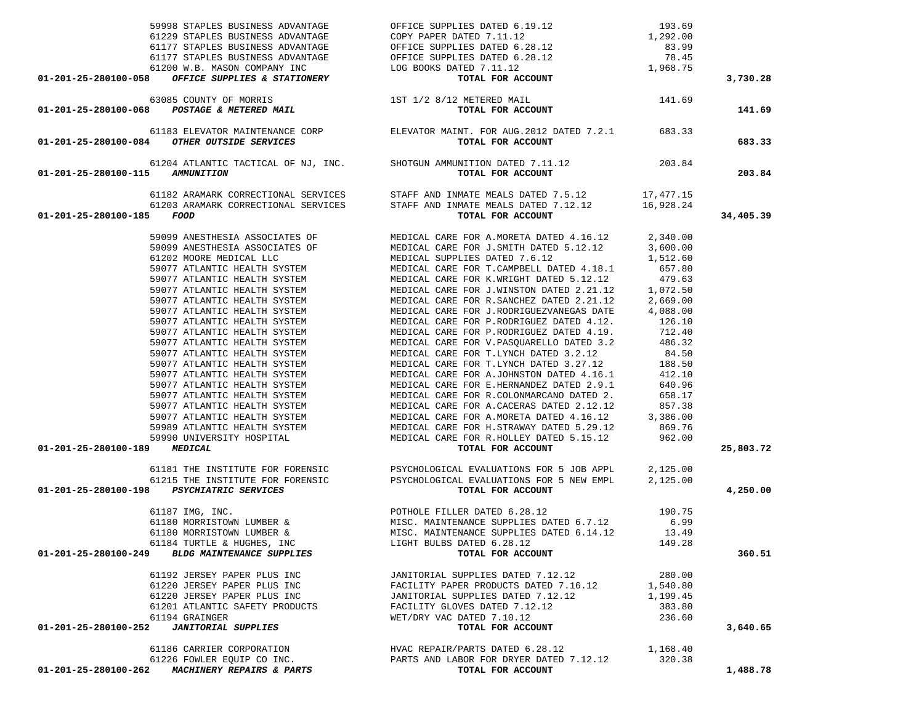| 59998 STAPLES BUSINESS ADVANTAGE                                                                                                    | OFFICE SUPPLIES DATED 6.19.12 193.69                                                                                                                                                                                                       |          |           |
|-------------------------------------------------------------------------------------------------------------------------------------|--------------------------------------------------------------------------------------------------------------------------------------------------------------------------------------------------------------------------------------------|----------|-----------|
|                                                                                                                                     |                                                                                                                                                                                                                                            |          |           |
|                                                                                                                                     |                                                                                                                                                                                                                                            |          |           |
|                                                                                                                                     |                                                                                                                                                                                                                                            |          |           |
|                                                                                                                                     |                                                                                                                                                                                                                                            |          |           |
| 01-201-25-280100-058 OFFICE SUPPLIES & STATIONERY                                                                                   | 9998 STAPLES BUSINESS ADVANTAGE<br>61229 STAPLES BUSINESS ADVANTAGE<br>6177 STAPLES BUSINESS ADVANTAGE<br>6177 STAPLES BUSINESS ADVANTAGE<br>6177 STAPLES BUSINESS ADVANTAGE<br>61200 W.B. MASON COMPANY INC<br>61200 W.B. MASON COMPANY I |          | 3,730.28  |
|                                                                                                                                     |                                                                                                                                                                                                                                            |          |           |
| 63085 COUNTY OF MORRIS 15T 1/2 8/12 METERED MAIL 141.69<br>01-201-25-280100-068 <i>POSTAGE &amp; METERED MAIL</i> TOTAL FOR ACCOUNT |                                                                                                                                                                                                                                            |          | 141.69    |
|                                                                                                                                     |                                                                                                                                                                                                                                            |          |           |
|                                                                                                                                     |                                                                                                                                                                                                                                            |          |           |
| 61183 ELEVATOR MAINTENANCE CORP<br>01-201-25-280100-084 OTHER OUTSIDE SERVICES CORP<br>TOTAL FOR ACCOUNT                            |                                                                                                                                                                                                                                            |          | 683.33    |
|                                                                                                                                     | 61204 ATLANTIC TACTICAL OF NJ, INC. SHOTGUN AMMUNITION DATED 7.11.12 203.84                                                                                                                                                                |          |           |
| 01-201-25-280100-115 AMMUNITION                                                                                                     | TOTAL FOR ACCOUNT                                                                                                                                                                                                                          |          | 203.84    |
|                                                                                                                                     |                                                                                                                                                                                                                                            |          |           |
|                                                                                                                                     | 61182 ARAMARK CORRECTIONAL SERVICES STAFF AND INMATE MEALS DATED 7.5.12 17,477.15                                                                                                                                                          |          |           |
|                                                                                                                                     | 61203 ARAMARK CORRECTIONAL SERVICES STAFF AND INMATE MEALS DATED 7.12.12 $16,928.24$                                                                                                                                                       |          |           |
| 01-201-25-280100-185 FOOD                                                                                                           | TOTAL FOR ACCOUNT                                                                                                                                                                                                                          |          | 34,405.39 |
|                                                                                                                                     |                                                                                                                                                                                                                                            |          |           |
|                                                                                                                                     |                                                                                                                                                                                                                                            |          |           |
|                                                                                                                                     |                                                                                                                                                                                                                                            |          |           |
|                                                                                                                                     |                                                                                                                                                                                                                                            |          |           |
|                                                                                                                                     |                                                                                                                                                                                                                                            |          |           |
|                                                                                                                                     |                                                                                                                                                                                                                                            |          |           |
|                                                                                                                                     |                                                                                                                                                                                                                                            |          |           |
|                                                                                                                                     |                                                                                                                                                                                                                                            |          |           |
|                                                                                                                                     |                                                                                                                                                                                                                                            |          |           |
|                                                                                                                                     |                                                                                                                                                                                                                                            |          |           |
|                                                                                                                                     |                                                                                                                                                                                                                                            |          |           |
|                                                                                                                                     |                                                                                                                                                                                                                                            |          |           |
|                                                                                                                                     |                                                                                                                                                                                                                                            |          |           |
|                                                                                                                                     |                                                                                                                                                                                                                                            |          |           |
|                                                                                                                                     |                                                                                                                                                                                                                                            |          |           |
|                                                                                                                                     |                                                                                                                                                                                                                                            |          |           |
|                                                                                                                                     |                                                                                                                                                                                                                                            |          |           |
|                                                                                                                                     |                                                                                                                                                                                                                                            |          |           |
|                                                                                                                                     |                                                                                                                                                                                                                                            |          |           |
|                                                                                                                                     |                                                                                                                                                                                                                                            |          |           |
|                                                                                                                                     |                                                                                                                                                                                                                                            |          |           |
| 01-201-25-280100-189 MEDICAL                                                                                                        | VOLL PARTIESTA ASSOCIATES OF MEDICAL CARE FOR A MORETA DATED 5.12.12 2,340.00<br>59099 ANESTHESTA ASSOCIATES OF MEDICAL CARE FOR J. SNITH DATED 5.12.12 3,600.00<br>69099 ANESTHESTA ASSOCIATES OF MEDICAL CARE FOR J. SNITH DATE          |          | 25,803.72 |
|                                                                                                                                     |                                                                                                                                                                                                                                            |          |           |
|                                                                                                                                     | 61181 THE INSTITUTE FOR FORENSIC PSYCHOLOGICAL EVALUATIONS FOR 5 JOB APPL 2,125.00<br>61215 THE INSTITUTE FOR FORENSIC PSYCHOLOGICAL EVALUATIONS FOR 5 NEW EMPL 2,125.00                                                                   |          |           |
| 01-201-25-280100-198  PSYCHIATRIC SERVICES                                                                                          | TOTAL FOR ACCOUNT                                                                                                                                                                                                                          |          | 4,250.00  |
|                                                                                                                                     | 61187 IMG, INC.<br>61180 MORRISTOWN LUMBER & MISC. MAINTENANCE SUPPLIES DATED 6.7.12<br>6.99 MISC. MAINTENANCE SUPPLIES DATED 6.7.12<br>61180 MORRISTOWN LUMBER & MISC. MAINTENANCE SUPPLIES DATED 6.14.12<br>61184 TURTLE & HUGHES, I     |          |           |
|                                                                                                                                     |                                                                                                                                                                                                                                            |          |           |
|                                                                                                                                     |                                                                                                                                                                                                                                            |          |           |
|                                                                                                                                     |                                                                                                                                                                                                                                            |          |           |
|                                                                                                                                     |                                                                                                                                                                                                                                            |          |           |
| 01-201-25-280100-249 BLDG MAINTENANCE SUPPLIES                                                                                      | TOTAL FOR ACCOUNT                                                                                                                                                                                                                          |          | 360.51    |
| 61192 JERSEY PAPER PLUS INC                                                                                                         |                                                                                                                                                                                                                                            | 280.00   |           |
| 61220 JERSEY PAPER PLUS INC                                                                                                         | JANITORIAL SUPPLIES DAIED 7.12.12<br>FACILITY PAPER PRODUCTS DATED 7.16.12 1,540.80                                                                                                                                                        |          |           |
|                                                                                                                                     | JANITORIAL SUPPLIES DATED 7.12.12                                                                                                                                                                                                          | 1,199.45 |           |
| 61220 JERSEY PAPER PLUS INC<br>61201 ATLANTIC SAFETY PRODUCTS                                                                       | FACILITY GLOVES DATED 7.12.12                                                                                                                                                                                                              | 383.80   |           |
| 61194 GRAINGER                                                                                                                      | WET/DRY VAC DATED 7.10.12                                                                                                                                                                                                                  | 236.60   |           |
| 01-201-25-280100-252<br><b>JANITORIAL SUPPLIES</b>                                                                                  | TOTAL FOR ACCOUNT                                                                                                                                                                                                                          |          | 3,640.65  |
|                                                                                                                                     |                                                                                                                                                                                                                                            |          |           |
| 61186 CARRIER CORPORATION                                                                                                           | HVAC REPAIR/PARTS DATED 6.28.12 1,168.40                                                                                                                                                                                                   |          |           |
|                                                                                                                                     | 61226 FOWLER EQUIP CO INC. PARTS AND LABOR FOR DRYER DATED 7.12.12 320.38                                                                                                                                                                  |          |           |
| 01-201-25-280100-262 MACHINERY REPAIRS & PARTS                                                                                      | TOTAL FOR ACCOUNT                                                                                                                                                                                                                          |          | 1,488.78  |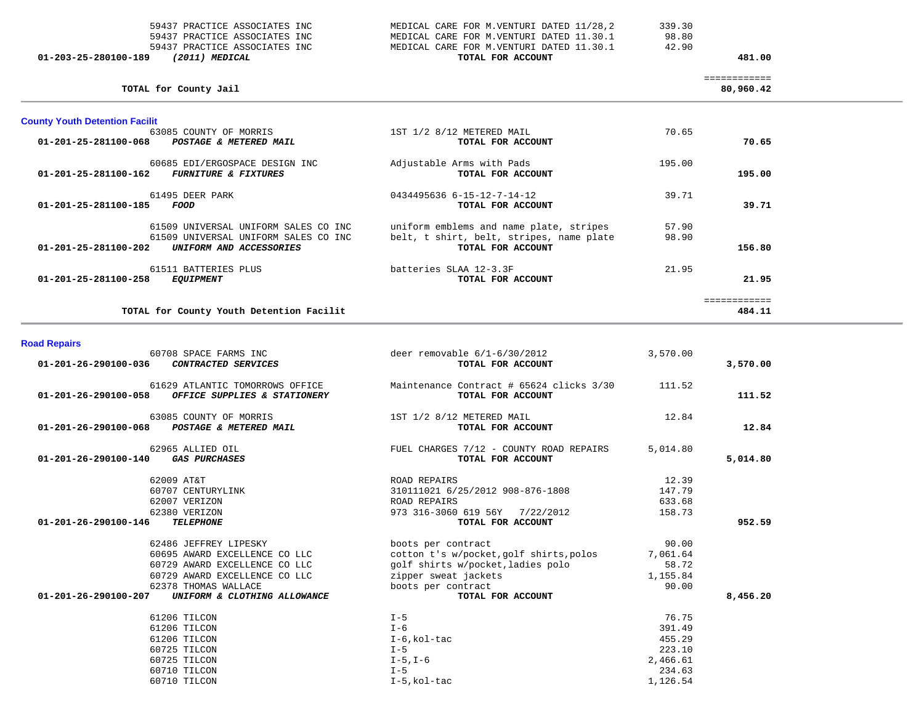| 01-203-25-280100-189<br>(2011) MEDICAL | TOTAL FOR ACCOUNT                         |        | 481.00 |
|----------------------------------------|-------------------------------------------|--------|--------|
| 59437 PRACTICE ASSOCIATES INC          | MEDICAL CARE FOR M. VENTURI DATED 11.30.1 | 42.90  |        |
| 59437 PRACTICE ASSOCIATES INC          | MEDICAL CARE FOR M.VENTURI DATED 11.30.1  | 98.80  |        |
| 59437 PRACTICE ASSOCIATES INC          | MEDICAL CARE FOR M.VENTURI DATED 11/28,2  | 339.30 |        |

 ============ 80,960.42

| <b>County Youth Detention Facilit</b>                     |                                          |        |        |
|-----------------------------------------------------------|------------------------------------------|--------|--------|
| 63085 COUNTY OF MORRIS                                    | 1ST 1/2 8/12 METERED MAIL                | 70.65  |        |
| 01-201-25-281100-068<br>POSTAGE & METERED MAIL            | TOTAL FOR ACCOUNT                        |        | 70.65  |
| 60685 EDI/ERGOSPACE DESIGN INC                            | Adjustable Arms with Pads                | 195.00 |        |
| 01-201-25-281100-162<br><b>FURNITURE &amp; FIXTURES</b>   | TOTAL FOR ACCOUNT                        |        | 195.00 |
| 61495 DEER PARK                                           | 0434495636 6-15-12-7-14-12               | 39.71  |        |
| 01-201-25-281100-185<br>FOOD                              | TOTAL FOR ACCOUNT                        |        | 39.71  |
| 61509 UNIVERSAL UNIFORM SALES CO INC                      | uniform emblems and name plate, stripes  | 57.90  |        |
| 61509 UNIVERSAL UNIFORM SALES CO INC                      | belt, t shirt, belt, stripes, name plate | 98.90  |        |
| $01 - 201 - 25 - 281100 - 202$<br>UNIFORM AND ACCESSORIES | TOTAL FOR ACCOUNT                        |        | 156.80 |
| 61511 BATTERIES PLUS                                      | batteries SLAA 12-3.3F                   | 21.95  |        |
| 01-201-25-281100-258<br><i>EQUIPMENT</i>                  | TOTAL FOR ACCOUNT                        |        | 21.95  |
|                                                           |                                          |        |        |

**TOTAL for County Youth Detention Facilit 484.11**

**TOTAL for County Jail 80,960.42**

484.11

| <b>Road Repairs</b>  |                                                                                                                                                  |                                                                                                                                                  |                                                 |          |
|----------------------|--------------------------------------------------------------------------------------------------------------------------------------------------|--------------------------------------------------------------------------------------------------------------------------------------------------|-------------------------------------------------|----------|
| 01-201-26-290100-036 | 60708 SPACE FARMS INC<br>CONTRACTED SERVICES                                                                                                     | deer removable $6/1-6/30/2012$<br>TOTAL FOR ACCOUNT                                                                                              | 3,570.00                                        | 3,570.00 |
| 01-201-26-290100-058 | 61629 ATLANTIC TOMORROWS OFFICE<br>OFFICE SUPPLIES & STATIONERY                                                                                  | Maintenance Contract # 65624 clicks 3/30 111.52<br>TOTAL FOR ACCOUNT                                                                             |                                                 | 111.52   |
|                      | 63085 COUNTY OF MORRIS<br>01-201-26-290100-068 POSTAGE & METERED MAIL                                                                            | 1ST 1/2 8/12 METERED MAIL<br>TOTAL FOR ACCOUNT                                                                                                   | 12.84                                           | 12.84    |
| 01-201-26-290100-140 | 62965 ALLIED OIL<br><b>GAS PURCHASES</b>                                                                                                         | FUEL CHARGES 7/12 - COUNTY ROAD REPAIRS<br>TOTAL FOR ACCOUNT                                                                                     | 5,014.80                                        | 5,014.80 |
|                      | 62009 AT&T<br>60707 CENTURYLINK<br>62007 VERIZON                                                                                                 | ROAD REPAIRS<br>310111021 6/25/2012 908-876-1808<br>ROAD REPAIRS                                                                                 | 12.39<br>147.79<br>633.68                       |          |
| 01-201-26-290100-146 | 62380 VERIZON<br><b>TELEPHONE</b>                                                                                                                | 973 316-3060 619 56Y 7/22/2012<br>TOTAL FOR ACCOUNT                                                                                              | 158.73                                          | 952.59   |
|                      | 62486 JEFFREY LIPESKY<br>60695 AWARD EXCELLENCE CO LLC<br>60729 AWARD EXCELLENCE CO LLC<br>60729 AWARD EXCELLENCE CO LLC<br>62378 THOMAS WALLACE | boots per contract<br>cotton t's w/pocket, golf shirts, polos<br>golf shirts w/pocket, ladies polo<br>zipper sweat jackets<br>boots per contract | 90.00<br>7,061.64<br>58.72<br>1,155.84<br>90.00 |          |
| 01-201-26-290100-207 | UNIFORM & CLOTHING ALLOWANCE                                                                                                                     | TOTAL FOR ACCOUNT                                                                                                                                |                                                 | 8,456.20 |
|                      | 61206 TILCON<br>61206 TILCON<br>61206 TILCON<br>60725 TILCON<br>60725 TILCON                                                                     | $I - 5$<br>$I - 6$<br>$I-6$ , kol-tac<br>$I - 5$<br>$I-5$ , $I-6$                                                                                | 76.75<br>391.49<br>455.29<br>223.10<br>2,466.61 |          |
|                      | 60710 TILCON<br>60710 TILCON                                                                                                                     | $I - 5$<br>I-5, kol-tac                                                                                                                          | 234.63<br>1,126.54                              |          |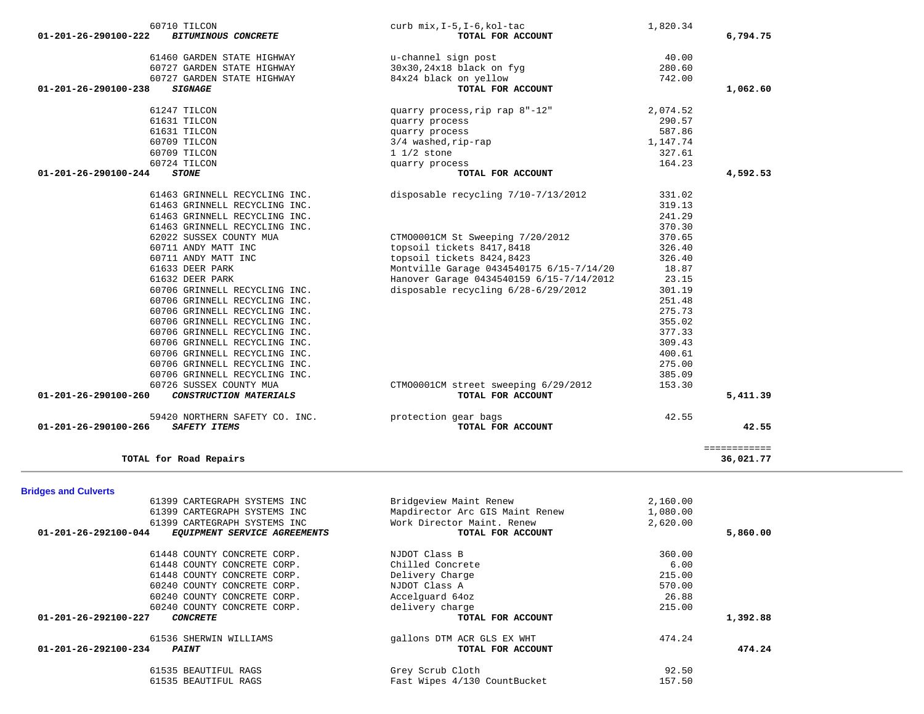| 60706 GRINNELL RECYCLING INC.<br>60706 GRINNELL RECYCLING INC.<br>60706 GRINNELL RECYCLING INC.<br>60706 GRINNELL RECYCLING INC. |                                                           | 309.43<br>400.61<br>275.00<br>385.09 |                           |
|----------------------------------------------------------------------------------------------------------------------------------|-----------------------------------------------------------|--------------------------------------|---------------------------|
| 60726 SUSSEX COUNTY MUA<br>01-201-26-290100-260<br>CONSTRUCTION MATERIALS                                                        | CTM00001CM street sweeping 6/29/2012<br>TOTAL FOR ACCOUNT | 153.30                               | 5,411.39                  |
| 59420 NORTHERN SAFETY CO. INC.<br>$01 - 201 - 26 - 290100 - 266$<br>SAFETY ITEMS                                                 | protection gear bags<br>TOTAL FOR ACCOUNT                 | 42.55                                | 42.55                     |
| TOTAL for Road Repairs                                                                                                           |                                                           |                                      | ============<br>36,021.77 |
| <b>Bridges and Culverts</b>                                                                                                      |                                                           |                                      |                           |
| 61399 CARTEGRAPH SYSTEMS INC                                                                                                     | Bridgeview Maint Renew                                    | 2,160.00                             |                           |
| 61399 CARTEGRAPH SYSTEMS INC                                                                                                     | Mapdirector Arc GIS Maint Renew                           | 1,080.00                             |                           |
| 61399 CARTEGRAPH SYSTEMS INC                                                                                                     | Work Director Maint. Renew                                | 2,620.00                             |                           |
| 01-201-26-292100-044<br>EQUIPMENT SERVICE AGREEMENTS                                                                             | TOTAL FOR ACCOUNT                                         |                                      | 5,860.00                  |
| 61448 COUNTY CONCRETE CORP.                                                                                                      | NJDOT Class B                                             | 360.00                               |                           |
| 61448 COUNTY CONCRETE CORP.                                                                                                      | Chilled Concrete                                          | 6.00                                 |                           |
| 61448 COUNTY CONCRETE CORP.                                                                                                      | Delivery Charge                                           | 215.00                               |                           |
| 60240 COUNTY CONCRETE CORP.                                                                                                      | NJDOT Class A                                             | 570.00                               |                           |
| 60240 COUNTY CONCRETE CORP.                                                                                                      | Accelguard 64oz                                           | 26.88                                |                           |
| 60240 COUNTY CONCRETE CORP.                                                                                                      | delivery charge                                           | 215.00                               |                           |
| 01-201-26-292100-227<br><b>CONCRETE</b>                                                                                          | TOTAL FOR ACCOUNT                                         |                                      | 1,392.88                  |
| 61536 SHERWIN WILLIAMS                                                                                                           | gallons DTM ACR GLS EX WHT                                | 474.24                               |                           |
| 01-201-26-292100-234<br><b>PAINT</b>                                                                                             | TOTAL FOR ACCOUNT                                         |                                      | 474.24                    |
| 61535 BEAUTIFUL RAGS                                                                                                             | Grey Scrub Cloth                                          | 92.50                                |                           |
| 61535 BEAUTIFUL RAGS                                                                                                             | Fast Wipes 4/130 CountBucket                              | 157.50                               |                           |

| 60710 TILCON                                       | curb mix, I-5, I-6, kol-tac              | 1,820.34 |          |
|----------------------------------------------------|------------------------------------------|----------|----------|
| 01-201-26-290100-222<br><b>BITUMINOUS CONCRETE</b> | TOTAL FOR ACCOUNT                        |          | 6,794.75 |
| 61460 GARDEN STATE HIGHWAY                         | u-channel sign post                      | 40.00    |          |
| 60727 GARDEN STATE HIGHWAY                         | $30x30, 24x18$ black on fyg              | 280.60   |          |
| 60727 GARDEN STATE HIGHWAY                         | 84x24 black on yellow                    | 742.00   |          |
| $01 - 201 - 26 - 290100 - 238$<br><b>SIGNAGE</b>   | TOTAL FOR ACCOUNT                        |          | 1,062.60 |
| 61247 TILCON                                       | quarry process, rip rap 8"-12"           | 2,074.52 |          |
| 61631 TILCON                                       | quarry process                           | 290.57   |          |
| 61631 TILCON                                       | quarry process                           | 587.86   |          |
| 60709 TILCON                                       | 3/4 washed, rip-rap                      | 1,147.74 |          |
| 60709 TILCON                                       | $11/2$ stone                             | 327.61   |          |
| 60724 TILCON                                       | quarry process                           | 164.23   |          |
| $01 - 201 - 26 - 290100 - 244$<br><b>STONE</b>     | TOTAL FOR ACCOUNT                        |          | 4,592.53 |
| 61463 GRINNELL RECYCLING INC.                      | disposable recycling 7/10-7/13/2012      | 331.02   |          |
| 61463 GRINNELL RECYCLING INC.                      |                                          | 319.13   |          |
| 61463 GRINNELL RECYCLING INC.                      |                                          | 241.29   |          |
| 61463 GRINNELL RECYCLING INC.                      |                                          | 370.30   |          |
| 62022 SUSSEX COUNTY MUA                            | CTM00001CM St Sweeping 7/20/2012         | 370.65   |          |
| 60711 ANDY MATT INC                                | topsoil tickets 8417,8418                | 326.40   |          |
| 60711 ANDY MATT INC                                | topsoil tickets 8424,8423                | 326.40   |          |
| 61633 DEER PARK                                    | Montville Garage 0434540175 6/15-7/14/20 | 18.87    |          |
| 61632 DEER PARK                                    | Hanover Garage 0434540159 6/15-7/14/2012 | 23.15    |          |
| 60706 GRINNELL RECYCLING INC.                      | disposable recycling 6/28-6/29/2012      | 301.19   |          |
| 60706 GRINNELL RECYCLING INC.                      |                                          | 251.48   |          |
| 60706 GRINNELL RECYCLING INC.                      |                                          | 275.73   |          |
| 60706 GRINNELL RECYCLING INC.                      |                                          | 355.02   |          |
| 60706 GRINNELL RECYCLING INC.                      |                                          | 377.33   |          |
| 60706 GRINNELL RECYCLING INC.                      |                                          | 309.43   |          |
| 60706 GRINNELL RECYCLING INC.                      |                                          | 400.61   |          |
| 60706 GRINNELL RECYCLING INC.                      |                                          | 275.00   |          |
| 60706 GRINNELL RECYCLING INC.                      |                                          | 385.09   |          |
| 60726 SUSSEX COUNTY MUA                            | CTM00001CM street sweeping 6/29/2012     | 153.30   |          |
| 01-201-26-290100-260<br>CONSTRUCTION MATERIALS     | TOTAL FOR ACCOUNT                        |          | 5,411.39 |
| 59420 NORTHERN SAFETY CO. INC.                     | protection gear bags                     | 42.55    |          |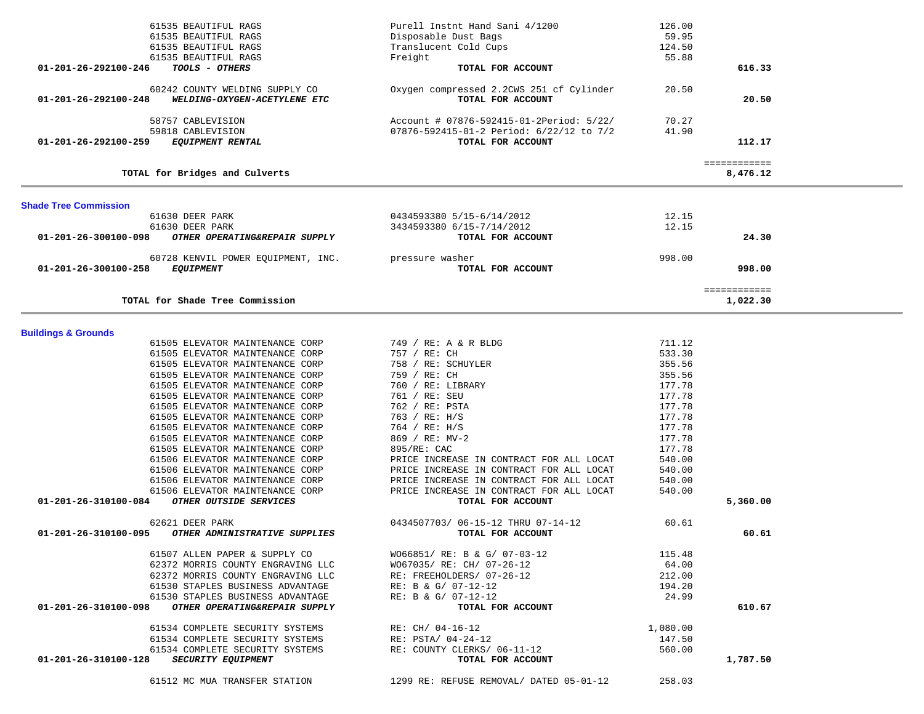|                                | 61535 BEAUTIFUL RAGS                 | Purell Instnt Hand Sani 4/1200           | 126.00   |              |  |
|--------------------------------|--------------------------------------|------------------------------------------|----------|--------------|--|
|                                | 61535 BEAUTIFUL RAGS                 | Disposable Dust Bags                     | 59.95    |              |  |
|                                | 61535 BEAUTIFUL RAGS                 | Translucent Cold Cups                    | 124.50   |              |  |
|                                | 61535 BEAUTIFUL RAGS                 | Freight                                  | 55.88    |              |  |
| 01-201-26-292100-246           | TOOLS - OTHERS                       | TOTAL FOR ACCOUNT                        |          | 616.33       |  |
|                                |                                      |                                          |          |              |  |
|                                | 60242 COUNTY WELDING SUPPLY CO       | Oxygen compressed 2.2CWS 251 cf Cylinder | 20.50    |              |  |
| 01-201-26-292100-248           | WELDING-OXYGEN-ACETYLENE ETC         | TOTAL FOR ACCOUNT                        |          | 20.50        |  |
|                                |                                      |                                          |          |              |  |
|                                | 58757 CABLEVISION                    | Account # 07876-592415-01-2Period: 5/22/ | 70.27    |              |  |
|                                | 59818 CABLEVISION                    | 07876-592415-01-2 Period: 6/22/12 to 7/2 | 41.90    |              |  |
| 01-201-26-292100-259           | <b>EQUIPMENT RENTAL</b>              | TOTAL FOR ACCOUNT                        |          | 112.17       |  |
|                                |                                      |                                          |          |              |  |
|                                |                                      |                                          |          | ============ |  |
|                                | TOTAL for Bridges and Culverts       |                                          |          | 8,476.12     |  |
| <b>Shade Tree Commission</b>   |                                      |                                          |          |              |  |
|                                | 61630 DEER PARK                      | 0434593380 5/15-6/14/2012                | 12.15    |              |  |
|                                | 61630 DEER PARK                      | 3434593380 6/15-7/14/2012                | 12.15    |              |  |
| 01-201-26-300100-098           | OTHER OPERATING&REPAIR SUPPLY        | TOTAL FOR ACCOUNT                        |          | 24.30        |  |
|                                |                                      |                                          |          |              |  |
|                                | 60728 KENVIL POWER EQUIPMENT, INC.   | pressure washer                          | 998.00   |              |  |
| 01-201-26-300100-258           | <b>EQUIPMENT</b>                     | TOTAL FOR ACCOUNT                        |          | 998.00       |  |
|                                |                                      |                                          |          |              |  |
|                                |                                      |                                          |          | ============ |  |
|                                | TOTAL for Shade Tree Commission      |                                          |          | 1,022.30     |  |
|                                |                                      |                                          |          |              |  |
| <b>Buildings &amp; Grounds</b> |                                      |                                          |          |              |  |
|                                | 61505 ELEVATOR MAINTENANCE CORP      | 749 / RE: A & R BLDG                     | 711.12   |              |  |
|                                | 61505 ELEVATOR MAINTENANCE CORP      | 757 / RE: CH                             | 533.30   |              |  |
|                                | 61505 ELEVATOR MAINTENANCE CORP      | 758 / RE: SCHUYLER                       | 355.56   |              |  |
|                                | 61505 ELEVATOR MAINTENANCE CORP      | 759 / RE: CH                             | 355.56   |              |  |
|                                | 61505 ELEVATOR MAINTENANCE CORP      | 760 / RE: LIBRARY                        | 177.78   |              |  |
|                                | 61505 ELEVATOR MAINTENANCE CORP      | 761 / RE: SEU                            | 177.78   |              |  |
|                                | 61505 ELEVATOR MAINTENANCE CORP      | 762 / RE: PSTA                           | 177.78   |              |  |
|                                | 61505 ELEVATOR MAINTENANCE CORP      | 763 / RE: H/S                            | 177.78   |              |  |
|                                | 61505 ELEVATOR MAINTENANCE CORP      | 764 / RE: H/S                            | 177.78   |              |  |
|                                | 61505 ELEVATOR MAINTENANCE CORP      | 869 / RE: MV-2                           | 177.78   |              |  |
|                                | 61505 ELEVATOR MAINTENANCE CORP      | 895/RE: CAC                              | 177.78   |              |  |
|                                | 61506 ELEVATOR MAINTENANCE CORP      | PRICE INCREASE IN CONTRACT FOR ALL LOCAT | 540.00   |              |  |
|                                | 61506 ELEVATOR MAINTENANCE CORP      | PRICE INCREASE IN CONTRACT FOR ALL LOCAT | 540.00   |              |  |
|                                | 61506 ELEVATOR MAINTENANCE CORP      | PRICE INCREASE IN CONTRACT FOR ALL LOCAT | 540.00   |              |  |
|                                | 61506 ELEVATOR MAINTENANCE CORP      | PRICE INCREASE IN CONTRACT FOR ALL LOCAT | 540.00   |              |  |
| 01-201-26-310100-084           | OTHER OUTSIDE SERVICES               | TOTAL FOR ACCOUNT                        |          | 5,360.00     |  |
|                                | 62621 DEER PARK                      | 0434507703/ 06-15-12 THRU 07-14-12       | 60.61    |              |  |
| 01-201-26-310100-095           | <i>OTHER ADMINISTRATIVE SUPPLIES</i> | TOTAL FOR ACCOUNT                        |          | 60.61        |  |
|                                |                                      |                                          |          |              |  |
|                                | 61507 ALLEN PAPER & SUPPLY CO        | WO66851/ RE: B & G/ 07-03-12             | 115.48   |              |  |
|                                | 62372 MORRIS COUNTY ENGRAVING LLC    | W067035/ RE: CH/ 07-26-12                | 64.00    |              |  |
|                                | 62372 MORRIS COUNTY ENGRAVING LLC    | RE: FREEHOLDERS/ 07-26-12                | 212.00   |              |  |
|                                | 61530 STAPLES BUSINESS ADVANTAGE     | RE: B & G/ 07-12-12                      | 194.20   |              |  |
|                                | 61530 STAPLES BUSINESS ADVANTAGE     | RE: B & G/ 07-12-12                      | 24.99    |              |  |
| 01-201-26-310100-098           | OTHER OPERATING&REPAIR SUPPLY        | TOTAL FOR ACCOUNT                        |          | 610.67       |  |
|                                |                                      |                                          |          |              |  |
|                                | 61534 COMPLETE SECURITY SYSTEMS      | RE: CH/ 04-16-12                         | 1,080.00 |              |  |
|                                | 61534 COMPLETE SECURITY SYSTEMS      | RE: PSTA/ 04-24-12                       | 147.50   |              |  |
|                                | 61534 COMPLETE SECURITY SYSTEMS      | RE: COUNTY CLERKS/ 06-11-12              | 560.00   |              |  |
| 01-201-26-310100-128           | SECURITY EQUIPMENT                   | TOTAL FOR ACCOUNT                        |          | 1,787.50     |  |
|                                |                                      |                                          |          |              |  |
|                                | 61512 MC MUA TRANSFER STATION        | 1299 RE: REFUSE REMOVAL/ DATED 05-01-12  | 258.03   |              |  |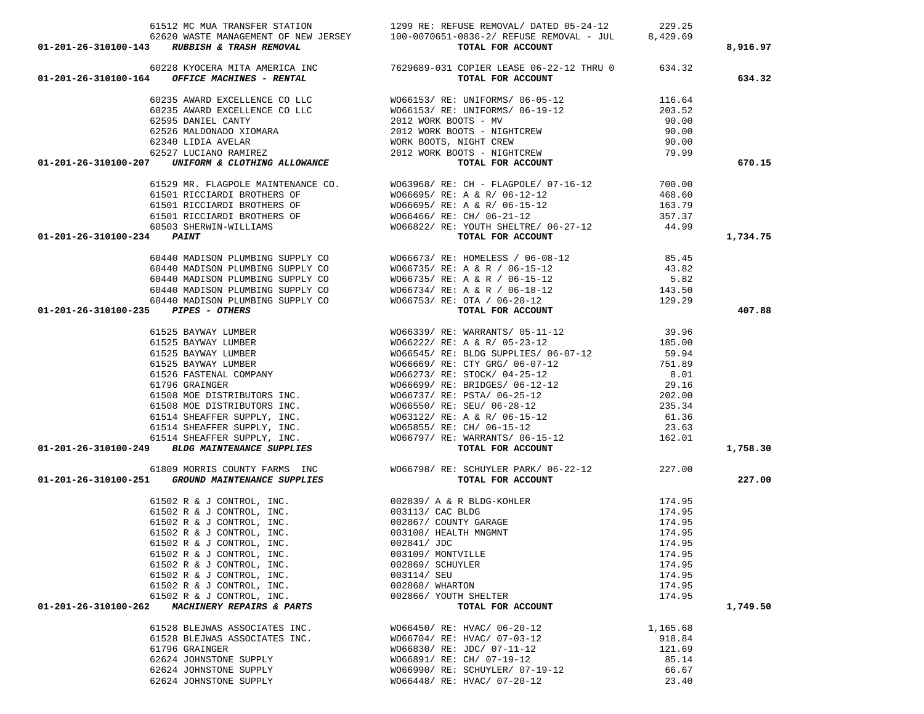| 61512 MC MUA TRANSFER STATION                                                                                                                                                                                                                                                                                                                                                                                                 | 1299 RE: REFUSE REMOVAL/ DATED 05-24-12 229.25                                                                                                                                                                                                                                                                                                                                                                                                           |          |          |
|-------------------------------------------------------------------------------------------------------------------------------------------------------------------------------------------------------------------------------------------------------------------------------------------------------------------------------------------------------------------------------------------------------------------------------|----------------------------------------------------------------------------------------------------------------------------------------------------------------------------------------------------------------------------------------------------------------------------------------------------------------------------------------------------------------------------------------------------------------------------------------------------------|----------|----------|
|                                                                                                                                                                                                                                                                                                                                                                                                                               | 62620 WASTE MANAGEMENT OF NEW JERSEY 100-0070651-0836-2/ REFUSE REMOVAL - JUL 8,429.69                                                                                                                                                                                                                                                                                                                                                                   |          |          |
|                                                                                                                                                                                                                                                                                                                                                                                                                               |                                                                                                                                                                                                                                                                                                                                                                                                                                                          |          | 8,916.97 |
|                                                                                                                                                                                                                                                                                                                                                                                                                               |                                                                                                                                                                                                                                                                                                                                                                                                                                                          |          |          |
| 01-201-26-310100-143 RUBBISH & TRASH REMOVAL<br>60228 KYOCERA MITA AMERICA INC<br>01-201-26-310100-164 OFFICE MACHINES - RENTAL<br>OFFICE MACHINES - RENTAL<br>FOR ACCOUNT<br>TOTAL FOR ACCOUNT<br>TOTAL FOR ACCOUNT<br>TOTAL FOR ACCOUNT                                                                                                                                                                                     |                                                                                                                                                                                                                                                                                                                                                                                                                                                          |          | 634.32   |
|                                                                                                                                                                                                                                                                                                                                                                                                                               |                                                                                                                                                                                                                                                                                                                                                                                                                                                          |          |          |
|                                                                                                                                                                                                                                                                                                                                                                                                                               |                                                                                                                                                                                                                                                                                                                                                                                                                                                          |          |          |
|                                                                                                                                                                                                                                                                                                                                                                                                                               |                                                                                                                                                                                                                                                                                                                                                                                                                                                          |          |          |
|                                                                                                                                                                                                                                                                                                                                                                                                                               |                                                                                                                                                                                                                                                                                                                                                                                                                                                          |          |          |
|                                                                                                                                                                                                                                                                                                                                                                                                                               |                                                                                                                                                                                                                                                                                                                                                                                                                                                          |          |          |
|                                                                                                                                                                                                                                                                                                                                                                                                                               |                                                                                                                                                                                                                                                                                                                                                                                                                                                          |          |          |
| $\begin{array}{cccc} 60235 & \text{AWARD EXCELLENCE CO LLC} & & & & & & & & & & & & & & 116.64 \\ 60235 & \text{AWARD EXCELLENCE CO LLC} & & & & & & & & & & & & & 116.64 \\ 60235 & \text{AWARD EXCELLENCE CO LLC} & & & & & & & & & & & & & 116.64 \\ 62595 & \text{DANIEL CANTY} & & & & & & & & & 2012 WORK BOOTS - NY & & & & & & 203.52 \\ 62595 & \text{DANIEL CANTY} & & & & & & & & 2012 WORK BOOTS - NIGHTCREW & &$ |                                                                                                                                                                                                                                                                                                                                                                                                                                                          |          | 670.15   |
|                                                                                                                                                                                                                                                                                                                                                                                                                               |                                                                                                                                                                                                                                                                                                                                                                                                                                                          |          |          |
|                                                                                                                                                                                                                                                                                                                                                                                                                               | $\begin{array}{lllllllllllllllllll} \text{61529 MR. FLAGPOLE MANTENANCE CO.} & & & & & \text{W063968/ RE: CH - FLAGPOLE/ 07-16-12} & & & & \text{700.00} \\ \text{61501 RICCIARDI BROTHERS OF} & & & & & \text{W066695/ RE: A & & R/ 06-12-12} & & & & \text{468.60} \\ \text{61501 RICCIARDI BROTHERS OF} & & & & & \text{W066695/ RE: A & & R/ 06-15-12} & & & \text{163.79} \\$                                                                       |          |          |
|                                                                                                                                                                                                                                                                                                                                                                                                                               |                                                                                                                                                                                                                                                                                                                                                                                                                                                          |          |          |
|                                                                                                                                                                                                                                                                                                                                                                                                                               |                                                                                                                                                                                                                                                                                                                                                                                                                                                          |          |          |
|                                                                                                                                                                                                                                                                                                                                                                                                                               |                                                                                                                                                                                                                                                                                                                                                                                                                                                          |          |          |
|                                                                                                                                                                                                                                                                                                                                                                                                                               |                                                                                                                                                                                                                                                                                                                                                                                                                                                          |          |          |
| 01-201-26-310100-234 PAINT                                                                                                                                                                                                                                                                                                                                                                                                    | TOTAL FOR ACCOUNT                                                                                                                                                                                                                                                                                                                                                                                                                                        |          | 1,734.75 |
|                                                                                                                                                                                                                                                                                                                                                                                                                               | $\begin{tabular}{lllllllllllllllllll} \multicolumn{3}{c }{60440}\begin{tabular}{lllllllllllll} \multicolumn{3}{c }{60440}\begin{tabular}{lllllllllll} \multicolumn{3}{c }{60440}\begin{tabular}{lllllllllll} \multicolumn{3}{c }{60440}\begin{tabular}{lllllllllll} \multicolumn{3}{c }{60440}\begin{tabular}{lllllllllll} \multicolumn{3}{c }{60440}\begin{tabular}{lllllllllll} \multicolumn{3}{c }{60440}\begin{tabular}{lllllllllll} \multicolumn{3$ |          |          |
|                                                                                                                                                                                                                                                                                                                                                                                                                               |                                                                                                                                                                                                                                                                                                                                                                                                                                                          |          |          |
|                                                                                                                                                                                                                                                                                                                                                                                                                               |                                                                                                                                                                                                                                                                                                                                                                                                                                                          |          |          |
|                                                                                                                                                                                                                                                                                                                                                                                                                               |                                                                                                                                                                                                                                                                                                                                                                                                                                                          |          |          |
|                                                                                                                                                                                                                                                                                                                                                                                                                               |                                                                                                                                                                                                                                                                                                                                                                                                                                                          |          |          |
|                                                                                                                                                                                                                                                                                                                                                                                                                               |                                                                                                                                                                                                                                                                                                                                                                                                                                                          |          | 407.88   |
|                                                                                                                                                                                                                                                                                                                                                                                                                               |                                                                                                                                                                                                                                                                                                                                                                                                                                                          |          |          |
|                                                                                                                                                                                                                                                                                                                                                                                                                               |                                                                                                                                                                                                                                                                                                                                                                                                                                                          |          |          |
|                                                                                                                                                                                                                                                                                                                                                                                                                               |                                                                                                                                                                                                                                                                                                                                                                                                                                                          |          |          |
|                                                                                                                                                                                                                                                                                                                                                                                                                               |                                                                                                                                                                                                                                                                                                                                                                                                                                                          |          |          |
|                                                                                                                                                                                                                                                                                                                                                                                                                               |                                                                                                                                                                                                                                                                                                                                                                                                                                                          |          |          |
|                                                                                                                                                                                                                                                                                                                                                                                                                               |                                                                                                                                                                                                                                                                                                                                                                                                                                                          |          |          |
|                                                                                                                                                                                                                                                                                                                                                                                                                               |                                                                                                                                                                                                                                                                                                                                                                                                                                                          |          |          |
|                                                                                                                                                                                                                                                                                                                                                                                                                               |                                                                                                                                                                                                                                                                                                                                                                                                                                                          |          |          |
|                                                                                                                                                                                                                                                                                                                                                                                                                               |                                                                                                                                                                                                                                                                                                                                                                                                                                                          |          |          |
|                                                                                                                                                                                                                                                                                                                                                                                                                               |                                                                                                                                                                                                                                                                                                                                                                                                                                                          |          |          |
|                                                                                                                                                                                                                                                                                                                                                                                                                               |                                                                                                                                                                                                                                                                                                                                                                                                                                                          |          |          |
|                                                                                                                                                                                                                                                                                                                                                                                                                               |                                                                                                                                                                                                                                                                                                                                                                                                                                                          |          | 1,758.30 |
|                                                                                                                                                                                                                                                                                                                                                                                                                               |                                                                                                                                                                                                                                                                                                                                                                                                                                                          |          |          |
|                                                                                                                                                                                                                                                                                                                                                                                                                               |                                                                                                                                                                                                                                                                                                                                                                                                                                                          |          |          |
| 01-201-26-310100-251 GROUND MAINTENANCE SUPPLIES                                                                                                                                                                                                                                                                                                                                                                              | 61809 MORRIS COUNTY FARMS INC<br>1227.00 MOG6798/ RE: SCHUYLER PARK/06-22-12<br><b>1227.00 TOTAL FOR ACCOUNT</b>                                                                                                                                                                                                                                                                                                                                         |          | 227.00   |
|                                                                                                                                                                                                                                                                                                                                                                                                                               |                                                                                                                                                                                                                                                                                                                                                                                                                                                          | 174.95   |          |
|                                                                                                                                                                                                                                                                                                                                                                                                                               |                                                                                                                                                                                                                                                                                                                                                                                                                                                          | 174.95   |          |
|                                                                                                                                                                                                                                                                                                                                                                                                                               |                                                                                                                                                                                                                                                                                                                                                                                                                                                          | 174.95   |          |
|                                                                                                                                                                                                                                                                                                                                                                                                                               |                                                                                                                                                                                                                                                                                                                                                                                                                                                          | 174.95   |          |
| 61502 R & J CONTROL, INC.                                                                                                                                                                                                                                                                                                                                                                                                     | 002841/ JDC                                                                                                                                                                                                                                                                                                                                                                                                                                              | 174.95   |          |
| 61502 R & J CONTROL, INC.                                                                                                                                                                                                                                                                                                                                                                                                     | 003109/ MONTVILLE                                                                                                                                                                                                                                                                                                                                                                                                                                        | 174.95   |          |
| 61502 R & J CONTROL, INC.                                                                                                                                                                                                                                                                                                                                                                                                     | 002869/ SCHUYLER                                                                                                                                                                                                                                                                                                                                                                                                                                         | 174.95   |          |
| 61502 R & J CONTROL, INC.                                                                                                                                                                                                                                                                                                                                                                                                     | 003114/ SEU                                                                                                                                                                                                                                                                                                                                                                                                                                              | 174.95   |          |
| 61502 R & J CONTROL, INC.                                                                                                                                                                                                                                                                                                                                                                                                     | 002868/ WHARTON                                                                                                                                                                                                                                                                                                                                                                                                                                          | 174.95   |          |
| 61502 R & J CONTROL, INC.                                                                                                                                                                                                                                                                                                                                                                                                     | 002866/ YOUTH SHELTER                                                                                                                                                                                                                                                                                                                                                                                                                                    | 174.95   |          |
| 01-201-26-310100-262 MACHINERY REPAIRS & PARTS                                                                                                                                                                                                                                                                                                                                                                                | TOTAL FOR ACCOUNT                                                                                                                                                                                                                                                                                                                                                                                                                                        |          | 1,749.50 |
| 61528 BLEJWAS ASSOCIATES INC.                                                                                                                                                                                                                                                                                                                                                                                                 | W066450/RE: HVAC/06-20-12                                                                                                                                                                                                                                                                                                                                                                                                                                | 1,165.68 |          |
| 61528 BLEJWAS ASSOCIATES INC.                                                                                                                                                                                                                                                                                                                                                                                                 | W066704/ RE: HVAC/ 07-03-12                                                                                                                                                                                                                                                                                                                                                                                                                              | 918.84   |          |
| 61796 GRAINGER                                                                                                                                                                                                                                                                                                                                                                                                                | W066830/ RE: JDC/ 07-11-12                                                                                                                                                                                                                                                                                                                                                                                                                               | 121.69   |          |
| 62624 JOHNSTONE SUPPLY                                                                                                                                                                                                                                                                                                                                                                                                        | W066891/ RE: CH/ 07-19-12                                                                                                                                                                                                                                                                                                                                                                                                                                | 85.14    |          |
| 62624 JOHNSTONE SUPPLY                                                                                                                                                                                                                                                                                                                                                                                                        | W066990/ RE: SCHUYLER/ 07-19-12                                                                                                                                                                                                                                                                                                                                                                                                                          | 66.67    |          |
| 62624 JOHNSTONE SUPPLY                                                                                                                                                                                                                                                                                                                                                                                                        | W066448/ RE: HVAC/ 07-20-12                                                                                                                                                                                                                                                                                                                                                                                                                              | 23.40    |          |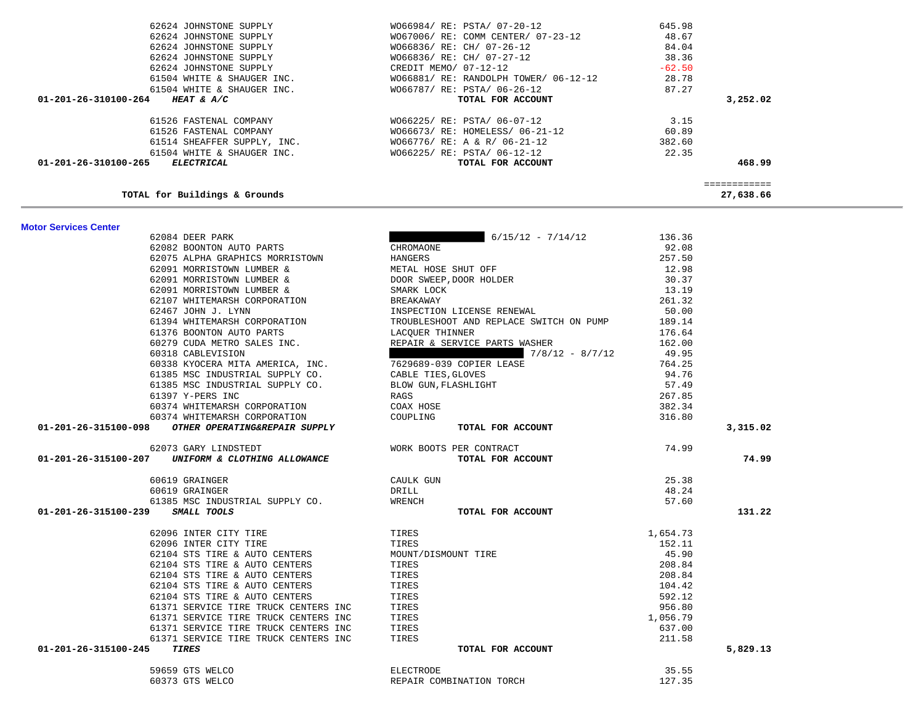| 61514 SHEAFFER SUPPLY, INC.                                      | $W066776/ RE: A & R/ 06-21-12$                   | 382.60   |                           |
|------------------------------------------------------------------|--------------------------------------------------|----------|---------------------------|
| 61504 WHITE & SHAUGER INC.<br>01-201-26-310100-265<br>ELECTRICAL | W066225/ RE: PSTA/ 06-12-12<br>TOTAL FOR ACCOUNT | 22.35    | 468.99                    |
|                                                                  |                                                  |          |                           |
| TOTAL for Buildings & Grounds                                    |                                                  |          | ============<br>27,638.66 |
| <b>Motor Services Center</b>                                     |                                                  |          |                           |
| 62084 DEER PARK                                                  | $6/15/12 - 7/14/12$                              | 136.36   |                           |
| 62082 BOONTON AUTO PARTS                                         | CHROMAONE                                        | 92.08    |                           |
| 62075 ALPHA GRAPHICS MORRISTOWN                                  | HANGERS                                          | 257.50   |                           |
| 62091 MORRISTOWN LUMBER &                                        | METAL HOSE SHUT OFF                              | 12.98    |                           |
| 62091 MORRISTOWN LUMBER &                                        | DOOR SWEEP, DOOR HOLDER                          | 30.37    |                           |
| 62091 MORRISTOWN LUMBER &                                        | SMARK LOCK                                       | 13.19    |                           |
| 62107 WHITEMARSH CORPORATION                                     | BREAKAWAY                                        | 261.32   |                           |
| 62467 JOHN J. LYNN                                               | INSPECTION LICENSE RENEWAL                       | 50.00    |                           |
| 61394 WHITEMARSH CORPORATION                                     | TROUBLESHOOT AND REPLACE SWITCH ON PUMP          | 189.14   |                           |
| 61376 BOONTON AUTO PARTS                                         | LACQUER THINNER                                  | 176.64   |                           |
| 60279 CUDA METRO SALES INC.                                      | REPAIR & SERVICE PARTS WASHER                    | 162.00   |                           |
| 60318 CABLEVISION                                                | $7/8/12 - 8/7/12$                                | 49.95    |                           |
| 60338 KYOCERA MITA AMERICA, INC.                                 | 7629689-039 COPIER LEASE                         | 764.25   |                           |
| 61385 MSC INDUSTRIAL SUPPLY CO.                                  | CABLE TIES, GLOVES                               | 94.76    |                           |
| 61385 MSC INDUSTRIAL SUPPLY CO.                                  | BLOW GUN, FLASHLIGHT                             | 57.49    |                           |
| 61397 Y-PERS INC                                                 | RAGS                                             | 267.85   |                           |
| 60374 WHITEMARSH CORPORATION                                     | COAX HOSE                                        | 382.34   |                           |
| 60374 WHITEMARSH CORPORATION                                     | COUPLING                                         | 316.80   |                           |
| 01-201-26-315100-098 OTHER OPERATING&REPAIR SUPPLY               | TOTAL FOR ACCOUNT                                |          | 3,315.02                  |
| 62073 GARY LINDSTEDT                                             | WORK BOOTS PER CONTRACT                          | 74.99    |                           |
| 01-201-26-315100-207 UNIFORM & CLOTHING ALLOWANCE                | TOTAL FOR ACCOUNT                                |          | 74.99                     |
| 60619 GRAINGER                                                   | CAULK GUN                                        | 25.38    |                           |
| 60619 GRAINGER                                                   | DRILL                                            | 48.24    |                           |
| 61385 MSC INDUSTRIAL SUPPLY CO.                                  | WRENCH                                           | 57.60    |                           |
| 01-201-26-315100-239<br>SMALL TOOLS                              | TOTAL FOR ACCOUNT                                |          | 131.22                    |
| 62096 INTER CITY TIRE                                            | TIRES                                            | 1,654.73 |                           |
| 62096 INTER CITY TIRE                                            | TIRES                                            | 152.11   |                           |
| 62104 STS TIRE & AUTO CENTERS                                    | MOUNT/DISMOUNT TIRE                              | 45.90    |                           |
| 62104 STS TIRE & AUTO CENTERS                                    | TIRES                                            | 208.84   |                           |
| 62104 STS TIRE & AUTO CENTERS                                    | TIRES                                            | 208.84   |                           |
| 62104 STS TIRE & AUTO CENTERS                                    | TIRES                                            | 104.42   |                           |
| 62104 STS TIRE & AUTO CENTERS                                    | TIRES                                            | 592.12   |                           |
| 61371 SERVICE TIRE TRUCK CENTERS INC                             | TIRES                                            | 956.80   |                           |
| 61371 SERVICE TIRE TRUCK CENTERS INC                             | TIRES                                            | 1,056.79 |                           |
| 61371 SERVICE TIRE TRUCK CENTERS INC                             | TIRES                                            | 637.00   |                           |
| 61371 SERVICE TIRE TRUCK CENTERS INC                             | TIRES                                            | 211.58   |                           |
| <b>TIRES</b><br>01-201-26-315100-245                             | TOTAL FOR ACCOUNT                                |          | 5,829.13                  |
| 59659 GTS WELCO                                                  | ELECTRODE                                        | 35.55    |                           |
| 60373 GTS WELCO                                                  | REPAIR COMBINATION TORCH                         | 127.35   |                           |

| 01-201-26-310100-265<br><i>ELECTRICAL</i>     | TOTAL FOR ACCOUNT                     |          | 468.99   |
|-----------------------------------------------|---------------------------------------|----------|----------|
| 61504 WHITE & SHAUGER INC.                    | W066225/ RE: PSTA/ 06-12-12           | 22.35    |          |
| 61514 SHEAFFER SUPPLY, INC.                   | WO66776/ RE: A & R/ 06-21-12          | 382.60   |          |
| 61526 FASTENAL COMPANY                        | W066673/ RE: HOMELESS/ 06-21-12       | 60.89    |          |
| 61526 FASTENAL COMPANY                        | W066225/ RE: PSTA/ 06-07-12           | 3.15     |          |
| 01-201-26-310100-264<br><i>HEAT &amp; A/C</i> | TOTAL FOR ACCOUNT                     |          | 3,252.02 |
| 61504 WHITE & SHAUGER INC.                    | W066787/ RE: PSTA/ 06-26-12           | 87.27    |          |
| 61504 WHITE & SHAUGER INC.                    | WO66881/ RE: RANDOLPH TOWER/ 06-12-12 | 28.78    |          |
| 62624 JOHNSTONE SUPPLY                        | CREDIT MEMO/ 07-12-12                 | $-62.50$ |          |
| 62624 JOHNSTONE SUPPLY                        | W066836/ RE: CH/ 07-27-12             | 38.36    |          |
| 62624 JOHNSTONE SUPPLY                        | W066836/ RE: CH/ 07-26-12             | 84.04    |          |
| 62624 JOHNSTONE SUPPLY                        | WO67006/ RE: COMM CENTER/ 07-23-12    | 48.67    |          |
| 62624 JOHNSTONE SUPPLY                        | W066984/RE: PSTA/07-20-12             | 645.98   |          |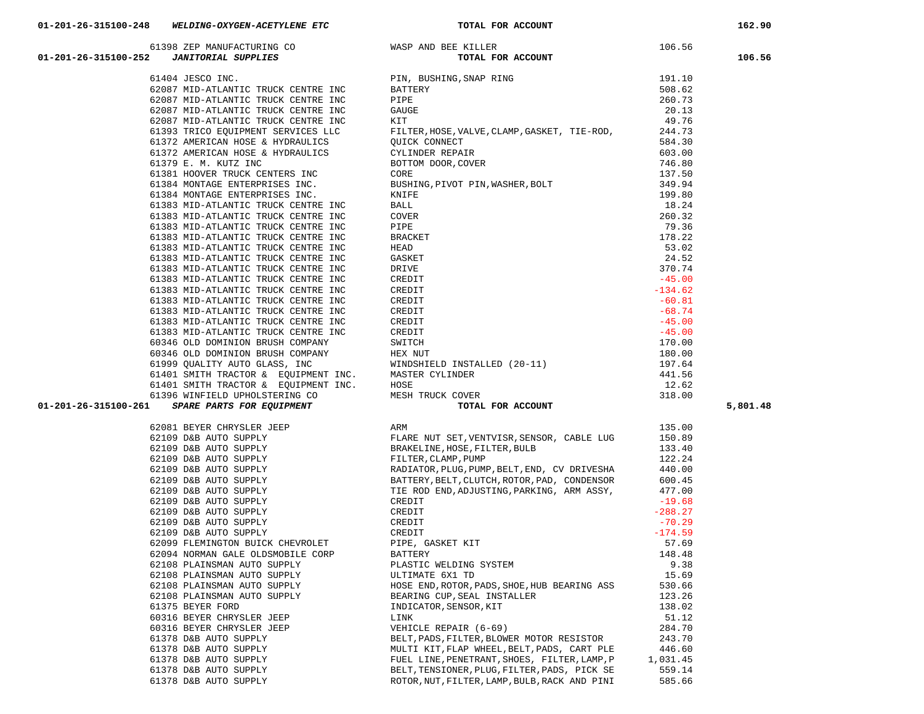|                                                                                                                                                                                                                                                                                                                                                                                                                                                         |                                              |          | 106.56   |
|---------------------------------------------------------------------------------------------------------------------------------------------------------------------------------------------------------------------------------------------------------------------------------------------------------------------------------------------------------------------------------------------------------------------------------------------------------|----------------------------------------------|----------|----------|
| $\begin{tabular}{lllllllllll} \multicolumn{3}{c }{61398} \hline & 61398 \hline & \text{ZEP MANUFACTURING CO} & \text{WASP AND BEE KILLER} & 106.56 \\ \multicolumn{3}{c }{\text{\textbf{TORIL SUPPLIES}}} & \textbf{JANTORIAL SUPPLIES} & \textbf{TOTAL FOR ACCOUNT} & 106.56 \\ & \textbf{TOTAL FOR ACCOUNT} & \textbf{OTAL FOR ACCOUNT} & 106.56 \\ \multicolumn{3}{c }{\text{\textbf{61404 JESCO INC}}}. & \textbf{SUPPLIES} & \textbf{TORUR CENTER$ |                                              |          |          |
|                                                                                                                                                                                                                                                                                                                                                                                                                                                         |                                              |          |          |
|                                                                                                                                                                                                                                                                                                                                                                                                                                                         |                                              |          |          |
|                                                                                                                                                                                                                                                                                                                                                                                                                                                         |                                              |          |          |
|                                                                                                                                                                                                                                                                                                                                                                                                                                                         |                                              |          |          |
|                                                                                                                                                                                                                                                                                                                                                                                                                                                         |                                              |          |          |
|                                                                                                                                                                                                                                                                                                                                                                                                                                                         |                                              |          |          |
|                                                                                                                                                                                                                                                                                                                                                                                                                                                         |                                              |          |          |
|                                                                                                                                                                                                                                                                                                                                                                                                                                                         |                                              |          |          |
|                                                                                                                                                                                                                                                                                                                                                                                                                                                         |                                              |          |          |
|                                                                                                                                                                                                                                                                                                                                                                                                                                                         |                                              |          |          |
|                                                                                                                                                                                                                                                                                                                                                                                                                                                         |                                              |          |          |
|                                                                                                                                                                                                                                                                                                                                                                                                                                                         |                                              |          |          |
|                                                                                                                                                                                                                                                                                                                                                                                                                                                         |                                              |          |          |
|                                                                                                                                                                                                                                                                                                                                                                                                                                                         |                                              |          |          |
|                                                                                                                                                                                                                                                                                                                                                                                                                                                         |                                              |          |          |
|                                                                                                                                                                                                                                                                                                                                                                                                                                                         |                                              |          |          |
|                                                                                                                                                                                                                                                                                                                                                                                                                                                         |                                              |          |          |
|                                                                                                                                                                                                                                                                                                                                                                                                                                                         |                                              |          |          |
|                                                                                                                                                                                                                                                                                                                                                                                                                                                         |                                              |          |          |
|                                                                                                                                                                                                                                                                                                                                                                                                                                                         |                                              |          |          |
|                                                                                                                                                                                                                                                                                                                                                                                                                                                         |                                              |          |          |
|                                                                                                                                                                                                                                                                                                                                                                                                                                                         |                                              |          |          |
|                                                                                                                                                                                                                                                                                                                                                                                                                                                         |                                              |          |          |
|                                                                                                                                                                                                                                                                                                                                                                                                                                                         |                                              |          |          |
|                                                                                                                                                                                                                                                                                                                                                                                                                                                         |                                              |          |          |
|                                                                                                                                                                                                                                                                                                                                                                                                                                                         |                                              |          |          |
|                                                                                                                                                                                                                                                                                                                                                                                                                                                         |                                              |          |          |
|                                                                                                                                                                                                                                                                                                                                                                                                                                                         |                                              |          |          |
|                                                                                                                                                                                                                                                                                                                                                                                                                                                         |                                              |          |          |
|                                                                                                                                                                                                                                                                                                                                                                                                                                                         |                                              |          |          |
|                                                                                                                                                                                                                                                                                                                                                                                                                                                         |                                              |          | 5,801.48 |
|                                                                                                                                                                                                                                                                                                                                                                                                                                                         |                                              |          |          |
|                                                                                                                                                                                                                                                                                                                                                                                                                                                         |                                              |          |          |
|                                                                                                                                                                                                                                                                                                                                                                                                                                                         |                                              |          |          |
|                                                                                                                                                                                                                                                                                                                                                                                                                                                         |                                              |          |          |
|                                                                                                                                                                                                                                                                                                                                                                                                                                                         |                                              |          |          |
|                                                                                                                                                                                                                                                                                                                                                                                                                                                         |                                              |          |          |
|                                                                                                                                                                                                                                                                                                                                                                                                                                                         |                                              |          |          |
|                                                                                                                                                                                                                                                                                                                                                                                                                                                         |                                              |          |          |
|                                                                                                                                                                                                                                                                                                                                                                                                                                                         |                                              |          |          |
|                                                                                                                                                                                                                                                                                                                                                                                                                                                         |                                              |          |          |
|                                                                                                                                                                                                                                                                                                                                                                                                                                                         |                                              |          |          |
|                                                                                                                                                                                                                                                                                                                                                                                                                                                         |                                              |          |          |
|                                                                                                                                                                                                                                                                                                                                                                                                                                                         |                                              |          |          |
|                                                                                                                                                                                                                                                                                                                                                                                                                                                         |                                              |          |          |
|                                                                                                                                                                                                                                                                                                                                                                                                                                                         |                                              |          |          |
| 62108 PLAINSMAN AUTO SUPPLY                                                                                                                                                                                                                                                                                                                                                                                                                             | ULTIMATE 6X1 TD                              | 15.69    |          |
| 62108 PLAINSMAN AUTO SUPPLY                                                                                                                                                                                                                                                                                                                                                                                                                             | HOSE END, ROTOR, PADS, SHOE, HUB BEARING ASS | 530.66   |          |
| 62108 PLAINSMAN AUTO SUPPLY                                                                                                                                                                                                                                                                                                                                                                                                                             | BEARING CUP, SEAL INSTALLER                  | 123.26   |          |
| 61375 BEYER FORD                                                                                                                                                                                                                                                                                                                                                                                                                                        | INDICATOR, SENSOR, KIT                       | 138.02   |          |
| 60316 BEYER CHRYSLER JEEP                                                                                                                                                                                                                                                                                                                                                                                                                               | LINK                                         | 51.12    |          |
| 60316 BEYER CHRYSLER JEEP                                                                                                                                                                                                                                                                                                                                                                                                                               | VEHICLE REPAIR (6-69)                        | 284.70   |          |
| 61378 D&B AUTO SUPPLY                                                                                                                                                                                                                                                                                                                                                                                                                                   | BELT, PADS, FILTER, BLOWER MOTOR RESISTOR    | 243.70   |          |
| 61378 D&B AUTO SUPPLY                                                                                                                                                                                                                                                                                                                                                                                                                                   | MULTI KIT, FLAP WHEEL, BELT, PADS, CART PLE  | 446.60   |          |
| 61378 D&B AUTO SUPPLY                                                                                                                                                                                                                                                                                                                                                                                                                                   | FUEL LINE, PENETRANT, SHOES, FILTER, LAMP, P | 1,031.45 |          |
| 61378 D&B AUTO SUPPLY                                                                                                                                                                                                                                                                                                                                                                                                                                   | BELT, TENSIONER, PLUG, FILTER, PADS, PICK SE | 559.14   |          |

| 61383 MID-ATLANTIC TRUCK CENTRE INC                                                                                                        | CREDIT                                                                                 | $-45.00$  |          |
|--------------------------------------------------------------------------------------------------------------------------------------------|----------------------------------------------------------------------------------------|-----------|----------|
| 61383 MID-ATLANTIC TRUCK CENTRE INC                                                                                                        | CREDIT                                                                                 | $-45.00$  |          |
| 60346 OLD DOMINION BRUSH COMPANY                                                                                                           | SWITCH                                                                                 | 170.00    |          |
| 60346 OLD DOMINION BRUSH COMPANY                                                                                                           | HEX NUT                                                                                | 180.00    |          |
|                                                                                                                                            | 61999 QUALITY AUTO GLASS, INC WINDSHIELD INSTALLED (20-11)                             | 197.64    |          |
| 61401 SMITH TRACTOR & EOUIPMENT INC. MASTER CYLINDER                                                                                       |                                                                                        | 441.56    |          |
| 61401 SMITH TRACTOR & EOUIPMENT INC. HOSE                                                                                                  |                                                                                        | 12.62     |          |
|                                                                                                                                            |                                                                                        | 318.00    |          |
| 61396 WINFIELD UPHOLSTERING CO<br>1 SPARE PARTS FOR EQUIPMENT MESH TRUCK COVER<br>TOTAL FOR ACCOUNT<br>01-201-26-315100-261                | TOTAL FOR ACCOUNT                                                                      |           | 5,801.48 |
| 62081 BEYER CHRYSLER JEEP                                                                                                                  | ARM                                                                                    | 135.00    |          |
| 62109 D&B AUTO SUPPLY                                                                                                                      | FLARE NUT SET, VENTVISR, SENSOR, CABLE LUG                                             | 150.89    |          |
| 62109 D&B AUTO SUPPLY                                                                                                                      | BRAKELINE, HOSE, FILTER, BULB                                                          | 133.40    |          |
| 62109 D&B AUTO SUPPLY                                                                                                                      | FILTER, CLAMP, PUMP                                                                    | 122.24    |          |
| 62109 D&B AUTO SUPPLY                                                                                                                      | RADIATOR, PLUG, PUMP, BELT, END, CV DRIVESHA                                           | 440.00    |          |
| 62109 D&B AUTO SUPPLY                                                                                                                      | BATTERY, BELT, CLUTCH, ROTOR, PAD, CONDENSOR                                           | 600.45    |          |
|                                                                                                                                            | TIE ROD END, ADJUSTING, PARKING, ARM ASSY,                                             | 477.00    |          |
| 62109 D&B AUTO SUPPLY<br>62109 D&B AUTO SUPPLY<br>62109 D&B AUTO SUPPLY                                                                    | CREDIT                                                                                 | $-19.68$  |          |
| 62109 D&B AUTO SUPPLY                                                                                                                      | CREDIT                                                                                 | $-288.27$ |          |
| 62109 D&B AUTO SUPPLY<br>62109 D&B AUTO SUPPLY<br>62099 FLEMINGTON BUICK CHEVROLET<br>62099 FLEMINGTON BUICK CHEVROLET<br>PIPE, GASKET KIT |                                                                                        | $-70.29$  |          |
|                                                                                                                                            |                                                                                        | $-174.59$ |          |
|                                                                                                                                            |                                                                                        | 57.69     |          |
| 62094 NORMAN GALE OLDSMOBILE CORP BATTERY                                                                                                  |                                                                                        | 148.48    |          |
|                                                                                                                                            | 62108 PLAINSMAN AUTO SUPPLY PLASTIC WELDING SYSTEM                                     | 9.38      |          |
| 62108 PLAINSMAN AUTO SUPPLY <b>AUTOMAL SETTER</b> 6X1 TD                                                                                   |                                                                                        | 15.69     |          |
| 62108 PLAINSMAN AUTO SUPPLY                                                                                                                | HOSE END, ROTOR, PADS, SHOE, HUB BEARING ASS                                           | 530.66    |          |
| 62108 PLAINSMAN AUTO SUPPLY                                                                                                                | BEARING CUP, SEAL INSTALLER<br>INDICATOR, SENSOR, KIT<br>INDICATOR, SENSOR, KIT        | 123.26    |          |
| 61375 BEYER FORD                                                                                                                           |                                                                                        | 138.02    |          |
| 60316 BEYER CHRYSLER JEEP                                                                                                                  | LINK                                                                                   | 51.12     |          |
|                                                                                                                                            | 60316 BEYER CHRYSLER JEEP<br>60316 BEYER CHRYSLER JEEP<br>2009 - VEHICLE REPAIR (6-69) | 284.70    |          |
| 61378 D&B AUTO SUPPLY                                                                                                                      | BELT, PADS, FILTER, BLOWER MOTOR RESISTOR                                              | 243.70    |          |
| 61378 D&B AUTO SUPPLY                                                                                                                      | MULTI KIT, FLAP WHEEL, BELT, PADS, CART PLE                                            | 446.60    |          |
| 61378 D&B AUTO SUPPLY                                                                                                                      | FUEL LINE, PENETRANT, SHOES, FILTER, LAMP, P 1, 031.45                                 |           |          |
| 61378 D&B AUTO SUPPLY                                                                                                                      | BELT, TENSIONER, PLUG, FILTER, PADS, PICK SE                                           | 559.14    |          |
| 61378 D&B AUTO SUPPLY                                                                                                                      | ROTOR, NUT, FILTER, LAMP, BULB, RACK AND PINI                                          | 585.66    |          |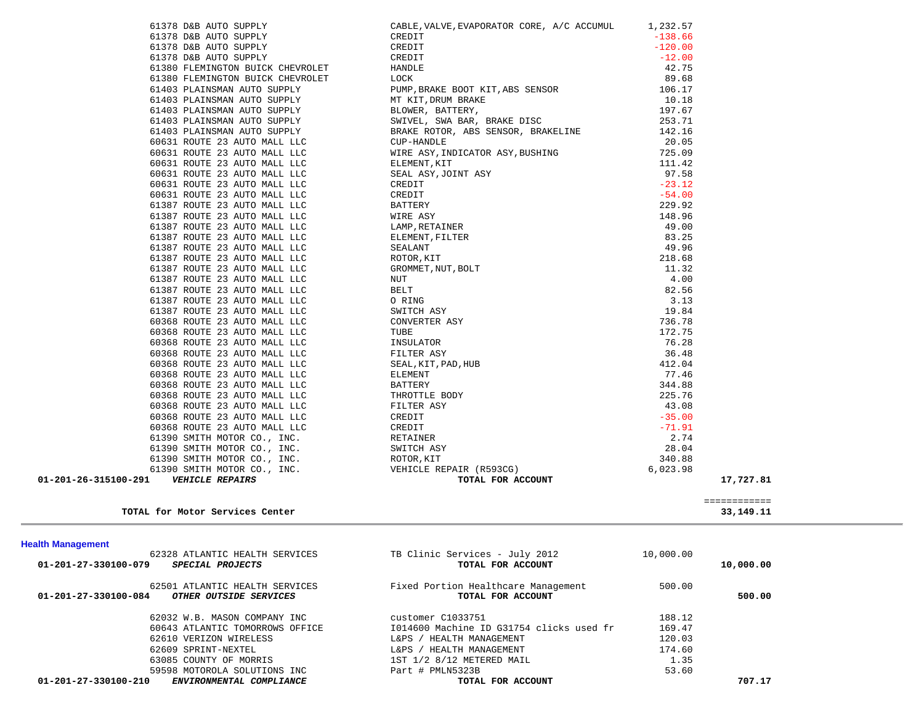|                                                  | CUP-HANDLE                               | 20.05     |                             |  |
|--------------------------------------------------|------------------------------------------|-----------|-----------------------------|--|
| 60631 ROUTE 23 AUTO MALL LLC                     | WIRE ASY, INDICATOR ASY, BUSHING         | 725.09    |                             |  |
| 60631 ROUTE 23 AUTO MALL LLC                     | ELEMENT, KIT                             | 111.42    |                             |  |
| 60631 ROUTE 23 AUTO MALL LLC                     | SEAL ASY, JOINT ASY                      | 97.58     |                             |  |
| 60631 ROUTE 23 AUTO MALL LLC                     | CREDIT                                   | $-23.12$  |                             |  |
| 60631 ROUTE 23 AUTO MALL LLC                     | CREDIT                                   | $-54.00$  |                             |  |
| 61387 ROUTE 23 AUTO MALL LLC                     | BATTERY                                  | 229.92    |                             |  |
| 61387 ROUTE 23 AUTO MALL LLC                     | WIRE ASY                                 | 148.96    |                             |  |
| 61387 ROUTE 23 AUTO MALL LLC                     | LAMP, RETAINER                           | 49.00     |                             |  |
| 61387 ROUTE 23 AUTO MALL LLC                     | ELEMENT, FILTER                          | 83.25     |                             |  |
| 61387 ROUTE 23 AUTO MALL LLC                     | SEALANT                                  | 49.96     |                             |  |
| 61387 ROUTE 23 AUTO MALL LLC                     | ROTOR, KIT                               | 218.68    |                             |  |
| 61387 ROUTE 23 AUTO MALL LLC                     | GROMMET, NUT, BOLT                       | 11.32     |                             |  |
| 61387 ROUTE 23 AUTO MALL LLC                     | NUT                                      | 4.00      |                             |  |
| 61387 ROUTE 23 AUTO MALL LLC                     | BELT                                     | 82.56     |                             |  |
|                                                  | O RING                                   | 3.13      |                             |  |
| 61387 ROUTE 23 AUTO MALL LLC                     |                                          |           |                             |  |
| 61387 ROUTE 23 AUTO MALL LLC                     | SWITCH ASY                               | 19.84     |                             |  |
| 60368 ROUTE 23 AUTO MALL LLC                     | CONVERTER ASY                            | 736.78    |                             |  |
| 60368 ROUTE 23 AUTO MALL LLC                     | TUBE                                     | 172.75    |                             |  |
| 60368 ROUTE 23 AUTO MALL LLC                     | INSULATOR                                | 76.28     |                             |  |
| 60368 ROUTE 23 AUTO MALL LLC                     | FILTER ASY                               | 36.48     |                             |  |
| 60368 ROUTE 23 AUTO MALL LLC                     | SEAL, KIT, PAD, HUB                      | 412.04    |                             |  |
| 60368 ROUTE 23 AUTO MALL LLC                     | ELEMENT                                  | 77.46     |                             |  |
| 60368 ROUTE 23 AUTO MALL LLC                     | BATTERY                                  | 344.88    |                             |  |
| 60368 ROUTE 23 AUTO MALL LLC                     | THROTTLE BODY                            | 225.76    |                             |  |
| 60368 ROUTE 23 AUTO MALL LLC                     | FILTER ASY                               | 43.08     |                             |  |
| 60368 ROUTE 23 AUTO MALL LLC                     | CREDIT                                   | $-35.00$  |                             |  |
| 60368 ROUTE 23 AUTO MALL LLC                     | CREDIT                                   | $-71.91$  |                             |  |
| 61390 SMITH MOTOR CO., INC.                      | RETAINER                                 | 2.74      |                             |  |
| 61390 SMITH MOTOR CO., INC.                      | SWITCH ASY                               | 28.04     |                             |  |
| 61390 SMITH MOTOR CO., INC.                      | ROTOR, KIT                               | 340.88    |                             |  |
| 61390 SMITH MOTOR CO., INC.                      | VEHICLE REPAIR (R593CG)                  | 6,023.98  |                             |  |
| 01-201-26-315100-291    VEHICLE REPAIRS          | TOTAL FOR ACCOUNT                        |           | 17,727.81                   |  |
|                                                  |                                          |           |                             |  |
| TOTAL for Motor Services Center                  |                                          |           | ============<br>33, 149. 11 |  |
|                                                  |                                          |           |                             |  |
|                                                  |                                          |           |                             |  |
|                                                  |                                          |           |                             |  |
| <b>Health Management</b>                         |                                          |           |                             |  |
| 62328 ATLANTIC HEALTH SERVICES                   | TB Clinic Services - July 2012           | 10,000.00 |                             |  |
| 01-201-27-330100-079<br>SPECIAL PROJECTS         | TOTAL FOR ACCOUNT                        |           | 10,000.00                   |  |
|                                                  |                                          |           |                             |  |
| 62501 ATLANTIC HEALTH SERVICES                   | Fixed Portion Healthcare Management      | 500.00    |                             |  |
| OTHER OUTSIDE SERVICES<br>01-201-27-330100-084   | TOTAL FOR ACCOUNT                        |           | 500.00                      |  |
|                                                  |                                          |           |                             |  |
| 62032 W.B. MASON COMPANY INC                     | customer C1033751                        | 188.12    |                             |  |
| 60643 ATLANTIC TOMORROWS OFFICE                  | 1014600 Machine ID G31754 clicks used fr | 169.47    |                             |  |
| 62610 VERIZON WIRELESS                           | L&PS / HEALTH MANAGEMENT                 | 120.03    |                             |  |
| 62609 SPRINT-NEXTEL                              | L&PS / HEALTH MANAGEMENT                 | 174.60    |                             |  |
| 63085 COUNTY OF MORRIS                           | 1ST 1/2 8/12 METERED MAIL                | 1.35      |                             |  |
| 59598 MOTOROLA SOLUTIONS INC                     | Part # PMLN5323B                         | 53.60     |                             |  |
| ENVIRONMENTAL COMPLIANCE<br>01-201-27-330100-210 | TOTAL FOR ACCOUNT                        |           | 707.17                      |  |
|                                                  |                                          |           |                             |  |
|                                                  |                                          |           |                             |  |
|                                                  |                                          |           |                             |  |
|                                                  |                                          |           |                             |  |
|                                                  |                                          |           |                             |  |
|                                                  |                                          |           |                             |  |
|                                                  |                                          |           |                             |  |

 61378 D&B AUTO SUPPLY CABLE,VALVE,EVAPORATOR CORE, A/C ACCUMUL 1,232.57 61378 D&B AUTO SUPPLY CREDIT CREDIT CREDIT

61378 D&B AUTO SUPPLY CREDIT CREDIT CONSERVATION OF THE SERVICE OF THE SERVICE OF THE SERVICE OF THE SERVICE OF THE SERVICE OF THE SERVICE OF THE SERVICE OF THE SERVICE OF THE SERVICE OF THE SERVICE OF THE SERVICE OF THE S 61380 FLEMINGTON BUICK CHEVROLET HANDLE HANDLE 42.75 61380 FLEMINGTON BUICK CHEVROLET LOCK 89.68 61403 PLAINSMAN AUTO SUPPLY PUMP,BRAKE BOOT KIT,ABS SENSOR 106.17 61403 PLAINSMAN AUTO SUPPLY MT KIT, DRUM BRAKE 10.18 61403 PLAINSMAN AUTO SUPPLY BLOWER, BATTERY, 197.67 61403 PLAINSMAN AUTO SUPPLY SWIVEL, SWA BAR, BRAKE DISC 253.71 61403 PLAINSMAN AUTO SUPPLY BRAKE ROTOR, ABS SENSOR, BRAKELINE 142.16

61378 D&B AUTO SUPPLY CREDIT

 $-120.00$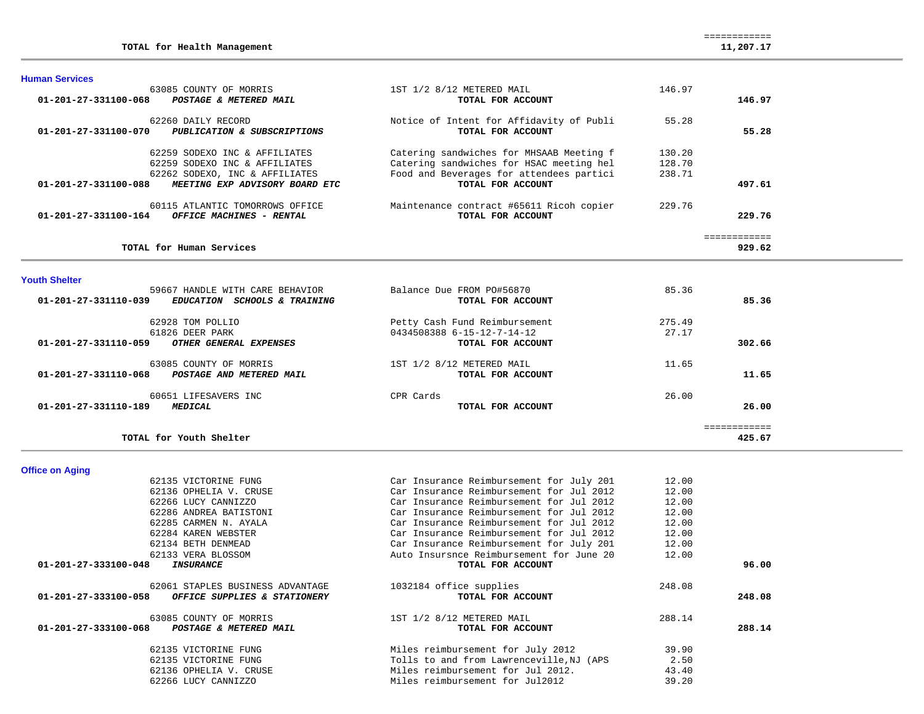|  |  |  | TOTAL for Health Management | 11,207.17 |
|--|--|--|-----------------------------|-----------|
|--|--|--|-----------------------------|-----------|

63085 COUNTY OF MORRIS 1980 12 146.97  **01-201-27-331100-068** *POSTAGE & METERED MAIL* **TOTAL FOR ACCOUNT 146.97** 62260 DAILY RECORD Notice of Intent for Affidavity of Publi 55.28  **01-201-27-331100-070** *PUBLICATION & SUBSCRIPTIONS* **TOTAL FOR ACCOUNT 55.28**62259 SODEXO INC & AFFILIATES (Catering sandwiches for MHSAAB Meeting f 130.20<br>62259 SODEXO INC & AFFILIATES (Catering sandwiches for HSAC meeting hel 128.70)  $Catering$  sandwiches for HSAC meeting hel 62262 SODEXO, INC & AFFILIATES Food and Beverages for attendees partici 238.71<br>3 **MEETING EXP ADVISORY BOARD ETC TOTAL FOR ACCOUNT 01-201-27-331100-088** *MEETING EXP ADVISORY BOARD ETC* **TOTAL FOR ACCOUNT 497.61** 60115 ATLANTIC TOMORROWS OFFICE Maintenance contract #65611 Ricoh copier 229.76  **01-201-27-331100-164** *OFFICE MACHINES - RENTAL* **TOTAL FOR ACCOUNT 229.76** ============ **TOTAL for Human Services 929.62**

**Youth Shelter** 

**Office on Aging** 

**Human Services** 

| 59667 HANDLE WITH CARE BEHAVIOR                       | Balance Due FROM PO#56870     | 85.36        |  |
|-------------------------------------------------------|-------------------------------|--------------|--|
| 01-201-27-331110-039<br>EDUCATION SCHOOLS & TRAINING  | TOTAL FOR ACCOUNT             | 85.36        |  |
| 62928 TOM POLLIO                                      | Petty Cash Fund Reimbursement | 275.49       |  |
| 61826 DEER PARK                                       | 0434508388 6-15-12-7-14-12    | 27.17        |  |
| 01-201-27-331110-059<br><i>OTHER GENERAL EXPENSES</i> | TOTAL FOR ACCOUNT             | 302.66       |  |
| 63085 COUNTY OF MORRIS                                | 1ST 1/2 8/12 METERED MAIL     | 11.65        |  |
| 01-201-27-331110-068<br>POSTAGE AND METERED MAIL      | TOTAL FOR ACCOUNT             | 11.65        |  |
| 60651 LIFESAVERS INC                                  | CPR Cards                     | 26.00        |  |
| 01-201-27-331110-189<br><i><b>MEDICAL</b></i>         | TOTAL FOR ACCOUNT             | 26.00        |  |
|                                                       |                               | ------------ |  |
| TOTAL for Youth Shelter                               |                               | 425.67       |  |

| 62135 VICTORINE FUNG                                 | Car Insurance Reimbursement for July 201  | 12.00  |        |
|------------------------------------------------------|-------------------------------------------|--------|--------|
| 62136 OPHELIA V. CRUSE                               | Car Insurance Reimbursement for Jul 2012  | 12.00  |        |
| 62266 LUCY CANNIZZO                                  | Car Insurance Reimbursement for Jul 2012  | 12.00  |        |
| 62286 ANDREA BATISTONI                               | Car Insurance Reimbursement for Jul 2012  | 12.00  |        |
| 62285 CARMEN N. AYALA                                | Car Insurance Reimbursement for Jul 2012  | 12.00  |        |
| 62284 KAREN WEBSTER                                  | Car Insurance Reimbursement for Jul 2012  | 12.00  |        |
| 62134 BETH DENMEAD                                   | Car Insurance Reimbursement for July 201  | 12.00  |        |
| 62133 VERA BLOSSOM                                   | Auto Insursnce Reimbursement for June 20  | 12.00  |        |
| 01-201-27-333100-048<br>INSURANCE                    | TOTAL FOR ACCOUNT                         |        | 96.00  |
| 62061 STAPLES BUSINESS ADVANTAGE                     | 1032184 office supplies                   | 248.08 |        |
| 01-201-27-333100-058<br>OFFICE SUPPLIES & STATIONERY | TOTAL FOR ACCOUNT                         |        | 248.08 |
| 63085 COUNTY OF MORRIS                               | 1ST 1/2 8/12 METERED MAIL                 | 288.14 |        |
| 01-201-27-333100-068<br>POSTAGE & METERED MAIL       | TOTAL FOR ACCOUNT                         |        | 288.14 |
| 62135 VICTORINE FUNG                                 | Miles reimbursement for July 2012         | 39.90  |        |
| 62135 VICTORINE FUNG                                 | Tolls to and from Lawrenceville, NJ (APS) | 2.50   |        |
| 62136 OPHELIA V. CRUSE                               | Miles reimbursement for Jul 2012.         | 43.40  |        |
| 62266 LUCY CANNIZZO                                  | Miles reimbursement for Jul2012           | 39.20  |        |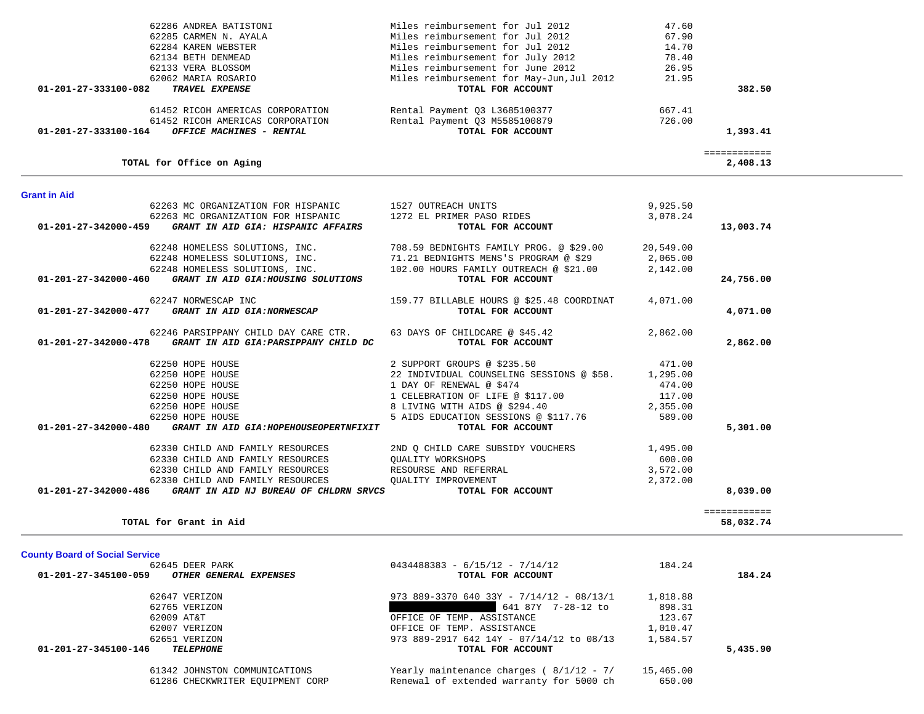|                                          |                                                                                                                                                                                                                                   | 58,032.74                                                                                                             |
|------------------------------------------|-----------------------------------------------------------------------------------------------------------------------------------------------------------------------------------------------------------------------------------|-----------------------------------------------------------------------------------------------------------------------|
|                                          |                                                                                                                                                                                                                                   |                                                                                                                       |
|                                          |                                                                                                                                                                                                                                   |                                                                                                                       |
| TOTAL FOR ACCOUNT                        |                                                                                                                                                                                                                                   | 184.24                                                                                                                |
|                                          |                                                                                                                                                                                                                                   |                                                                                                                       |
|                                          |                                                                                                                                                                                                                                   |                                                                                                                       |
|                                          |                                                                                                                                                                                                                                   |                                                                                                                       |
|                                          |                                                                                                                                                                                                                                   |                                                                                                                       |
|                                          |                                                                                                                                                                                                                                   |                                                                                                                       |
|                                          |                                                                                                                                                                                                                                   |                                                                                                                       |
|                                          |                                                                                                                                                                                                                                   | 5,435.90                                                                                                              |
|                                          |                                                                                                                                                                                                                                   |                                                                                                                       |
| Renewal of extended warranty for 5000 ch | 650.00                                                                                                                                                                                                                            |                                                                                                                       |
|                                          | $0434488383 - 6/15/12 - 7/14/12$<br>973 889-3370 640 33Y - $7/14/12$ - 08/13/1<br>641 87Y 7-28-12 to<br>OFFICE OF TEMP. ASSISTANCE<br>OFFICE OF TEMP. ASSISTANCE<br>973 889-2917 642 14Y - 07/14/12 to 08/13<br>TOTAL FOR ACCOUNT | 184.24<br>1,818.88<br>898.31<br>123.67<br>1,010.47<br>1,584.57<br>Yearly maintenance charges ( $8/1/12 - 7/15,465.00$ |

|  | TOTAL for Grant in Aio |  |
|--|------------------------|--|
|  |                        |  |

| TOTAL for Office on Aging                                      | 2,408.13                                                                            |  |
|----------------------------------------------------------------|-------------------------------------------------------------------------------------|--|
| <b>Grant in Aid</b>                                            |                                                                                     |  |
| 62263 MC ORGANIZATION FOR HISPANIC 1527 OUTREACH UNITS         | 9,925.50                                                                            |  |
| 62263 MC ORGANIZATION FOR HISPANIC                             | 1272 EL PRIMER PASO RIDES<br>3,078.24                                               |  |
| 01-201-27-342000-459<br>GRANT IN AID GIA: HISPANIC AFFAIRS     | 13,003.74<br>TOTAL FOR ACCOUNT                                                      |  |
|                                                                | 62248 HOMELESS SOLUTIONS, INC. 708.59 BEDNIGHTS FAMILY PROG. @ \$29.00<br>20,549.00 |  |
| 62248 HOMELESS SOLUTIONS, INC.                                 | 71.21 BEDNIGHTS MENS'S PROGRAM @ \$29<br>2,065.00                                   |  |
| 62248 HOMELESS SOLUTIONS, INC.                                 | 102.00 HOURS FAMILY OUTREACH @ \$21.00<br>2,142.00                                  |  |
| GRANT IN AID GIA: HOUSING SOLUTIONS<br>01-201-27-342000-460    | TOTAL FOR ACCOUNT<br>24,756.00                                                      |  |
| 62247 NORWESCAP INC                                            | 159.77 BILLABLE HOURS @ \$25.48 COORDINAT<br>4,071.00                               |  |
| 01-201-27-342000-477<br>GRANT IN AID GIA:NORWESCAP             | TOTAL FOR ACCOUNT<br>4,071.00                                                       |  |
| 62246 PARSIPPANY CHILD DAY CARE CTR.                           | 63 DAYS OF CHILDCARE @ \$45.42<br>2,862.00                                          |  |
| 01-201-27-342000-478 GRANT IN AID GIA: PARSIPPANY CHILD DC     | 2,862.00<br>TOTAL FOR ACCOUNT                                                       |  |
| 62250 HOPE HOUSE                                               | 2 SUPPORT GROUPS @ \$235.50<br>471.00                                               |  |
| 62250 HOPE HOUSE                                               | 22 INDIVIDUAL COUNSELING SESSIONS @ \$58.<br>1,295.00                               |  |
| 62250 HOPE HOUSE                                               | 1 DAY OF RENEWAL @ \$474<br>474.00                                                  |  |
| 62250 HOPE HOUSE                                               | 1 CELEBRATION OF LIFE @ \$117.00<br>117.00                                          |  |
| 62250 HOPE HOUSE                                               | 8 LIVING WITH AIDS @ \$294.40<br>2,355.00                                           |  |
| 62250 HOPE HOUSE                                               | 5 AIDS EDUCATION SESSIONS @ \$117.76<br>589.00                                      |  |
| 01-201-27-342000-480<br>GRANT IN AID GIA: HOPEHOUSEOPERTNFIXIT | TOTAL FOR ACCOUNT<br>5,301.00                                                       |  |
| 62330 CHILD AND FAMILY RESOURCES                               | 2ND Q CHILD CARE SUBSIDY VOUCHERS<br>1,495.00                                       |  |
| 62330 CHILD AND FAMILY RESOURCES                               | <b>OUALITY WORKSHOPS</b><br>600.00                                                  |  |
| 62330 CHILD AND FAMILY RESOURCES                               | RESOURSE AND REFERRAL<br>3,572.00                                                   |  |
| 62330 CHILD AND FAMILY RESOURCES                               | OUALITY IMPROVEMENT<br>2,372.00                                                     |  |
| 01-201-27-342000-486<br>GRANT IN AID NJ BUREAU OF CHLDRN SRVCS | 8,039.00<br>TOTAL FOR ACCOUNT                                                       |  |
|                                                                | ============                                                                        |  |
| $H = 2$                                                        | <b>FO. 030 FA</b>                                                                   |  |

| _____________<br>_____________ |                           |
|--------------------------------|---------------------------|
| 408.13<br>- -                  | TOTAL for Office on Aging |

| 62286 ANDREA BATISTONI                                  | Miles reimbursement for Jul 2012          | 47.60  |          |
|---------------------------------------------------------|-------------------------------------------|--------|----------|
| 62285 CARMEN N. AYALA                                   | Miles reimbursement for Jul 2012          | 67.90  |          |
| 62284 KAREN WEBSTER                                     | Miles reimbursement for Jul 2012          | 14.70  |          |
| 62134 BETH DENMEAD                                      | Miles reimbursement for July 2012         | 78.40  |          |
| 62133 VERA BLOSSOM                                      | Miles reimbursement for June 2012         | 26.95  |          |
| 62062 MARIA ROSARIO                                     | Miles reimbursement for May-Jun, Jul 2012 | 21.95  |          |
| TRAVEL EXPENSE<br>01-201-27-333100-082                  | TOTAL FOR ACCOUNT                         |        | 382.50   |
| 61452 RICOH AMERICAS CORPORATION                        | Rental Payment Q3 L3685100377             | 667.41 |          |
| 61452 RICOH AMERICAS CORPORATION                        | Rental Payment Q3 M5585100879             | 726.00 |          |
| 01-201-27-333100-164<br><b>OFFICE MACHINES - RENTAL</b> | TOTAL FOR ACCOUNT                         |        | 1,393.41 |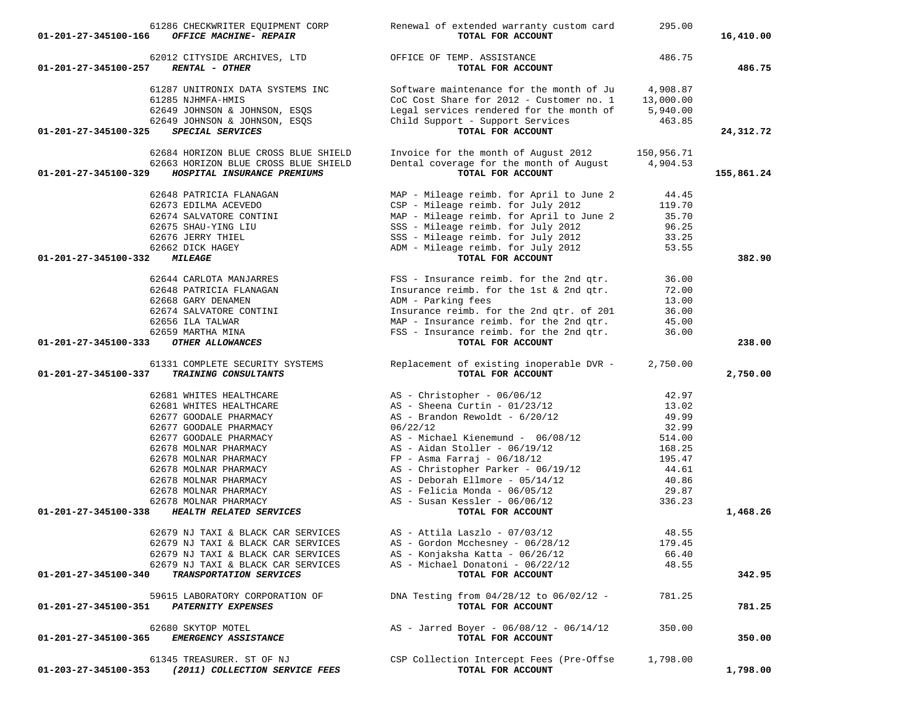| 01-201-27-345100-166 | 61286 CHECKWRITER EQUIPMENT CORP<br>OFFICE MACHINE- REPAIR               | Renewal of extended warranty custom card<br>TOTAL FOR ACCOUNT        | 295.00          | 16,410.00  |
|----------------------|--------------------------------------------------------------------------|----------------------------------------------------------------------|-----------------|------------|
| 01-201-27-345100-257 | 62012 CITYSIDE ARCHIVES, LTD<br><b>RENTAL - OTHER</b>                    | OFFICE OF TEMP. ASSISTANCE<br>TOTAL FOR ACCOUNT                      | 486.75          | 486.75     |
|                      | 61287 UNITRONIX DATA SYSTEMS INC                                         | Software maintenance for the month of Ju                             | 4,908.87        |            |
|                      | 61285 NJHMFA-HMIS                                                        | CoC Cost Share for 2012 - Customer no. 1                             | 13,000.00       |            |
|                      | 62649 JOHNSON & JOHNSON, ESQS                                            | Legal services rendered for the month of                             | 5,940.00        |            |
|                      | 62649 JOHNSON & JOHNSON, ESQS                                            | Child Support - Support Services                                     | 463.85          |            |
| 01-201-27-345100-325 | SPECIAL SERVICES                                                         | TOTAL FOR ACCOUNT                                                    |                 | 24,312.72  |
|                      | 62684 HORIZON BLUE CROSS BLUE SHIELD                                     | Invoice for the month of August 2012                                 | 150,956.71      |            |
|                      | 62663 HORIZON BLUE CROSS BLUE SHIELD                                     | Dental coverage for the month of August                              | 4,904.53        |            |
| 01-201-27-345100-329 | HOSPITAL INSURANCE PREMIUMS                                              | TOTAL FOR ACCOUNT                                                    |                 | 155,861.24 |
|                      | 62648 PATRICIA FLANAGAN                                                  | MAP - Mileage reimb. for April to June 2                             | 44.45           |            |
|                      | 62673 EDILMA ACEVEDO                                                     | CSP - Mileage reimb. for July 2012                                   | 119.70          |            |
|                      | 62674 SALVATORE CONTINI                                                  | MAP - Mileage reimb. for April to June 2                             | 35.70           |            |
|                      | 62675 SHAU-YING LIU                                                      | SSS - Mileage reimb. for July 2012                                   | 96.25           |            |
|                      | 62676 JERRY THIEL                                                        | SSS - Mileage reimb. for July 2012                                   | 33.25           |            |
|                      | 62662 DICK HAGEY                                                         | ADM - Mileage reimb. for July 2012                                   | 53.55           |            |
| 01-201-27-345100-332 | <i><b>MILEAGE</b></i>                                                    | TOTAL FOR ACCOUNT                                                    |                 | 382.90     |
|                      | 62644 CARLOTA MANJARRES                                                  | FSS - Insurance reimb. for the 2nd qtr.                              | 36.00           |            |
|                      | 62648 PATRICIA FLANAGAN                                                  | Insurance reimb. for the 1st & 2nd qtr.                              | 72.00           |            |
|                      | 62668 GARY DENAMEN                                                       | ADM - Parking fees                                                   | 13.00           |            |
|                      | 62674 SALVATORE CONTINI                                                  | Insurance reimb. for the 2nd qtr. of 201                             | 36.00           |            |
|                      | 62656 ILA TALWAR                                                         | MAP - Insurance reimb. for the 2nd gtr.                              | 45.00           |            |
|                      | 62659 MARTHA MINA                                                        | FSS - Insurance reimb. for the 2nd qtr.                              | 36.00           |            |
| 01-201-27-345100-333 | OTHER ALLOWANCES                                                         | TOTAL FOR ACCOUNT                                                    |                 | 238.00     |
|                      | 61331 COMPLETE SECURITY SYSTEMS                                          | Replacement of existing inoperable DVR -                             | 2,750.00        |            |
| 01-201-27-345100-337 | TRAINING CONSULTANTS                                                     | TOTAL FOR ACCOUNT                                                    |                 | 2,750.00   |
|                      | 62681 WHITES HEALTHCARE                                                  | $AS - Christopher - 06/06/12$                                        | 42.97           |            |
|                      | 62681 WHITES HEALTHCARE                                                  | AS - Sheena Curtin - $01/23/12$                                      | 13.02           |            |
|                      | 62677 GOODALE PHARMACY                                                   | $AS$ - Brandon Rewoldt - $6/20/12$                                   | 49.99           |            |
|                      | 62677 GOODALE PHARMACY                                                   | 06/22/12                                                             | 32.99           |            |
|                      | 62677 GOODALE PHARMACY                                                   | AS - Michael Kienemund - 06/08/12                                    | 514.00          |            |
|                      | 62678 MOLNAR PHARMACY                                                    | $AS - Aidan Stoller - 06/19/12$                                      | 168.25          |            |
|                      | 62678 MOLNAR PHARMACY                                                    | $FP - Asma Farraj - 06/18/12$                                        | 195.47          |            |
|                      | 62678 MOLNAR PHARMACY                                                    | $AS - Christopher Parker - 06/19/12$                                 | 44.61           |            |
|                      | 62678 MOLNAR PHARMACY                                                    | $AS - Deborah Ellmore - 05/14/12$<br>$AS$ - Felicia Monda - 06/05/12 | 40.86<br>29.87  |            |
|                      | 62678 MOLNAR PHARMACY<br>62678 MOLNAR PHARMACY                           | $AS - Susan Kessler - 06/06/12$                                      | 336.23          |            |
| 01-201-27-345100-338 | HEALTH RELATED SERVICES                                                  | TOTAL FOR ACCOUNT                                                    |                 | 1,468.26   |
|                      |                                                                          |                                                                      |                 |            |
|                      | 62679 NJ TAXI & BLACK CAR SERVICES                                       | $AS - Attila Laszlo - 07/03/12$                                      | 48.55           |            |
|                      | 62679 NJ TAXI & BLACK CAR SERVICES                                       | AS - Gordon Mcchesney - 06/28/12                                     | 179.45<br>66.40 |            |
|                      | 62679 NJ TAXI & BLACK CAR SERVICES<br>62679 NJ TAXI & BLACK CAR SERVICES | AS - Konjaksha Katta - 06/26/12<br>AS - Michael Donatoni - 06/22/12  | 48.55           |            |
| 01-201-27-345100-340 | TRANSPORTATION SERVICES                                                  | TOTAL FOR ACCOUNT                                                    |                 | 342.95     |
|                      | 59615 LABORATORY CORPORATION OF                                          | DNA Testing from $04/28/12$ to $06/02/12$ -                          | 781.25          |            |
|                      | 01-201-27-345100-351 PATERNITY EXPENSES                                  | TOTAL FOR ACCOUNT                                                    |                 | 781.25     |
|                      |                                                                          |                                                                      |                 |            |
| 01-201-27-345100-365 | 62680 SKYTOP MOTEL<br>EMERGENCY ASSISTANCE                               | AS - Jarred Boyer - 06/08/12 - 06/14/12<br>TOTAL FOR ACCOUNT         | 350.00          | 350.00     |
|                      |                                                                          |                                                                      |                 |            |
|                      | 61345 TREASURER. ST OF NJ                                                | CSP Collection Intercept Fees (Pre-Offse                             | 1,798.00        |            |
|                      | 01-203-27-345100-353 (2011) COLLECTION SERVICE FEES                      | TOTAL FOR ACCOUNT                                                    |                 | 1,798.00   |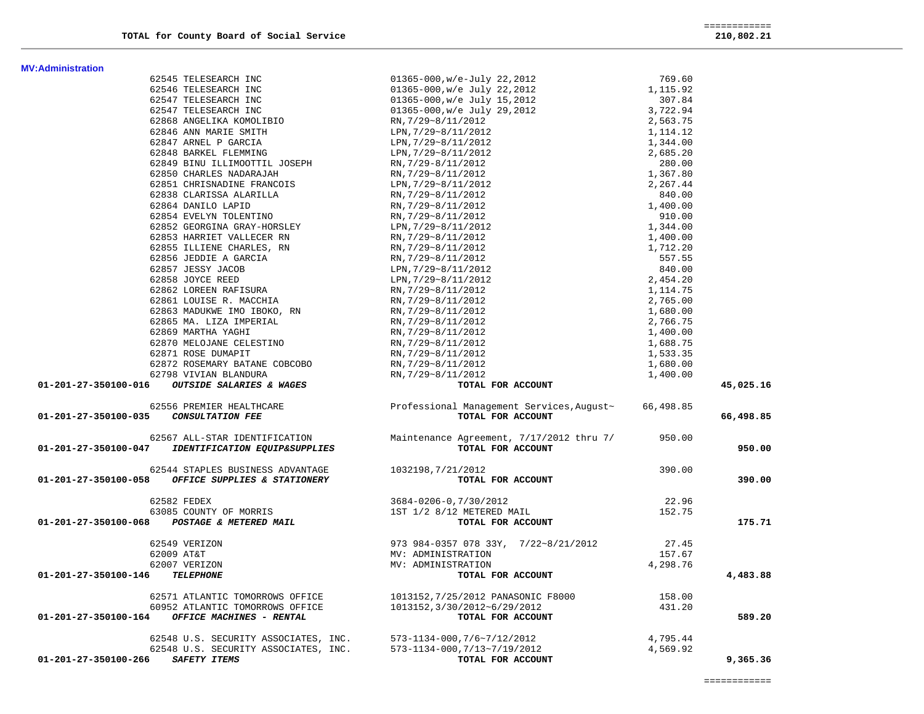|                                                                      | 62546 TELESEARCH INC                                                                                            |                                                                                       |          |           |
|----------------------------------------------------------------------|-----------------------------------------------------------------------------------------------------------------|---------------------------------------------------------------------------------------|----------|-----------|
|                                                                      | 62547 TELESEARCH INC                                                                                            |                                                                                       |          |           |
|                                                                      | 62547 TELESEARCH INC                                                                                            |                                                                                       |          |           |
|                                                                      | 62868 ANGELIKA KOMOLIBIO                                                                                        |                                                                                       |          |           |
|                                                                      | 62846 ANN MARIE SMITH                                                                                           |                                                                                       |          |           |
|                                                                      | 62847 ARNEL P GARCIA                                                                                            |                                                                                       |          |           |
|                                                                      | 62848 BARKEL FLEMMING                                                                                           |                                                                                       |          |           |
|                                                                      | 62849 BINU ILLIMOOTTIL JOSEPH                                                                                   |                                                                                       |          |           |
|                                                                      | 62850 CHARLES NADARAJAH                                                                                         |                                                                                       |          |           |
|                                                                      | 62851 CHRISNADINE FRANCOIS                                                                                      |                                                                                       |          |           |
|                                                                      | 62838 CLARISSA ALARILLA                                                                                         |                                                                                       |          |           |
|                                                                      | 62864 DANILO LAPID                                                                                              |                                                                                       |          |           |
|                                                                      | 62854 EVELYN TOLENTINO                                                                                          |                                                                                       |          |           |
|                                                                      | 62852 GEORGINA GRAY-HORSLEY                                                                                     |                                                                                       |          |           |
|                                                                      | 62853 HARRIET VALLECER RN                                                                                       |                                                                                       |          |           |
|                                                                      | 62855 ILLIENE CHARLES, RN                                                                                       |                                                                                       |          |           |
|                                                                      | 62856 JEDDIE A GARCIA                                                                                           |                                                                                       |          |           |
|                                                                      | 62857 JESSY JACOB                                                                                               |                                                                                       |          |           |
|                                                                      | 62858 JOYCE REED                                                                                                |                                                                                       |          |           |
|                                                                      | 62862 LOREEN RAFISURA                                                                                           |                                                                                       |          |           |
|                                                                      | 62861 LOUISE R. MACCHIA                                                                                         |                                                                                       |          |           |
|                                                                      | 62863 MADUKWE IMO IBOKO, RN                                                                                     |                                                                                       |          |           |
|                                                                      | 62865 MA. LIZA IMPERIAL                                                                                         |                                                                                       |          |           |
|                                                                      | 62869 MARTHA YAGHI                                                                                              |                                                                                       |          |           |
|                                                                      | 62870 MELOJANE CELESTINO                                                                                        |                                                                                       |          |           |
|                                                                      | 62871 ROSE DUMAPIT                                                                                              |                                                                                       |          |           |
|                                                                      | 62872 ROSEMARY BATANE COBCOBO                                                                                   | RN, 7/29~8/11/2012                                                                    | 1,680.00 |           |
|                                                                      | 62798 VIVIAN BLANDURA                                                                                           | RN, 7/29~8/11/2012                                                                    | 1,400.00 |           |
| 01-201-27-350100-016                                                 | <i>OUTSIDE SALARIES &amp; WAGES</i>                                                                             | TOTAL FOR ACCOUNT                                                                     |          | 45,025.16 |
|                                                                      |                                                                                                                 |                                                                                       |          |           |
|                                                                      | 62556 PREMIER HEALTHCARE                                                                                        | Professional Management Services, August~ 66,498.85                                   |          |           |
| 01-201-27-350100-035                                                 | <b>CONSULTATION FEE</b>                                                                                         | TOTAL FOR ACCOUNT                                                                     |          | 66,498.85 |
|                                                                      |                                                                                                                 |                                                                                       |          |           |
|                                                                      |                                                                                                                 |                                                                                       |          |           |
|                                                                      |                                                                                                                 | Maintenance Agreement, 7/17/2012 thru 7/ 950.00                                       |          |           |
|                                                                      | 62567 ALL-STAR IDENTIFICATION<br><i>IDENTIFICATION EQUIP&amp;SUPPLIES</i>                                       | TOTAL FOR ACCOUNT                                                                     |          | 950.00    |
|                                                                      |                                                                                                                 |                                                                                       |          |           |
| 01-201-27-350100-047                                                 | 62544 STAPLES BUSINESS ADVANTAGE                                                                                | 1032198,7/21/2012                                                                     | 390.00   |           |
|                                                                      | 01-201-27-350100-058 OFFICE SUPPLIES & STATIONERY                                                               | TOTAL FOR ACCOUNT                                                                     |          | 390.00    |
|                                                                      |                                                                                                                 |                                                                                       |          |           |
|                                                                      | 62582 FEDEX                                                                                                     | 3684-0206-0,7/30/2012                                                                 | 22.96    |           |
|                                                                      |                                                                                                                 |                                                                                       | 152.75   |           |
|                                                                      | $63085 \quad \text{COUNTY OF MORRIS} \\ 01-201-27-350100-068 \qquad \text{POSTAGE} \quad \text{A METERED MAIL}$ | 1ST 1/2 8/12 METERED MAIL<br>TOTAL FOR ACCOUNT                                        |          | 175.71    |
|                                                                      |                                                                                                                 |                                                                                       |          |           |
|                                                                      | 62549 VERIZON                                                                                                   | 973 984-0357 078 33Y, 7/22~8/21/2012                                                  | 27.45    |           |
|                                                                      | 62009 AT&T                                                                                                      | MV: ADMINISTRATION                                                                    | 157.67   |           |
|                                                                      | 62007 VERIZON                                                                                                   | MV: ADMINISTRATION                                                                    | 4,298.76 |           |
|                                                                      | <b>TELEPHONE</b>                                                                                                | TOTAL FOR ACCOUNT                                                                     |          | 4,483.88  |
|                                                                      | 62571 ATLANTIC TOMORROWS OFFICE                                                                                 |                                                                                       | 158.00   |           |
|                                                                      | 60952 ATLANTIC TOMORROWS OFFICE                                                                                 |                                                                                       |          |           |
|                                                                      | OFFICE MACHINES - RENTAL                                                                                        | 1013152,7/25/2012 PANASONIC F8000<br>1013152,3/30/2012~6/29/2012<br>TOTAL FOR ACCOUNT | 431.20   | 589.20    |
|                                                                      |                                                                                                                 |                                                                                       |          |           |
|                                                                      | 62548 U.S. SECURITY ASSOCIATES, INC. 573-1134-000, 7/6~7/12/2012                                                |                                                                                       | 4,795.44 |           |
| 01-201-27-350100-146<br>01-201-27-350100-164<br>01-201-27-350100-266 | 62548 U.S. SECURITY ASSOCIATES, INC.<br>SAFETY ITEMS                                                            | 573-1134-000, 7/13~7/19/2012<br>TOTAL FOR ACCOUNT                                     | 4,569.92 | 9,365.36  |

62545 TELESEARCH INC 01365-000,w/e-July 22,2012 769.60

**MV:Administration**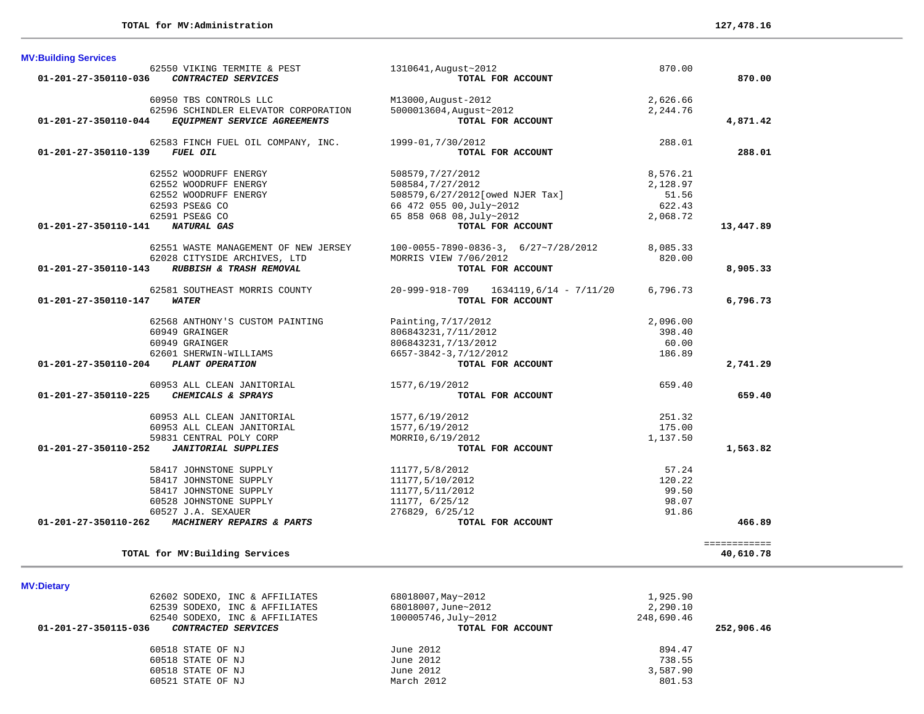| <b>MV:Dietary</b>                                  |                      |            |
|----------------------------------------------------|----------------------|------------|
| 62602 SODEXO, INC & AFFILIATES                     | 68018007, May~2012   | 1,925.90   |
| 62539 SODEXO, INC & AFFILIATES                     | 68018007, June~2012  | 2,290.10   |
| 62540 SODEXO, INC & AFFILIATES                     | 100005746, July~2012 | 248,690.46 |
| 01-201-27-350115-036<br><i>CONTRACTED SERVICES</i> | TOTAL FOR ACCOUNT    | 252,906.46 |
| 60518 STATE OF NJ                                  | June 2012            | 894.47     |
| 60518 STATE OF NJ                                  | June 2012            | 738.55     |
| 60518 STATE OF NJ                                  | June 2012            | 3,587.90   |

60521 STATE OF NJ March 2012 801.53

## **M**

| <b>MV:Building Services</b>    |                                      |                                          |          |              |
|--------------------------------|--------------------------------------|------------------------------------------|----------|--------------|
|                                | 62550 VIKING TERMITE & PEST          | 1310641, August~2012                     | 870.00   |              |
| 01-201-27-350110-036           | CONTRACTED SERVICES                  | TOTAL FOR ACCOUNT                        |          | 870.00       |
|                                | 60950 TBS CONTROLS LLC               | M13000, August-2012                      | 2,626.66 |              |
|                                | 62596 SCHINDLER ELEVATOR CORPORATION | 5000013604, August~2012                  | 2,244.76 |              |
| 01-201-27-350110-044           | EQUIPMENT SERVICE AGREEMENTS         | TOTAL FOR ACCOUNT                        |          | 4,871.42     |
|                                | 62583 FINCH FUEL OIL COMPANY, INC.   | 1999-01, 7/30/2012                       | 288.01   |              |
| $01 - 201 - 27 - 350110 - 139$ | FUEL OIL                             | TOTAL FOR ACCOUNT                        |          | 288.01       |
|                                | 62552 WOODRUFF ENERGY                | 508579,7/27/2012                         | 8,576.21 |              |
|                                | 62552 WOODRUFF ENERGY                | 508584,7/27/2012                         | 2,128.97 |              |
|                                | 62552 WOODRUFF ENERGY                | 508579,6/27/2012[owed NJER Tax]          | 51.56    |              |
|                                | 62593 PSE&G CO                       | 66 472 055 00, July~2012                 | 622.43   |              |
|                                | 62591 PSE&G CO                       | 65 858 068 08, July~2012                 | 2,068.72 |              |
| 01-201-27-350110-141           | <b>NATURAL GAS</b>                   | TOTAL FOR ACCOUNT                        |          | 13,447.89    |
|                                | 62551 WASTE MANAGEMENT OF NEW JERSEY | $100-0055-7890-0836-3, 6/27-7/28/2012$   | 8,085.33 |              |
|                                | 62028 CITYSIDE ARCHIVES, LTD         | MORRIS VIEW 7/06/2012                    | 820.00   |              |
| 01-201-27-350110-143           | RUBBISH & TRASH REMOVAL              | TOTAL FOR ACCOUNT                        |          | 8,905.33     |
|                                | 62581 SOUTHEAST MORRIS COUNTY        | 20-999-918-709<br>1634119,6/14 - 7/11/20 | 6,796.73 |              |
| 01-201-27-350110-147           | <i><b>WATER</b></i>                  | TOTAL FOR ACCOUNT                        |          | 6,796.73     |
|                                | 62568 ANTHONY'S CUSTOM PAINTING      | Painting, 7/17/2012                      | 2,096.00 |              |
|                                | 60949 GRAINGER                       | 806843231, 7/11/2012                     | 398.40   |              |
|                                | 60949 GRAINGER                       | 806843231, 7/13/2012                     | 60.00    |              |
|                                | 62601 SHERWIN-WILLIAMS               | 6657-3842-3,7/12/2012                    | 186.89   |              |
| 01-201-27-350110-204           | PLANT OPERATION                      | TOTAL FOR ACCOUNT                        |          | 2,741.29     |
|                                | 60953 ALL CLEAN JANITORIAL           | 1577,6/19/2012                           | 659.40   |              |
| $01 - 201 - 27 - 350110 - 225$ | CHEMICALS & SPRAYS                   | TOTAL FOR ACCOUNT                        |          | 659.40       |
|                                | 60953 ALL CLEAN JANITORIAL           | 1577,6/19/2012                           | 251.32   |              |
|                                | 60953 ALL CLEAN JANITORIAL           | 1577,6/19/2012                           | 175.00   |              |
|                                | 59831 CENTRAL POLY CORP              | MORRI0, 6/19/2012                        | 1,137.50 |              |
| 01-201-27-350110-252           | <b>JANITORIAL SUPPLIES</b>           | TOTAL FOR ACCOUNT                        |          | 1,563.82     |
|                                | 58417 JOHNSTONE SUPPLY               | 11177,5/8/2012                           | 57.24    |              |
|                                | 58417 JOHNSTONE SUPPLY               | 11177,5/10/2012                          | 120.22   |              |
|                                | 58417 JOHNSTONE SUPPLY               | 11177,5/11/2012                          | 99.50    |              |
|                                | 60528 JOHNSTONE SUPPLY               | 11177, 6/25/12                           | 98.07    |              |
|                                | 60527 J.A. SEXAUER                   | 276829, 6/25/12                          | 91.86    |              |
| 01-201-27-350110-262           | MACHINERY REPAIRS & PARTS            | TOTAL FOR ACCOUNT                        |          | 466.89       |
|                                |                                      |                                          |          | ============ |
|                                | TOTAL for MV: Building Services      |                                          |          | 40,610.78    |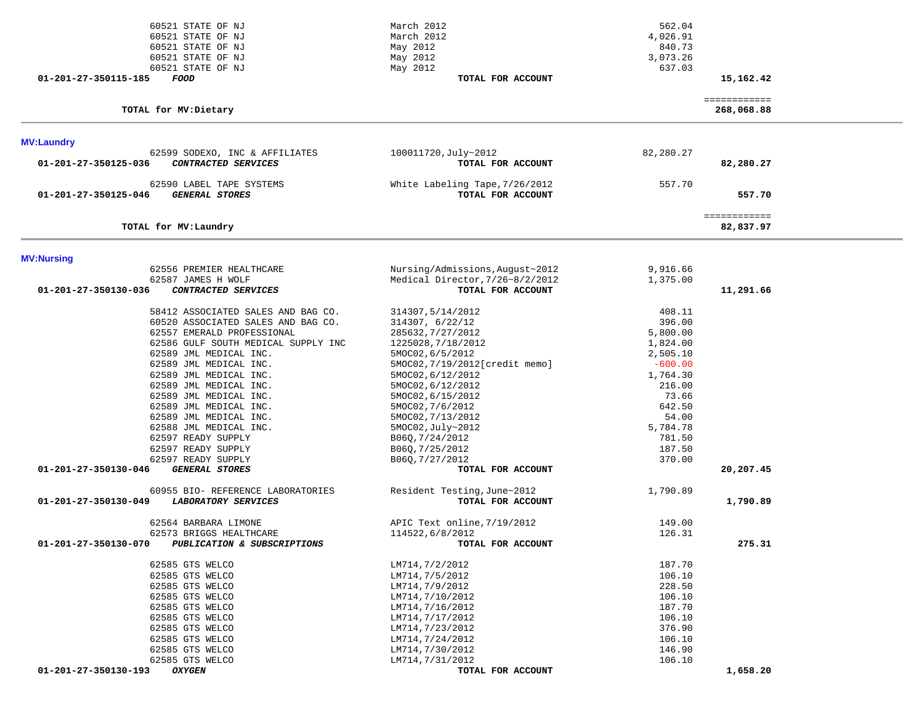| 60521 STATE OF NJ                                   | March 2012                      | 562.04               |                           |  |
|-----------------------------------------------------|---------------------------------|----------------------|---------------------------|--|
| 60521 STATE OF NJ                                   | March 2012                      | 4,026.91             |                           |  |
| 60521 STATE OF NJ                                   | May 2012                        | 840.73               |                           |  |
| 60521 STATE OF NJ                                   | May 2012                        | 3,073.26             |                           |  |
| 60521 STATE OF NJ                                   | May 2012                        | 637.03               |                           |  |
| 01-201-27-350115-185<br><i>FOOD</i>                 | TOTAL FOR ACCOUNT               |                      | 15,162.42                 |  |
|                                                     |                                 |                      | ============              |  |
| TOTAL for MV: Dietary                               |                                 |                      | 268,068.88                |  |
| <b>MV:Laundry</b>                                   |                                 |                      |                           |  |
| 62599 SODEXO, INC & AFFILIATES                      | 100011720, July~2012            | 82,280.27            |                           |  |
| CONTRACTED SERVICES<br>01-201-27-350125-036         | TOTAL FOR ACCOUNT               |                      | 82,280.27                 |  |
| 62590 LABEL TAPE SYSTEMS                            | White Labeling Tape, 7/26/2012  | 557.70               |                           |  |
| 01-201-27-350125-046<br><b>GENERAL STORES</b>       | TOTAL FOR ACCOUNT               |                      | 557.70                    |  |
| TOTAL for MV: Laundry                               |                                 |                      | ============<br>82,837.97 |  |
|                                                     |                                 |                      |                           |  |
| <b>MV:Nursing</b>                                   | Nursing/Admissions, August~2012 |                      |                           |  |
| 62556 PREMIER HEALTHCARE<br>62587 JAMES H WOLF      | Medical Director, 7/26~8/2/2012 | 9,916.66<br>1,375.00 |                           |  |
| 01-201-27-350130-036<br>CONTRACTED SERVICES         | TOTAL FOR ACCOUNT               |                      | 11,291.66                 |  |
|                                                     |                                 |                      |                           |  |
| 58412 ASSOCIATED SALES AND BAG CO.                  | 314307,5/14/2012                | 408.11               |                           |  |
| 60520 ASSOCIATED SALES AND BAG CO.                  | 314307, 6/22/12                 | 396.00               |                           |  |
| 62557 EMERALD PROFESSIONAL                          | 285632, 7/27/2012               | 5,800.00             |                           |  |
| 62586 GULF SOUTH MEDICAL SUPPLY INC                 | 1225028, 7/18/2012              | 1,824.00             |                           |  |
| 62589 JML MEDICAL INC.                              | 5MOC02,6/5/2012                 | 2,505.10             |                           |  |
| 62589 JML MEDICAL INC.                              | 5MOC02, 7/19/2012[credit memo]  | $-600.00$            |                           |  |
| 62589 JML MEDICAL INC.                              | 5MOC02, 6/12/2012               | 1,764.30             |                           |  |
| 62589 JML MEDICAL INC.                              | 5MOC02,6/12/2012                | 216.00               |                           |  |
| 62589 JML MEDICAL INC.                              | 5MOC02,6/15/2012                | 73.66                |                           |  |
| 62589 JML MEDICAL INC.                              | 5MOC02,7/6/2012                 | 642.50               |                           |  |
| 62589 JML MEDICAL INC.                              | 5MOC02, 7/13/2012               | 54.00                |                           |  |
| 62588 JML MEDICAL INC.                              | 5MOC02, July~2012               | 5,784.78             |                           |  |
| 62597 READY SUPPLY                                  | B06Q, 7/24/2012                 | 781.50               |                           |  |
| 62597 READY SUPPLY                                  | B06Q, 7/25/2012                 | 187.50               |                           |  |
| 62597 READY SUPPLY                                  | B06Q, 7/27/2012                 | 370.00               |                           |  |
| <b>GENERAL STORES</b><br>01-201-27-350130-046       | TOTAL FOR ACCOUNT               |                      | 20,207.45                 |  |
| 60955 BIO- REFERENCE LABORATORIES                   | Resident Testing, June~2012     | 1,790.89             |                           |  |
| LABORATORY SERVICES<br>01-201-27-350130-049         | TOTAL FOR ACCOUNT               |                      | 1,790.89                  |  |
| 62564 BARBARA LIMONE                                | APIC Text online, 7/19/2012     | 149.00               |                           |  |
| 62573 BRIGGS HEALTHCARE                             | 114522,6/8/2012                 | 126.31               |                           |  |
| 01-201-27-350130-070<br>PUBLICATION & SUBSCRIPTIONS | TOTAL FOR ACCOUNT               |                      | 275.31                    |  |
| 62585 GTS WELCO                                     | LM714,7/2/2012                  | 187.70               |                           |  |
| 62585 GTS WELCO                                     | LM714,7/5/2012                  | 106.10               |                           |  |
| 62585 GTS WELCO                                     | LM714,7/9/2012                  | 228.50               |                           |  |
| 62585 GTS WELCO                                     | LM714,7/10/2012                 | 106.10               |                           |  |
| 62585 GTS WELCO                                     | LM714,7/16/2012                 | 187.70               |                           |  |
| 62585 GTS WELCO                                     | LM714,7/17/2012                 | 106.10               |                           |  |
| 62585 GTS WELCO                                     | LM714,7/23/2012                 | 376.90               |                           |  |
| 62585 GTS WELCO                                     | LM714,7/24/2012                 | 106.10               |                           |  |
| 62585 GTS WELCO                                     | LM714,7/30/2012                 | 146.90               |                           |  |
| 62585 GTS WELCO                                     | LM714,7/31/2012                 | 106.10               |                           |  |
| 01-201-27-350130-193<br><b>OXYGEN</b>               | TOTAL FOR ACCOUNT               |                      | 1,658.20                  |  |
|                                                     |                                 |                      |                           |  |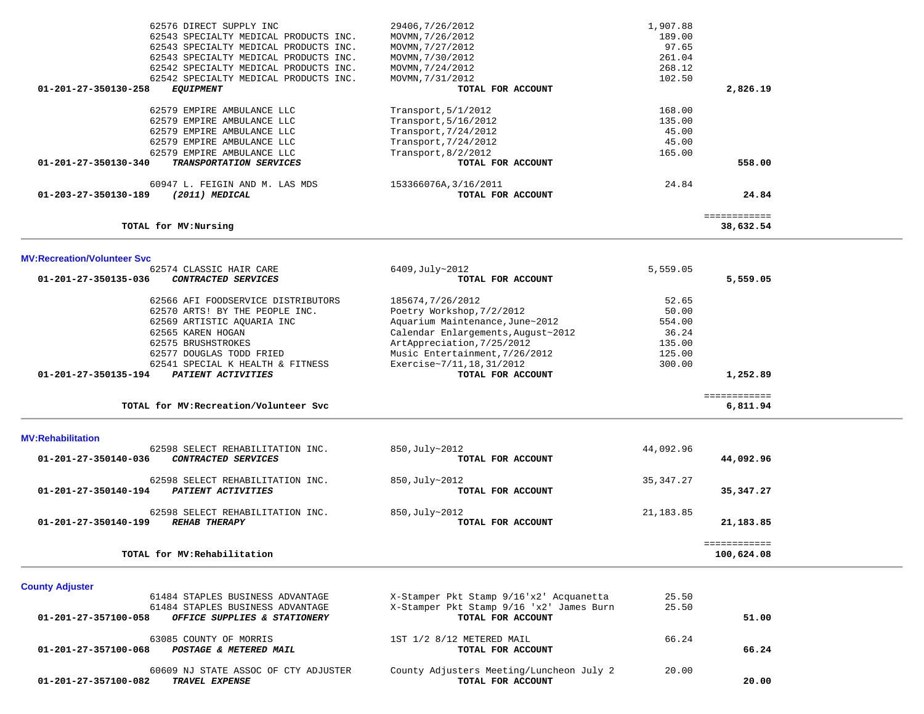| 62576 DIRECT SUPPLY INC                              | 29406, 7/26/2012                         | 1,907.88  |              |  |
|------------------------------------------------------|------------------------------------------|-----------|--------------|--|
|                                                      |                                          |           |              |  |
| 62543 SPECIALTY MEDICAL PRODUCTS INC.                | MOVMN, 7/26/2012                         | 189.00    |              |  |
| 62543 SPECIALTY MEDICAL PRODUCTS INC.                | MOVMN, 7/27/2012                         | 97.65     |              |  |
| 62543 SPECIALTY MEDICAL PRODUCTS INC.                | MOVMN, 7/30/2012                         | 261.04    |              |  |
| 62542 SPECIALTY MEDICAL PRODUCTS INC.                | MOVMN, 7/24/2012                         | 268.12    |              |  |
| 62542 SPECIALTY MEDICAL PRODUCTS INC.                | MOVMN, 7/31/2012                         | 102.50    |              |  |
| 01-201-27-350130-258<br><b>EQUIPMENT</b>             | TOTAL FOR ACCOUNT                        |           | 2,826.19     |  |
|                                                      |                                          |           |              |  |
| 62579 EMPIRE AMBULANCE LLC                           | Transport, $5/1/2012$                    | 168.00    |              |  |
| 62579 EMPIRE AMBULANCE LLC                           |                                          | 135.00    |              |  |
|                                                      | Transport, 5/16/2012                     |           |              |  |
| 62579 EMPIRE AMBULANCE LLC                           | Transport, 7/24/2012                     | 45.00     |              |  |
| 62579 EMPIRE AMBULANCE LLC                           | Transport, 7/24/2012                     | 45.00     |              |  |
| 62579 EMPIRE AMBULANCE LLC                           | Transport, 8/2/2012                      | 165.00    |              |  |
| 01-201-27-350130-340<br>TRANSPORTATION SERVICES      | TOTAL FOR ACCOUNT                        |           | 558.00       |  |
|                                                      |                                          |           |              |  |
| 60947 L. FEIGIN AND M. LAS MDS                       | 153366076A, 3/16/2011                    | 24.84     |              |  |
| 01-203-27-350130-189<br>(2011) MEDICAL               | TOTAL FOR ACCOUNT                        |           | 24.84        |  |
|                                                      |                                          |           |              |  |
|                                                      |                                          |           | ============ |  |
| TOTAL for MV:Nursing                                 |                                          |           | 38,632.54    |  |
|                                                      |                                          |           |              |  |
| <b>MV:Recreation/Volunteer Svc</b>                   |                                          |           |              |  |
| 62574 CLASSIC HAIR CARE                              | 6409, July~2012                          | 5,559.05  |              |  |
| 01-201-27-350135-036<br>CONTRACTED SERVICES          | TOTAL FOR ACCOUNT                        |           | 5,559.05     |  |
|                                                      |                                          |           |              |  |
| 62566 AFI FOODSERVICE DISTRIBUTORS                   | 185674, 7/26/2012                        | 52.65     |              |  |
|                                                      |                                          |           |              |  |
| 62570 ARTS! BY THE PEOPLE INC.                       | Poetry Workshop, 7/2/2012                | 50.00     |              |  |
| 62569 ARTISTIC AQUARIA INC                           | Aquarium Maintenance, June~2012          | 554.00    |              |  |
| 62565 KAREN HOGAN                                    | Calendar Enlargements, August~2012       | 36.24     |              |  |
| 62575 BRUSHSTROKES                                   | ArtAppreciation, 7/25/2012               | 135.00    |              |  |
| 62577 DOUGLAS TODD FRIED                             | Music Entertainment, 7/26/2012           | 125.00    |              |  |
| 62541 SPECIAL K HEALTH & FITNESS                     | Exercise~7/11, 18, 31/2012               | 300.00    |              |  |
| 01-201-27-350135-194<br><b>PATIENT ACTIVITIES</b>    | TOTAL FOR ACCOUNT                        |           | 1,252.89     |  |
|                                                      |                                          |           |              |  |
|                                                      |                                          |           | ============ |  |
| TOTAL for MV: Recreation/Volunteer Svc               |                                          |           | 6,811.94     |  |
|                                                      |                                          |           |              |  |
|                                                      |                                          |           |              |  |
| <b>MV:Rehabilitation</b>                             |                                          |           |              |  |
| 62598 SELECT REHABILITATION INC.                     | 850, July~2012                           | 44,092.96 |              |  |
| 01-201-27-350140-036<br>CONTRACTED SERVICES          | TOTAL FOR ACCOUNT                        |           | 44,092.96    |  |
|                                                      |                                          |           |              |  |
| 62598 SELECT REHABILITATION INC.                     | 850, July~2012                           | 35,347.27 |              |  |
| PATIENT ACTIVITIES<br>$01 - 201 - 27 - 350140 - 194$ | TOTAL FOR ACCOUNT                        |           | 35, 347.27   |  |
|                                                      |                                          |           |              |  |
| 62598 SELECT REHABILITATION INC.                     | 850, July~2012                           | 21,183.85 |              |  |
| <b>REHAB THERAPY</b><br>01-201-27-350140-199         | TOTAL FOR ACCOUNT                        |           | 21,183.85    |  |
|                                                      |                                          |           |              |  |
|                                                      |                                          |           | ============ |  |
| TOTAL for MV: Rehabilitation                         |                                          |           | 100,624.08   |  |
|                                                      |                                          |           |              |  |
| <b>County Adjuster</b>                               |                                          |           |              |  |
| 61484 STAPLES BUSINESS ADVANTAGE                     | X-Stamper Pkt Stamp 9/16'x2' Acquanetta  | 25.50     |              |  |
|                                                      |                                          |           |              |  |
| 61484 STAPLES BUSINESS ADVANTAGE                     | X-Stamper Pkt Stamp 9/16 'x2' James Burn | 25.50     |              |  |
| 01-201-27-357100-058<br>OFFICE SUPPLIES & STATIONERY | TOTAL FOR ACCOUNT                        |           | 51.00        |  |
|                                                      |                                          |           |              |  |

 **01-201-27-357100-082** *TRAVEL EXPENSE* **TOTAL FOR ACCOUNT 20.00**

 63085 COUNTY OF MORRIS 1ST 1/2 8/12 METERED MAIL 66.24  **01-201-27-357100-068** *POSTAGE & METERED MAIL* **TOTAL FOR ACCOUNT 66.24**60609 NJ STATE ASSOC OF CTY ADJUSTER County Adjusters Meeting/Luncheon July 2 20.00<br>2 TRAVEL EXPENSE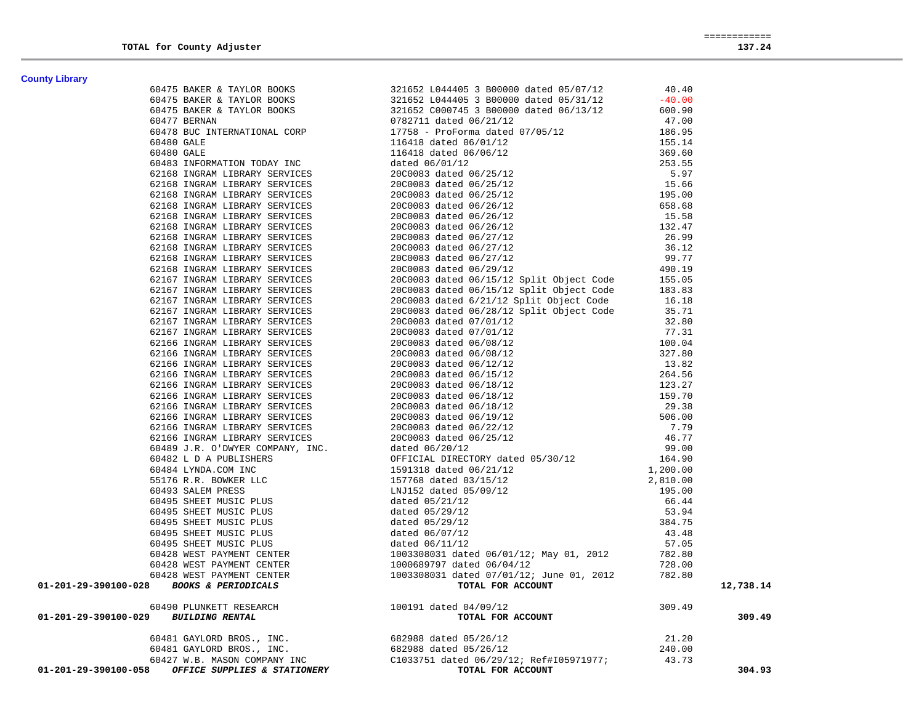| <b>County Library</b> |                                                                                                                                                                                                                                                                    |           |
|-----------------------|--------------------------------------------------------------------------------------------------------------------------------------------------------------------------------------------------------------------------------------------------------------------|-----------|
|                       |                                                                                                                                                                                                                                                                    |           |
|                       |                                                                                                                                                                                                                                                                    |           |
|                       |                                                                                                                                                                                                                                                                    |           |
|                       |                                                                                                                                                                                                                                                                    |           |
|                       |                                                                                                                                                                                                                                                                    |           |
|                       |                                                                                                                                                                                                                                                                    |           |
|                       |                                                                                                                                                                                                                                                                    |           |
|                       |                                                                                                                                                                                                                                                                    |           |
|                       |                                                                                                                                                                                                                                                                    |           |
|                       |                                                                                                                                                                                                                                                                    |           |
|                       |                                                                                                                                                                                                                                                                    |           |
|                       |                                                                                                                                                                                                                                                                    |           |
|                       |                                                                                                                                                                                                                                                                    |           |
|                       |                                                                                                                                                                                                                                                                    |           |
|                       |                                                                                                                                                                                                                                                                    |           |
|                       |                                                                                                                                                                                                                                                                    |           |
|                       |                                                                                                                                                                                                                                                                    |           |
|                       |                                                                                                                                                                                                                                                                    |           |
|                       |                                                                                                                                                                                                                                                                    |           |
|                       |                                                                                                                                                                                                                                                                    |           |
|                       |                                                                                                                                                                                                                                                                    |           |
|                       |                                                                                                                                                                                                                                                                    |           |
|                       |                                                                                                                                                                                                                                                                    |           |
|                       |                                                                                                                                                                                                                                                                    |           |
|                       |                                                                                                                                                                                                                                                                    |           |
|                       |                                                                                                                                                                                                                                                                    |           |
|                       |                                                                                                                                                                                                                                                                    |           |
|                       |                                                                                                                                                                                                                                                                    |           |
|                       |                                                                                                                                                                                                                                                                    |           |
|                       |                                                                                                                                                                                                                                                                    |           |
|                       |                                                                                                                                                                                                                                                                    |           |
|                       |                                                                                                                                                                                                                                                                    |           |
|                       |                                                                                                                                                                                                                                                                    |           |
|                       |                                                                                                                                                                                                                                                                    |           |
|                       |                                                                                                                                                                                                                                                                    |           |
|                       |                                                                                                                                                                                                                                                                    |           |
|                       |                                                                                                                                                                                                                                                                    |           |
|                       |                                                                                                                                                                                                                                                                    |           |
|                       |                                                                                                                                                                                                                                                                    |           |
|                       |                                                                                                                                                                                                                                                                    |           |
|                       |                                                                                                                                                                                                                                                                    |           |
|                       |                                                                                                                                                                                                                                                                    |           |
|                       |                                                                                                                                                                                                                                                                    |           |
|                       |                                                                                                                                                                                                                                                                    |           |
|                       |                                                                                                                                                                                                                                                                    |           |
|                       |                                                                                                                                                                                                                                                                    |           |
|                       |                                                                                                                                                                                                                                                                    | 12,738.14 |
|                       | examy Lenary<br>$\begin{bmatrix} 1.0187 & 0.0187 & 0.0187 & 0.0187 & 0.0187 & 0.0187 & 0.0187 & 0.0187 & 0.0187 & 0.0187 & 0.0187 & 0.0187 & 0.0187 & 0.0187 & 0.0187 & 0.0187 & 0.0187 & 0.0187 & 0.0187 & 0.0187 & 0.0187 & 0.0187 & 0.0187 & 0.0187 & 0.0187 &$ |           |
|                       |                                                                                                                                                                                                                                                                    | 309.49    |
|                       |                                                                                                                                                                                                                                                                    |           |
|                       |                                                                                                                                                                                                                                                                    |           |
|                       |                                                                                                                                                                                                                                                                    |           |
|                       |                                                                                                                                                                                                                                                                    | 304.93    |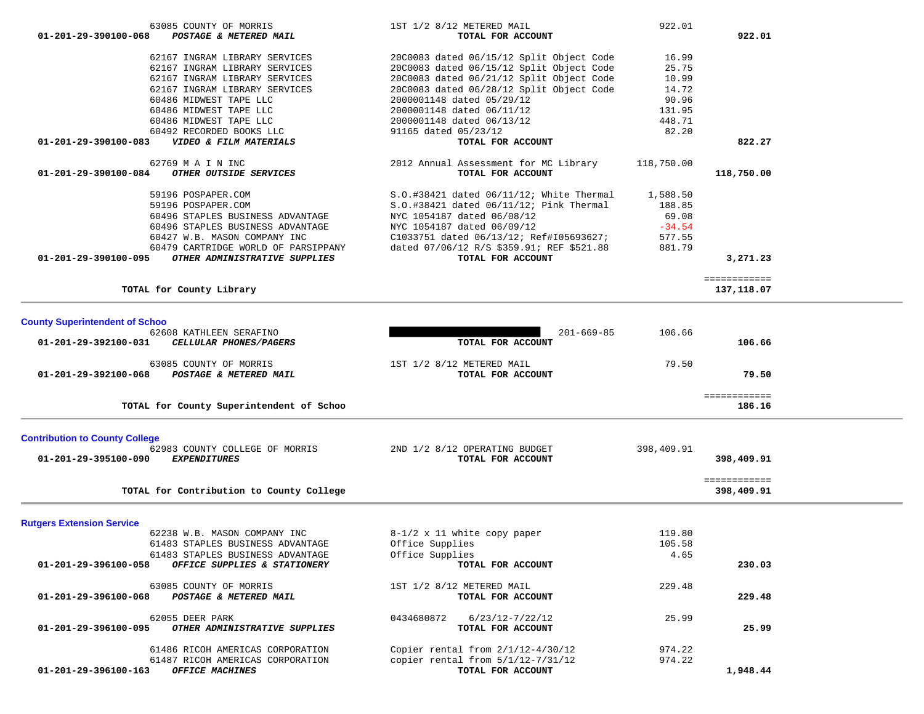| 01-201-29-390100-084                  | OTHER OUTSIDE SERVICES                            | TOTAL FOR ACCOUNT                         |            | 118,750.00                 |  |
|---------------------------------------|---------------------------------------------------|-------------------------------------------|------------|----------------------------|--|
|                                       |                                                   |                                           |            |                            |  |
|                                       | 59196 POSPAPER.COM                                | S.O.#38421 dated 06/11/12; White Thermal  | 1,588.50   |                            |  |
|                                       | 59196 POSPAPER.COM                                | S.O.#38421 dated 06/11/12; Pink Thermal   | 188.85     |                            |  |
|                                       | 60496 STAPLES BUSINESS ADVANTAGE                  | NYC 1054187 dated 06/08/12                | 69.08      |                            |  |
|                                       | 60496 STAPLES BUSINESS ADVANTAGE                  | NYC 1054187 dated 06/09/12                | $-34.54$   |                            |  |
|                                       | 60427 W.B. MASON COMPANY INC                      | C1033751 dated 06/13/12; Ref#I05693627;   | 577.55     |                            |  |
|                                       | 60479 CARTRIDGE WORLD OF PARSIPPANY               | dated 07/06/12 R/S \$359.91; REF \$521.88 | 881.79     |                            |  |
| 01-201-29-390100-095                  | OTHER ADMINISTRATIVE SUPPLIES                     | TOTAL FOR ACCOUNT                         |            | 3,271.23                   |  |
|                                       | TOTAL for County Library                          |                                           |            | ============<br>137,118.07 |  |
|                                       |                                                   |                                           |            |                            |  |
| <b>County Superintendent of Schoo</b> |                                                   |                                           |            |                            |  |
| 01-201-29-392100-031                  | 62608 KATHLEEN SERAFINO<br>CELLULAR PHONES/PAGERS | $201 - 669 - 85$<br>TOTAL FOR ACCOUNT     | 106.66     | 106.66                     |  |
|                                       |                                                   |                                           |            |                            |  |
|                                       |                                                   |                                           | 79.50      |                            |  |
|                                       | 63085 COUNTY OF MORRIS                            | 1ST 1/2 8/12 METERED MAIL                 |            |                            |  |
| 01-201-29-392100-068                  | POSTAGE & METERED MAIL                            | TOTAL FOR ACCOUNT                         |            | 79.50                      |  |
|                                       |                                                   |                                           |            | ============               |  |
|                                       | TOTAL for County Superintendent of Schoo          |                                           |            | 186.16                     |  |
|                                       |                                                   |                                           |            |                            |  |
| <b>Contribution to County College</b> |                                                   |                                           |            |                            |  |
|                                       | 62983 COUNTY COLLEGE OF MORRIS                    | 2ND 1/2 8/12 OPERATING BUDGET             | 398,409.91 |                            |  |
| 01-201-29-395100-090                  | <b>EXPENDITURES</b>                               | TOTAL FOR ACCOUNT                         |            | 398,409.91                 |  |
|                                       |                                                   |                                           |            | ============               |  |
|                                       | TOTAL for Contribution to County College          |                                           |            | 398,409.91                 |  |
|                                       |                                                   |                                           |            |                            |  |
| <b>Rutgers Extension Service</b>      | 62238 W.B. MASON COMPANY INC                      | $8-1/2$ x 11 white copy paper             | 119.80     |                            |  |
|                                       | 61483 STAPLES BUSINESS ADVANTAGE                  | Office Supplies                           | 105.58     |                            |  |
|                                       | 61483 STAPLES BUSINESS ADVANTAGE                  | Office Supplies                           | 4.65       |                            |  |
| 01-201-29-396100-058                  | OFFICE SUPPLIES & STATIONERY                      | TOTAL FOR ACCOUNT                         |            | 230.03                     |  |
|                                       | 63085 COUNTY OF MORRIS                            | 1ST 1/2 8/12 METERED MAIL                 | 229.48     |                            |  |
| 01-201-29-396100-068                  | POSTAGE & METERED MAIL                            | TOTAL FOR ACCOUNT                         |            | 229.48                     |  |
|                                       |                                                   |                                           |            |                            |  |
|                                       | 62055 DEER PARK                                   | $6/23/12 - 7/22/12$<br>0434680872         | 25.99      |                            |  |
| 01-201-29-396100-095                  | OTHER ADMINISTRATIVE SUPPLIES                     | TOTAL FOR ACCOUNT                         |            | 25.99                      |  |
|                                       | 61486 RICOH AMERICAS CORPORATION                  | Copier rental from 2/1/12-4/30/12         | 974.22     |                            |  |
|                                       | 61487 RICOH AMERICAS CORPORATION                  | copier rental from 5/1/12-7/31/12         | 974.22     |                            |  |
| $01 - 201 - 29 - 396100 - 163$        | <b>OFFICE MACHINES</b>                            | TOTAL FOR ACCOUNT                         |            | 1,948.44                   |  |
|                                       |                                                   |                                           |            |                            |  |
|                                       |                                                   |                                           |            |                            |  |

|            | 922.01     | 1ST 1/2 8/12 METERED MAIL                      | 63085 COUNTY OF MORRIS                                      |
|------------|------------|------------------------------------------------|-------------------------------------------------------------|
| 922.01     |            | TOTAL FOR ACCOUNT                              | POSTAGE & METERED MAIL<br>01-201-29-390100-068              |
|            | 16.99      | 20C0083 dated 06/15/12 Split Object Code       | 62167 INGRAM LIBRARY SERVICES                               |
|            | 25.75      | 20C0083 dated 06/15/12 Split Object Code       | 62167 INGRAM LIBRARY SERVICES                               |
|            | 10.99      | 20C0083 dated 06/21/12 Split Object Code       | 62167 INGRAM LIBRARY SERVICES                               |
|            | 14.72      | 20C0083 dated 06/28/12 Split Object Code       | 62167 INGRAM LIBRARY SERVICES                               |
|            | 90.96      | 2000001148 dated 05/29/12                      | 60486 MIDWEST TAPE LLC                                      |
|            | 131.95     | 2000001148 dated 06/11/12                      | 60486 MIDWEST TAPE LLC                                      |
|            | 448.71     | 2000001148 dated 06/13/12                      | 60486 MIDWEST TAPE LLC                                      |
|            | 82.20      | 91165 dated 05/23/12                           | 60492 RECORDED BOOKS LLC                                    |
| 822.27     |            | TOTAL FOR ACCOUNT                              | 01-201-29-390100-083<br>VIDEO & FILM MATERIALS              |
|            |            |                                                |                                                             |
|            | 118,750.00 | 2012 Annual Assessment for MC Library          | 62769 M A I N INC                                           |
| 118,750.00 |            | TOTAL FOR ACCOUNT                              | <i>OTHER OUTSIDE SERVICES</i>                               |
|            | 1,588.50   | $S.O.$ #38421 dated $06/11/12$ ; White Thermal | 59196 POSPAPER.COM                                          |
|            | 188.85     | S.O.#38421 dated 06/11/12; Pink Thermal        | 59196 POSPAPER.COM                                          |
|            | 69.08      | NYC 1054187 dated 06/08/12                     | 60496 STAPLES BUSINESS ADVANTAGE                            |
|            | $-34.54$   | NYC 1054187 dated 06/09/12                     | 60496 STAPLES BUSINESS ADVANTAGE                            |
|            | 577.55     | C1033751 dated 06/13/12; Ref#I05693627;        | 60427 W.B. MASON COMPANY INC                                |
|            | 881.79     | dated 07/06/12 R/S \$359.91; REF \$521.88      | 01-201-29-390100-084<br>60479 CARTRIDGE WORLD OF PARSIPPANY |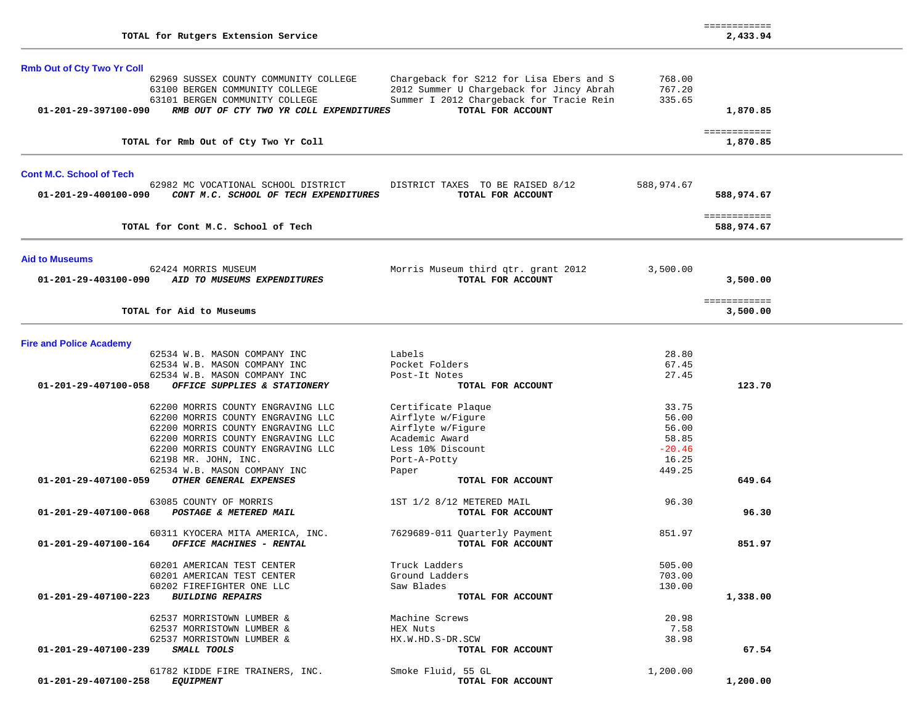|                                   | TOTAL for Rutgers Extension Service                                                                         |                                                                                                           |                  | ============<br>2,433.94   |  |
|-----------------------------------|-------------------------------------------------------------------------------------------------------------|-----------------------------------------------------------------------------------------------------------|------------------|----------------------------|--|
| <b>Rmb Out of Cty Two Yr Coll</b> | 62969 SUSSEX COUNTY COMMUNITY COLLEGE                                                                       | Chargeback for S212 for Lisa Ebers and S                                                                  | 768.00           |                            |  |
| 01-201-29-397100-090              | 63100 BERGEN COMMUNITY COLLEGE<br>63101 BERGEN COMMUNITY COLLEGE<br>RMB OUT OF CTY TWO YR COLL EXPENDITURES | 2012 Summer U Chargeback for Jincy Abrah<br>Summer I 2012 Chargeback for Tracie Rein<br>TOTAL FOR ACCOUNT | 767.20<br>335.65 | 1,870.85                   |  |
|                                   |                                                                                                             |                                                                                                           |                  |                            |  |
|                                   | TOTAL for Rmb Out of Cty Two Yr Coll                                                                        |                                                                                                           |                  | ============<br>1,870.85   |  |
| <b>Cont M.C. School of Tech</b>   |                                                                                                             |                                                                                                           |                  |                            |  |
| 01-201-29-400100-090              | 62982 MC VOCATIONAL SCHOOL DISTRICT<br>CONT M.C. SCHOOL OF TECH EXPENDITURES                                | DISTRICT TAXES TO BE RAISED 8/12<br>TOTAL FOR ACCOUNT                                                     | 588,974.67       | 588,974.67                 |  |
|                                   | TOTAL for Cont M.C. School of Tech                                                                          |                                                                                                           |                  | ============<br>588,974.67 |  |
| <b>Aid to Museums</b>             |                                                                                                             |                                                                                                           |                  |                            |  |
| 01-201-29-403100-090              | 62424 MORRIS MUSEUM<br>AID TO MUSEUMS EXPENDITURES                                                          | Morris Museum third qtr. grant 2012<br>TOTAL FOR ACCOUNT                                                  | 3,500.00         | 3,500.00                   |  |
|                                   | TOTAL for Aid to Museums                                                                                    |                                                                                                           |                  | ============<br>3,500.00   |  |
| <b>Fire and Police Academy</b>    |                                                                                                             |                                                                                                           |                  |                            |  |
|                                   | 62534 W.B. MASON COMPANY INC                                                                                | Labels                                                                                                    | 28.80            |                            |  |
|                                   | 62534 W.B. MASON COMPANY INC<br>62534 W.B. MASON COMPANY INC                                                | Pocket Folders<br>Post-It Notes                                                                           | 67.45<br>27.45   |                            |  |
| 01-201-29-407100-058              | OFFICE SUPPLIES & STATIONERY                                                                                | TOTAL FOR ACCOUNT                                                                                         |                  | 123.70                     |  |
|                                   | 62200 MORRIS COUNTY ENGRAVING LLC                                                                           | Certificate Plaque                                                                                        | 33.75            |                            |  |
|                                   | 62200 MORRIS COUNTY ENGRAVING LLC                                                                           | Airflyte w/Figure                                                                                         | 56.00            |                            |  |
|                                   | 62200 MORRIS COUNTY ENGRAVING LLC                                                                           | Airflyte w/Figure                                                                                         | 56.00            |                            |  |
|                                   | 62200 MORRIS COUNTY ENGRAVING LLC                                                                           | Academic Award                                                                                            | 58.85            |                            |  |
|                                   | 62200 MORRIS COUNTY ENGRAVING LLC                                                                           | Less 10% Discount                                                                                         | $-20.46$         |                            |  |
|                                   | 62198 MR. JOHN, INC.                                                                                        | Port-A-Potty                                                                                              | 16.25            |                            |  |
| 01-201-29-407100-059              | 62534 W.B. MASON COMPANY INC<br>OTHER GENERAL EXPENSES                                                      | Paper<br>TOTAL FOR ACCOUNT                                                                                | 449.25           | 649.64                     |  |
|                                   | 63085 COUNTY OF MORRIS                                                                                      | 1ST 1/2 8/12 METERED MAIL                                                                                 | 96.30            |                            |  |
| 01-201-29-407100-068              | POSTAGE & METERED MAIL                                                                                      | TOTAL FOR ACCOUNT                                                                                         |                  | 96.30                      |  |
|                                   | 60311 KYOCERA MITA AMERICA, INC.                                                                            | 7629689-011 Quarterly Payment                                                                             | 851.97           |                            |  |
| 01-201-29-407100-164              | OFFICE MACHINES - RENTAL                                                                                    | TOTAL FOR ACCOUNT                                                                                         |                  | 851.97                     |  |
|                                   | 60201 AMERICAN TEST CENTER                                                                                  | Truck Ladders                                                                                             | 505.00           |                            |  |
|                                   | 60201 AMERICAN TEST CENTER                                                                                  | Ground Ladders                                                                                            | 703.00           |                            |  |
|                                   | 60202 FIREFIGHTER ONE LLC                                                                                   | Saw Blades                                                                                                | 130.00           |                            |  |
| 01-201-29-407100-223              | <b>BUILDING REPAIRS</b>                                                                                     | TOTAL FOR ACCOUNT                                                                                         |                  | 1,338.00                   |  |
|                                   | 62537 MORRISTOWN LUMBER &                                                                                   | Machine Screws                                                                                            | 20.98            |                            |  |
|                                   | 62537 MORRISTOWN LUMBER &                                                                                   | HEX Nuts                                                                                                  | 7.58             |                            |  |
|                                   | 62537 MORRISTOWN LUMBER &                                                                                   | HX.W.HD.S-DR.SCW                                                                                          | 38.98            | 67.54                      |  |
| 01-201-29-407100-239              | SMALL TOOLS                                                                                                 | TOTAL FOR ACCOUNT                                                                                         |                  |                            |  |
|                                   | 61782 KIDDE FIRE TRAINERS, INC.                                                                             | Smoke Fluid, 55 GL                                                                                        | 1,200.00         |                            |  |
| 01-201-29-407100-258              | <b>EQUIPMENT</b>                                                                                            | TOTAL FOR ACCOUNT                                                                                         |                  | 1,200.00                   |  |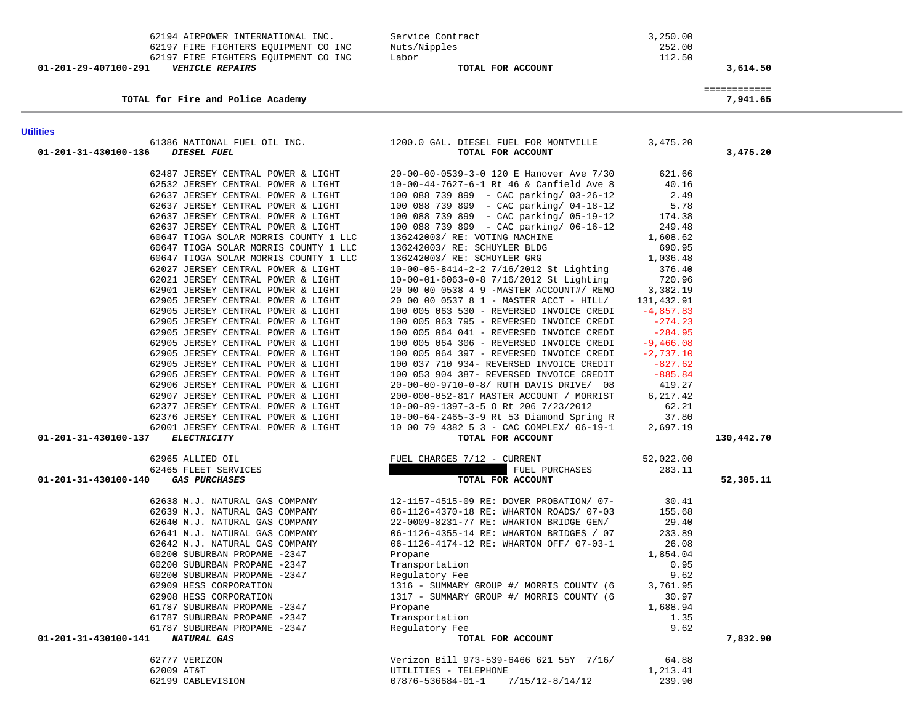|                      | TOTAL for Fire and Police Academy                        |                                                                                         |             | ============<br>7,941.65 |
|----------------------|----------------------------------------------------------|-----------------------------------------------------------------------------------------|-------------|--------------------------|
| <b>Utilities</b>     |                                                          |                                                                                         |             |                          |
| 01-201-31-430100-136 | DIESEL FUEL                                              | 61386 NATIONAL FUEL OIL INC. 1200.0 GAL. DIESEL FUEL FOR MONTVILLE<br>TOTAL FOR ACCOUNT | 3,475.20    | 3,475.20                 |
|                      | 62487 JERSEY CENTRAL POWER & LIGHT                       | 20-00-00-0539-3-0 120 E Hanover Ave 7/30                                                | 621.66      |                          |
|                      | 62532 JERSEY CENTRAL POWER & LIGHT                       | 10-00-44-7627-6-1 Rt 46 & Canfield Ave 8                                                | 40.16       |                          |
|                      | 62637 JERSEY CENTRAL POWER & LIGHT                       | 100 088 739 899 - CAC parking/ 03-26-12                                                 | 2.49        |                          |
|                      | 62637 JERSEY CENTRAL POWER & LIGHT                       | 100 088 739 899 - CAC parking/ 04-18-12                                                 | 5.78        |                          |
|                      | 62637 JERSEY CENTRAL POWER & LIGHT                       | 100 088 739 899 - CAC parking/ 05-19-12                                                 | 174.38      |                          |
|                      | 62637 JERSEY CENTRAL POWER & LIGHT                       | 100 088 739 899 - CAC parking/ 06-16-12                                                 | 249.48      |                          |
|                      | 60647 TIOGA SOLAR MORRIS COUNTY 1 LLC                    | 136242003/ RE: VOTING MACHINE                                                           | 1,608.62    |                          |
|                      | 60647 TIOGA SOLAR MORRIS COUNTY 1 LLC                    | 136242003/ RE: SCHUYLER BLDG                                                            | 690.95      |                          |
|                      | 60647 TIOGA SOLAR MORRIS COUNTY 1 LLC                    | 136242003/ RE: SCHUYLER GRG                                                             | 1,036.48    |                          |
|                      | 62027 JERSEY CENTRAL POWER & LIGHT                       | 10-00-05-8414-2-2 7/16/2012 St Lighting                                                 | 376.40      |                          |
|                      | 62021 JERSEY CENTRAL POWER & LIGHT                       | 10-00-01-6063-0-8 7/16/2012 St Lighting                                                 | 720.96      |                          |
|                      | 62901 JERSEY CENTRAL POWER & LIGHT                       | 20 00 00 0538 4 9 -MASTER ACCOUNT#/ REMO                                                | 3,382.19    |                          |
|                      | 62905 JERSEY CENTRAL POWER & LIGHT                       | 20 00 00 0537 8 1 - MASTER ACCT - HILL/                                                 | 131,432.91  |                          |
|                      | 62905 JERSEY CENTRAL POWER & LIGHT                       | 100 005 063 530 - REVERSED INVOICE CREDI                                                | $-4,857.83$ |                          |
|                      | 62905 JERSEY CENTRAL POWER & LIGHT                       | 100 005 063 795 - REVERSED INVOICE CREDI                                                | $-274.23$   |                          |
|                      | 62905 JERSEY CENTRAL POWER & LIGHT                       | 100 005 064 041 - REVERSED INVOICE CREDI                                                | $-284.95$   |                          |
|                      | 62905 JERSEY CENTRAL POWER & LIGHT                       | 100 005 064 306 - REVERSED INVOICE CREDI                                                | $-9,466.08$ |                          |
|                      | 62905 JERSEY CENTRAL POWER & LIGHT                       | 100 005 064 397 - REVERSED INVOICE CREDI                                                | $-2,737.10$ |                          |
|                      | 62905 JERSEY CENTRAL POWER & LIGHT                       | 100 037 710 934- REVERSED INVOICE CREDIT                                                | $-827.62$   |                          |
|                      | 62905 JERSEY CENTRAL POWER & LIGHT                       | 100 053 904 387- REVERSED INVOICE CREDIT                                                | $-885.84$   |                          |
|                      | 62906 JERSEY CENTRAL POWER & LIGHT                       | 20-00-00-9710-0-8/ RUTH DAVIS DRIVE/ 08                                                 | 419.27      |                          |
|                      | 62907 JERSEY CENTRAL POWER & LIGHT                       | 200-000-052-817 MASTER ACCOUNT / MORRIST                                                | 6,217.42    |                          |
|                      | 62377 JERSEY CENTRAL POWER & LIGHT                       | 10-00-89-1397-3-5 O Rt 206 7/23/2012                                                    | 62.21       |                          |
|                      | 62376 JERSEY CENTRAL POWER & LIGHT                       | 10-00-64-2465-3-9 Rt 53 Diamond Spring R                                                | 37.80       |                          |
| 01-201-31-430100-137 | 62001 JERSEY CENTRAL POWER & LIGHT<br><b>ELECTRICITY</b> | 10 00 79 4382 5 3 - CAC COMPLEX/ 06-19-1<br>TOTAL FOR ACCOUNT                           | 2,697.19    | 130,442.70               |
|                      |                                                          |                                                                                         |             |                          |
|                      | 62965 ALLIED OIL                                         | FUEL CHARGES 7/12 - CURRENT                                                             | 52,022.00   |                          |
|                      | 62465 FLEET SERVICES                                     | FUEL PURCHASES                                                                          | 283.11      |                          |
| 01-201-31-430100-140 | <b>GAS PURCHASES</b>                                     | TOTAL FOR ACCOUNT                                                                       |             | 52,305.11                |
|                      | 62638 N.J. NATURAL GAS COMPANY                           | 12-1157-4515-09 RE: DOVER PROBATION/ 07-                                                | 30.41       |                          |
|                      | 62639 N.J. NATURAL GAS COMPANY                           | 06-1126-4370-18 RE: WHARTON ROADS/ 07-03                                                | 155.68      |                          |
|                      | 62640 N.J. NATURAL GAS COMPANY                           | 22-0009-8231-77 RE: WHARTON BRIDGE GEN/                                                 | 29.40       |                          |
|                      | 62641 N.J. NATURAL GAS COMPANY                           | 06-1126-4355-14 RE: WHARTON BRIDGES / 07                                                | 233.89      |                          |
|                      | 62642 N.J. NATURAL GAS COMPANY                           | 06-1126-4174-12 RE: WHARTON OFF/ 07-03-1                                                | 26.08       |                          |
|                      | 60200 SUBURBAN PROPANE -2347                             | Propane                                                                                 | 1,854.04    |                          |
|                      | 60200 SUBURBAN PROPANE -2347                             | Transportation                                                                          | 0.95        |                          |
|                      | 60200 SUBURBAN PROPANE -2347                             | Regulatory Fee                                                                          | 9.62        |                          |
|                      | 62909 HESS CORPORATION                                   | 1316 - SUMMARY GROUP #/ MORRIS COUNTY (6                                                | 3,761.95    |                          |
|                      | 62908 HESS CORPORATION                                   | 1317 - SUMMARY GROUP #/ MORRIS COUNTY (6                                                | 30.97       |                          |
|                      | 61787 SUBURBAN PROPANE -2347                             | Propane                                                                                 | 1,688.94    |                          |
|                      | 61787 SUBURBAN PROPANE -2347                             | Transportation                                                                          | 1.35        |                          |
|                      | 61787 SUBURBAN PROPANE -2347                             | Regulatory Fee                                                                          | 9.62        |                          |
| 01-201-31-430100-141 | NATURAL GAS                                              | TOTAL FOR ACCOUNT                                                                       |             | 7,832.90                 |
| 62777 VERIZON        |                                                          | Verizon Bill 973-539-6466 621 55Y 7/16/                                                 | 64.88       |                          |
| 62009 AT&T           |                                                          | UTILITIES - TELEPHONE                                                                   | 1,213.41    |                          |
|                      | 62199 CABLEVISION                                        | $7/15/12 - 8/14/12$<br>$07876 - 536684 - 01 - 1$                                        | 239.90      |                          |

62199 CABLEVISION 07876-536684-01-1 7/15/12-8/14/12

62194 AIRPOWER INTERNATIONAL INC.<br>62197 FIRE FIGHTERS EOUIPMENT CO INC Muts/Nipples 3,250.00

 **01-201-29-407100-291** *VEHICLE REPAIRS* **TOTAL FOR ACCOUNT 3,614.50**

 62197 FIRE FIGHTERS EQUIPMENT CO INC Nuts/Nipples 252.00 62197 FIRE FIGHTERS EQUIPMENT CO INC Labor 112.50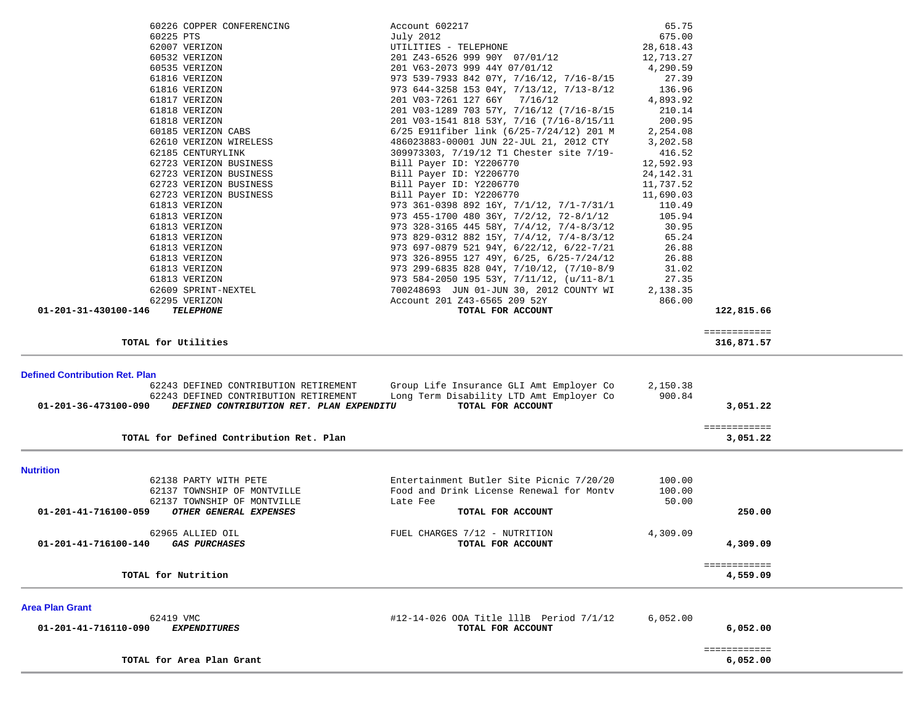|                                                                  | Account 602217                                                                       | 65.75              |                          |  |
|------------------------------------------------------------------|--------------------------------------------------------------------------------------|--------------------|--------------------------|--|
| 60225 PTS                                                        | July 2012                                                                            | 675.00             |                          |  |
| 62007 VERIZON                                                    | UTILITIES - TELEPHONE                                                                | 28,618.43          |                          |  |
| 60532 VERIZON                                                    | 201 Z43-6526 999 90Y 07/01/12                                                        | 12,713.27          |                          |  |
| 60535 VERIZON                                                    | 201 V63-2073 999 44Y 07/01/12                                                        | 4,290.59           |                          |  |
| 61816 VERIZON                                                    | 973 539-7933 842 07Y, 7/16/12, 7/16-8/15                                             | 27.39              |                          |  |
| 61816 VERIZON                                                    | 973 644-3258 153 04Y, 7/13/12, 7/13-8/12                                             | 136.96<br>4,893.92 |                          |  |
| 61817 VERIZON                                                    | 201 V03-7261 127 66Y 7/16/12                                                         | 210.14             |                          |  |
| 61818 VERIZON<br>61818 VERIZON                                   | 201 V03-1289 703 57Y, 7/16/12 (7/16-8/15<br>201 V03-1541 818 53Y, 7/16 (7/16-8/15/11 | 200.95             |                          |  |
| 60185 VERIZON CABS                                               | 6/25 E911fiber link (6/25-7/24/12) 201 M                                             | 2,254.08           |                          |  |
| 62610 VERIZON WIRELESS                                           | 486023883-00001 JUN 22-JUL 21, 2012 CTY                                              | 3,202.58           |                          |  |
| 62185 CENTURYLINK                                                | 309973303, 7/19/12 T1 Chester site 7/19-                                             | 416.52             |                          |  |
| 62723 VERIZON BUSINESS                                           | Bill Payer ID: Y2206770                                                              | 12,592.93          |                          |  |
| 62723 VERIZON BUSINESS                                           | Bill Payer ID: Y2206770                                                              | 24, 142. 31        |                          |  |
| 62723 VERIZON BUSINESS                                           | Bill Payer ID: Y2206770                                                              | 11,737.52          |                          |  |
| 62723 VERIZON BUSINESS                                           | Bill Payer ID: Y2206770                                                              | 11,690.03          |                          |  |
| 61813 VERIZON                                                    | 973 361-0398 892 16Y, 7/1/12, 7/1-7/31/1                                             | 110.49             |                          |  |
| 61813 VERIZON                                                    | 973 455-1700 480 36Y, 7/2/12, 72-8/1/12                                              | 105.94             |                          |  |
| 61813 VERIZON                                                    | 973 328-3165 445 58Y, 7/4/12, 7/4-8/3/12                                             | 30.95              |                          |  |
| 61813 VERIZON                                                    | 973 829-0312 882 15Y, 7/4/12, 7/4-8/3/12                                             | 65.24              |                          |  |
| 61813 VERIZON                                                    | 973 697-0879 521 94Y, 6/22/12, 6/22-7/21                                             | 26.88              |                          |  |
| 61813 VERIZON                                                    | 973 326-8955 127 49Y, 6/25, 6/25-7/24/12                                             | 26.88              |                          |  |
| 61813 VERIZON                                                    | 973 299-6835 828 04Y, 7/10/12, (7/10-8/9                                             | 31.02              |                          |  |
| 61813 VERIZON                                                    | 973 584-2050 195 53Y, $7/11/12$ , $(u/11-8/1)$                                       | 27.35              |                          |  |
| 62609 SPRINT-NEXTEL                                              | 700248693 JUN 01-JUN 30, 2012 COUNTY WI                                              | 2,138.35           |                          |  |
| 62295 VERIZON                                                    | Account 201 Z43-6565 209 52Y                                                         | 866.00             |                          |  |
| 01-201-31-430100-146<br><b>TELEPHONE</b>                         | TOTAL FOR ACCOUNT                                                                    |                    | 122,815.66               |  |
|                                                                  |                                                                                      |                    | ============             |  |
| TOTAL for Utilities                                              |                                                                                      |                    | 316,871.57               |  |
|                                                                  |                                                                                      |                    |                          |  |
| <b>Defined Contribution Ret. Plan</b>                            |                                                                                      |                    |                          |  |
|                                                                  |                                                                                      |                    |                          |  |
| 62243 DEFINED CONTRIBUTION RETIREMENT                            | Group Life Insurance GLI Amt Employer Co                                             | 2,150.38           |                          |  |
| 62243 DEFINED CONTRIBUTION RETIREMENT                            | Long Term Disability LTD Amt Employer Co                                             | 900.84             |                          |  |
| 01-201-36-473100-090<br>DEFINED CONTRIBUTION RET. PLAN EXPENDITU | TOTAL FOR ACCOUNT                                                                    |                    | 3,051.22                 |  |
|                                                                  |                                                                                      |                    | ============             |  |
| TOTAL for Defined Contribution Ret. Plan                         |                                                                                      |                    | 3,051.22                 |  |
|                                                                  |                                                                                      |                    |                          |  |
| <b>Nutrition</b>                                                 |                                                                                      |                    |                          |  |
| 62138 PARTY WITH PETE                                            | Entertainment Butler Site Picnic 7/20/20                                             | 100.00             |                          |  |
| 62137 TOWNSHIP OF MONTVILLE                                      | Food and Drink License Renewal for Monty                                             | 100.00             |                          |  |
| 62137 TOWNSHIP OF MONTVILLE                                      | Late Fee                                                                             | 50.00              |                          |  |
| 01-201-41-716100-059<br>OTHER GENERAL EXPENSES                   | TOTAL FOR ACCOUNT                                                                    |                    | 250.00                   |  |
| 62965 ALLIED OIL                                                 | FUEL CHARGES 7/12 - NUTRITION                                                        | 4,309.09           |                          |  |
| 01-201-41-716100-140<br><b>GAS PURCHASES</b>                     | TOTAL FOR ACCOUNT                                                                    |                    | 4,309.09                 |  |
|                                                                  |                                                                                      |                    |                          |  |
| TOTAL for Nutrition                                              |                                                                                      |                    | ============<br>4,559.09 |  |
|                                                                  |                                                                                      |                    |                          |  |
|                                                                  |                                                                                      |                    |                          |  |
| <b>Area Plan Grant</b><br>62419 VMC                              |                                                                                      | 6,052.00           |                          |  |
| <b>EXPENDITURES</b><br>01-201-41-716110-090                      | #12-14-026 OOA Title lllB Period 7/1/12<br>TOTAL FOR ACCOUNT                         |                    | 6,052.00                 |  |
|                                                                  |                                                                                      |                    |                          |  |
| TOTAL for Area Plan Grant                                        |                                                                                      |                    | ============<br>6,052.00 |  |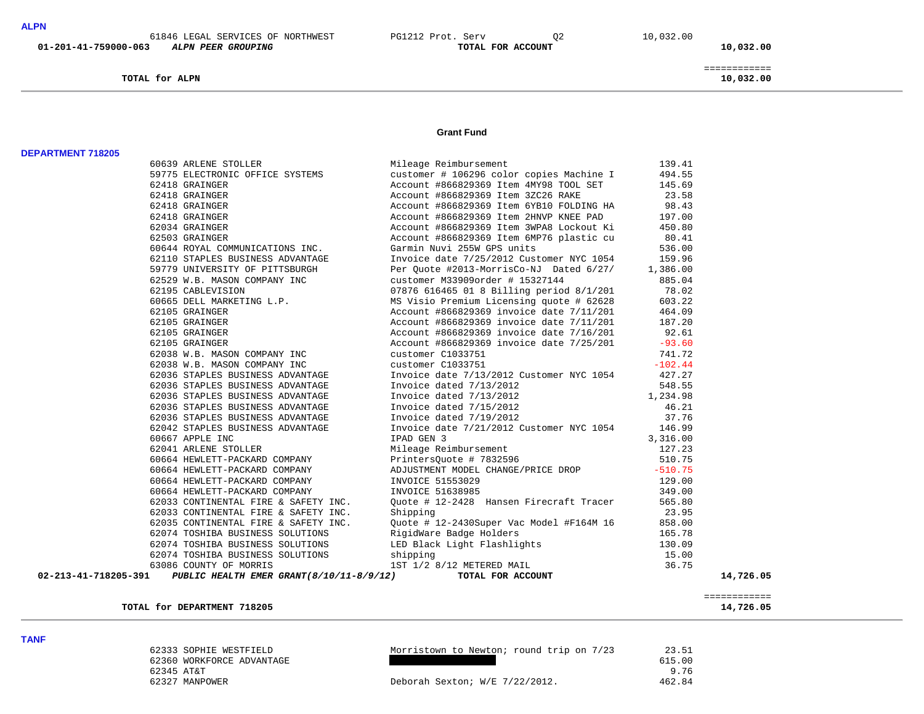**TOTAL for ALPN 10,032.00**

### **Grant Fund**

| <b>DEPARTMENT 718205</b> |                                                |                                                                                                                                                                                                                                                  |        |           |
|--------------------------|------------------------------------------------|--------------------------------------------------------------------------------------------------------------------------------------------------------------------------------------------------------------------------------------------------|--------|-----------|
|                          | 60639 ARLENE STOLLER                           | Mileage Reimbursement                                                                                                                                                                                                                            | 139.41 |           |
|                          |                                                | 59775 ELECTRONIC OFFICE SYSTEMS Customer # 106296 color copies Machine I 494.55                                                                                                                                                                  |        |           |
|                          | 62418 GRAINGER                                 | Macount #866829369 Item 4NY98 TOOL SET<br>Account #866829369 Item 4NY98 TOOL SET<br>Account #866829369 Item 3ZC26 RAKE<br>Account #866829369 Item 6YB10 FOLDING HA<br>Account #866829369 Item 6YB10 FOLDING HA<br>Account #866829369 Item 8NP    | 145.69 |           |
|                          | 62418 GRAINGER                                 | Account #866829369 Item 3ZC26 RAKE 23.58<br>Account #866829369 Item 6YB10 FOLDING HA 98.43<br>Account #866829369 Item 2HNVP KNEE PAD 197.00                                                                                                      |        |           |
|                          | 62418 GRAINGER                                 |                                                                                                                                                                                                                                                  |        |           |
|                          | 62418 GRAINGER                                 |                                                                                                                                                                                                                                                  |        |           |
|                          | 62034 GRAINGER                                 | Account #866829369 Item 3WPA8 Lockout Ki 450.80                                                                                                                                                                                                  |        |           |
|                          | 62503 GRAINGER                                 | Account #866829369 Item 6MP76 plastic cu 80.41                                                                                                                                                                                                   |        |           |
|                          |                                                | 62513 GRAINGER<br>6210 STAPILES BUSINESS ADVANTAGE<br>62110 STAPILES BUSINESS ADVANTAGE<br>62110 STAPILES BUSINESS ADVANTAGE<br>62110 STAPILES BUSINESS ADVANTAGE<br>6279 UNIVERSITY OF PITTSBURGH<br>62219 CALEWISTON COMPANY INC<br>6229       |        |           |
|                          |                                                |                                                                                                                                                                                                                                                  |        |           |
|                          |                                                |                                                                                                                                                                                                                                                  |        |           |
|                          |                                                |                                                                                                                                                                                                                                                  |        |           |
|                          |                                                |                                                                                                                                                                                                                                                  |        |           |
|                          |                                                |                                                                                                                                                                                                                                                  |        |           |
|                          |                                                |                                                                                                                                                                                                                                                  |        |           |
|                          |                                                |                                                                                                                                                                                                                                                  |        |           |
|                          |                                                |                                                                                                                                                                                                                                                  |        |           |
|                          |                                                |                                                                                                                                                                                                                                                  |        |           |
|                          |                                                |                                                                                                                                                                                                                                                  |        |           |
|                          | 62038 W.B. MASON COMPANY INC customer C1033751 | $741.72$<br>-102.44                                                                                                                                                                                                                              |        |           |
|                          |                                                | 62036 STAPLES BUSINESS ADVANTAGE 11voice date 7/13/2012 Customer NYC 1054 427.27                                                                                                                                                                 |        |           |
|                          |                                                | 62036 STAPLES BUSINESS ADVANTAGE<br>62036 STAPLES BUSINESS ADVANTAGE Invoice dated 7/13/2012 1.234.98<br>62036 STAPLES BUSINESS ADVANTAGE Invoice dated 7/13/2012 1.234.98<br>62036 STAPLES BUSINESS ADVANTAGE Invoice dated 7/15/20             |        |           |
|                          |                                                |                                                                                                                                                                                                                                                  |        |           |
|                          |                                                |                                                                                                                                                                                                                                                  |        |           |
|                          |                                                |                                                                                                                                                                                                                                                  |        |           |
|                          |                                                |                                                                                                                                                                                                                                                  |        |           |
|                          |                                                |                                                                                                                                                                                                                                                  |        |           |
|                          |                                                |                                                                                                                                                                                                                                                  |        |           |
|                          |                                                | 02047 STAPLE INC<br>62041 ARLENE SOLLER<br>62041 ARLENE STOLLER<br>62041 ARLENE STOLLER<br>FRAME STOLLER<br>Mileage Reimbursement<br>Mileage Reimbursement<br>PrintersQuote #7832596<br>60664 HEWLETT-PACKARD COMPANY<br>FINITENT MODEL CHANGE/P |        |           |
|                          |                                                |                                                                                                                                                                                                                                                  |        |           |
|                          |                                                |                                                                                                                                                                                                                                                  |        |           |
|                          |                                                |                                                                                                                                                                                                                                                  |        |           |
|                          |                                                |                                                                                                                                                                                                                                                  |        |           |
|                          |                                                |                                                                                                                                                                                                                                                  |        |           |
|                          |                                                |                                                                                                                                                                                                                                                  |        |           |
|                          |                                                |                                                                                                                                                                                                                                                  |        |           |
|                          |                                                |                                                                                                                                                                                                                                                  |        |           |
|                          |                                                | 62033 CONTINENTAL FIRE & SAFETY INC.<br>62033 CONTINENTAL FIRE & SAFETY INC. Shipping<br>62035 CONTINENTAL FIRE & SAFETY INC. Quote # 12-2430Super Vac Model #F164M 16 858.00<br>62074 TOSHIBA BUSINESS SOLUTIONS RigidWare Badge Ho             |        |           |
|                          |                                                |                                                                                                                                                                                                                                                  |        |           |
| 02-213-41-718205-391     |                                                |                                                                                                                                                                                                                                                  |        | 14,726.05 |

============

TOTAL for DEPARTMENT 718205

14,726.05

9.76

462.84

**TANF** 

 62333 SOPHIE WESTFIELD Morristown to Newton; round trip on 7/23 23.51 62360 WORKFORCE ADVANTAGE 615.00 62327 MANPOWER Deborah Sexton; W/E 7/22/2012.

62345 AT&T 9.76

============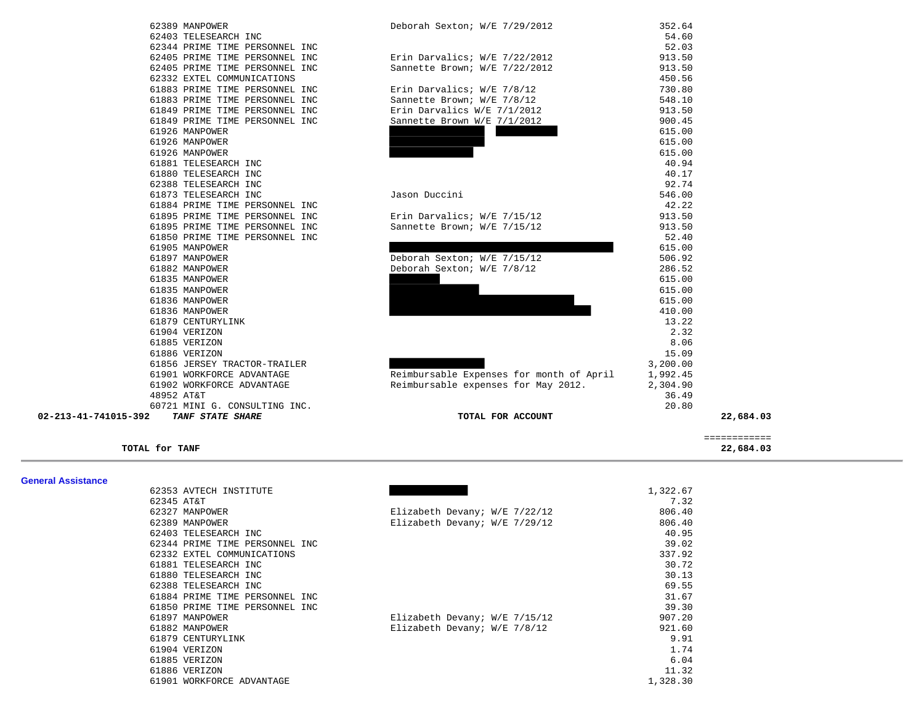| 62389 MANPOWER                   |
|----------------------------------|
| 62403 TELESEARCH INC             |
| 62344 PRIME TIME PERSONNEL INC   |
| 62405 PRIME TIME PERSONNEL INC   |
| 62405 PRIME TIME PERSONNEL INC   |
| 62332 EXTEL COMMUNICATIONS       |
| 61883 PRIME TIME PERSONNEL INC   |
| 61883 PRIME TIME PERSONNEL INC   |
| 61849 PRIME TIME PERSONNEL INC   |
| 61849 PRIME TIME PERSONNEL INC   |
| 61926 MANPOWER                   |
| 61926 MANPOWER                   |
| 61926 MANPOWER                   |
| 61881 TELESEARCH INC             |
| 61880 TELESEARCH INC             |
| 62388 TELESEARCH INC             |
| 61873 TELESEARCH INC             |
| 61884 PRIME TIME PERSONNEL INC   |
| 61895 PRIME TIME PERSONNEL INC   |
| 61895 PRIME TIME PERSONNEL INC   |
| 61850 PRIME TIME PERSONNEL INC   |
| 61905 MANPOWER                   |
| 61897 MANPOWER                   |
| 61882 MANPOWER                   |
| 61835 MANPOWER                   |
| 61835 MANPOWER                   |
| 61836 MANPOWER                   |
| 61836 MANPOWER                   |
| 61879 CENTURYLINK                |
| 61904 VERIZON                    |
| 61885 VERIZON                    |
| 61886 VERIZON                    |
| 61856 JERSEY TRACTOR-TRAILER     |
| 61901 WORKFORCE ADVANTAGE        |
| 61902 WORKFORCE ADVANTAGE        |
| 48952 AT&T                       |
| 60721 MINI G. CONSULTING<br>INC. |
|                                  |

| 61901 WORKFORCE ADVANTAGE<br>Reimbursable Expenses for month of April<br>61902 WORKFORCE ADVANTAGE<br>Reimbursable expenses for May 2012.<br>48952 AT&T<br>60721 MINI G. CONSULTING INC. | 1,992.45<br>2,304.90<br>36.49<br>20.80 |
|------------------------------------------------------------------------------------------------------------------------------------------------------------------------------------------|----------------------------------------|
|                                                                                                                                                                                          |                                        |
|                                                                                                                                                                                          |                                        |
|                                                                                                                                                                                          |                                        |
|                                                                                                                                                                                          |                                        |
| 61856 JERSEY TRACTOR-TRAILER                                                                                                                                                             | 3,200.00                               |
| 61886 VERIZON                                                                                                                                                                            | 15.09                                  |
| 61885 VERIZON                                                                                                                                                                            | 8.06                                   |
| 61904 VERIZON                                                                                                                                                                            | 2.32                                   |
| 61879 CENTURYLINK                                                                                                                                                                        | 13.22                                  |
| 61836 MANPOWER                                                                                                                                                                           | 410.00                                 |
| 61836 MANPOWER                                                                                                                                                                           | 615.00                                 |
| 61835 MANPOWER                                                                                                                                                                           | 615.00                                 |
| 61835 MANPOWER                                                                                                                                                                           | 615.00                                 |
| 61882 MANPOWER<br>Deborah Sexton; W/E 7/8/12                                                                                                                                             | 286.52                                 |
| 61897 MANPOWER<br>Deborah Sexton; W/E 7/15/12                                                                                                                                            | 506.92                                 |
| 61905 MANPOWER                                                                                                                                                                           | 615.00                                 |
| 61850 PRIME TIME PERSONNEL INC                                                                                                                                                           | 52.40                                  |
| 61895 PRIME TIME PERSONNEL INC<br>Sannette Brown; W/E 7/15/12                                                                                                                            | 913.50                                 |
| 61895 PRIME TIME PERSONNEL INC<br>Erin Darvalics; W/E 7/15/12                                                                                                                            | 913.50                                 |
| 61884 PRIME TIME PERSONNEL INC                                                                                                                                                           | 42.22                                  |
| 61873 TELESEARCH INC<br>Jason Duccini                                                                                                                                                    | 546.00                                 |
| 62388 TELESEARCH INC                                                                                                                                                                     | 92.74                                  |
| 61880 TELESEARCH INC                                                                                                                                                                     | 40.17                                  |
| 61881 TELESEARCH INC                                                                                                                                                                     | 40.94                                  |
| 61926 MANPOWER                                                                                                                                                                           | 615.00                                 |
| 61926 MANPOWER                                                                                                                                                                           | 615.00                                 |
| 61926 MANPOWER                                                                                                                                                                           | 615.00                                 |
| 61849 PRIME TIME PERSONNEL INC<br>Sannette Brown W/E 7/1/2012                                                                                                                            | 900.45                                 |
| 61849 PRIME TIME PERSONNEL INC<br>Erin Darvalics W/E 7/1/2012                                                                                                                            | 913.50                                 |
| 61883 PRIME TIME PERSONNEL INC<br>Sannette Brown; W/E 7/8/12                                                                                                                             | 548.10                                 |
| 61883 PRIME TIME PERSONNEL INC<br>Erin Darvalics; W/E 7/8/12                                                                                                                             | 730.80                                 |
| 62332 EXTEL COMMUNICATIONS                                                                                                                                                               | 450.56                                 |
| 62405 PRIME TIME PERSONNEL INC<br>Sannette Brown; W/E 7/22/2012                                                                                                                          | 913.50                                 |
| Erin Darvalics; W/E 7/22/2012<br>62405 PRIME TIME PERSONNEL INC                                                                                                                          | 913.50                                 |
| 62344 PRIME TIME PERSONNEL INC                                                                                                                                                           | 52.03                                  |
| 62403 TELESEARCH INC                                                                                                                                                                     | 54.60                                  |
| 62389 MANPOWER<br>Deborah Sexton; W/E 7/29/2012                                                                                                                                          | 352.64                                 |

22,684.03

**TOTAL for TANF 22,684.03**

| <b>General Assistance</b> |                                |                                 |          |
|---------------------------|--------------------------------|---------------------------------|----------|
|                           | 62353 AVTECH INSTITUTE         |                                 | 1,322.67 |
|                           | 62345 AT&T                     |                                 | 7.32     |
|                           | 62327 MANPOWER                 | Elizabeth Devany; W/E 7/22/12   | 806.40   |
|                           | 62389 MANPOWER                 | Elizabeth Devany; W/E 7/29/12   | 806.40   |
|                           | 62403 TELESEARCH INC           |                                 | 40.95    |
|                           | 62344 PRIME TIME PERSONNEL INC |                                 | 39.02    |
|                           | 62332 EXTEL COMMUNICATIONS     |                                 | 337.92   |
|                           | 61881 TELESEARCH INC           |                                 | 30.72    |
|                           | 61880 TELESEARCH INC           |                                 | 30.13    |
|                           | 62388 TELESEARCH INC           |                                 | 69.55    |
|                           | 61884 PRIME TIME PERSONNEL INC |                                 | 31.67    |
|                           | 61850 PRIME TIME PERSONNEL INC |                                 | 39.30    |
|                           | 61897 MANPOWER                 | Elizabeth Devany; $W/E$ 7/15/12 | 907.20   |
|                           | 61882 MANPOWER                 | Elizabeth Devany; $W/E$ 7/8/12  | 921.60   |
|                           | 61879 CENTURYLINK              |                                 | 9.91     |
|                           | 61904 VERIZON                  |                                 | 1.74     |
|                           | 61885 VERIZON                  |                                 | 6.04     |
|                           | 61886 VERIZON                  |                                 | 11.32    |
|                           | 61901 WORKFORCE ADVANTAGE      |                                 | 1,328.30 |

============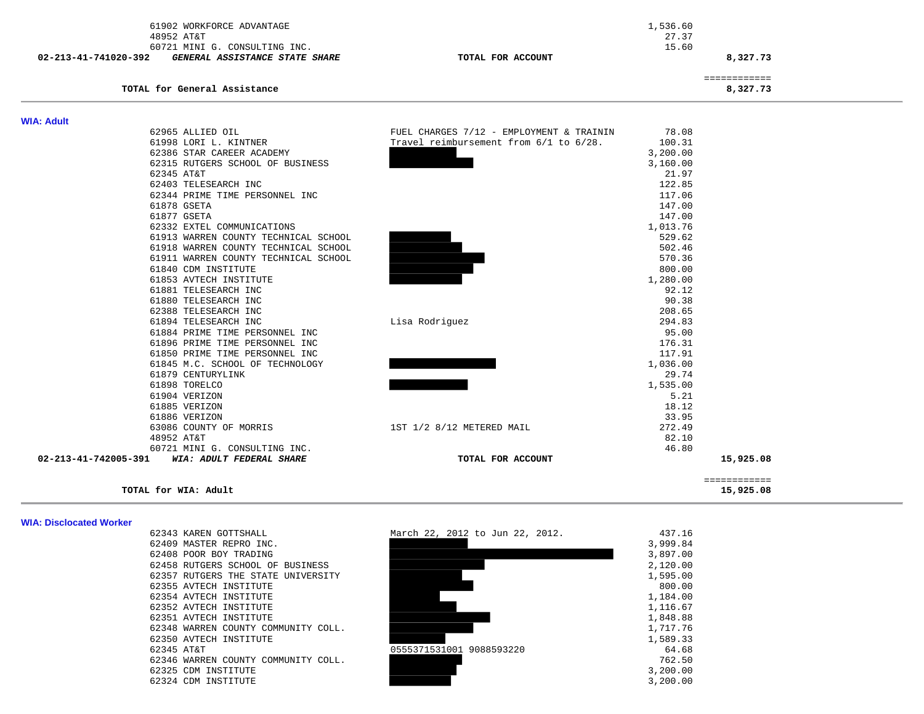|                      | 61902 WORKFORCE ADVANTAGE            |                                          | 1,536.60          |                          |
|----------------------|--------------------------------------|------------------------------------------|-------------------|--------------------------|
|                      | 48952 AT&T                           |                                          | 27.37             |                          |
|                      | 60721 MINI G. CONSULTING INC.        |                                          | 15.60             |                          |
| 02-213-41-741020-392 | GENERAL ASSISTANCE STATE SHARE       | TOTAL FOR ACCOUNT                        |                   | 8,327.73                 |
|                      | TOTAL for General Assistance         |                                          |                   | ============<br>8,327.73 |
|                      |                                      |                                          |                   |                          |
| <b>WIA: Adult</b>    |                                      |                                          |                   |                          |
|                      | 62965 ALLIED OIL                     | FUEL CHARGES 7/12 - EMPLOYMENT & TRAININ | 78.08             |                          |
|                      | 61998 LORI L. KINTNER                | Travel reimbursement from 6/1 to 6/28.   | 100.31            |                          |
|                      | 62386 STAR CAREER ACADEMY            |                                          | 3,200.00          |                          |
|                      | 62315 RUTGERS SCHOOL OF BUSINESS     |                                          | 3,160.00          |                          |
|                      | 62345 AT&T                           |                                          | 21.97             |                          |
|                      | 62403 TELESEARCH INC                 |                                          | 122.85            |                          |
|                      | 62344 PRIME TIME PERSONNEL INC       |                                          | 117.06            |                          |
|                      | 61878 GSETA                          |                                          | 147.00            |                          |
|                      | 61877 GSETA                          |                                          | 147.00            |                          |
|                      | 62332 EXTEL COMMUNICATIONS           |                                          | 1,013.76          |                          |
|                      | 61913 WARREN COUNTY TECHNICAL SCHOOL |                                          | 529.62            |                          |
|                      | 61918 WARREN COUNTY TECHNICAL SCHOOL |                                          | 502.46            |                          |
|                      | 61911 WARREN COUNTY TECHNICAL SCHOOL |                                          | 570.36            |                          |
|                      | 61840 CDM INSTITUTE                  |                                          | 800.00            |                          |
|                      | 61853 AVTECH INSTITUTE               |                                          | 1,280.00          |                          |
|                      | 61881 TELESEARCH INC                 |                                          | 92.12             |                          |
|                      | 61880 TELESEARCH INC                 |                                          | 90.38             |                          |
|                      | 62388 TELESEARCH INC                 |                                          | 208.65            |                          |
|                      | 61894 TELESEARCH INC                 | Lisa Rodriguez                           | 294.83            |                          |
|                      | 61884 PRIME TIME PERSONNEL INC       |                                          | 95.00             |                          |
|                      | 61896 PRIME TIME PERSONNEL INC       |                                          | 176.31            |                          |
|                      | 61850 PRIME TIME PERSONNEL INC       |                                          | 117.91            |                          |
|                      | 61845 M.C. SCHOOL OF TECHNOLOGY      |                                          | 1,036.00          |                          |
|                      | 61879 CENTURYLINK                    |                                          | 29.74<br>1,535.00 |                          |
|                      | 61898 TORELCO<br>61904 VERIZON       |                                          | 5.21              |                          |
|                      |                                      |                                          |                   |                          |
|                      | 61885 VERIZON<br>61886 VERIZON       |                                          | 18.12<br>33.95    |                          |
|                      |                                      |                                          |                   |                          |
|                      | 63086 COUNTY OF MORRIS<br>48952 AT&T | 1ST 1/2 8/12 METERED MAIL                | 272.49<br>82.10   |                          |
|                      | 60721 MINI G. CONSULTING INC.        |                                          | 46.80             |                          |
| 02-213-41-742005-391 | WIA: ADULT FEDERAL SHARE             | TOTAL FOR ACCOUNT                        |                   | 15,925.08                |
|                      |                                      |                                          |                   |                          |
|                      |                                      |                                          |                   | ============             |
|                      | TOTAL for WIA: Adult                 |                                          |                   | 15,925.08                |

#### **WIA: Disclocated Worker**

62355 AVTECH INSTITUTE 62354 AVTECH INSTITUTE 62346 WARREN COUNTY COMMUNITY COLL.

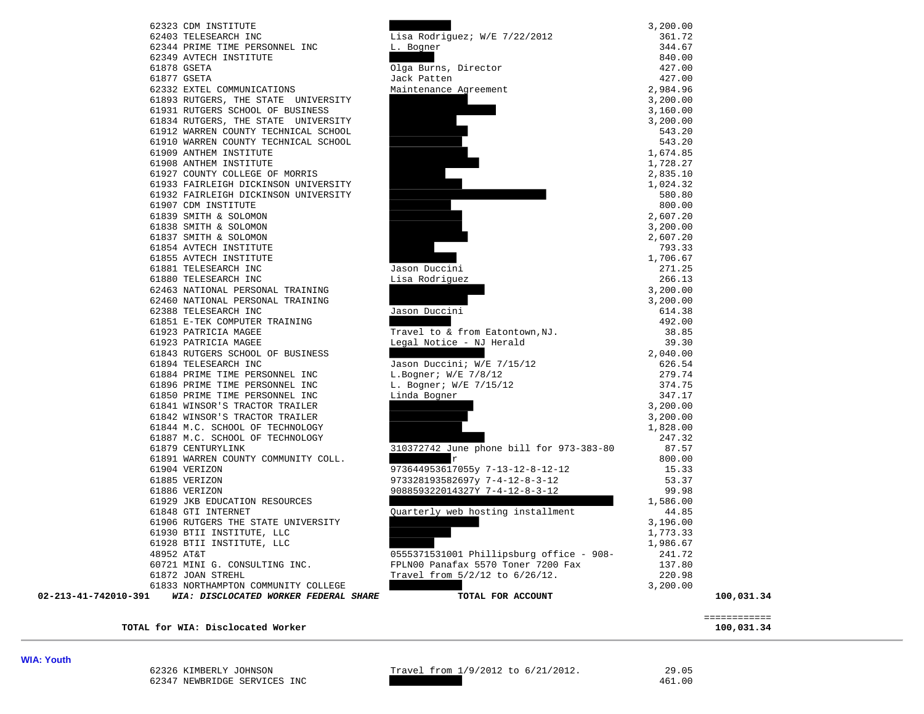|            | 62323 CDM INSTITUTE                  |
|------------|--------------------------------------|
|            | 62403 TELESEARCH INC                 |
|            | 62344 PRIME TIME PERSONNEL INC       |
|            | 62349 AVTECH INSTITUTE               |
|            | 61878 GSETA                          |
|            | 61877 GSETA                          |
|            | 62332 EXTEL COMMUNICATIONS           |
|            | 61893 RUTGERS, THE STATE UNIVERSITY  |
|            | 61931 RUTGERS SCHOOL OF BUSINESS     |
|            | 61834 RUTGERS, THE STATE UNIVERSITY  |
|            | 61912 WARREN COUNTY TECHNICAL SCHOOL |
|            | 61910 WARREN COUNTY TECHNICAL SCHOOL |
|            | 61909 ANTHEM INSTITUTE               |
|            | 61908 ANTHEM INSTITUTE               |
|            | 61927 COUNTY COLLEGE OF MORRIS       |
|            | 61933 FAIRLEIGH DICKINSON UNIVERSITY |
|            | 61932 FAIRLEIGH DICKINSON UNIVERSITY |
|            | 61907 CDM INSTITUTE                  |
|            | 61839 SMITH & SOLOMON                |
|            | 61838 SMITH & SOLOMON                |
|            | 61837 SMITH & SOLOMON                |
|            | 61854 AVTECH INSTITUTE               |
|            | 61855 AVTECH INSTITUTE               |
|            | 61881 TELESEARCH INC                 |
|            | 61880 TELESEARCH INC                 |
|            | 62463 NATIONAL PERSONAL TRAINING     |
|            | 62460 NATIONAL PERSONAL TRAINING     |
|            | 62388 TELESEARCH INC                 |
|            | 61851 E-TEK COMPUTER TRAINING        |
|            | 61923 PATRICIA MAGEE                 |
|            | 61923 PATRICIA MAGEE                 |
|            | 61843 RUTGERS SCHOOL OF BUSINESS     |
|            | 61894 TELESEARCH INC                 |
|            | 61884 PRIME TIME PERSONNEL INC       |
|            | 61896 PRIME TIME PERSONNEL INC       |
|            | 61850 PRIME TIME PERSONNEL INC       |
|            | 61841 WINSOR'S TRACTOR TRAILER       |
|            | 61842 WINSOR'S TRACTOR TRAILER       |
|            | 61844 M.C. SCHOOL OF TECHNOLOGY      |
|            | 61887 M.C. SCHOOL OF TECHNOLOGY      |
|            | 61879 CENTURYLINK                    |
|            | 61891 WARREN COUNTY COMMUNITY COLL.  |
|            | 61904 VERIZON                        |
|            | 61885 VERIZON                        |
|            | 61886 VERIZON                        |
|            | 61929 JKB EDUCATION RESOURCES        |
|            | 61848 GTI INTERNET                   |
|            | 61906 RUTGERS THE STATE UNIVERSITY   |
|            | 61930 BTII INSTITUTE, LLC            |
|            | 61928 BTII INSTITUTE, LLC            |
| 48952 AT&T |                                      |
|            | 60721 MINI G. CONSULTING INC.        |
|            | 61872 JOAN STREHL                    |
|            | 61833 NORTHAMPTON COMMUNITY COLLEGE  |
| 91         | WIA: DISCLOCATED WORKER FEDERAL SHA  |
|            |                                      |

**WIA: Youth** 

62326 KIMBERLY JOHNSON Travel from 1/9/2012 to 6/21/2012. 29.05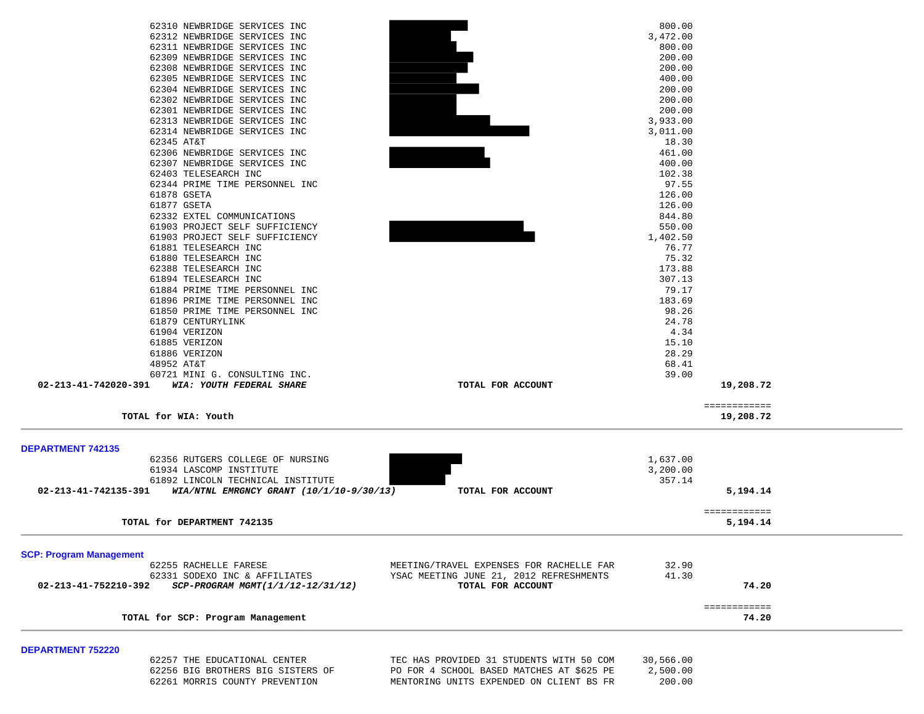| 62312 NEWBRIDGE SERVICES INC<br>62311 NEWBRIDGE SERVICES INC<br>62309 NEWBRIDGE SERVICES INC<br>62308 NEWBRIDGE SERVICES INC<br>62305 NEWBRIDGE SERVICES INC<br>62304 NEWBRIDGE SERVICES INC<br>62302 NEWBRIDGE SERVICES INC<br>62301 NEWBRIDGE SERVICES INC<br>62313 NEWBRIDGE SERVICES INC<br>62314 NEWBRIDGE SERVICES INC<br>62345 AT&T<br>62306 NEWBRIDGE SERVICES INC<br>62307 NEWBRIDGE SERVICES INC<br>62403 TELESEARCH INC<br>62344 PRIME TIME PERSONNEL INC<br>61878 GSETA<br>61877 GSETA<br>62332 EXTEL COMMUNICATIONS<br>61903 PROJECT SELF SUFFICIENCY | 3,472.00<br>800.00<br>200.00<br>200.00<br>400.00<br>200.00<br>200.00<br>200.00<br>3,933.00<br>3,011.00<br>18.30<br>461.00<br>400.00<br>102.38<br>97.55<br>126.00<br>126.00<br>844.80 |                           |
|--------------------------------------------------------------------------------------------------------------------------------------------------------------------------------------------------------------------------------------------------------------------------------------------------------------------------------------------------------------------------------------------------------------------------------------------------------------------------------------------------------------------------------------------------------------------|--------------------------------------------------------------------------------------------------------------------------------------------------------------------------------------|---------------------------|
|                                                                                                                                                                                                                                                                                                                                                                                                                                                                                                                                                                    |                                                                                                                                                                                      |                           |
|                                                                                                                                                                                                                                                                                                                                                                                                                                                                                                                                                                    |                                                                                                                                                                                      |                           |
|                                                                                                                                                                                                                                                                                                                                                                                                                                                                                                                                                                    |                                                                                                                                                                                      |                           |
|                                                                                                                                                                                                                                                                                                                                                                                                                                                                                                                                                                    |                                                                                                                                                                                      |                           |
|                                                                                                                                                                                                                                                                                                                                                                                                                                                                                                                                                                    |                                                                                                                                                                                      |                           |
|                                                                                                                                                                                                                                                                                                                                                                                                                                                                                                                                                                    |                                                                                                                                                                                      |                           |
|                                                                                                                                                                                                                                                                                                                                                                                                                                                                                                                                                                    |                                                                                                                                                                                      |                           |
|                                                                                                                                                                                                                                                                                                                                                                                                                                                                                                                                                                    |                                                                                                                                                                                      |                           |
|                                                                                                                                                                                                                                                                                                                                                                                                                                                                                                                                                                    |                                                                                                                                                                                      |                           |
|                                                                                                                                                                                                                                                                                                                                                                                                                                                                                                                                                                    |                                                                                                                                                                                      |                           |
|                                                                                                                                                                                                                                                                                                                                                                                                                                                                                                                                                                    |                                                                                                                                                                                      |                           |
|                                                                                                                                                                                                                                                                                                                                                                                                                                                                                                                                                                    |                                                                                                                                                                                      |                           |
|                                                                                                                                                                                                                                                                                                                                                                                                                                                                                                                                                                    |                                                                                                                                                                                      |                           |
|                                                                                                                                                                                                                                                                                                                                                                                                                                                                                                                                                                    |                                                                                                                                                                                      |                           |
|                                                                                                                                                                                                                                                                                                                                                                                                                                                                                                                                                                    |                                                                                                                                                                                      |                           |
|                                                                                                                                                                                                                                                                                                                                                                                                                                                                                                                                                                    |                                                                                                                                                                                      |                           |
|                                                                                                                                                                                                                                                                                                                                                                                                                                                                                                                                                                    |                                                                                                                                                                                      |                           |
|                                                                                                                                                                                                                                                                                                                                                                                                                                                                                                                                                                    | 550.00                                                                                                                                                                               |                           |
| 61903 PROJECT SELF SUFFICIENCY                                                                                                                                                                                                                                                                                                                                                                                                                                                                                                                                     | 1,402.50                                                                                                                                                                             |                           |
| 61881 TELESEARCH INC                                                                                                                                                                                                                                                                                                                                                                                                                                                                                                                                               | 76.77                                                                                                                                                                                |                           |
| 61880 TELESEARCH INC                                                                                                                                                                                                                                                                                                                                                                                                                                                                                                                                               | 75.32                                                                                                                                                                                |                           |
| 62388 TELESEARCH INC                                                                                                                                                                                                                                                                                                                                                                                                                                                                                                                                               | 173.88                                                                                                                                                                               |                           |
| 61894 TELESEARCH INC                                                                                                                                                                                                                                                                                                                                                                                                                                                                                                                                               | 307.13                                                                                                                                                                               |                           |
| 61884 PRIME TIME PERSONNEL INC                                                                                                                                                                                                                                                                                                                                                                                                                                                                                                                                     | 79.17                                                                                                                                                                                |                           |
| 61896 PRIME TIME PERSONNEL INC                                                                                                                                                                                                                                                                                                                                                                                                                                                                                                                                     | 183.69                                                                                                                                                                               |                           |
| 61850 PRIME TIME PERSONNEL INC                                                                                                                                                                                                                                                                                                                                                                                                                                                                                                                                     | 98.26                                                                                                                                                                                |                           |
| 61879 CENTURYLINK                                                                                                                                                                                                                                                                                                                                                                                                                                                                                                                                                  | 24.78                                                                                                                                                                                |                           |
| 61904 VERIZON                                                                                                                                                                                                                                                                                                                                                                                                                                                                                                                                                      | 4.34                                                                                                                                                                                 |                           |
| 61885 VERIZON                                                                                                                                                                                                                                                                                                                                                                                                                                                                                                                                                      | 15.10                                                                                                                                                                                |                           |
| 61886 VERIZON                                                                                                                                                                                                                                                                                                                                                                                                                                                                                                                                                      | 28.29                                                                                                                                                                                |                           |
| 48952 AT&T                                                                                                                                                                                                                                                                                                                                                                                                                                                                                                                                                         | 68.41                                                                                                                                                                                |                           |
| 60721 MINI G. CONSULTING INC.<br>02-213-41-742020-391<br>WIA: YOUTH FEDERAL SHARE<br>TOTAL FOR ACCOUNT                                                                                                                                                                                                                                                                                                                                                                                                                                                             | 39.00                                                                                                                                                                                | 19,208.72                 |
|                                                                                                                                                                                                                                                                                                                                                                                                                                                                                                                                                                    |                                                                                                                                                                                      |                           |
| TOTAL for WIA: Youth                                                                                                                                                                                                                                                                                                                                                                                                                                                                                                                                               |                                                                                                                                                                                      | ============<br>19,208.72 |
|                                                                                                                                                                                                                                                                                                                                                                                                                                                                                                                                                                    |                                                                                                                                                                                      |                           |
| <b>DEPARTMENT 742135</b><br>62356 RUTGERS COLLEGE OF NURSING                                                                                                                                                                                                                                                                                                                                                                                                                                                                                                       | 1,637.00                                                                                                                                                                             |                           |
| 61934 LASCOMP INSTITUTE                                                                                                                                                                                                                                                                                                                                                                                                                                                                                                                                            | 3,200.00                                                                                                                                                                             |                           |
| 61892 LINCOLN TECHNICAL INSTITUTE                                                                                                                                                                                                                                                                                                                                                                                                                                                                                                                                  | 357.14                                                                                                                                                                               |                           |
| 02-213-41-742135-391<br>WIA/NTNL EMRGNCY GRANT (10/1/10-9/30/13)<br>TOTAL FOR ACCOUNT                                                                                                                                                                                                                                                                                                                                                                                                                                                                              |                                                                                                                                                                                      | 5,194.14                  |
|                                                                                                                                                                                                                                                                                                                                                                                                                                                                                                                                                                    |                                                                                                                                                                                      | ============              |
| TOTAL for DEPARTMENT 742135                                                                                                                                                                                                                                                                                                                                                                                                                                                                                                                                        |                                                                                                                                                                                      | 5,194.14                  |
|                                                                                                                                                                                                                                                                                                                                                                                                                                                                                                                                                                    |                                                                                                                                                                                      |                           |
| <b>SCP: Program Management</b>                                                                                                                                                                                                                                                                                                                                                                                                                                                                                                                                     |                                                                                                                                                                                      |                           |
| MEETING/TRAVEL EXPENSES FOR RACHELLE FAR<br>62255 RACHELLE FARESE                                                                                                                                                                                                                                                                                                                                                                                                                                                                                                  | 32.90                                                                                                                                                                                |                           |
| 62331 SODEXO INC & AFFILIATES<br>YSAC MEETING JUNE 21, 2012 REFRESHMENTS                                                                                                                                                                                                                                                                                                                                                                                                                                                                                           | 41.30                                                                                                                                                                                |                           |
| 02-213-41-752210-392<br>SCP-PROGRAM MGMT(1/1/12-12/31/12)<br>TOTAL FOR ACCOUNT                                                                                                                                                                                                                                                                                                                                                                                                                                                                                     |                                                                                                                                                                                      | 74.20                     |
|                                                                                                                                                                                                                                                                                                                                                                                                                                                                                                                                                                    |                                                                                                                                                                                      | ============              |
| TOTAL for SCP: Program Management                                                                                                                                                                                                                                                                                                                                                                                                                                                                                                                                  |                                                                                                                                                                                      | 74.20                     |

| 62257 THE EDUCATIONAL CENTER      | TEC HAS PROVIDED 31 STUDENTS WITH 50 COM  | 30,566.00 |
|-----------------------------------|-------------------------------------------|-----------|
| 62256 BIG BROTHERS BIG SISTERS OF | PO FOR 4 SCHOOL BASED MATCHES AT \$625 PE | 2,500.00  |
| 62261 MORRIS COUNTY PREVENTION    | MENTORING UNITS EXPENDED ON CLIENT BS FR  | 200.00    |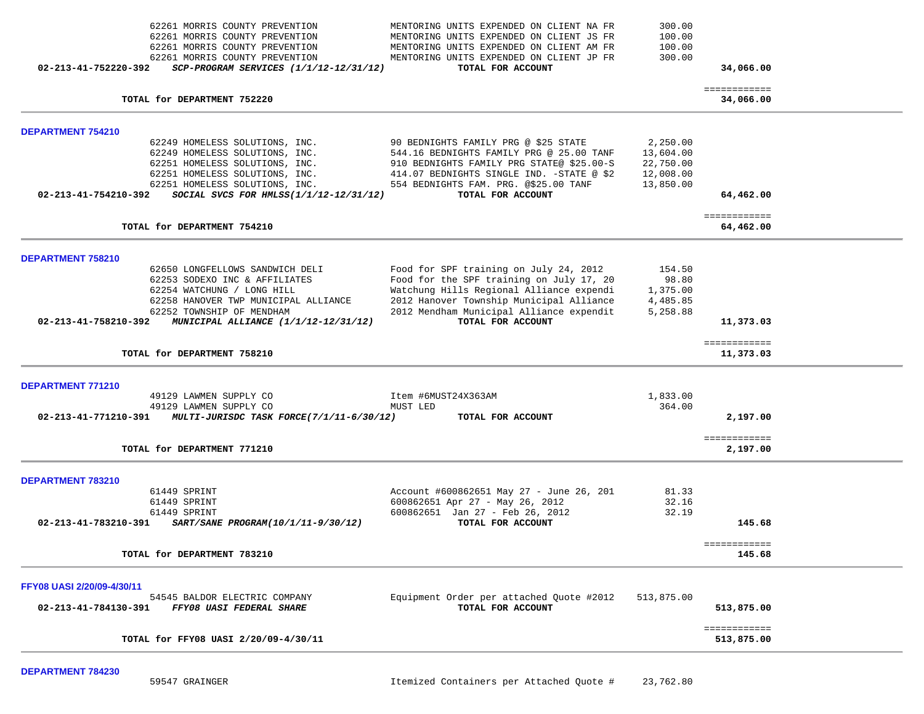| 62261 MORRIS COUNTY PREVENTION<br>62261 MORRIS COUNTY PREVENTION<br>62261 MORRIS COUNTY PREVENTION<br>62261 MORRIS COUNTY PREVENTION<br>02-213-41-752220-392<br>$SCP-PROGRAM$ SERVICES $(1/1/12-12/31/12)$                                             | MENTORING UNITS EXPENDED ON CLIENT NA FR<br>MENTORING UNITS EXPENDED ON CLIENT JS FR<br>MENTORING UNITS EXPENDED ON CLIENT AM FR<br>MENTORING UNITS EXPENDED ON CLIENT JP FR<br>TOTAL FOR ACCOUNT                                           | 300.00<br>100.00<br>100.00<br>300.00      | 34,066.00                  |  |
|--------------------------------------------------------------------------------------------------------------------------------------------------------------------------------------------------------------------------------------------------------|---------------------------------------------------------------------------------------------------------------------------------------------------------------------------------------------------------------------------------------------|-------------------------------------------|----------------------------|--|
| TOTAL for DEPARTMENT 752220                                                                                                                                                                                                                            |                                                                                                                                                                                                                                             |                                           | ============<br>34,066.00  |  |
| <b>DEPARTMENT 754210</b><br>62249 HOMELESS SOLUTIONS, INC.<br>62249 HOMELESS SOLUTIONS, INC.                                                                                                                                                           | 90 BEDNIGHTS FAMILY PRG @ \$25 STATE<br>544.16 BEDNIGHTS FAMILY PRG @ 25.00 TANF                                                                                                                                                            | 2,250.00<br>13,604.00                     |                            |  |
| 62251 HOMELESS SOLUTIONS, INC.<br>62251 HOMELESS SOLUTIONS, INC. $414.07$ BEDNIGHTS SINGLE IND. -STATE @ \$2<br>62251 HOMELESS SOLUTIONS, INC. 554 BEDNIGHTS FAM. PRG. @\$25.00 TANF<br>02-213-41-754210-392<br>SOCIAL SVCS FOR HMLSS(1/1/12-12/31/12) | 910 BEDNIGHTS FAMILY PRG STATE@ \$25.00-S<br>TOTAL FOR ACCOUNT                                                                                                                                                                              | 22,750.00<br>12,008.00<br>13,850.00       | 64,462.00                  |  |
| TOTAL for DEPARTMENT 754210                                                                                                                                                                                                                            |                                                                                                                                                                                                                                             |                                           | ============<br>64,462.00  |  |
| DEPARTMENT 758210<br>62650 LONGFELLOWS SANDWICH DELI                                                                                                                                                                                                   |                                                                                                                                                                                                                                             | 154.50                                    |                            |  |
| 62253 SODEXO INC & AFFILIATES<br>62254 WATCHUNG / LONG HILL<br>62258 HANOVER TWP MUNICIPAL ALLIANCE<br>62252 TOWNSHIP OF MENDHAM<br>02-213-41-758210-392<br>MUNICIPAL ALLIANCE (1/1/12-12/31/12)                                                       | Food for SPF training on July 24, 2012<br>Food for the SPF training on July 17, 20<br>Watchung Hills Regional Alliance expendi<br>2012 Hanover Township Municipal Alliance<br>2012 Mendham Municipal Alliance expendit<br>TOTAL FOR ACCOUNT | 98.80<br>1,375.00<br>4,485.85<br>5,258.88 | 11,373.03                  |  |
| TOTAL for DEPARTMENT 758210                                                                                                                                                                                                                            |                                                                                                                                                                                                                                             |                                           | ============<br>11,373.03  |  |
| DEPARTMENT 771210<br>49129 LAWMEN SUPPLY CO<br>49129 LAWMEN SUPPLY CO<br>02-213-41-771210-391 MULTI-JURISDC TASK FORCE(7/1/11-6/30/12)                                                                                                                 | Item #6MUST24X363AM<br>MUST LED<br>TOTAL FOR ACCOUNT                                                                                                                                                                                        | 1,833.00<br>364.00                        | 2,197.00                   |  |
| TOTAL for DEPARTMENT 771210                                                                                                                                                                                                                            |                                                                                                                                                                                                                                             |                                           | ============<br>2,197.00   |  |
| DEPARTMENT 783210<br>61449 SPRINT<br>61449 SPRINT                                                                                                                                                                                                      | Account #600862651 May 27 - June 26, 201<br>600862651 Apr 27 - May 26, 2012                                                                                                                                                                 | 81.33<br>32.16                            |                            |  |
| 61449 SPRINT<br>SART/SANE PROGRAM(10/1/11-9/30/12)<br>02-213-41-783210-391                                                                                                                                                                             | 600862651 Jan 27 - Feb 26, 2012<br>TOTAL FOR ACCOUNT                                                                                                                                                                                        | 32.19                                     | 145.68                     |  |
| TOTAL for DEPARTMENT 783210                                                                                                                                                                                                                            |                                                                                                                                                                                                                                             |                                           | ============<br>145.68     |  |
| FFY08 UASI 2/20/09-4/30/11<br>54545 BALDOR ELECTRIC COMPANY<br>02-213-41-784130-391<br>FFY08 UASI FEDERAL SHARE                                                                                                                                        | Equipment Order per attached Quote #2012<br>TOTAL FOR ACCOUNT                                                                                                                                                                               | 513,875.00                                | 513,875.00                 |  |
| TOTAL for FFY08 UASI 2/20/09-4/30/11                                                                                                                                                                                                                   |                                                                                                                                                                                                                                             |                                           | ============<br>513,875.00 |  |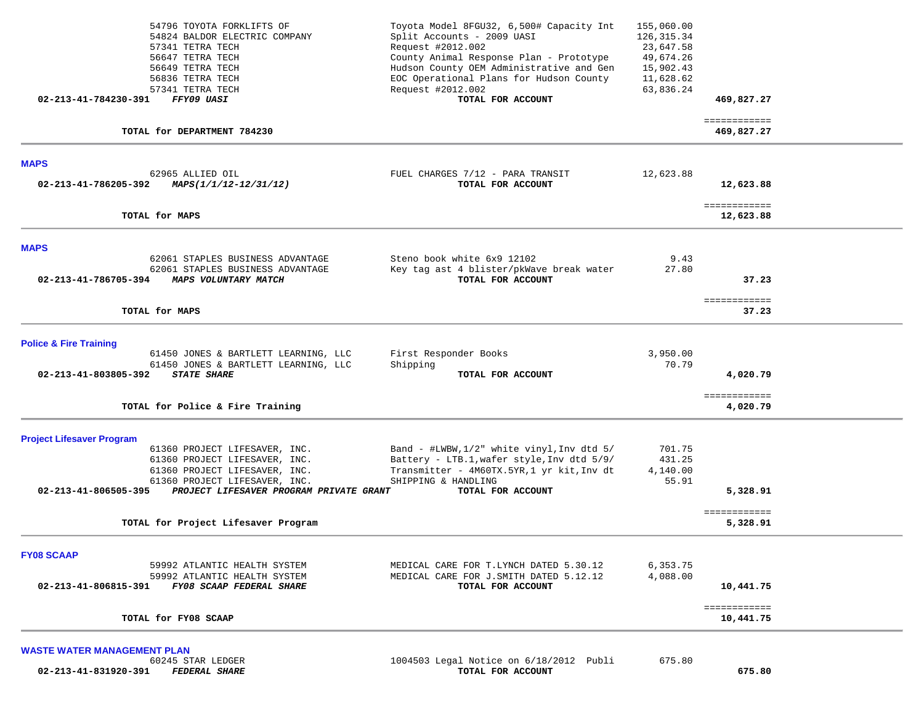| Toyota Model 8FGU32, 6,500# Capacity Int<br>Split Accounts - 2009 UASI | 155,060.00<br>126, 315.34                                                                                                                                                                                                                                                                                                 |                                                                                |                                    |
|------------------------------------------------------------------------|---------------------------------------------------------------------------------------------------------------------------------------------------------------------------------------------------------------------------------------------------------------------------------------------------------------------------|--------------------------------------------------------------------------------|------------------------------------|
| Request #2012.002                                                      | 23,647.58                                                                                                                                                                                                                                                                                                                 |                                                                                |                                    |
|                                                                        |                                                                                                                                                                                                                                                                                                                           |                                                                                |                                    |
|                                                                        |                                                                                                                                                                                                                                                                                                                           |                                                                                |                                    |
| Request #2012.002                                                      | 63,836.24                                                                                                                                                                                                                                                                                                                 |                                                                                |                                    |
| TOTAL FOR ACCOUNT                                                      |                                                                                                                                                                                                                                                                                                                           | 469,827.27                                                                     |                                    |
|                                                                        |                                                                                                                                                                                                                                                                                                                           | ============<br>469,827.27                                                     |                                    |
|                                                                        |                                                                                                                                                                                                                                                                                                                           |                                                                                |                                    |
| FUEL CHARGES 7/12 - PARA TRANSIT                                       | 12,623.88                                                                                                                                                                                                                                                                                                                 |                                                                                |                                    |
|                                                                        |                                                                                                                                                                                                                                                                                                                           |                                                                                |                                    |
|                                                                        |                                                                                                                                                                                                                                                                                                                           | ============<br>12,623.88                                                      |                                    |
|                                                                        |                                                                                                                                                                                                                                                                                                                           |                                                                                |                                    |
| Steno book white 6x9 12102                                             | 9.43                                                                                                                                                                                                                                                                                                                      |                                                                                |                                    |
| Key tag ast 4 blister/pkWave break water                               | 27.80                                                                                                                                                                                                                                                                                                                     |                                                                                |                                    |
|                                                                        |                                                                                                                                                                                                                                                                                                                           | 37.23                                                                          |                                    |
|                                                                        |                                                                                                                                                                                                                                                                                                                           | ============                                                                   |                                    |
|                                                                        |                                                                                                                                                                                                                                                                                                                           |                                                                                |                                    |
|                                                                        |                                                                                                                                                                                                                                                                                                                           |                                                                                |                                    |
| First Responder Books                                                  | 3,950.00                                                                                                                                                                                                                                                                                                                  |                                                                                |                                    |
| TOTAL FOR ACCOUNT                                                      |                                                                                                                                                                                                                                                                                                                           | 4,020.79                                                                       |                                    |
|                                                                        |                                                                                                                                                                                                                                                                                                                           |                                                                                |                                    |
|                                                                        |                                                                                                                                                                                                                                                                                                                           | 4,020.79                                                                       |                                    |
|                                                                        |                                                                                                                                                                                                                                                                                                                           |                                                                                |                                    |
| Band - #LWBW, 1/2" white vinyl, Inv dtd 5/                             | 701.75                                                                                                                                                                                                                                                                                                                    |                                                                                |                                    |
|                                                                        |                                                                                                                                                                                                                                                                                                                           |                                                                                |                                    |
| SHIPPING & HANDLING                                                    | 55.91                                                                                                                                                                                                                                                                                                                     |                                                                                |                                    |
| PROJECT LIFESAVER PROGRAM PRIVATE GRANT<br>TOTAL FOR ACCOUNT           |                                                                                                                                                                                                                                                                                                                           | 5,328.91                                                                       |                                    |
|                                                                        |                                                                                                                                                                                                                                                                                                                           | ============<br>5,328.91                                                       |                                    |
|                                                                        |                                                                                                                                                                                                                                                                                                                           |                                                                                |                                    |
|                                                                        |                                                                                                                                                                                                                                                                                                                           |                                                                                |                                    |
| MEDICAL CARE FOR J. SMITH DATED 5.12.12                                | 4,088.00                                                                                                                                                                                                                                                                                                                  |                                                                                |                                    |
| TOTAL FOR ACCOUNT                                                      |                                                                                                                                                                                                                                                                                                                           | 10,441.75                                                                      |                                    |
|                                                                        |                                                                                                                                                                                                                                                                                                                           | ============<br>10,441.75                                                      |                                    |
|                                                                        | County Animal Response Plan - Prototype<br>Hudson County OEM Administrative and Gen<br>EOC Operational Plans for Hudson County<br>TOTAL FOR ACCOUNT<br>TOTAL FOR ACCOUNT<br>Shipping<br>Battery - LTB.1, wafer style, Inv dtd 5/9/<br>Transmitter - 4M60TX.5YR,1 yr kit, Inv dt<br>MEDICAL CARE FOR T.LYNCH DATED 5.30.12 | 49,674.26<br>15,902.43<br>11,628.62<br>70.79<br>431.25<br>4,140.00<br>6,353.75 | 12,623.88<br>37.23<br>============ |

60245 STAR LEDGER

1004503 Legal Notice on 6/18/2012 Publi 675.80  **02-213-41-831920-391** *FEDERAL SHARE* **TOTAL FOR ACCOUNT 675.80**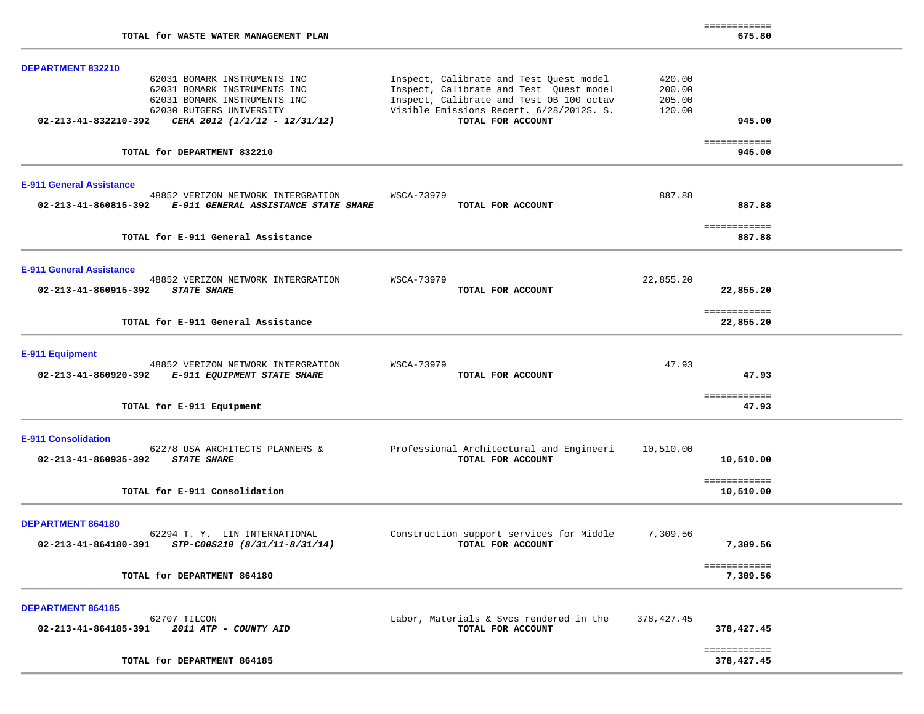| DEPARTMENT 832210                                                                                                                                                                 |                                                                                                                                                                                                 |                                      |                            |  |
|-----------------------------------------------------------------------------------------------------------------------------------------------------------------------------------|-------------------------------------------------------------------------------------------------------------------------------------------------------------------------------------------------|--------------------------------------|----------------------------|--|
| 62031 BOMARK INSTRUMENTS INC<br>62031 BOMARK INSTRUMENTS INC<br>62031 BOMARK INSTRUMENTS INC<br>62030 RUTGERS UNIVERSITY<br>02-213-41-832210-392<br>CEHA 2012 (1/1/12 - 12/31/12) | Inspect, Calibrate and Test Quest model<br>Inspect, Calibrate and Test Quest model<br>Inspect, Calibrate and Test OB 100 octav<br>Visible Emissions Recert. 6/28/2012S. S.<br>TOTAL FOR ACCOUNT | 420.00<br>200.00<br>205.00<br>120.00 | 945.00                     |  |
|                                                                                                                                                                                   |                                                                                                                                                                                                 |                                      |                            |  |
| TOTAL for DEPARTMENT 832210                                                                                                                                                       |                                                                                                                                                                                                 |                                      | ============<br>945.00     |  |
| <b>E-911 General Assistance</b>                                                                                                                                                   |                                                                                                                                                                                                 |                                      |                            |  |
| 48852 VERIZON NETWORK INTERGRATION<br>02-213-41-860815-392 E-911 GENERAL ASSISTANCE STATE SHARE                                                                                   | WSCA-73979<br>TOTAL FOR ACCOUNT                                                                                                                                                                 | 887.88                               | 887.88                     |  |
| TOTAL for E-911 General Assistance                                                                                                                                                |                                                                                                                                                                                                 |                                      | ============<br>887.88     |  |
| <b>E-911 General Assistance</b>                                                                                                                                                   |                                                                                                                                                                                                 |                                      |                            |  |
| 48852 VERIZON NETWORK INTERGRATION<br>02-213-41-860915-392<br><b>STATE SHARE</b>                                                                                                  | WSCA-73979<br>TOTAL FOR ACCOUNT                                                                                                                                                                 | 22,855.20                            | 22,855.20                  |  |
| TOTAL for E-911 General Assistance                                                                                                                                                |                                                                                                                                                                                                 |                                      | ============<br>22,855.20  |  |
| E-911 Equipment                                                                                                                                                                   |                                                                                                                                                                                                 |                                      |                            |  |
| 48852 VERIZON NETWORK INTERGRATION<br>02-213-41-860920-392<br><b>E-911 EQUIPMENT STATE SHARE</b>                                                                                  | WSCA-73979<br>TOTAL FOR ACCOUNT                                                                                                                                                                 | 47.93                                | 47.93                      |  |
| TOTAL for E-911 Equipment                                                                                                                                                         |                                                                                                                                                                                                 |                                      | ============<br>47.93      |  |
| <b>E-911 Consolidation</b>                                                                                                                                                        |                                                                                                                                                                                                 |                                      |                            |  |
| 62278 USA ARCHITECTS PLANNERS &<br>02-213-41-860935-392 STATE SHARE                                                                                                               | Professional Architectural and Engineeri<br>TOTAL FOR ACCOUNT                                                                                                                                   | 10,510.00                            | 10,510.00                  |  |
| TOTAL for E-911 Consolidation                                                                                                                                                     |                                                                                                                                                                                                 |                                      | ============<br>10,510.00  |  |
| <b>DEPARTMENT 864180</b>                                                                                                                                                          |                                                                                                                                                                                                 |                                      |                            |  |
| 62294 T. Y. LIN INTERNATIONAL<br>02-213-41-864180-391<br>STP-C00S210 (8/31/11-8/31/14)                                                                                            | Construction support services for Middle<br>TOTAL FOR ACCOUNT                                                                                                                                   | 7,309.56                             | 7,309.56                   |  |
| TOTAL for DEPARTMENT 864180                                                                                                                                                       |                                                                                                                                                                                                 |                                      | ============<br>7,309.56   |  |
| <b>DEPARTMENT 864185</b>                                                                                                                                                          |                                                                                                                                                                                                 |                                      |                            |  |
| 62707 TILCON<br>02-213-41-864185-391<br>2011 ATP - COUNTY AID                                                                                                                     | Labor, Materials & Svcs rendered in the<br>TOTAL FOR ACCOUNT                                                                                                                                    | 378,427.45                           | 378,427.45                 |  |
| TOTAL for DEPARTMENT 864185                                                                                                                                                       |                                                                                                                                                                                                 |                                      | ------------<br>378,427.45 |  |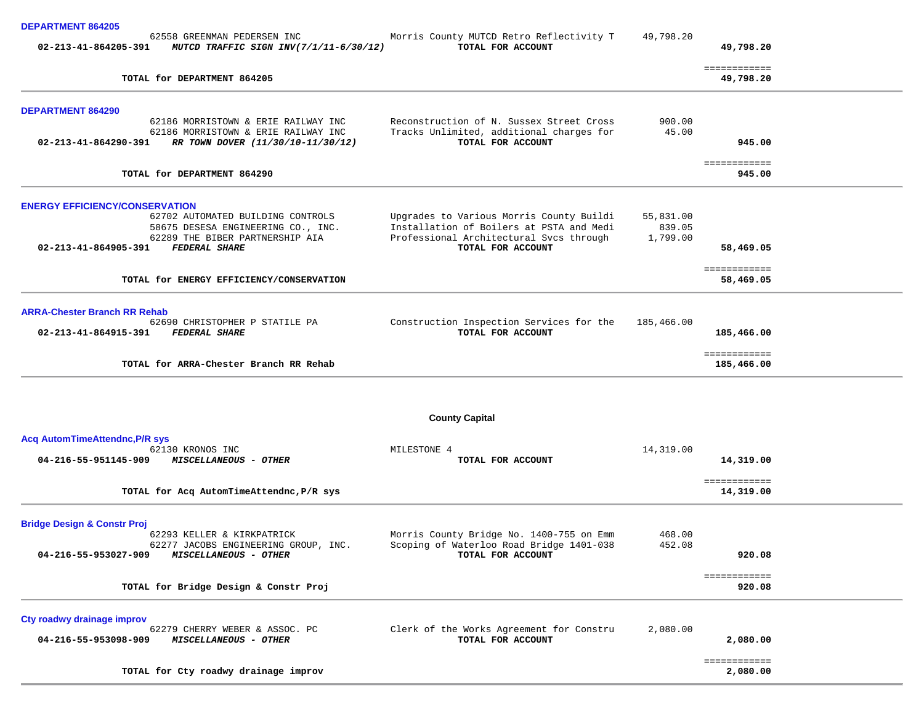|  |  |  | <b>DEPARTMENT 864205</b> |
|--|--|--|--------------------------|
|--|--|--|--------------------------|

| PLI ANIMENI OVTZVJ                                             |                                          |           |
|----------------------------------------------------------------|------------------------------------------|-----------|
| 62558 GREENMAN PEDERSEN INC                                    | Morris County MUTCD Retro Reflectivity T | 49,798.20 |
| 02-213-41-864205-391<br>MUTCD TRAFFIC SIGN INV(7/1/11-6/30/12) | TOTAL FOR ACCOUNT                        | 49,798.20 |

| TOTAL for DEPARTMENT 864205                                                                                                                                                                         |                                                                                                                                                      |                                 | ------------<br>49,798.20  |  |
|-----------------------------------------------------------------------------------------------------------------------------------------------------------------------------------------------------|------------------------------------------------------------------------------------------------------------------------------------------------------|---------------------------------|----------------------------|--|
| <b>DEPARTMENT 864290</b><br>62186 MORRISTOWN & ERIE RAILWAY INC<br>62186 MORRISTOWN & ERIE RAILWAY INC<br>02-213-41-864290-391<br>RR TOWN DOVER (11/30/10-11/30/12)                                 | Reconstruction of N. Sussex Street Cross<br>Tracks Unlimited, additional charges for<br>TOTAL FOR ACCOUNT                                            | 900.00<br>45.00                 | 945.00                     |  |
| TOTAL for DEPARTMENT 864290                                                                                                                                                                         |                                                                                                                                                      |                                 | ============<br>945.00     |  |
| <b>ENERGY EFFICIENCY/CONSERVATION</b><br>62702 AUTOMATED BUILDING CONTROLS<br>58675 DESESA ENGINEERING CO., INC.<br>62289 THE BIBER PARTNERSHIP AIA<br><b>FEDERAL SHARE</b><br>02-213-41-864905-391 | Upgrades to Various Morris County Buildi<br>Installation of Boilers at PSTA and Medi<br>Professional Architectural Svcs through<br>TOTAL FOR ACCOUNT | 55,831.00<br>839.05<br>1,799.00 | 58,469.05                  |  |
| TOTAL for ENERGY EFFICIENCY/CONSERVATION                                                                                                                                                            |                                                                                                                                                      |                                 | ============<br>58,469.05  |  |
| <b>ARRA-Chester Branch RR Rehab</b><br>62690 CHRISTOPHER P STATILE PA<br>02-213-41-864915-391<br><b>FEDERAL SHARE</b>                                                                               | Construction Inspection Services for the<br>TOTAL FOR ACCOUNT                                                                                        | 185,466.00                      | 185,466.00                 |  |
| TOTAL for ARRA-Chester Branch RR Rehab                                                                                                                                                              |                                                                                                                                                      |                                 | ============<br>185,466.00 |  |
|                                                                                                                                                                                                     | <b>County Capital</b>                                                                                                                                |                                 |                            |  |
| <b>Acq AutomTimeAttendnc, P/R sys</b><br>62130 KRONOS INC<br>04-216-55-951145-909<br><b>MISCELLANEOUS - OTHER</b>                                                                                   | MILESTONE 4<br>TOTAL FOR ACCOUNT                                                                                                                     | 14,319.00                       | 14,319.00<br>============  |  |
| TOTAL for Acq AutomTimeAttendnc, P/R sys                                                                                                                                                            |                                                                                                                                                      |                                 | 14,319.00                  |  |
| <b>Bridge Design &amp; Constr Proj</b><br>62293 KELLER & KIRKPATRICK<br>62277 JACOBS ENGINEERING GROUP, INC.<br>04-216-55-953027-909<br>MISCELLANEOUS - OTHER                                       | Morris County Bridge No. 1400-755 on Emm<br>Scoping of Waterloo Road Bridge 1401-038<br>TOTAL FOR ACCOUNT                                            | 468.00<br>452.08                | 920.08                     |  |
| TOTAL for Bridge Design & Constr Proj                                                                                                                                                               |                                                                                                                                                      |                                 | ============<br>920.08     |  |
| Cty roadwy drainage improv<br>62279 CHERRY WEBER & ASSOC. PC<br>04-216-55-953098-909<br>MISCELLANEOUS - OTHER                                                                                       | Clerk of the Works Agreement for Constru<br>TOTAL FOR ACCOUNT                                                                                        | 2,080.00                        | 2,080.00                   |  |
| TOTAL for Cty roadwy drainage improv                                                                                                                                                                |                                                                                                                                                      |                                 | ============<br>2,080.00   |  |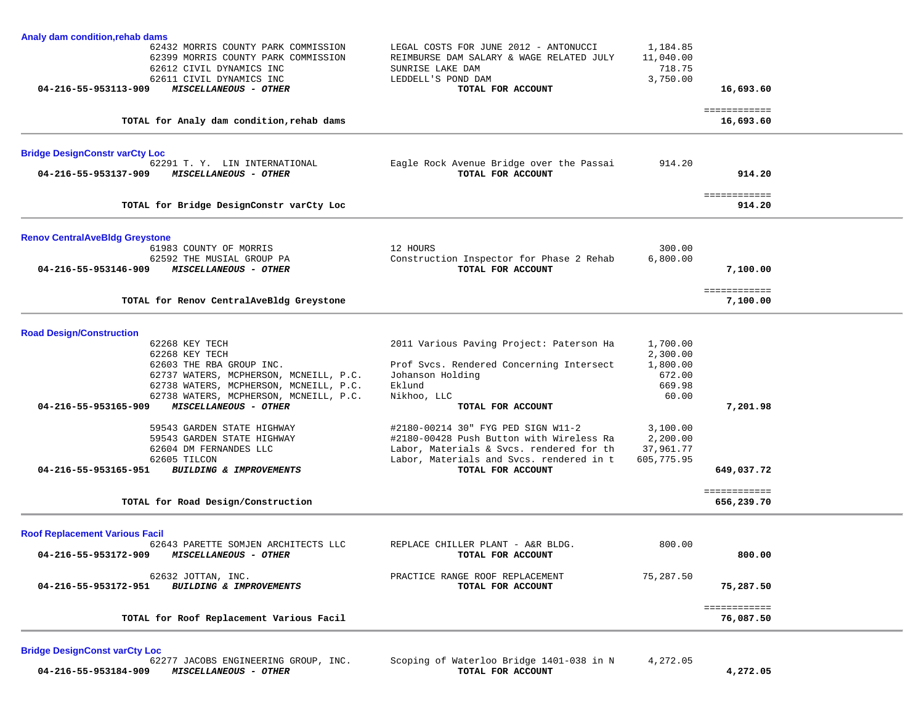| Analy dam condition, rehab dams       |                                                                 |                                          |                    |                    |  |
|---------------------------------------|-----------------------------------------------------------------|------------------------------------------|--------------------|--------------------|--|
|                                       | 62432 MORRIS COUNTY PARK COMMISSION                             | LEGAL COSTS FOR JUNE 2012 - ANTONUCCI    | 1,184.85           |                    |  |
|                                       | 62399 MORRIS COUNTY PARK COMMISSION                             | REIMBURSE DAM SALARY & WAGE RELATED JULY | 11,040.00          |                    |  |
|                                       | 62612 CIVIL DYNAMICS INC                                        | SUNRISE LAKE DAM                         | 718.75             |                    |  |
|                                       | 62611 CIVIL DYNAMICS INC                                        | LEDDELL'S POND DAM                       | 3,750.00           |                    |  |
| 04-216-55-953113-909                  | MISCELLANEOUS - OTHER                                           | TOTAL FOR ACCOUNT                        |                    | 16,693.60          |  |
|                                       |                                                                 |                                          |                    | ============       |  |
|                                       | TOTAL for Analy dam condition, rehab dams                       |                                          |                    | 16,693.60          |  |
| <b>Bridge DesignConstr varCty Loc</b> |                                                                 |                                          |                    |                    |  |
|                                       | 62291 T. Y. LIN INTERNATIONAL                                   | Eagle Rock Avenue Bridge over the Passai | 914.20             |                    |  |
| 04-216-55-953137-909                  | MISCELLANEOUS - OTHER                                           | TOTAL FOR ACCOUNT                        |                    | 914.20             |  |
|                                       |                                                                 |                                          |                    | <b>EEEEEEEEEEE</b> |  |
|                                       | TOTAL for Bridge DesignConstr varCty Loc                        |                                          |                    | 914.20             |  |
| <b>Renov CentralAveBldg Greystone</b> |                                                                 |                                          |                    |                    |  |
|                                       | 61983 COUNTY OF MORRIS                                          | 12 HOURS                                 | 300.00             |                    |  |
|                                       | 62592 THE MUSIAL GROUP PA                                       | Construction Inspector for Phase 2 Rehab | 6,800.00           |                    |  |
| 04-216-55-953146-909                  | <i>MISCELLANEOUS - OTHER</i>                                    | TOTAL FOR ACCOUNT                        |                    | 7,100.00           |  |
|                                       |                                                                 |                                          |                    | ============       |  |
|                                       | TOTAL for Renov CentralAveBldg Greystone                        |                                          |                    | 7,100.00           |  |
|                                       |                                                                 |                                          |                    |                    |  |
| <b>Road Design/Construction</b>       |                                                                 |                                          |                    |                    |  |
|                                       | 62268 KEY TECH                                                  | 2011 Various Paving Project: Paterson Ha | 1,700.00           |                    |  |
|                                       | 62268 KEY TECH                                                  |                                          | 2,300.00           |                    |  |
|                                       | 62603 THE RBA GROUP INC.                                        | Prof Svcs. Rendered Concerning Intersect | 1,800.00<br>672.00 |                    |  |
|                                       | 62737 WATERS, MCPHERSON, MCNEILL, P.C.                          | Johanson Holding<br>Eklund               |                    |                    |  |
|                                       | 62738 WATERS, MCPHERSON, MCNEILL, P.C.                          |                                          | 669.98             |                    |  |
| 04-216-55-953165-909                  | 62738 WATERS, MCPHERSON, MCNEILL, P.C.<br>MISCELLANEOUS - OTHER | Nikhoo, LLC<br>TOTAL FOR ACCOUNT         | 60.00              | 7,201.98           |  |
|                                       |                                                                 |                                          |                    |                    |  |
|                                       | 59543 GARDEN STATE HIGHWAY                                      | #2180-00214 30" FYG PED SIGN W11-2       | 3,100.00           |                    |  |
|                                       | 59543 GARDEN STATE HIGHWAY                                      | #2180-00428 Push Button with Wireless Ra | 2,200.00           |                    |  |
|                                       | 62604 DM FERNANDES LLC                                          | Labor, Materials & Svcs. rendered for th | 37,961.77          |                    |  |
|                                       | 62605 TILCON                                                    | Labor, Materials and Svcs. rendered in t | 605,775.95         |                    |  |
| 04-216-55-953165-951                  | BUILDING & IMPROVEMENTS                                         | TOTAL FOR ACCOUNT                        |                    | 649,037.72         |  |
|                                       |                                                                 |                                          |                    | ============       |  |
|                                       | TOTAL for Road Design/Construction                              |                                          |                    | 656,239.70         |  |
|                                       |                                                                 |                                          |                    |                    |  |
| <b>Roof Replacement Various Facil</b> | 62643 PARETTE SOMJEN ARCHITECTS LLC                             | REPLACE CHILLER PLANT - A&R BLDG.        | 800.00             |                    |  |
| 04-216-55-953172-909                  | <i>MISCELLANEOUS - OTHER</i>                                    | TOTAL FOR ACCOUNT                        |                    | 800.00             |  |
|                                       | 62632 JOTTAN, INC.                                              | PRACTICE RANGE ROOF REPLACEMENT          | 75,287.50          |                    |  |
| 04-216-55-953172-951                  | BUILDING & IMPROVEMENTS                                         | TOTAL FOR ACCOUNT                        |                    | 75,287.50          |  |
|                                       |                                                                 |                                          |                    | ============       |  |
|                                       | TOTAL for Roof Replacement Various Facil                        |                                          |                    | 76,087.50          |  |

**Bridge DesignConst varCty Loc 04-216-55-953184-909** *MISCELLANEOUS - OTHER* **TOTAL FOR ACCOUNT 4,272.05**

Scoping of Waterloo Bridge 1401-038 in N 4,272.05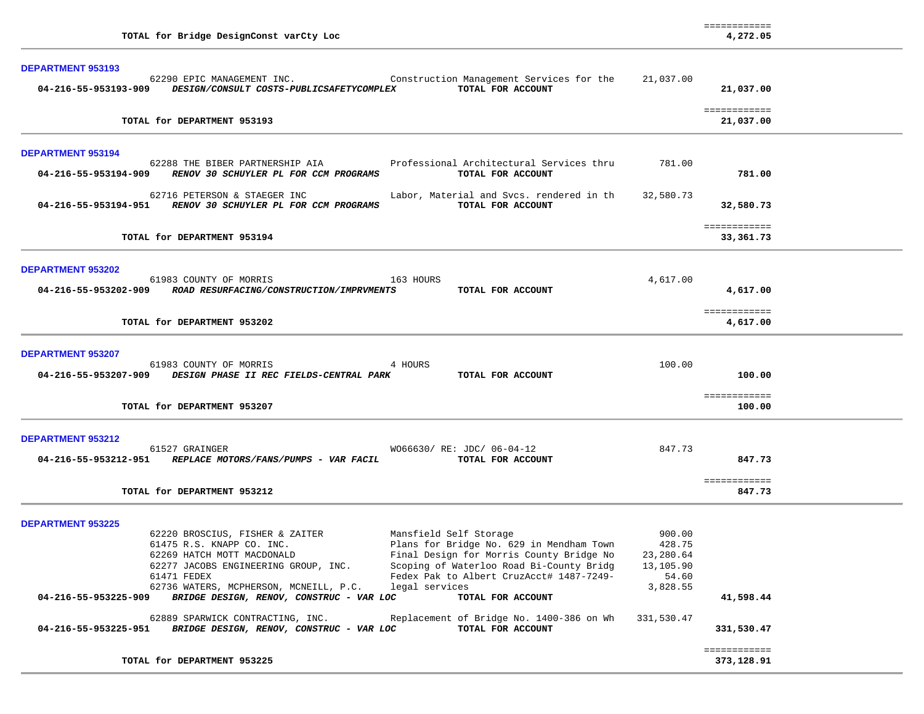| TOTAL for Bridge DesignConst varCty Loc                                                                                                                                                                                                                                                                                                                                                                                                                                                                                                                                                                                                                                                                               |                                                                               | 4,272.05                                |  |
|-----------------------------------------------------------------------------------------------------------------------------------------------------------------------------------------------------------------------------------------------------------------------------------------------------------------------------------------------------------------------------------------------------------------------------------------------------------------------------------------------------------------------------------------------------------------------------------------------------------------------------------------------------------------------------------------------------------------------|-------------------------------------------------------------------------------|-----------------------------------------|--|
| <b>DEPARTMENT 953193</b><br>62290 EPIC MANAGEMENT INC. The Construction Management Services for the<br>04-216-55-953193-909 DESIGN/CONSULT COSTS-PUBLICSAFETYCOMPLEX<br>TOTAL FOR ACCOUNT                                                                                                                                                                                                                                                                                                                                                                                                                                                                                                                             | 21,037.00                                                                     | 21,037.00                               |  |
| TOTAL for DEPARTMENT 953193                                                                                                                                                                                                                                                                                                                                                                                                                                                                                                                                                                                                                                                                                           |                                                                               | ============<br>21,037.00               |  |
| <b>DEPARTMENT 953194</b><br>62288 THE BIBER PARTNERSHIP AIA<br>Professional Architectural Services thru<br>RENOV 30 SCHUYLER PL FOR CCM PROGRAMS<br>04-216-55-953194-909<br>TOTAL FOR ACCOUNT                                                                                                                                                                                                                                                                                                                                                                                                                                                                                                                         | 781.00                                                                        | 781.00                                  |  |
| 62716 PETERSON & STAEGER INC<br>Labor, Material and Svcs. rendered in th<br>04-216-55-953194-951 RENOV 30 SCHUYLER PL FOR CCM PROGRAMS<br>TOTAL FOR ACCOUNT                                                                                                                                                                                                                                                                                                                                                                                                                                                                                                                                                           | 32,580.73                                                                     | 32,580.73                               |  |
| TOTAL for DEPARTMENT 953194                                                                                                                                                                                                                                                                                                                                                                                                                                                                                                                                                                                                                                                                                           |                                                                               | ============<br>33,361.73               |  |
| <b>DEPARTMENT 953202</b><br>61983 COUNTY OF MORRIS<br>163 HOURS<br>04-216-55-953202-909 ROAD RESURFACING/CONSTRUCTION/IMPRVMENTS<br>TOTAL FOR ACCOUNT<br>TOTAL for DEPARTMENT 953202                                                                                                                                                                                                                                                                                                                                                                                                                                                                                                                                  | 4,617.00                                                                      | 4,617.00<br>============<br>4,617.00    |  |
| <b>DEPARTMENT 953207</b><br>61983 COUNTY OF MORRIS<br>4 HOURS<br>04-216-55-953207-909 DESIGN PHASE II REC FIELDS-CENTRAL PARK<br>TOTAL FOR ACCOUNT<br>TOTAL for DEPARTMENT 953207                                                                                                                                                                                                                                                                                                                                                                                                                                                                                                                                     | 100.00                                                                        | 100.00<br>============<br>100.00        |  |
| DEPARTMENT 953212<br>61527 GRAINGER<br>W066630/ RE: JDC/ 06-04-12<br>04-216-55-953212-951 REPLACE MOTORS/FANS/PUMPS - VAR FACIL<br>TOTAL FOR ACCOUNT<br>TOTAL for DEPARTMENT 953212                                                                                                                                                                                                                                                                                                                                                                                                                                                                                                                                   | 847.73                                                                        | 847.73<br>============<br>847.73        |  |
| <b>DEPARTMENT 953225</b><br>Mansfield Self Storage<br>62220 BROSCIUS, FISHER & ZAITER<br>Plans for Bridge No. 629 in Mendham Town<br>61475 R.S. KNAPP CO. INC.<br>Final Design for Morris County Bridge No<br>62269 HATCH MOTT MACDONALD<br>Scoping of Waterloo Road Bi-County Bridg<br>62277 JACOBS ENGINEERING GROUP, INC.<br>Fedex Pak to Albert CruzAcct# 1487-7249-<br>61471 FEDEX<br>62736 WATERS, MCPHERSON, MCNEILL, P.C.<br>legal services<br>BRIDGE DESIGN, RENOV, CONSTRUC - VAR LOC<br>TOTAL FOR ACCOUNT<br>04-216-55-953225-909<br>62889 SPARWICK CONTRACTING, INC.<br>Replacement of Bridge No. 1400-386 on Wh<br>BRIDGE DESIGN, RENOV, CONSTRUC - VAR LOC<br>04-216-55-953225-951<br>TOTAL FOR ACCOUNT | 900.00<br>428.75<br>23,280.64<br>13,105.90<br>54.60<br>3,828.55<br>331,530.47 | 41,598.44<br>331,530.47<br>============ |  |
| TOTAL for DEPARTMENT 953225                                                                                                                                                                                                                                                                                                                                                                                                                                                                                                                                                                                                                                                                                           |                                                                               | 373,128.91                              |  |

============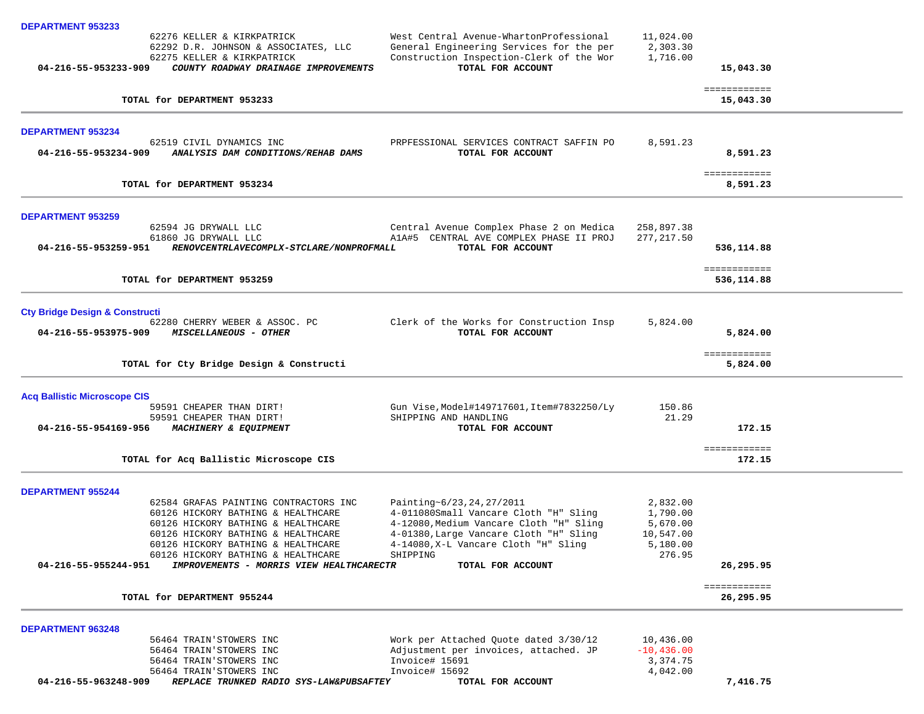| <b>DEPARTMENT 953233</b>                                                                                                                                                                                                            |                                                                                                                                                                                                              |                                                                     |                            |  |
|-------------------------------------------------------------------------------------------------------------------------------------------------------------------------------------------------------------------------------------|--------------------------------------------------------------------------------------------------------------------------------------------------------------------------------------------------------------|---------------------------------------------------------------------|----------------------------|--|
| 62276 KELLER & KIRKPATRICK<br>62292 D.R. JOHNSON & ASSOCIATES, LLC<br>62275 KELLER & KIRKPATRICK                                                                                                                                    | West Central Avenue-WhartonProfessional<br>General Engineering Services for the per<br>Construction Inspection-Clerk of the Wor                                                                              | 11,024.00<br>2,303.30<br>1,716.00                                   |                            |  |
| 04-216-55-953233-909<br>COUNTY ROADWAY DRAINAGE IMPROVEMENTS                                                                                                                                                                        | TOTAL FOR ACCOUNT                                                                                                                                                                                            |                                                                     | 15,043.30                  |  |
| TOTAL for DEPARTMENT 953233                                                                                                                                                                                                         |                                                                                                                                                                                                              |                                                                     | ============<br>15,043.30  |  |
| <b>DEPARTMENT 953234</b>                                                                                                                                                                                                            |                                                                                                                                                                                                              |                                                                     |                            |  |
| 62519 CIVIL DYNAMICS INC<br>ANALYSIS DAM CONDITIONS/REHAB DAMS<br>04-216-55-953234-909                                                                                                                                              | PRPFESSIONAL SERVICES CONTRACT SAFFIN PO<br>TOTAL FOR ACCOUNT                                                                                                                                                | 8,591.23                                                            | 8,591.23                   |  |
| TOTAL for DEPARTMENT 953234                                                                                                                                                                                                         |                                                                                                                                                                                                              |                                                                     | ============<br>8,591.23   |  |
| <b>DEPARTMENT 953259</b>                                                                                                                                                                                                            |                                                                                                                                                                                                              |                                                                     |                            |  |
| 62594 JG DRYWALL LLC<br>61860 JG DRYWALL LLC<br>04-216-55-953259-951<br>RENOVCENTRLAVECOMPLX-STCLARE/NONPROFMALL                                                                                                                    | Central Avenue Complex Phase 2 on Medica<br>A1A#5 CENTRAL AVE COMPLEX PHASE II PROJ<br>TOTAL FOR ACCOUNT                                                                                                     | 258,897.38<br>277, 217.50                                           | 536,114.88                 |  |
| TOTAL for DEPARTMENT 953259                                                                                                                                                                                                         |                                                                                                                                                                                                              |                                                                     | ============<br>536,114.88 |  |
| <b>Cty Bridge Design &amp; Constructi</b>                                                                                                                                                                                           |                                                                                                                                                                                                              |                                                                     |                            |  |
| 62280 CHERRY WEBER & ASSOC. PC<br>04-216-55-953975-909<br><i>MISCELLANEOUS - OTHER</i>                                                                                                                                              | Clerk of the Works for Construction Insp<br>TOTAL FOR ACCOUNT                                                                                                                                                | 5,824.00                                                            | 5,824.00                   |  |
| TOTAL for Cty Bridge Design & Constructi                                                                                                                                                                                            |                                                                                                                                                                                                              |                                                                     | ============<br>5,824.00   |  |
| <b>Acq Ballistic Microscope CIS</b>                                                                                                                                                                                                 |                                                                                                                                                                                                              |                                                                     |                            |  |
| 59591 CHEAPER THAN DIRT!<br>59591 CHEAPER THAN DIRT!<br>04-216-55-954169-956<br>MACHINERY & EQUIPMENT                                                                                                                               | Gun Vise, Model#149717601, Item#7832250/Ly<br>SHIPPING AND HANDLING<br>TOTAL FOR ACCOUNT                                                                                                                     | 150.86<br>21.29                                                     | 172.15                     |  |
| TOTAL for Acq Ballistic Microscope CIS                                                                                                                                                                                              |                                                                                                                                                                                                              |                                                                     | ============<br>172.15     |  |
| <b>DEPARTMENT 955244</b>                                                                                                                                                                                                            |                                                                                                                                                                                                              |                                                                     |                            |  |
| 62584 GRAFAS PAINTING CONTRACTORS INC<br>60126 HICKORY BATHING & HEALTHCARE<br>60126 HICKORY BATHING & HEALTHCARE<br>60126 HICKORY BATHING & HEALTHCARE<br>60126 HICKORY BATHING & HEALTHCARE<br>60126 HICKORY BATHING & HEALTHCARE | Painting~6/23, 24, 27/2011<br>4-011080Small Vancare Cloth "H" Sling<br>4-12080, Medium Vancare Cloth "H" Sling<br>4-01380, Large Vancare Cloth "H" Sling<br>4-14080, X-L Vancare Cloth "H" Sling<br>SHIPPING | 2,832.00<br>1,790.00<br>5,670.00<br>10,547.00<br>5,180.00<br>276.95 |                            |  |
| 04-216-55-955244-951<br>IMPROVEMENTS - MORRIS VIEW HEALTHCARECTR                                                                                                                                                                    | TOTAL FOR ACCOUNT                                                                                                                                                                                            |                                                                     | 26,295.95<br>============  |  |
| TOTAL for DEPARTMENT 955244                                                                                                                                                                                                         |                                                                                                                                                                                                              |                                                                     | 26,295.95                  |  |
| <b>DEPARTMENT 963248</b>                                                                                                                                                                                                            |                                                                                                                                                                                                              |                                                                     |                            |  |
| 56464 TRAIN'STOWERS INC<br>56464 TRAIN'STOWERS INC<br>56464 TRAIN'STOWERS INC<br>56464 TRAIN'STOWERS INC                                                                                                                            | Work per Attached Quote dated 3/30/12<br>Adjustment per invoices, attached. JP<br>Invoice# 15691<br>Invoice# 15692                                                                                           | 10,436.00<br>$-10, 436.00$<br>3,374.75<br>4,042.00                  |                            |  |
| 04-216-55-963248-909<br>REPLACE TRUNKED RADIO SYS-LAW&PUBSAFTEY                                                                                                                                                                     | TOTAL FOR ACCOUNT                                                                                                                                                                                            |                                                                     | 7,416.75                   |  |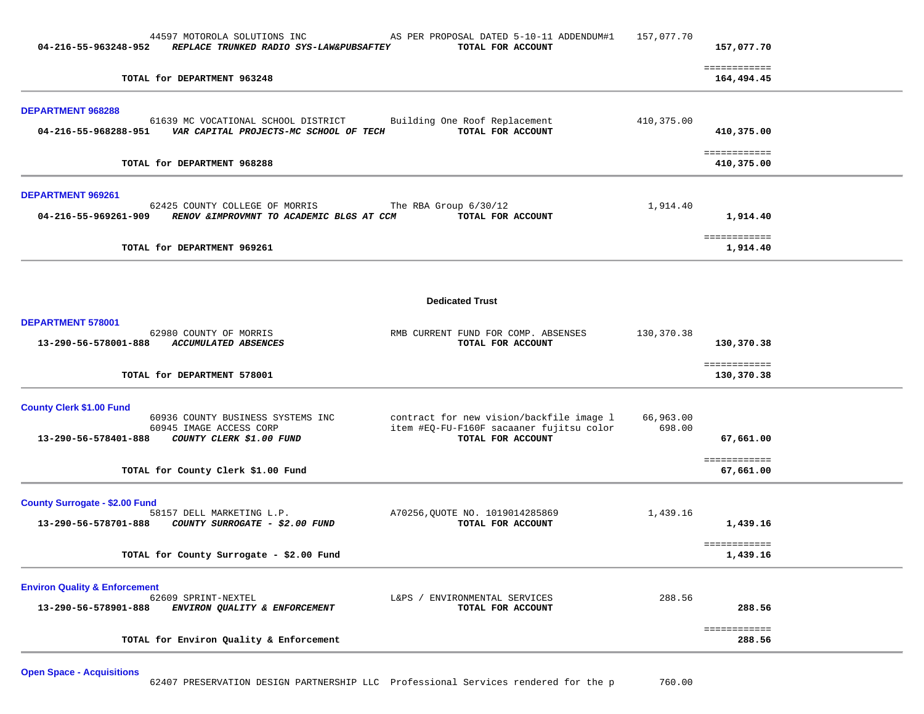| 04-216-55-963248-952                                             | 44597 MOTOROLA SOLUTIONS INC<br>REPLACE TRUNKED RADIO SYS-LAW&PUBSAFTEY                                                               | AS PER PROPOSAL DATED 5-10-11 ADDENDUM#1<br>TOTAL FOR ACCOUNT                                             | 157,077.70          | 157,077.70                             |  |
|------------------------------------------------------------------|---------------------------------------------------------------------------------------------------------------------------------------|-----------------------------------------------------------------------------------------------------------|---------------------|----------------------------------------|--|
|                                                                  | TOTAL for DEPARTMENT 963248                                                                                                           |                                                                                                           |                     | ============<br>164,494.45             |  |
| <b>DEPARTMENT 968288</b>                                         | 61639 MC VOCATIONAL SCHOOL DISTRICT<br>04-216-55-968288-951    VAR CAPITAL PROJECTS-MC SCHOOL OF TECH                                 | Building One Roof Replacement<br>TOTAL FOR ACCOUNT                                                        | 410,375.00          | 410,375.00<br>============             |  |
|                                                                  | TOTAL for DEPARTMENT 968288                                                                                                           |                                                                                                           |                     | 410,375.00                             |  |
| DEPARTMENT 969261<br>04-216-55-969261-909                        | 62425 COUNTY COLLEGE OF MORRIS<br>RENOV & IMPROVMNT TO ACADEMIC BLGS AT CCM                                                           | The RBA Group 6/30/12<br>TOTAL FOR ACCOUNT                                                                | 1,914.40            | 1,914.40                               |  |
|                                                                  | TOTAL for DEPARTMENT 969261                                                                                                           |                                                                                                           |                     | ============<br>1,914.40               |  |
|                                                                  |                                                                                                                                       | <b>Dedicated Trust</b>                                                                                    |                     |                                        |  |
|                                                                  |                                                                                                                                       |                                                                                                           |                     |                                        |  |
| DEPARTMENT 578001                                                | 62980 COUNTY OF MORRIS<br>13-290-56-578001-888 ACCUMULATED ABSENCES                                                                   | RMB CURRENT FUND FOR COMP. ABSENSES<br>TOTAL FOR ACCOUNT                                                  | 130,370.38          | 130,370.38                             |  |
|                                                                  | TOTAL for DEPARTMENT 578001                                                                                                           |                                                                                                           |                     | ============<br>130,370.38             |  |
| <b>County Clerk \$1.00 Fund</b><br>13-290-56-578401-888          | 60936 COUNTY BUSINESS SYSTEMS INC<br>60945 IMAGE ACCESS CORP<br><i>COUNTY CLERK \$1.00 FUND</i><br>TOTAL for County Clerk \$1.00 Fund | contract for new vision/backfile image 1<br>item #EQ-FU-F160F sacaaner fujitsu color<br>TOTAL FOR ACCOUNT | 66,963.00<br>698.00 | 67,661.00<br>============<br>67,661.00 |  |
| <b>County Surrogate - \$2.00 Fund</b>                            | 58157 DELL MARKETING L.P.<br>13-290-56-578701-888 COUNTY SURROGATE - \$2.00 FUND                                                      | A70256, QUOTE NO. 1019014285869<br>TOTAL FOR ACCOUNT                                                      | 1,439.16            | 1,439.16<br>============               |  |
|                                                                  | TOTAL for County Surrogate - \$2.00 Fund                                                                                              |                                                                                                           |                     | 1,439.16                               |  |
| <b>Environ Quality &amp; Enforcement</b><br>13-290-56-578901-888 | 62609 SPRINT-NEXTEL<br>ENVIRON QUALITY & ENFORCEMENT                                                                                  | L&PS / ENVIRONMENTAL SERVICES<br>TOTAL FOR ACCOUNT                                                        | 288.56              | 288.56                                 |  |
|                                                                  | TOTAL for Environ Quality & Enforcement                                                                                               |                                                                                                           |                     | ============<br>288.56                 |  |